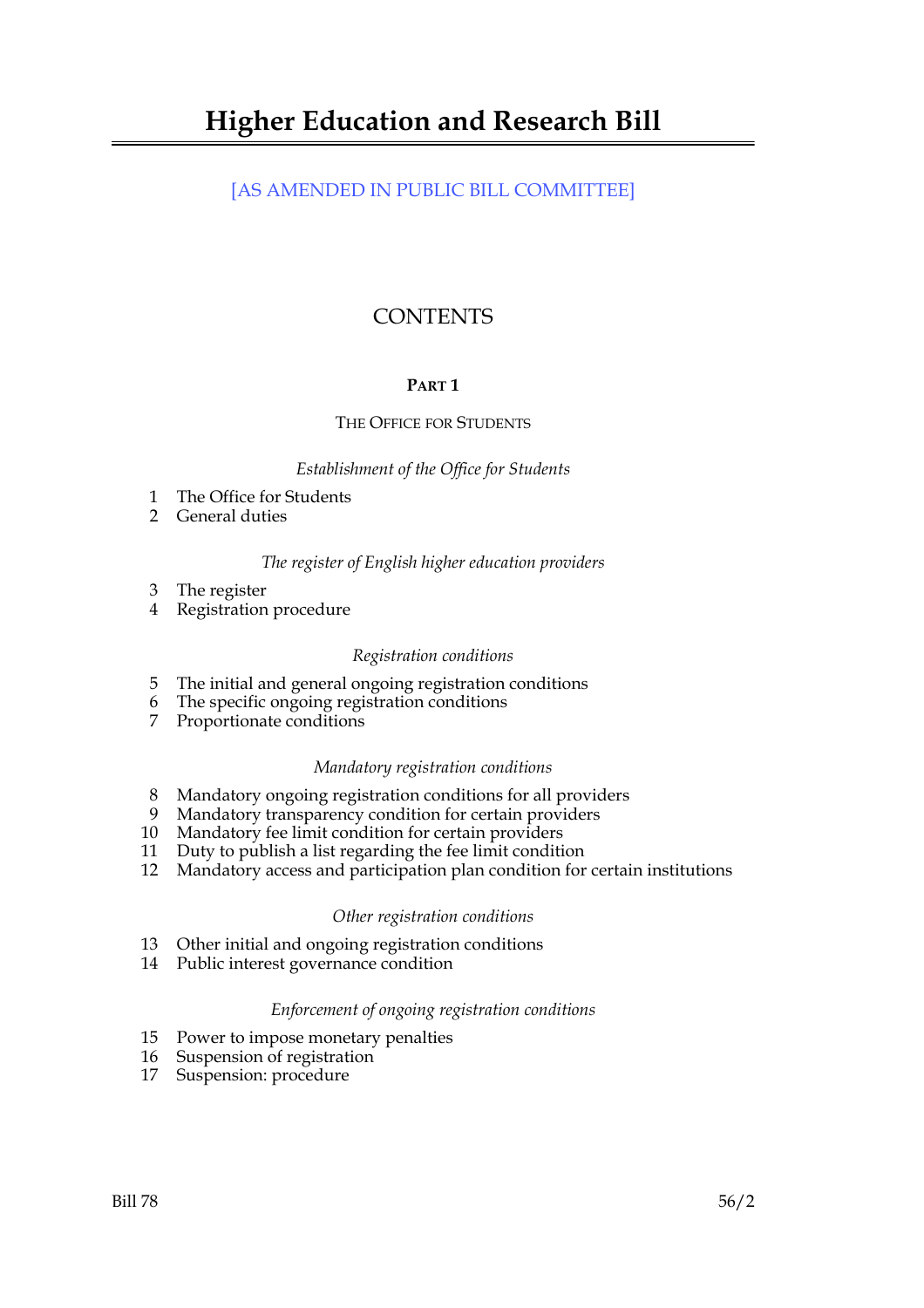## [AS AMENDED IN PUBLIC BILL COMMITTEE]

# **CONTENTS**

## **PART 1**

## THE OFFICE FOR STUDENTS

## *Establishment of the Office for Students*

- 1 The Office for Students
- 2 General duties

## *The register of English higher education providers*

- 3 The register
- 4 Registration procedure

## *Registration conditions*

- 5 The initial and general ongoing registration conditions
- 6 The specific ongoing registration conditions
- 7 Proportionate conditions

## *Mandatory registration conditions*

- 8 Mandatory ongoing registration conditions for all providers
- 9 Mandatory transparency condition for certain providers
- 10 Mandatory fee limit condition for certain providers
- 11 Duty to publish a list regarding the fee limit condition
- 12 Mandatory access and participation plan condition for certain institutions

## *Other registration conditions*

- 13 Other initial and ongoing registration conditions
- 14 Public interest governance condition

## *Enforcement of ongoing registration conditions*

- 15 Power to impose monetary penalties
- 16 Suspension of registration
- 17 Suspension: procedure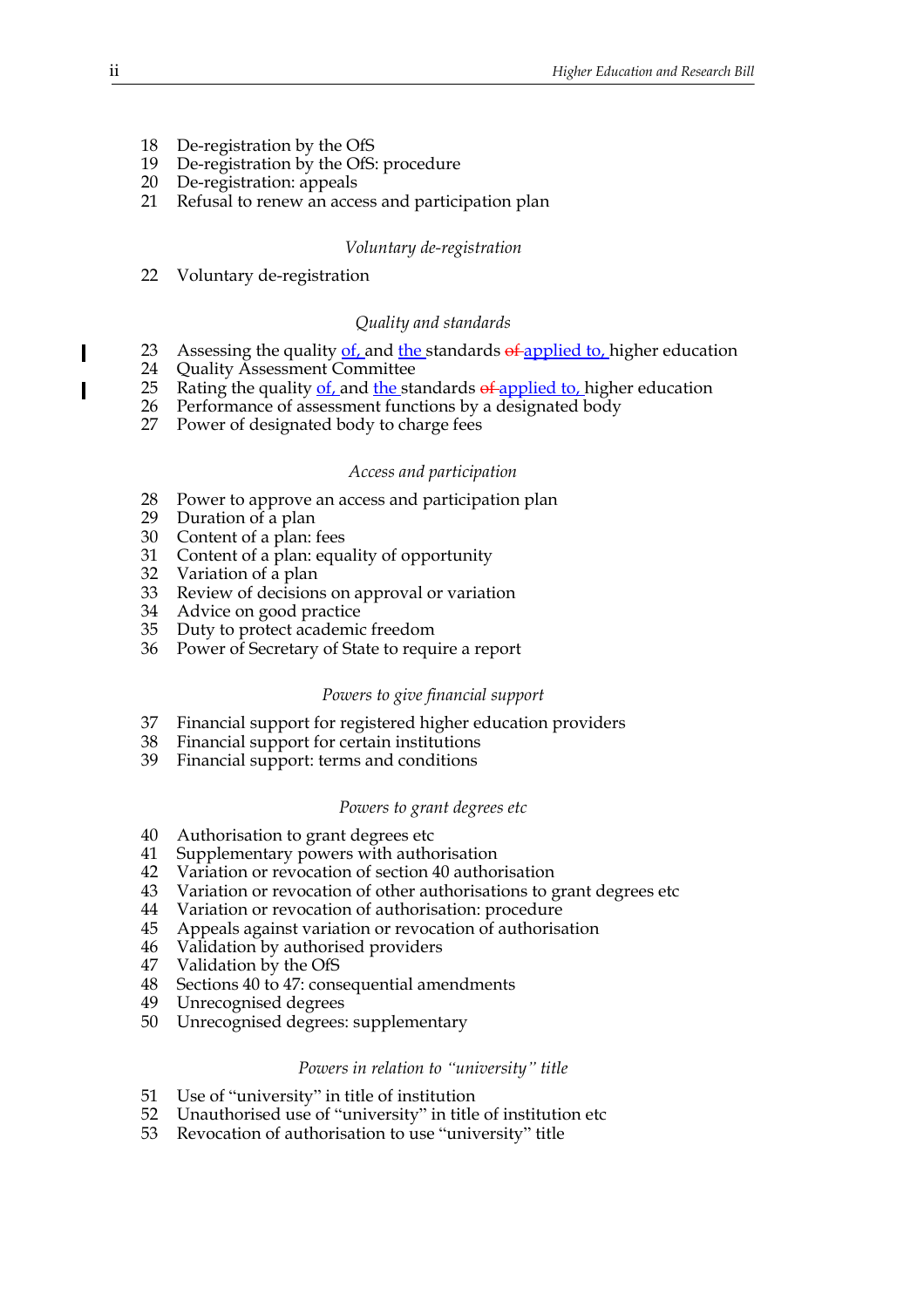- 18 De-registration by the OfS
- 19 De-registration by the OfS: procedure
- 20 De-registration: appeals
- 21 Refusal to renew an access and participation plan

#### *Voluntary de-registration*

22 Voluntary de-registration

#### *Quality and standards*

- 23 Assessing the quality of and the standards of applied to higher education
- 24 Quality Assessment Committee
- 25 Rating the quality  $of$ , and the standards  $of$ -applied to, higher education
- 26 Performance of assessment functions by a designated body
- 27 Power of designated body to charge fees

#### *Access and participation*

- 28 Power to approve an access and participation plan
- 29 Duration of a plan
- 30 Content of a plan: fees
- 31 Content of a plan: equality of opportunity
- 32 Variation of a plan
- 33 Review of decisions on approval or variation
- 34 Advice on good practice
- 35 Duty to protect academic freedom
- 36 Power of Secretary of State to require a report

### *Powers to give financial support*

- 37 Financial support for registered higher education providers
- 38 Financial support for certain institutions
- 39 Financial support: terms and conditions

#### *Powers to grant degrees etc*

- 40 Authorisation to grant degrees etc
- 41 Supplementary powers with authorisation
- 42 Variation or revocation of section 40 authorisation
- 43 Variation or revocation of other authorisations to grant degrees etc
- 44 Variation or revocation of authorisation: procedure
- 45 Appeals against variation or revocation of authorisation
- 46 Validation by authorised providers
- 47 Validation by the OfS
- 48 Sections 40 to 47: consequential amendments
- 49 Unrecognised degrees
- 50 Unrecognised degrees: supplementary

#### *Powers in relation to "university" title*

- 51 Use of "university" in title of institution
- 52 Unauthorised use of "university" in title of institution etc
- 53 Revocation of authorisation to use "university" title

 $\overline{\phantom{a}}$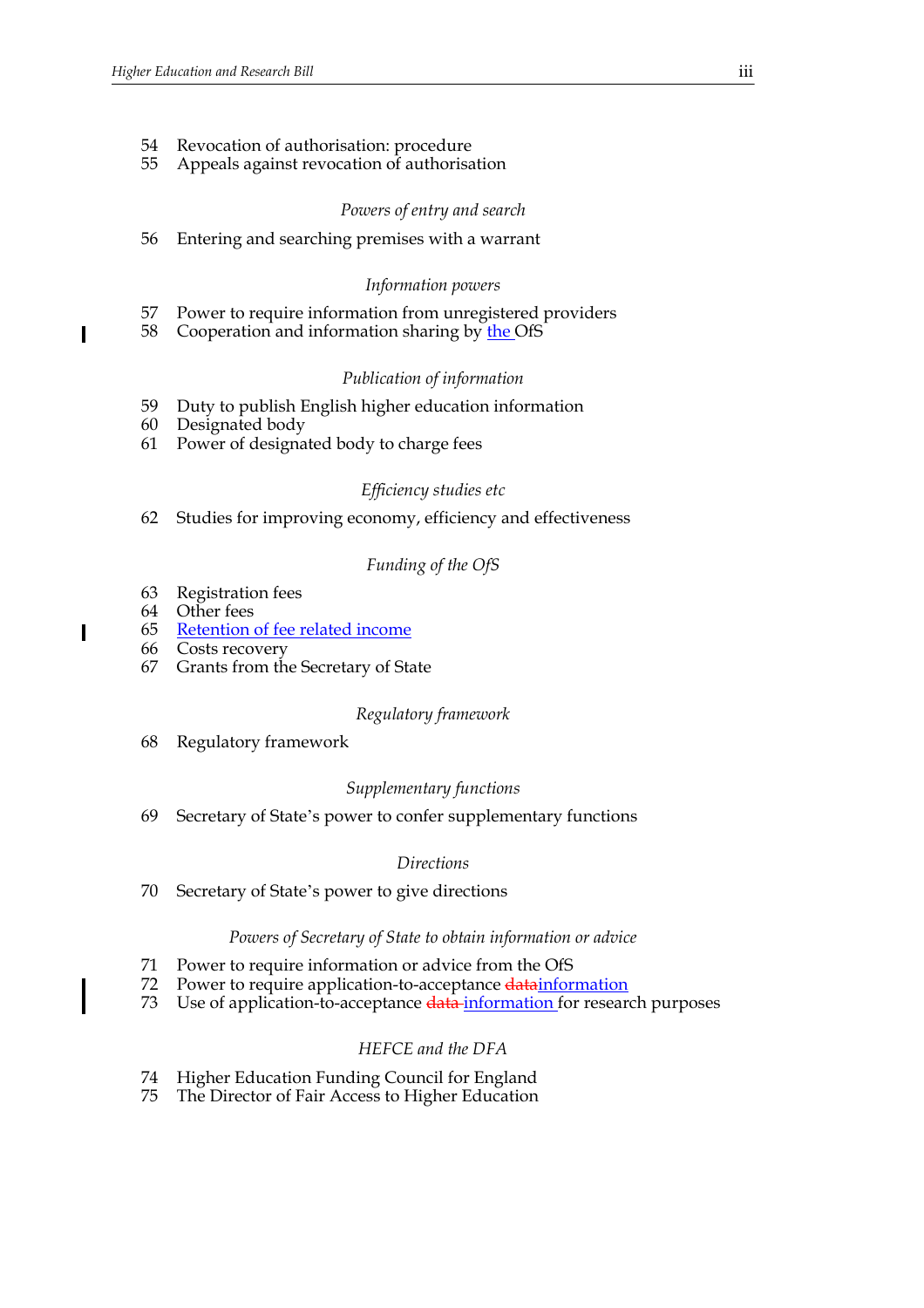- 54 Revocation of authorisation: procedure
- 55 Appeals against revocation of authorisation

### *Powers of entry and search*

56 Entering and searching premises with a warrant

#### *Information powers*

- 57 Power to require information from unregistered providers
- 58 Cooperation and information sharing by the OfS

#### *Publication of information*

- 59 Duty to publish English higher education information
- 60 Designated body

61 Power of designated body to charge fees

### *Efficiency studies etc*

62 Studies for improving economy, efficiency and effectiveness

### *Funding of the OfS*

- 63 Registration fees
- 64 Other fees
- 65 Retention of fee related income
- 66 Costs recovery
- 67 Grants from the Secretary of State

#### *Regulatory framework*

68 Regulatory framework

## *Supplementary functions*

69 Secretary of State's power to confer supplementary functions

#### *Directions*

70 Secretary of State's power to give directions

#### *Powers of Secretary of State to obtain information or advice*

- 71 Power to require information or advice from the OfS
- 72 Power to require application-to-acceptance datainformation
- 73 Use of application-to-acceptance data information for research purposes

## *HEFCE and the DFA*

- 74 Higher Education Funding Council for England
- 75 The Director of Fair Access to Higher Education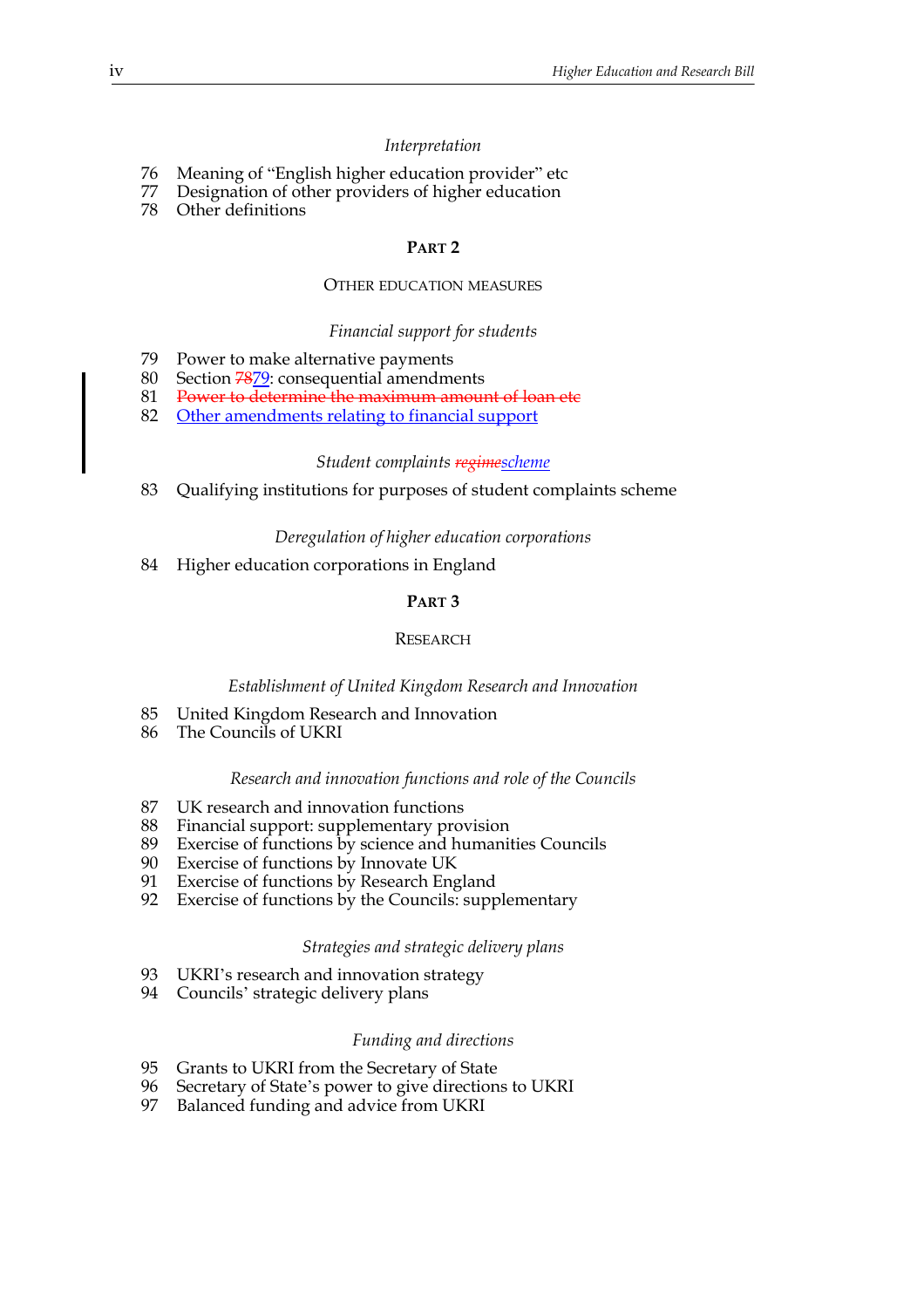#### *Interpretation*

- 76 Meaning of "English higher education provider" etc
- 77 Designation of other providers of higher education
- 78 Other definitions

#### **PART 2**

## OTHER EDUCATION MEASURES

#### *Financial support for students*

- 79 Power to make alternative payments
- 80 Section 7879: consequential amendments
- 81 Power to determine the maximum amount of loan etc
- 82 Other amendments relating to financial support

#### *Student complaints regimescheme*

83 Qualifying institutions for purposes of student complaints scheme

#### *Deregulation of higher education corporations*

84 Higher education corporations in England

## **PART 3**

#### **RESEARCH**

#### *Establishment of United Kingdom Research and Innovation*

- 85 United Kingdom Research and Innovation
- 86 The Councils of UKRI

#### *Research and innovation functions and role of the Councils*

- 87 UK research and innovation functions
- 88 Financial support: supplementary provision
- 89 Exercise of functions by science and humanities Councils<br>90 Exercise of functions by Innovate UK
- Exercise of functions by Innovate UK
- 91 Exercise of functions by Research England
- 92 Exercise of functions by the Councils: supplementary

#### *Strategies and strategic delivery plans*

- 93 UKRI's research and innovation strategy
- 94 Councils' strategic delivery plans

#### *Funding and directions*

- 95 Grants to UKRI from the Secretary of State
- 96 Secretary of State's power to give directions to UKRI
- 97 Balanced funding and advice from UKRI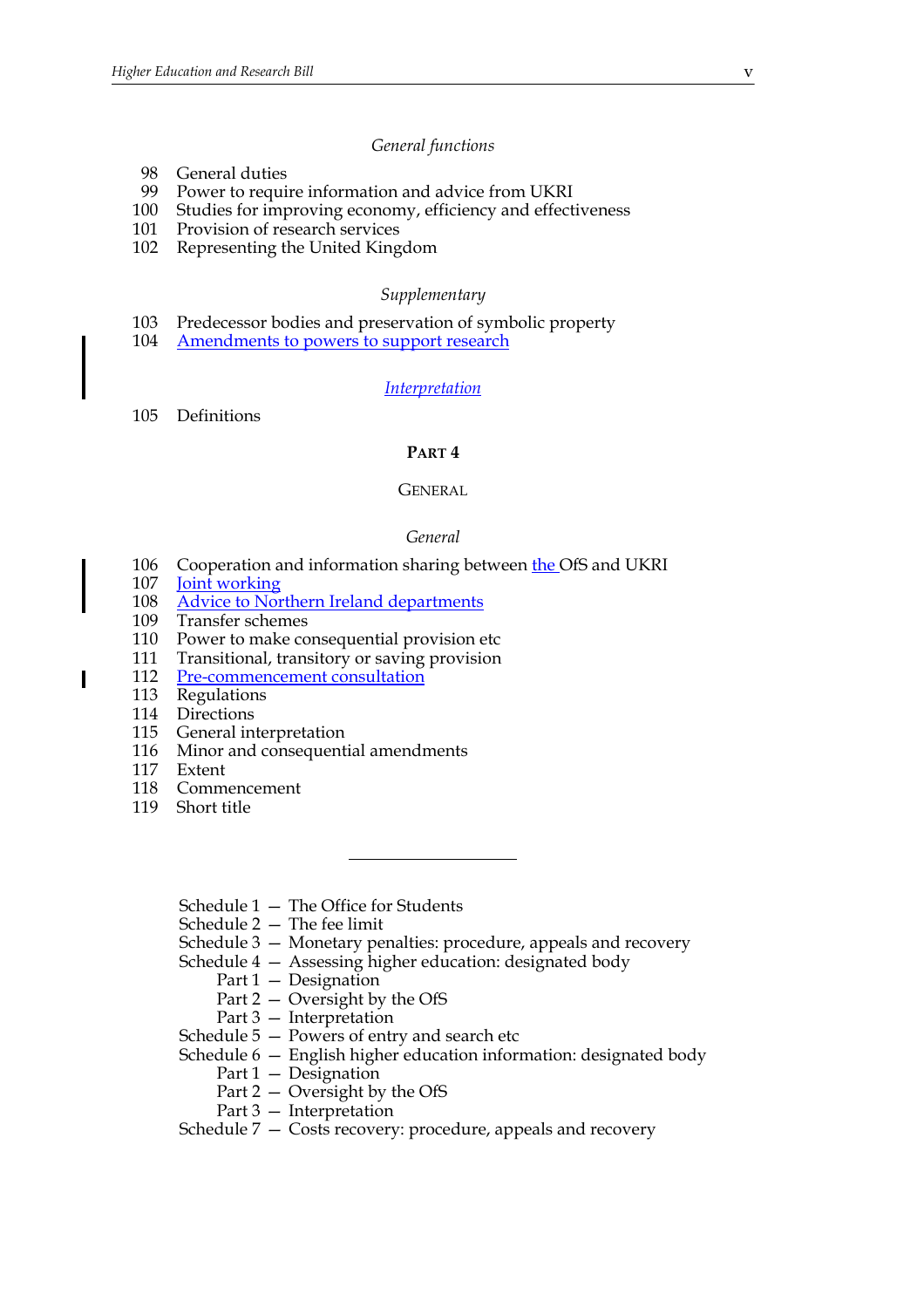#### *General functions*

- 98 General duties
- 99 Power to require information and advice from UKRI
- 100 Studies for improving economy, efficiency and effectiveness
- 101 Provision of research services
- 102 Representing the United Kingdom

#### *Supplementary*

- 103 Predecessor bodies and preservation of symbolic property
- 104 Amendments to powers to support research

#### *Interpretation*

105 Definitions

#### **PART 4**

#### **GENERAL**

#### *General*

- 106 Cooperation and information sharing between the OfS and UKRI
- 107 **Joint working**
- 108 Advice to Northern Ireland departments
- 109 Transfer schemes
- 110 Power to make consequential provision etc
- 111 Transitional, transitory or saving provision
- 112 Pre-commencement consultation
- 113 Regulations
- 114 Directions
- 115 General interpretation
- 116 Minor and consequential amendments
- 117 Extent
- 118 Commencement
- 119 Short title
	- Schedule 1 The Office for Students
	- Schedule 2 The fee limit
	- Schedule 3 Monetary penalties: procedure, appeals and recovery

Schedule 4 — Assessing higher education: designated body

- Part 1 Designation
- Part 2 Oversight by the OfS
- Part 3 Interpretation
- Schedule 5 Powers of entry and search etc
- Schedule 6 English higher education information: designated body
	- Part 1 Designation
	- Part 2 Oversight by the OfS
	- Part 3 Interpretation
- Schedule 7 Costs recovery: procedure, appeals and recovery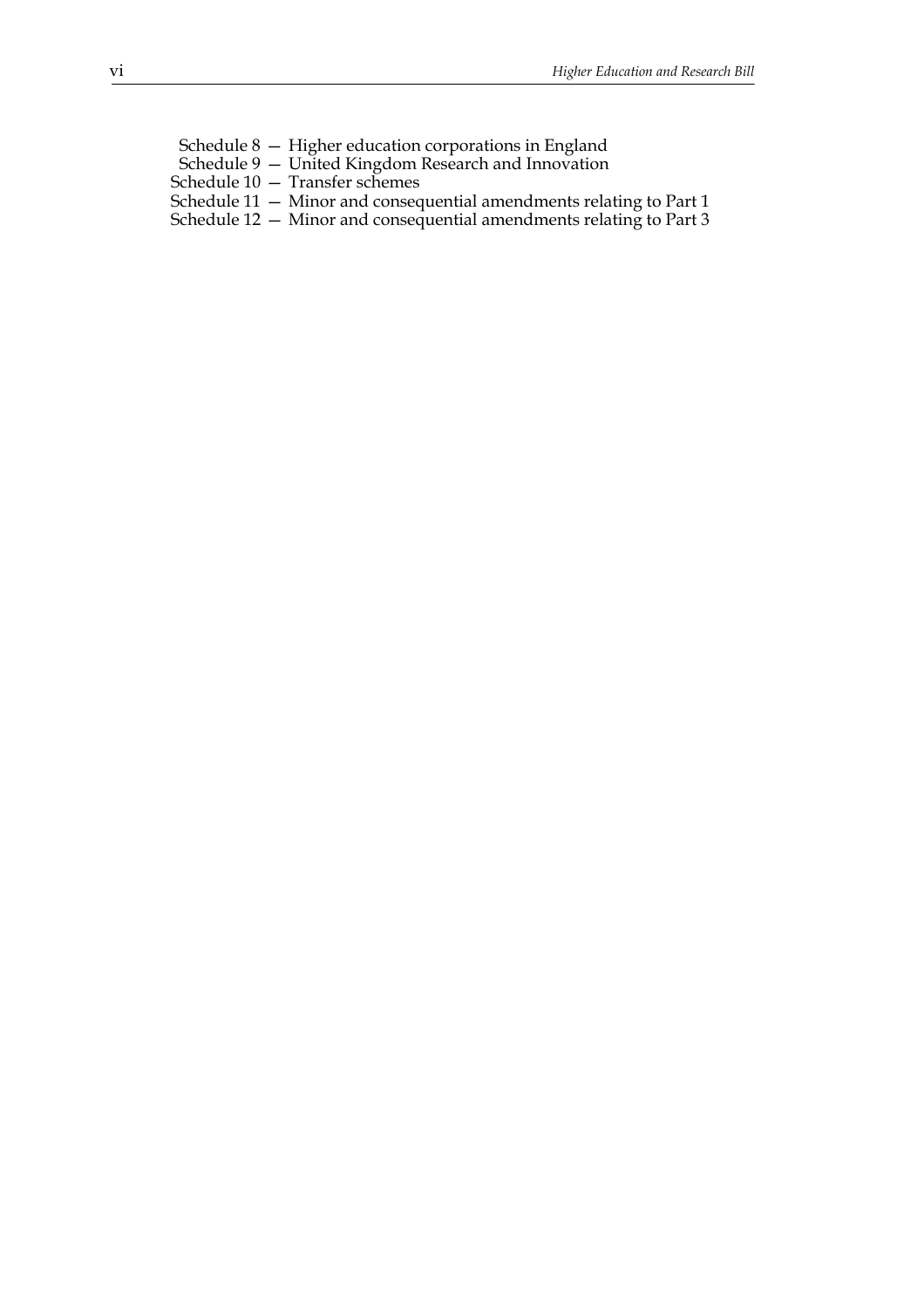- Schedule 8 Higher education corporations in England Schedule 9 — United Kingdom Research and Innovation Schedule 10 — Transfer schemes Schedule 11 — Minor and consequential amendments relating to Part 1
- Schedule 12 Minor and consequential amendments relating to Part 3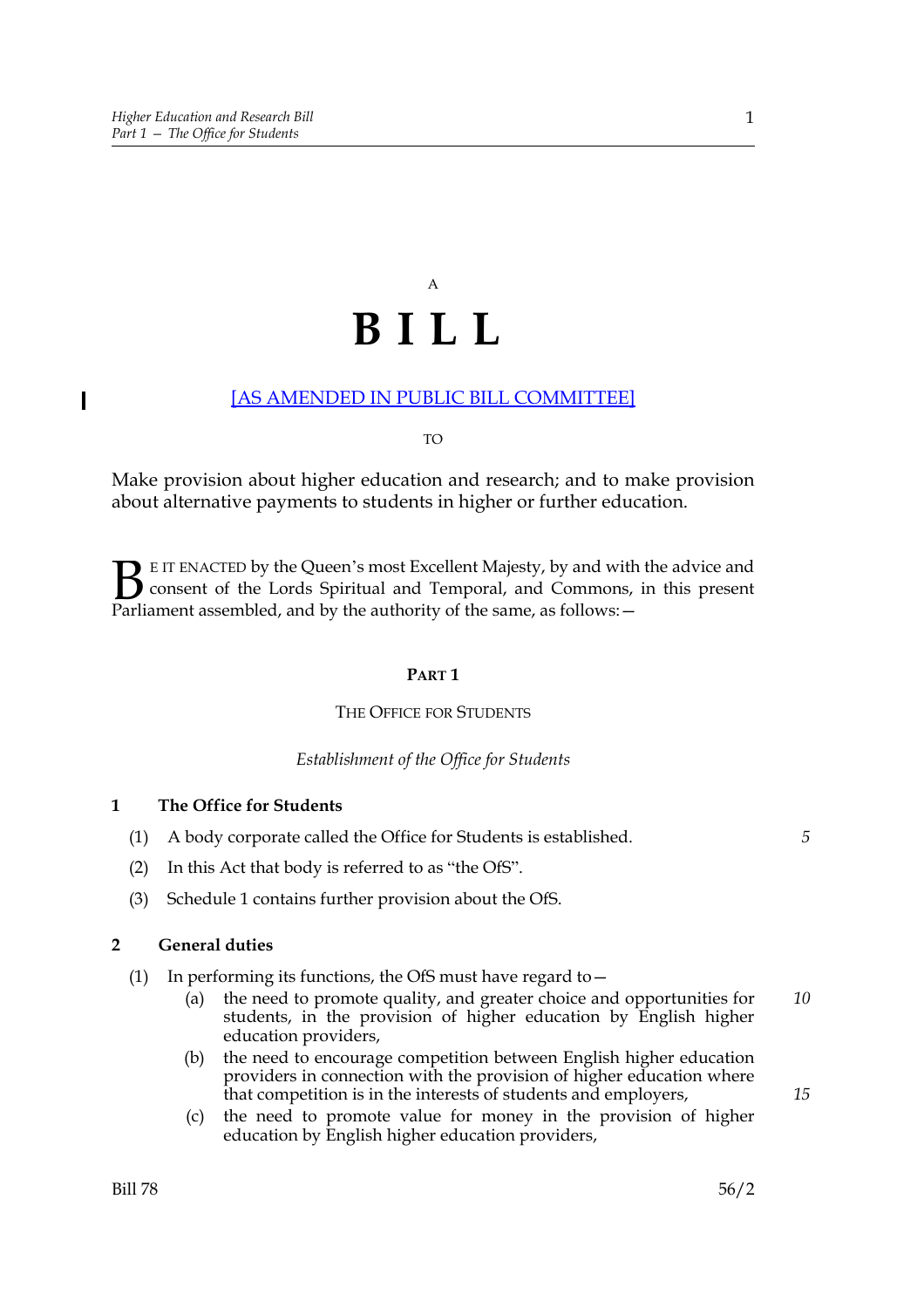$\overline{\phantom{a}}$ 

# A **BILL**

## [AS AMENDED IN PUBLIC BILL COMMITTEE]

#### TO

Make provision about higher education and research; and to make provision about alternative payments to students in higher or further education.

E IT ENACTED by the Queen's most Excellent Majesty, by and with the advice and consent of the Lords Spiritual and Temporal, and Commons, in this present **B** E IT ENACTED by the Queen's most Excellent Majesty, by and with consent of the Lords Spiritual and Temporal, and Commons, Parliament assembled, and by the authority of the same, as follows:  $-$ 

#### **PART 1**

## THE OFFICE FOR STUDENTS

#### *Establishment of the Office for Students*

## **1 The Office for Students**

- (1) A body corporate called the Office for Students is established.
- (2) In this Act that body is referred to as "the OfS".
- (3) Schedule 1 contains further provision about the OfS.

## **2 General duties**

- (1) In performing its functions, the OfS must have regard to  $-$ 
	- (a) the need to promote quality, and greater choice and opportunities for students, in the provision of higher education by English higher education providers, *10*
	- (b) the need to encourage competition between English higher education providers in connection with the provision of higher education where that competition is in the interests of students and employers,
	- (c) the need to promote value for money in the provision of higher education by English higher education providers,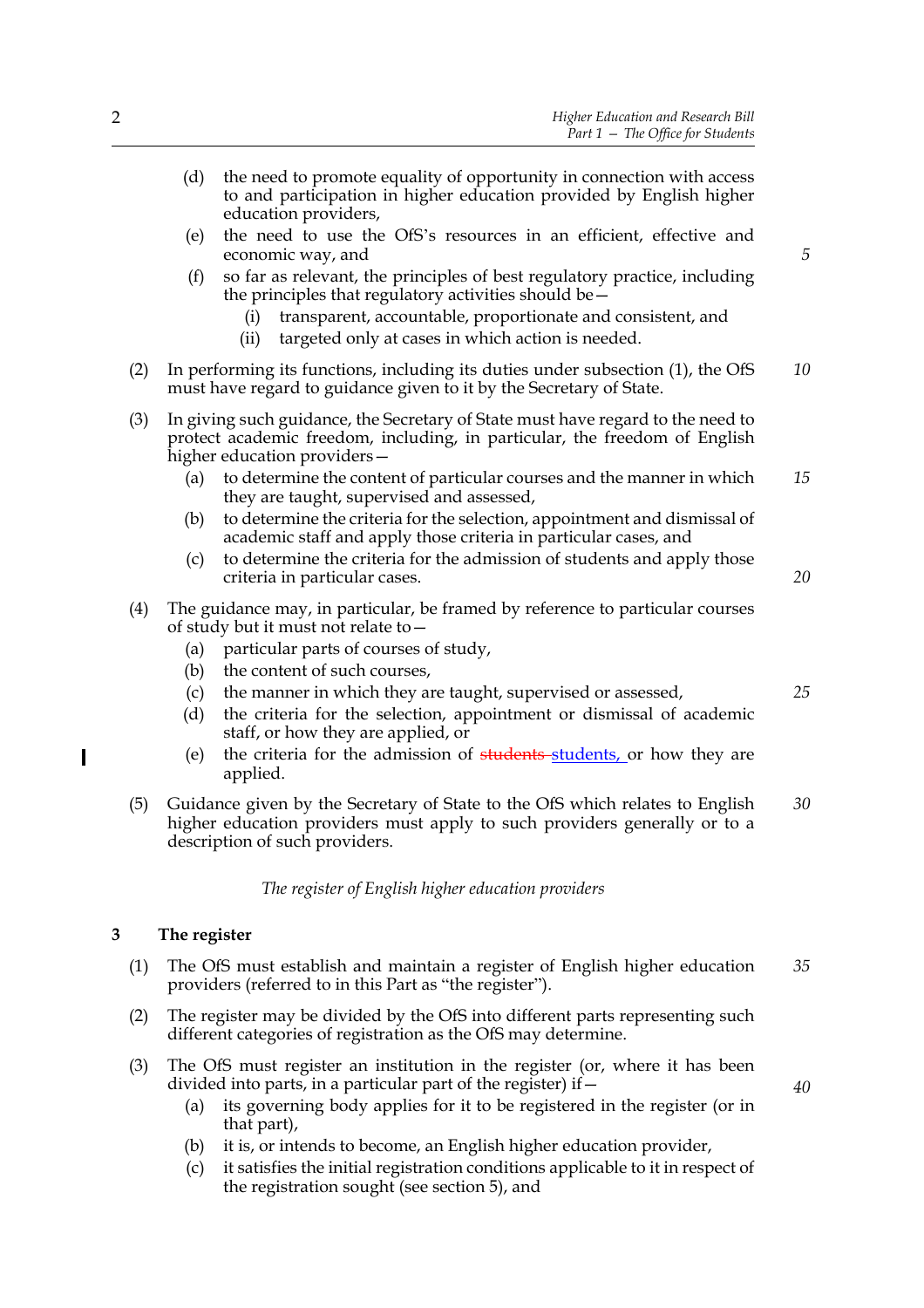(d) the need to promote equality of opportunity in connection with access to and participation in higher education provided by English higher education providers, (e) the need to use the OfS's resources in an efficient, effective and economic way, and (f) so far as relevant, the principles of best regulatory practice, including the principles that regulatory activities should be— (i) transparent, accountable, proportionate and consistent, and (ii) targeted only at cases in which action is needed. (2) In performing its functions, including its duties under subsection (1), the OfS must have regard to guidance given to it by the Secretary of State. (3) In giving such guidance, the Secretary of State must have regard to the need to protect academic freedom, including, in particular, the freedom of English higher education providers— (a) to determine the content of particular courses and the manner in which they are taught, supervised and assessed, (b) to determine the criteria for the selection, appointment and dismissal of academic staff and apply those criteria in particular cases, and (c) to determine the criteria for the admission of students and apply those criteria in particular cases. (4) The guidance may, in particular, be framed by reference to particular courses of study but it must not relate to— (a) particular parts of courses of study, (b) the content of such courses, (c) the manner in which they are taught, supervised or assessed, (d) the criteria for the selection, appointment or dismissal of academic staff, or how they are applied, or (e) the criteria for the admission of students students, or how they are applied. (5) Guidance given by the Secretary of State to the OfS which relates to English higher education providers must apply to such providers generally or to a description of such providers. *5 10 15 20 25 30*

*The register of English higher education providers*

## **3 The register**

I

- (1) The OfS must establish and maintain a register of English higher education providers (referred to in this Part as "the register"). *35*
- (2) The register may be divided by the OfS into different parts representing such different categories of registration as the OfS may determine.
- (3) The OfS must register an institution in the register (or, where it has been divided into parts, in a particular part of the register) if  $-$ 
	- (a) its governing body applies for it to be registered in the register (or in that part),
	- (b) it is, or intends to become, an English higher education provider,
	- (c) it satisfies the initial registration conditions applicable to it in respect of the registration sought (see section 5), and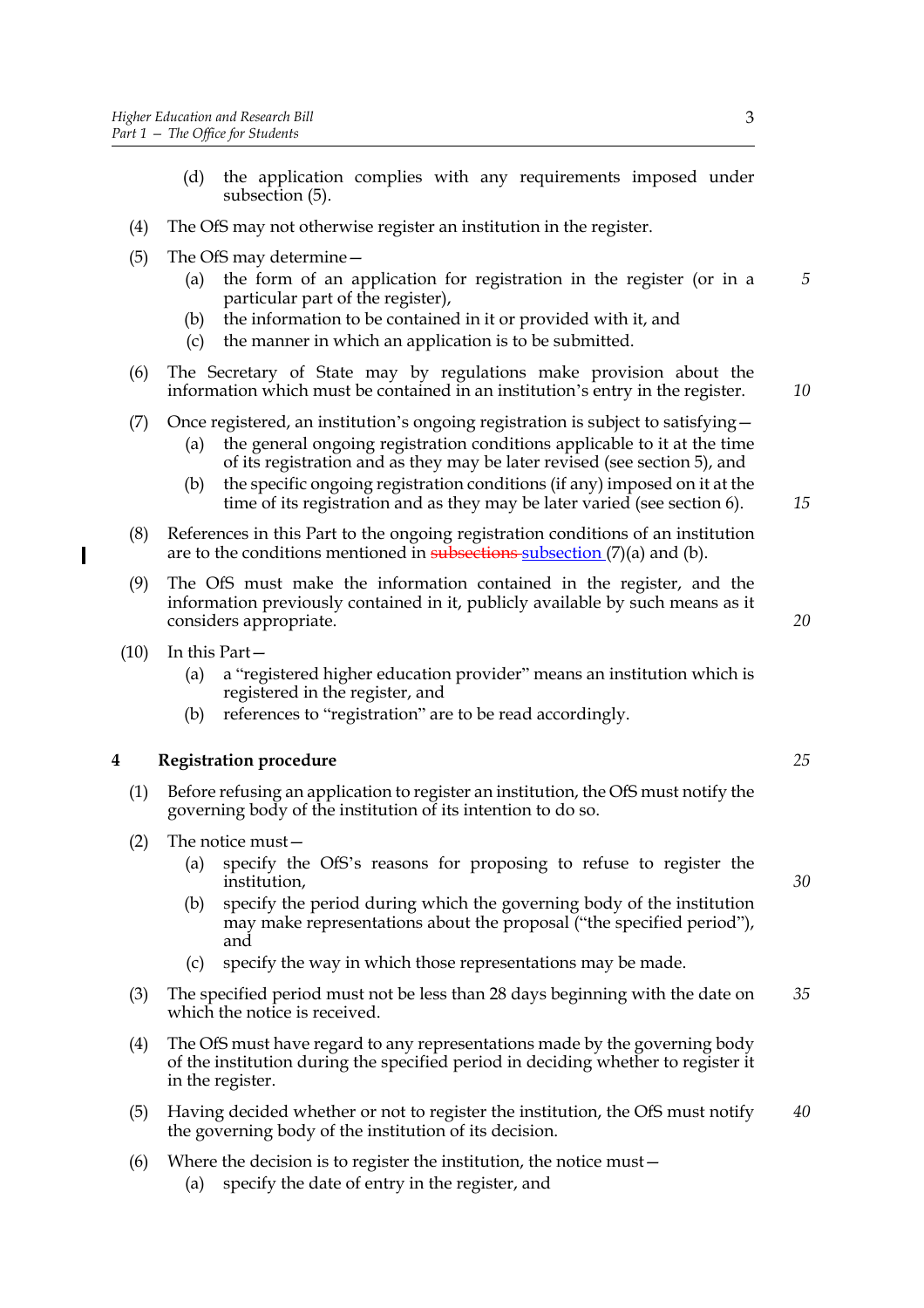- (d) the application complies with any requirements imposed under subsection (5).
- (4) The OfS may not otherwise register an institution in the register.
- (5) The OfS may determine—
	- (a) the form of an application for registration in the register (or in a particular part of the register),
	- (b) the information to be contained in it or provided with it, and
	- (c) the manner in which an application is to be submitted.
- (6) The Secretary of State may by regulations make provision about the information which must be contained in an institution's entry in the register.
- (7) Once registered, an institution's ongoing registration is subject to satisfying—
	- (a) the general ongoing registration conditions applicable to it at the time of its registration and as they may be later revised (see section 5), and
	- (b) the specific ongoing registration conditions (if any) imposed on it at the time of its registration and as they may be later varied (see section 6).
- (8) References in this Part to the ongoing registration conditions of an institution are to the conditions mentioned in subsections subsection  $(7)(a)$  and  $(b)$ .
- (9) The OfS must make the information contained in the register, and the information previously contained in it, publicly available by such means as it considers appropriate.
- (10) In this Part—
	- (a) a "registered higher education provider" means an institution which is registered in the register, and
	- (b) references to "registration" are to be read accordingly.

## **4 Registration procedure**

- (1) Before refusing an application to register an institution, the OfS must notify the governing body of the institution of its intention to do so.
- (2) The notice must—
	- (a) specify the OfS's reasons for proposing to refuse to register the institution,
	- (b) specify the period during which the governing body of the institution may make representations about the proposal ("the specified period"), and
	- (c) specify the way in which those representations may be made.
- (3) The specified period must not be less than 28 days beginning with the date on which the notice is received. *35*
- (4) The OfS must have regard to any representations made by the governing body of the institution during the specified period in deciding whether to register it in the register.
- (5) Having decided whether or not to register the institution, the OfS must notify the governing body of the institution of its decision. *40*
- (6) Where the decision is to register the institution, the notice must—
	- (a) specify the date of entry in the register, and

*5*

*10*

*15*

*20*

*30*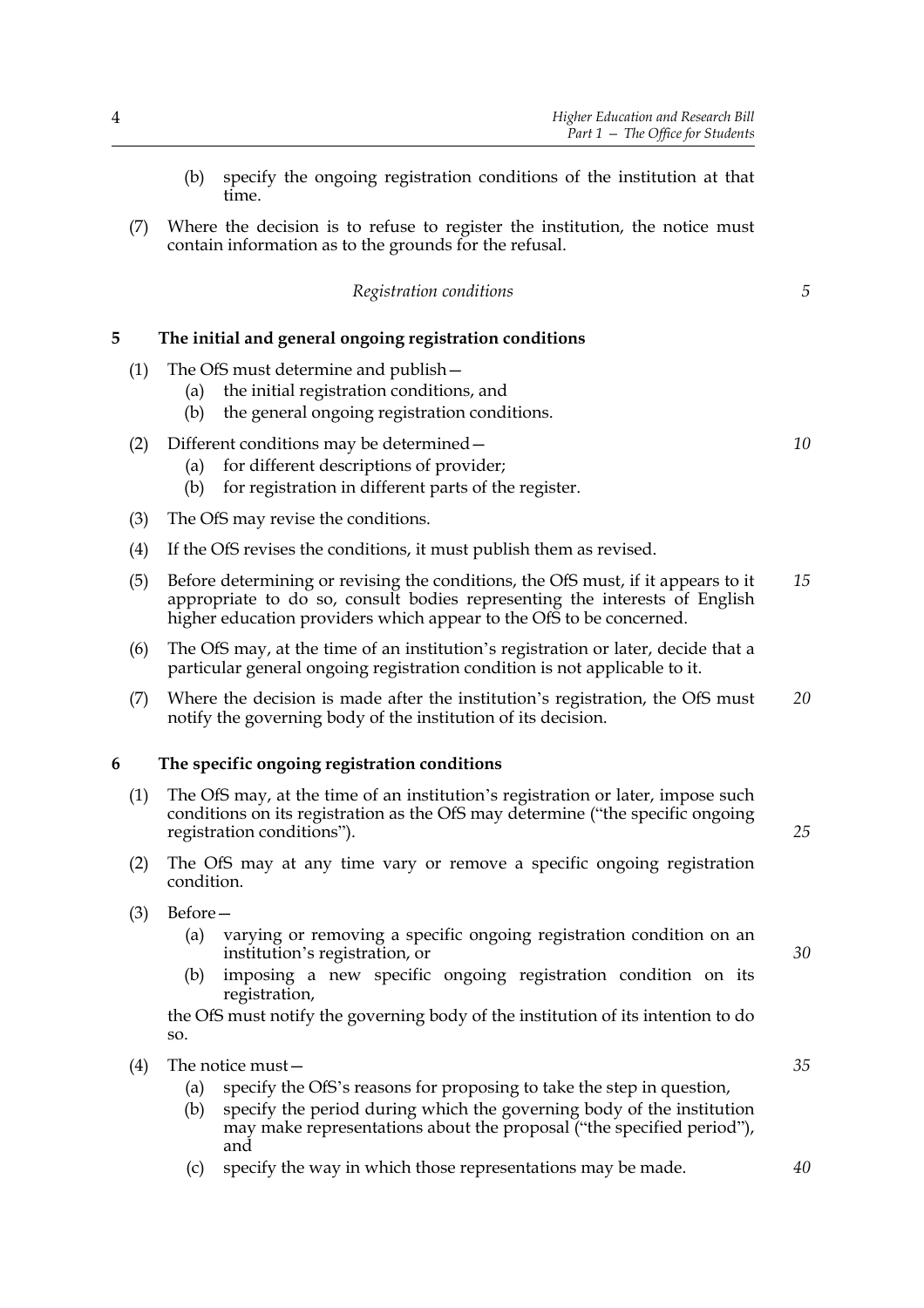- (b) specify the ongoing registration conditions of the institution at that time.
- (7) Where the decision is to refuse to register the institution, the notice must contain information as to the grounds for the refusal.

|                                                                                         | Registration conditions                                                                                                                                                                                                                                   | 5  |
|-----------------------------------------------------------------------------------------|-----------------------------------------------------------------------------------------------------------------------------------------------------------------------------------------------------------------------------------------------------------|----|
| 5                                                                                       | The initial and general ongoing registration conditions                                                                                                                                                                                                   |    |
| (1)                                                                                     | The OfS must determine and publish –<br>the initial registration conditions, and<br>(a)<br>the general ongoing registration conditions.<br>(b)                                                                                                            |    |
| (2)                                                                                     | Different conditions may be determined –<br>for different descriptions of provider;<br>(a)<br>for registration in different parts of the register.<br>(b)                                                                                                 | 10 |
| (3)                                                                                     | The OfS may revise the conditions.                                                                                                                                                                                                                        |    |
| (4)                                                                                     | If the OfS revises the conditions, it must publish them as revised.                                                                                                                                                                                       |    |
| (5)                                                                                     | Before determining or revising the conditions, the OfS must, if it appears to it<br>appropriate to do so, consult bodies representing the interests of English<br>higher education providers which appear to the OfS to be concerned.                     |    |
| (6)                                                                                     | The OfS may, at the time of an institution's registration or later, decide that a<br>particular general ongoing registration condition is not applicable to it.                                                                                           |    |
| (7)                                                                                     | Where the decision is made after the institution's registration, the OfS must<br>notify the governing body of the institution of its decision.                                                                                                            | 20 |
| 6                                                                                       | The specific ongoing registration conditions                                                                                                                                                                                                              |    |
| (1)                                                                                     | The OfS may, at the time of an institution's registration or later, impose such<br>conditions on its registration as the OfS may determine ("the specific ongoing<br>registration conditions").                                                           |    |
|                                                                                         | (2)<br>The OfS may at any time vary or remove a specific ongoing registration<br>condition.                                                                                                                                                               |    |
| (3)                                                                                     | Before-<br>varying or removing a specific ongoing registration condition on an<br>(a)<br>institution's registration, or<br>imposing a new specific ongoing registration condition on its<br>(b)<br>registration,                                          | 30 |
| the OfS must notify the governing body of the institution of its intention to do<br>SO. |                                                                                                                                                                                                                                                           |    |
| (4)                                                                                     | The notice must-<br>specify the OfS's reasons for proposing to take the step in question,<br>(a)<br>specify the period during which the governing body of the institution<br>(b)<br>may make representations about the proposal ("the specified period"), | 35 |

(c) specify the way in which those representations may be made.

and

*5*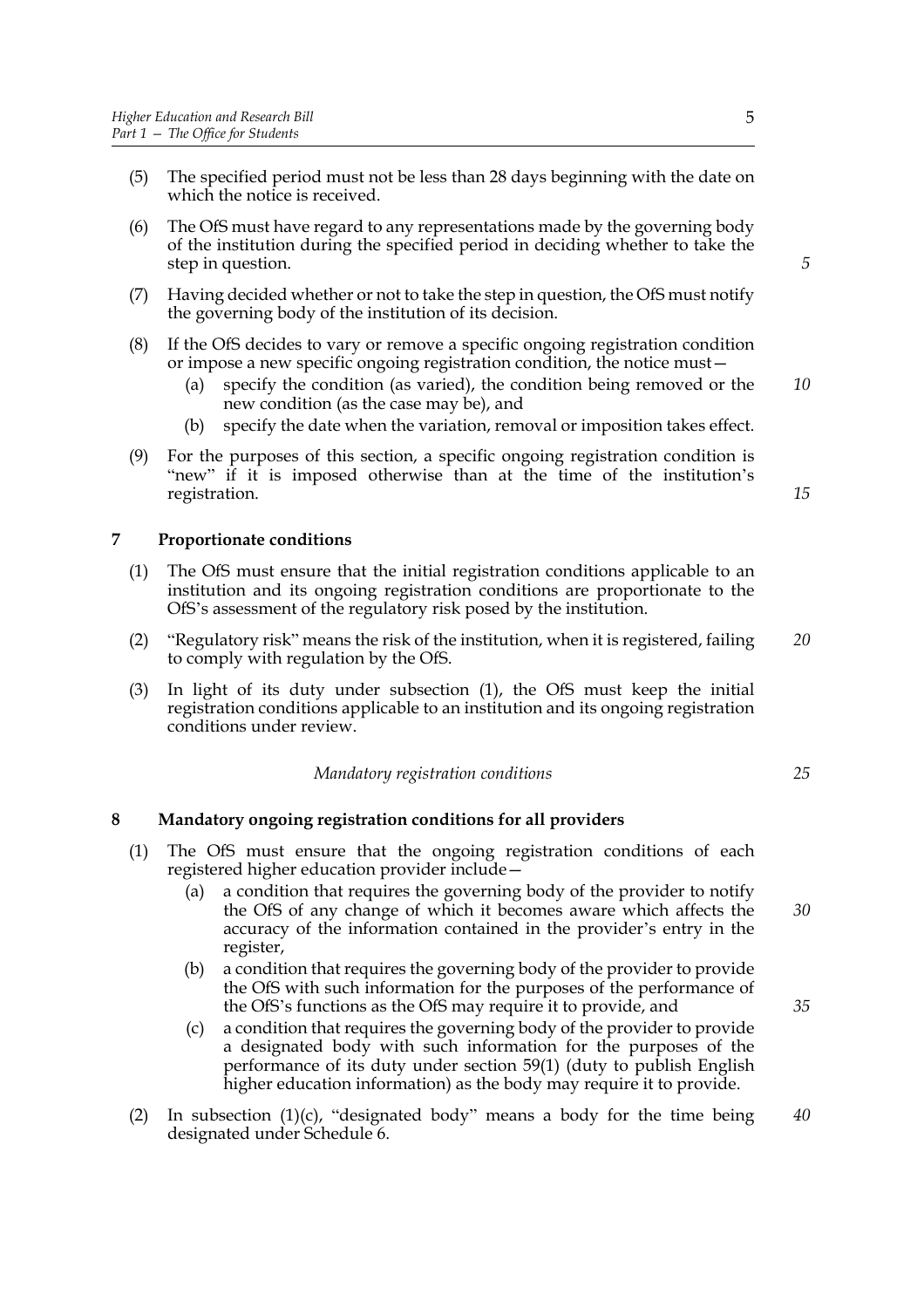- (5) The specified period must not be less than 28 days beginning with the date on which the notice is received.
- (6) The OfS must have regard to any representations made by the governing body of the institution during the specified period in deciding whether to take the step in question.
- (7) Having decided whether or not to take the step in question, the OfS must notify the governing body of the institution of its decision.
- (8) If the OfS decides to vary or remove a specific ongoing registration condition or impose a new specific ongoing registration condition, the notice must—
	- (a) specify the condition (as varied), the condition being removed or the new condition (as the case may be), and *10*
	- (b) specify the date when the variation, removal or imposition takes effect.
- (9) For the purposes of this section, a specific ongoing registration condition is "new" if it is imposed otherwise than at the time of the institution's registration.

## **7 Proportionate conditions**

- (1) The OfS must ensure that the initial registration conditions applicable to an institution and its ongoing registration conditions are proportionate to the OfS's assessment of the regulatory risk posed by the institution.
- (2) "Regulatory risk" means the risk of the institution, when it is registered, failing to comply with regulation by the OfS. *20*
- (3) In light of its duty under subsection (1), the OfS must keep the initial registration conditions applicable to an institution and its ongoing registration conditions under review.

*Mandatory registration conditions*

#### **8 Mandatory ongoing registration conditions for all providers**

- (1) The OfS must ensure that the ongoing registration conditions of each registered higher education provider include—
	- (a) a condition that requires the governing body of the provider to notify the OfS of any change of which it becomes aware which affects the accuracy of the information contained in the provider's entry in the register,
	- (b) a condition that requires the governing body of the provider to provide the OfS with such information for the purposes of the performance of the OfS's functions as the OfS may require it to provide, and
	- (c) a condition that requires the governing body of the provider to provide a designated body with such information for the purposes of the performance of its duty under section 59(1) (duty to publish English higher education information) as the body may require it to provide.
- (2) In subsection (1)(c), "designated body" means a body for the time being designated under Schedule 6. *40*

5

*5*

*15*

*25*

*35*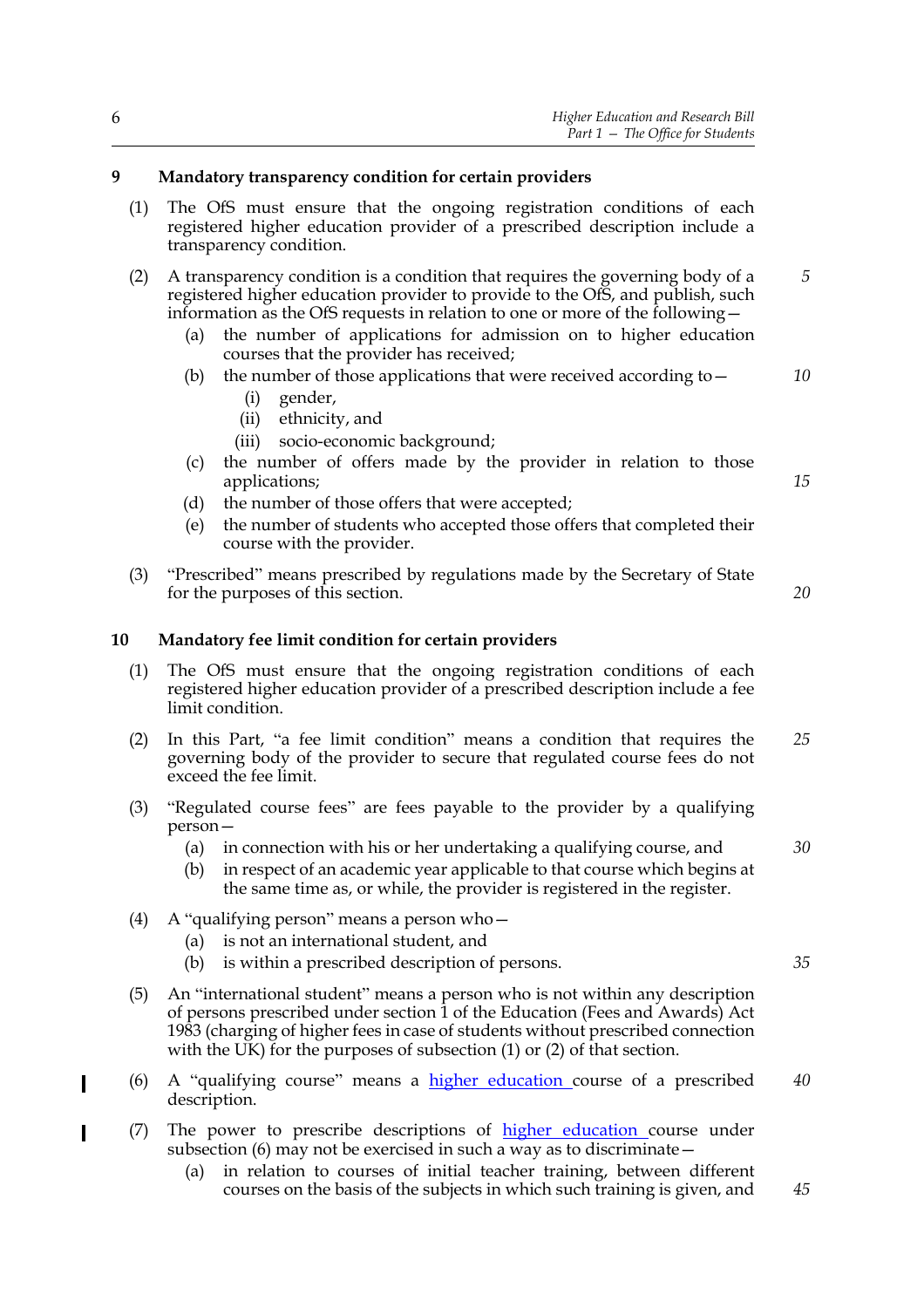## **9 Mandatory transparency condition for certain providers**

- (1) The OfS must ensure that the ongoing registration conditions of each registered higher education provider of a prescribed description include a transparency condition.
- (2) A transparency condition is a condition that requires the governing body of a registered higher education provider to provide to the OfS, and publish, such information as the OfS requests in relation to one or more of the following— *5*
	- (a) the number of applications for admission on to higher education courses that the provider has received;
	- (b) the number of those applications that were received according to  $-$ 
		- (i) gender,
		- (ii) ethnicity, and
		- (iii) socio-economic background;
	- (c) the number of offers made by the provider in relation to those applications;
	- (d) the number of those offers that were accepted;
	- (e) the number of students who accepted those offers that completed their course with the provider.
- (3) "Prescribed" means prescribed by regulations made by the Secretary of State for the purposes of this section.

#### **10 Mandatory fee limit condition for certain providers**

- (1) The OfS must ensure that the ongoing registration conditions of each registered higher education provider of a prescribed description include a fee limit condition.
- (2) In this Part, "a fee limit condition" means a condition that requires the governing body of the provider to secure that regulated course fees do not exceed the fee limit. *25*
- (3) "Regulated course fees" are fees payable to the provider by a qualifying person—
	- (a) in connection with his or her undertaking a qualifying course, and
	- (b) in respect of an academic year applicable to that course which begins at the same time as, or while, the provider is registered in the register.
- (4) A "qualifying person" means a person who—
	- (a) is not an international student, and
	- (b) is within a prescribed description of persons.
- (5) An "international student" means a person who is not within any description of persons prescribed under section 1 of the Education (Fees and Awards) Act 1983 (charging of higher fees in case of students without prescribed connection with the UK) for the purposes of subsection (1) or (2) of that section.
- (6) A "qualifying course" means a higher education course of a prescribed description. *40*
- (7) The power to prescribe descriptions of higher education course under subsection (6) may not be exercised in such a way as to discriminate—
	- (a) in relation to courses of initial teacher training, between different courses on the basis of the subjects in which such training is given, and *45*

*30*

*35*

*10*

*15*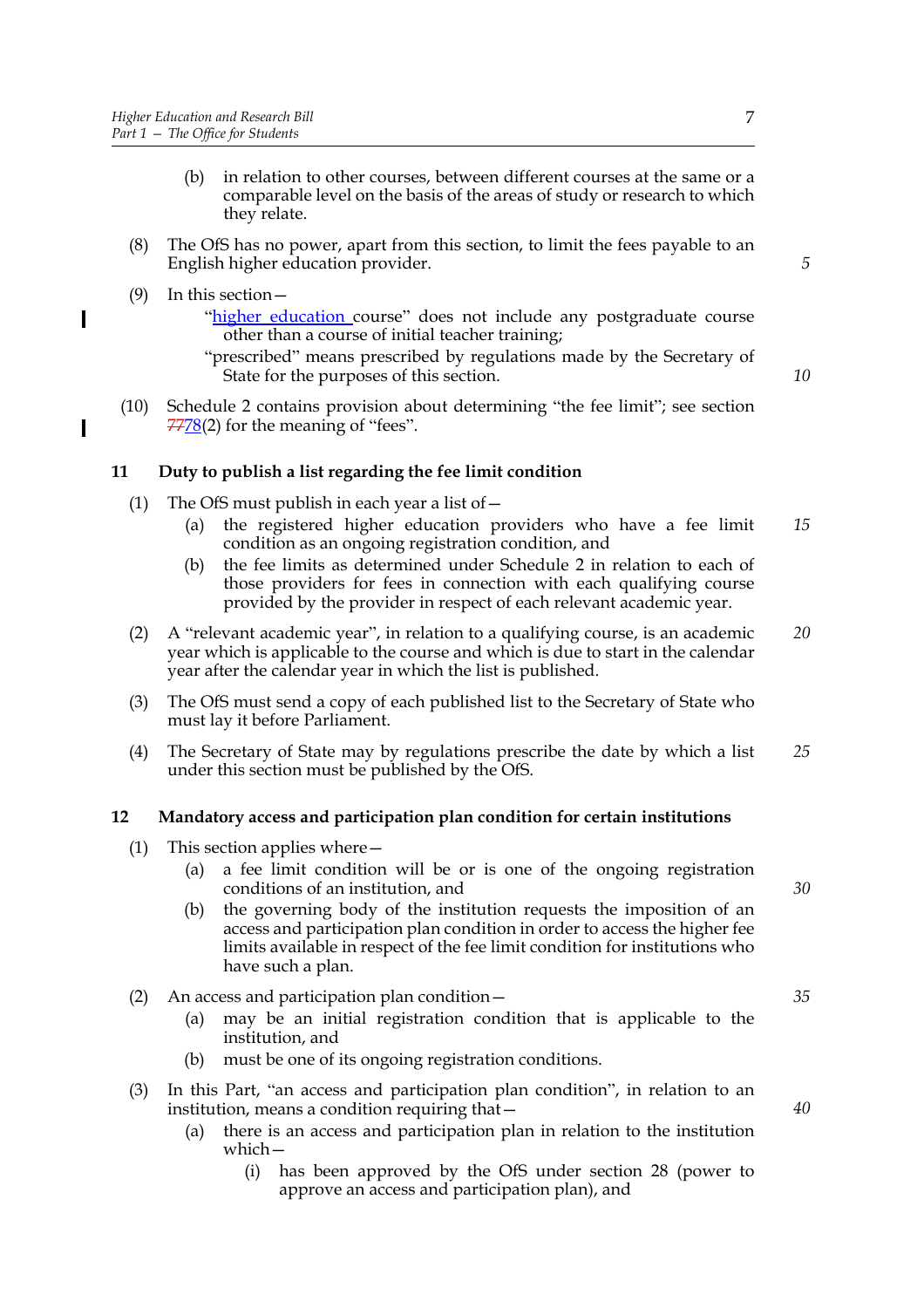- (b) in relation to other courses, between different courses at the same or a comparable level on the basis of the areas of study or research to which they relate.
- (8) The OfS has no power, apart from this section, to limit the fees payable to an English higher education provider.
- (9) In this section—

- "higher education course" does not include any postgraduate course other than a course of initial teacher training;
- "prescribed" means prescribed by regulations made by the Secretary of State for the purposes of this section.
- (10) Schedule 2 contains provision about determining "the fee limit"; see section 7778(2) for the meaning of "fees".

## **11 Duty to publish a list regarding the fee limit condition**

- (1) The OfS must publish in each year a list of  $-$ 
	- (a) the registered higher education providers who have a fee limit condition as an ongoing registration condition, and *15*
	- (b) the fee limits as determined under Schedule 2 in relation to each of those providers for fees in connection with each qualifying course provided by the provider in respect of each relevant academic year.
- (2) A "relevant academic year", in relation to a qualifying course, is an academic year which is applicable to the course and which is due to start in the calendar year after the calendar year in which the list is published. *20*
- (3) The OfS must send a copy of each published list to the Secretary of State who must lay it before Parliament.
- (4) The Secretary of State may by regulations prescribe the date by which a list under this section must be published by the OfS. *25*

## **12 Mandatory access and participation plan condition for certain institutions**

- (1) This section applies where—
	- (a) a fee limit condition will be or is one of the ongoing registration conditions of an institution, and
	- (b) the governing body of the institution requests the imposition of an access and participation plan condition in order to access the higher fee limits available in respect of the fee limit condition for institutions who have such a plan.

#### (2) An access and participation plan condition—

- (a) may be an initial registration condition that is applicable to the institution, and
- (b) must be one of its ongoing registration conditions.
- (3) In this Part, "an access and participation plan condition", in relation to an institution, means a condition requiring that—
	- (a) there is an access and participation plan in relation to the institution which—
		- (i) has been approved by the OfS under section 28 (power to approve an access and participation plan), and

*5*

*10*

*30*

*35*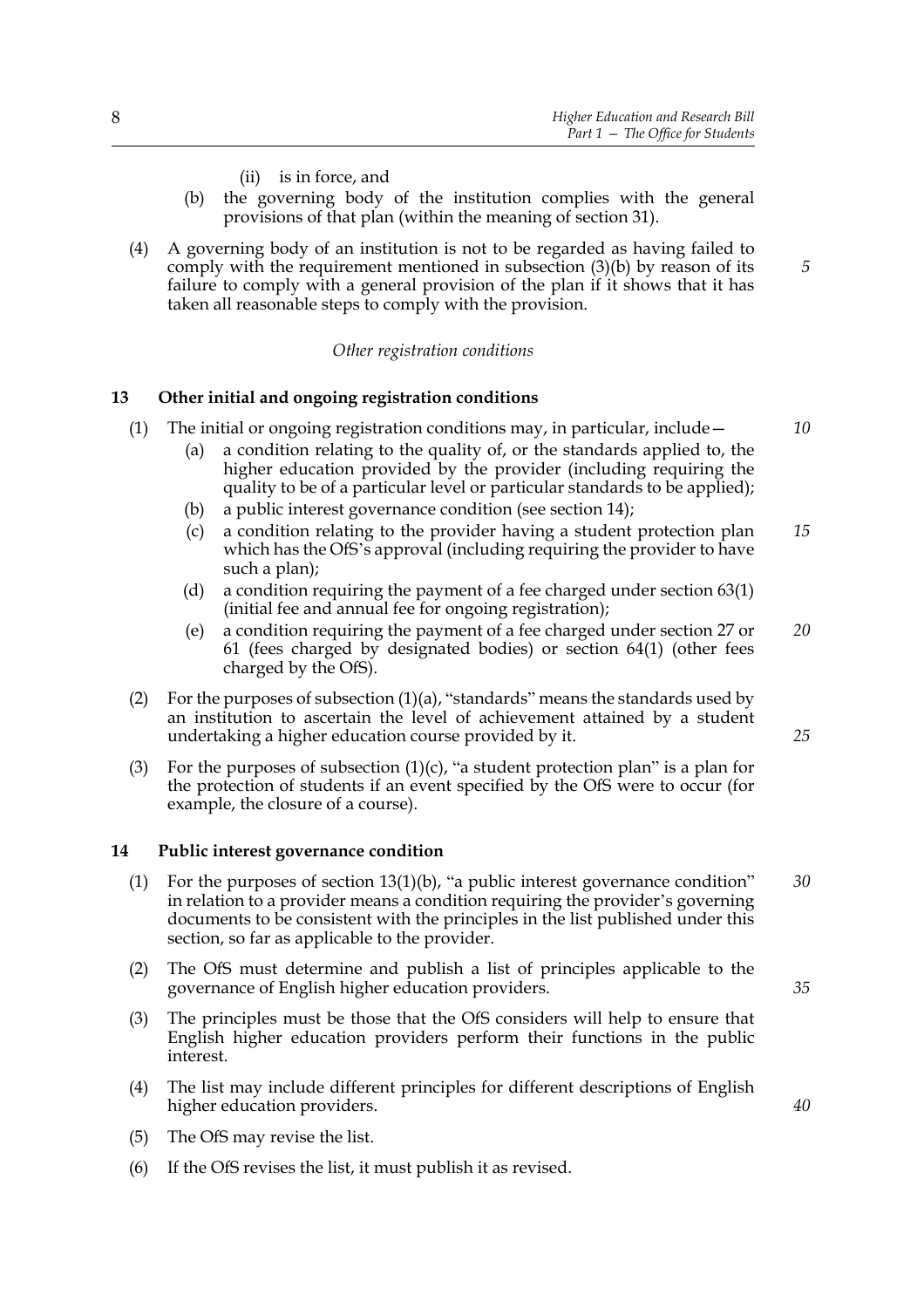- (ii) is in force, and
- (b) the governing body of the institution complies with the general provisions of that plan (within the meaning of section 31).
- (4) A governing body of an institution is not to be regarded as having failed to comply with the requirement mentioned in subsection (3)(b) by reason of its failure to comply with a general provision of the plan if it shows that it has taken all reasonable steps to comply with the provision.

#### *Other registration conditions*

#### **13 Other initial and ongoing registration conditions**

- (1) The initial or ongoing registration conditions may, in particular, include—
	- (a) a condition relating to the quality of, or the standards applied to, the higher education provided by the provider (including requiring the quality to be of a particular level or particular standards to be applied);
	- (b) a public interest governance condition (see section 14);
	- (c) a condition relating to the provider having a student protection plan which has the OfS's approval (including requiring the provider to have such a plan); *15*
	- (d) a condition requiring the payment of a fee charged under section 63(1) (initial fee and annual fee for ongoing registration);
	- (e) a condition requiring the payment of a fee charged under section 27 or 61 (fees charged by designated bodies) or section 64(1) (other fees charged by the OfS). *20*
- (2) For the purposes of subsection  $(1)(a)$ , "standards" means the standards used by an institution to ascertain the level of achievement attained by a student undertaking a higher education course provided by it.
- (3) For the purposes of subsection  $(1)(c)$ , "a student protection plan" is a plan for the protection of students if an event specified by the OfS were to occur (for example, the closure of a course).

#### **14 Public interest governance condition**

- (1) For the purposes of section 13(1)(b), "a public interest governance condition" in relation to a provider means a condition requiring the provider's governing documents to be consistent with the principles in the list published under this section, so far as applicable to the provider. *30*
- (2) The OfS must determine and publish a list of principles applicable to the governance of English higher education providers.
- (3) The principles must be those that the OfS considers will help to ensure that English higher education providers perform their functions in the public interest.
- (4) The list may include different principles for different descriptions of English higher education providers.
- (5) The OfS may revise the list.
- (6) If the OfS revises the list, it must publish it as revised.

*10*

*5*

*25*

*35*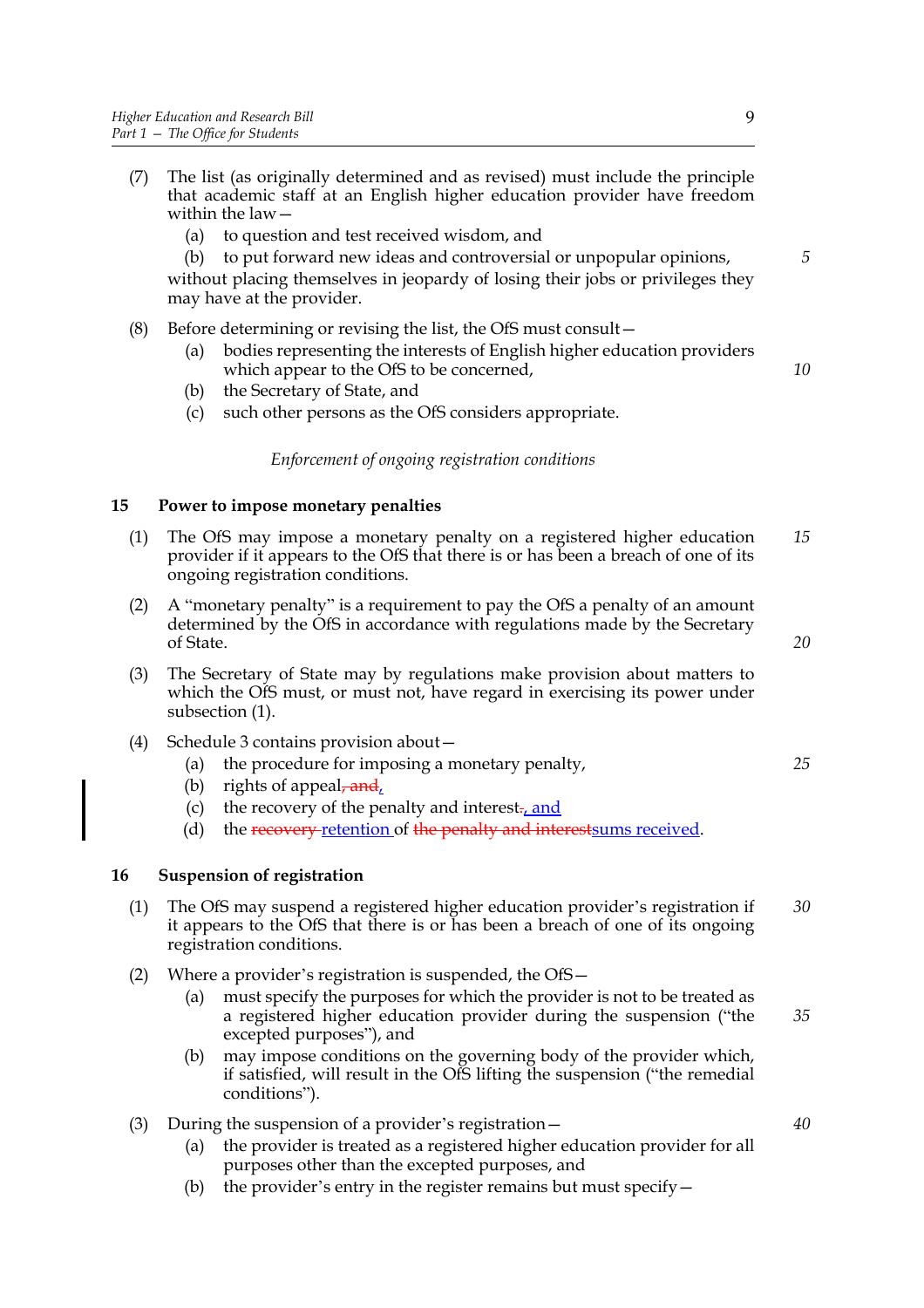- (7) The list (as originally determined and as revised) must include the principle that academic staff at an English higher education provider have freedom within the law—
	- (a) to question and test received wisdom, and

(b) to put forward new ideas and controversial or unpopular opinions, without placing themselves in jeopardy of losing their jobs or privileges they may have at the provider.

- (8) Before determining or revising the list, the OfS must consult—
	- (a) bodies representing the interests of English higher education providers which appear to the OfS to be concerned,
	- (b) the Secretary of State, and
	- (c) such other persons as the OfS considers appropriate.

### *Enforcement of ongoing registration conditions*

### **15 Power to impose monetary penalties**

- (1) The OfS may impose a monetary penalty on a registered higher education provider if it appears to the OfS that there is or has been a breach of one of its ongoing registration conditions. *15*
- (2) A "monetary penalty" is a requirement to pay the OfS a penalty of an amount determined by the OfS in accordance with regulations made by the Secretary of State.
- (3) The Secretary of State may by regulations make provision about matters to which the OfS must, or must not, have regard in exercising its power under subsection (1).
- (4) Schedule 3 contains provision about—
	- (a) the procedure for imposing a monetary penalty,
	- (b) rights of appeal,  $\frac{1}{\text{and}}$
	- (c) the recovery of the penalty and interest<sub> $\tau$ </sub>, and
	- (d) the recovery retention of the penalty and interest sums received.

#### **16 Suspension of registration**

- (1) The OfS may suspend a registered higher education provider's registration if it appears to the OfS that there is or has been a breach of one of its ongoing registration conditions. *30*
- (2) Where a provider's registration is suspended, the OfS—
	- (a) must specify the purposes for which the provider is not to be treated as a registered higher education provider during the suspension ("the excepted purposes"), and *35*
	- (b) may impose conditions on the governing body of the provider which, if satisfied, will result in the OfS lifting the suspension ("the remedial conditions").
- (3) During the suspension of a provider's registration—
	- (a) the provider is treated as a registered higher education provider for all purposes other than the excepted purposes, and
	- (b) the provider's entry in the register remains but must specify  $-$

*5*

*10*

*20*

*25*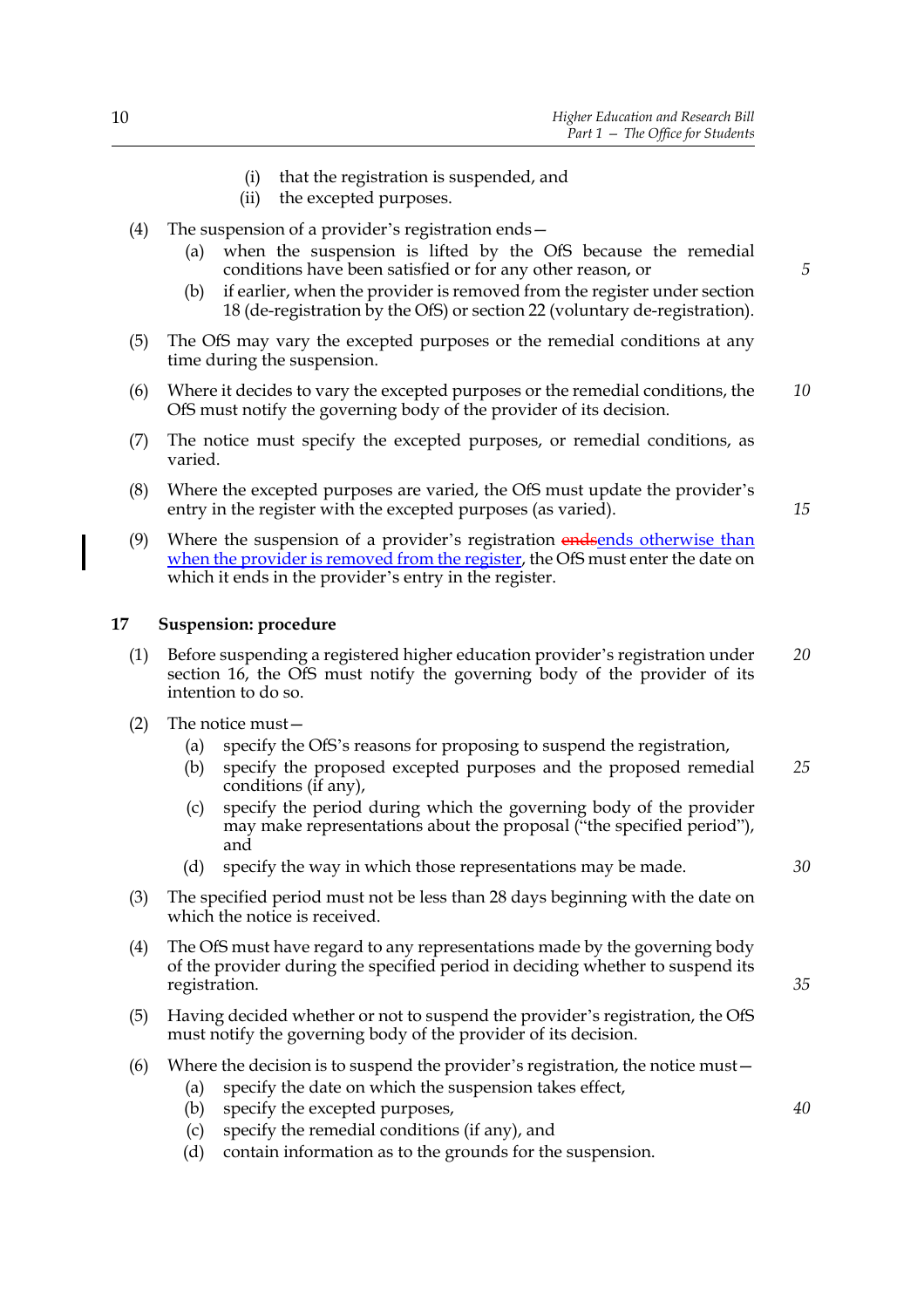- (i) that the registration is suspended, and
- (ii) the excepted purposes.
- (4) The suspension of a provider's registration ends—
	- (a) when the suspension is lifted by the OfS because the remedial conditions have been satisfied or for any other reason, or
	- (b) if earlier, when the provider is removed from the register under section 18 (de-registration by the OfS) or section 22 (voluntary de-registration).
- (5) The OfS may vary the excepted purposes or the remedial conditions at any time during the suspension.
- (6) Where it decides to vary the excepted purposes or the remedial conditions, the OfS must notify the governing body of the provider of its decision. *10*
- (7) The notice must specify the excepted purposes, or remedial conditions, as varied.
- (8) Where the excepted purposes are varied, the OfS must update the provider's entry in the register with the excepted purposes (as varied).
- (9) Where the suspension of a provider's registration endsends otherwise than when the provider is removed from the register, the OfS must enter the date on which it ends in the provider's entry in the register.

#### **17 Suspension: procedure**

- (1) Before suspending a registered higher education provider's registration under section 16, the OfS must notify the governing body of the provider of its intention to do so. *20*
- (2) The notice must—
	- (a) specify the OfS's reasons for proposing to suspend the registration,
	- (b) specify the proposed excepted purposes and the proposed remedial conditions (if any), *25*
	- (c) specify the period during which the governing body of the provider may make representations about the proposal ("the specified period"), and
	- (d) specify the way in which those representations may be made.
- (3) The specified period must not be less than 28 days beginning with the date on which the notice is received.
- (4) The OfS must have regard to any representations made by the governing body of the provider during the specified period in deciding whether to suspend its registration.
- (5) Having decided whether or not to suspend the provider's registration, the OfS must notify the governing body of the provider of its decision.
- (6) Where the decision is to suspend the provider's registration, the notice must—
	- (a) specify the date on which the suspension takes effect,
	- (b) specify the excepted purposes,
	- (c) specify the remedial conditions (if any), and
	- (d) contain information as to the grounds for the suspension.

*5*

*15*

*30*

*35*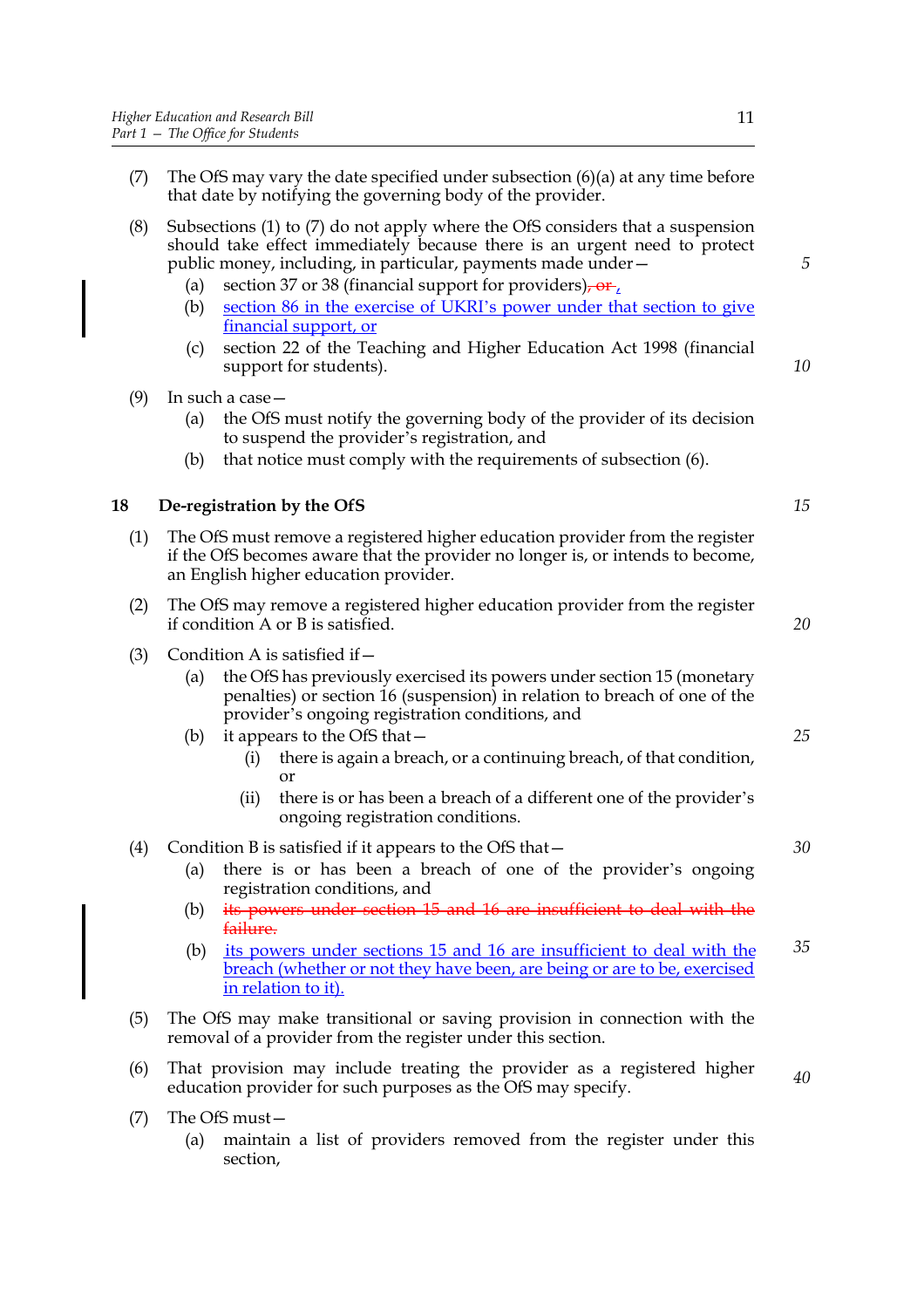- (7) The OfS may vary the date specified under subsection  $(6)(a)$  at any time before that date by notifying the governing body of the provider.
- (8) Subsections (1) to (7) do not apply where the OfS considers that a suspension should take effect immediately because there is an urgent need to protect public money, including, in particular, payments made under—
	- (a) section 37 or 38 (financial support for providers),  $\frac{\partial \mathbf{r}}{\partial \mathbf{r}}$ ,
	- (b) section 86 in the exercise of UKRI's power under that section to give financial support, or
	- (c) section 22 of the Teaching and Higher Education Act 1998 (financial support for students).
- (9) In such a case—
	- (a) the OfS must notify the governing body of the provider of its decision to suspend the provider's registration, and
	- (b) that notice must comply with the requirements of subsection (6).

## **18 De-registration by the OfS**

- (1) The OfS must remove a registered higher education provider from the register if the OfS becomes aware that the provider no longer is, or intends to become, an English higher education provider.
- (2) The OfS may remove a registered higher education provider from the register if condition A or B is satisfied.
- (3) Condition A is satisfied if  $-$ 
	- (a) the OfS has previously exercised its powers under section 15 (monetary penalties) or section 16 (suspension) in relation to breach of one of the provider's ongoing registration conditions, and
	- (b) it appears to the OfS that—
		- (i) there is again a breach, or a continuing breach, of that condition, or
		- (ii) there is or has been a breach of a different one of the provider's ongoing registration conditions.

## (4) Condition B is satisfied if it appears to the OfS that—

- (a) there is or has been a breach of one of the provider's ongoing registration conditions, and
- (b) its powers under section 15 and 16 are insufficient to deal with the failure.
- (b) its powers under sections 15 and 16 are insufficient to deal with the breach (whether or not they have been, are being or are to be, exercised in relation to it). *35*
- (5) The OfS may make transitional or saving provision in connection with the removal of a provider from the register under this section.
- (6) That provision may include treating the provider as a registered higher education provider for such purposes as the OfS may specify. *40*
- (7) The OfS must—
	- (a) maintain a list of providers removed from the register under this section,

*15*

*20*

*5*

*10*

*25*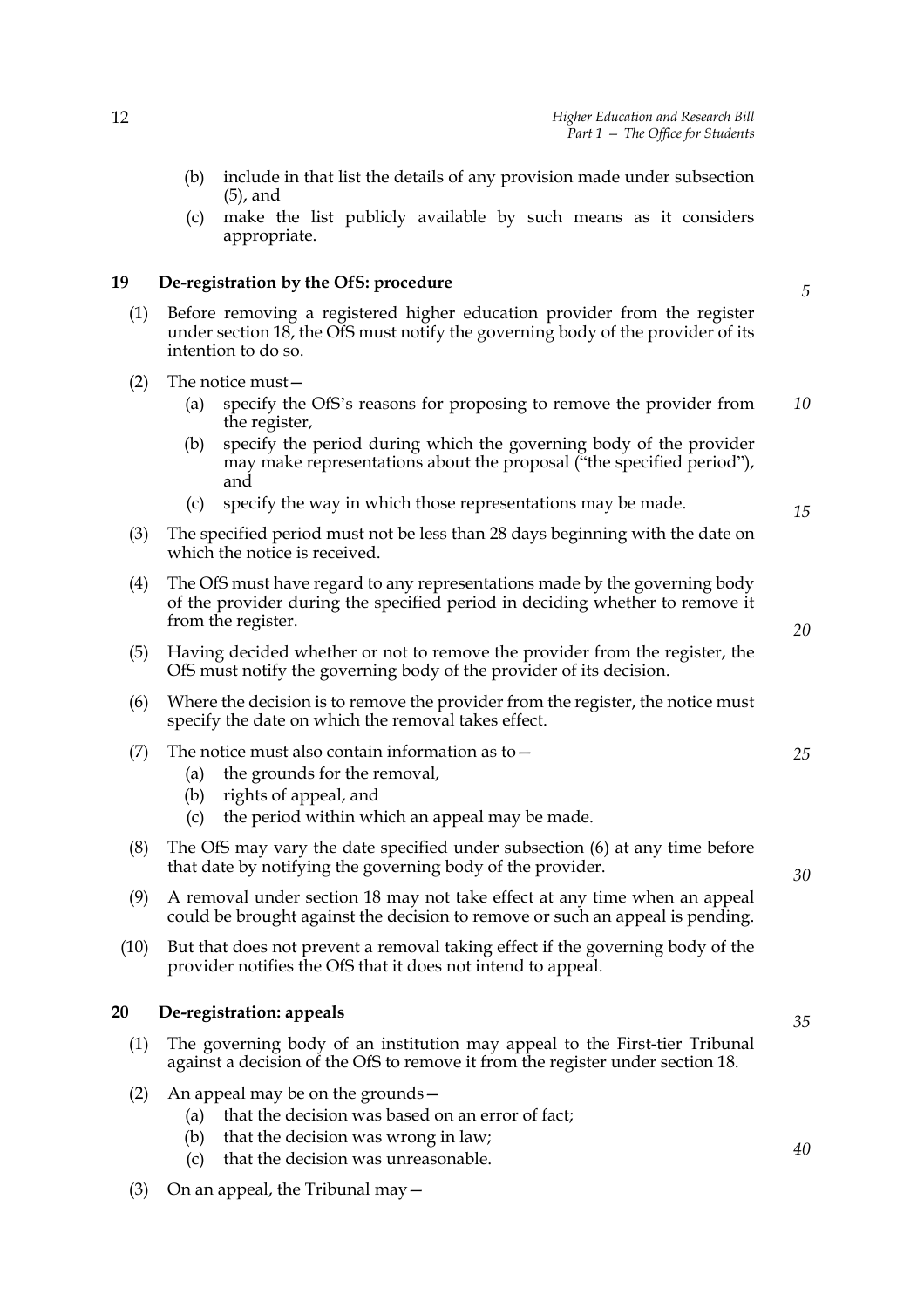- (b) include in that list the details of any provision made under subsection (5), and
- (c) make the list publicly available by such means as it considers appropriate.

### **19 De-registration by the OfS: procedure**

- (1) Before removing a registered higher education provider from the register under section 18, the OfS must notify the governing body of the provider of its intention to do so.
- (2) The notice must—
	- (a) specify the OfS's reasons for proposing to remove the provider from the register, *10*
	- (b) specify the period during which the governing body of the provider may make representations about the proposal ("the specified period"), and
	- (c) specify the way in which those representations may be made.
- (3) The specified period must not be less than 28 days beginning with the date on which the notice is received.
- (4) The OfS must have regard to any representations made by the governing body of the provider during the specified period in deciding whether to remove it from the register.
- (5) Having decided whether or not to remove the provider from the register, the OfS must notify the governing body of the provider of its decision.
- (6) Where the decision is to remove the provider from the register, the notice must specify the date on which the removal takes effect.

| (7) | The notice must also contain information as to $-$ |  |  |  |
|-----|----------------------------------------------------|--|--|--|
|     |                                                    |  |  |  |

- (a) the grounds for the removal,
- (b) rights of appeal, and
- (c) the period within which an appeal may be made.
- (8) The OfS may vary the date specified under subsection (6) at any time before that date by notifying the governing body of the provider.
- (9) A removal under section 18 may not take effect at any time when an appeal could be brought against the decision to remove or such an appeal is pending.
- (10) But that does not prevent a removal taking effect if the governing body of the provider notifies the OfS that it does not intend to appeal.

## **20 De-registration: appeals**

- (1) The governing body of an institution may appeal to the First-tier Tribunal against a decision of the OfS to remove it from the register under section 18.
- (2) An appeal may be on the grounds—
	- (a) that the decision was based on an error of fact;
	- (b) that the decision was wrong in law;
	- (c) that the decision was unreasonable.
- (3) On an appeal, the Tribunal may  $-$

*40*

*35*

*15*

*5*

*20*

*25*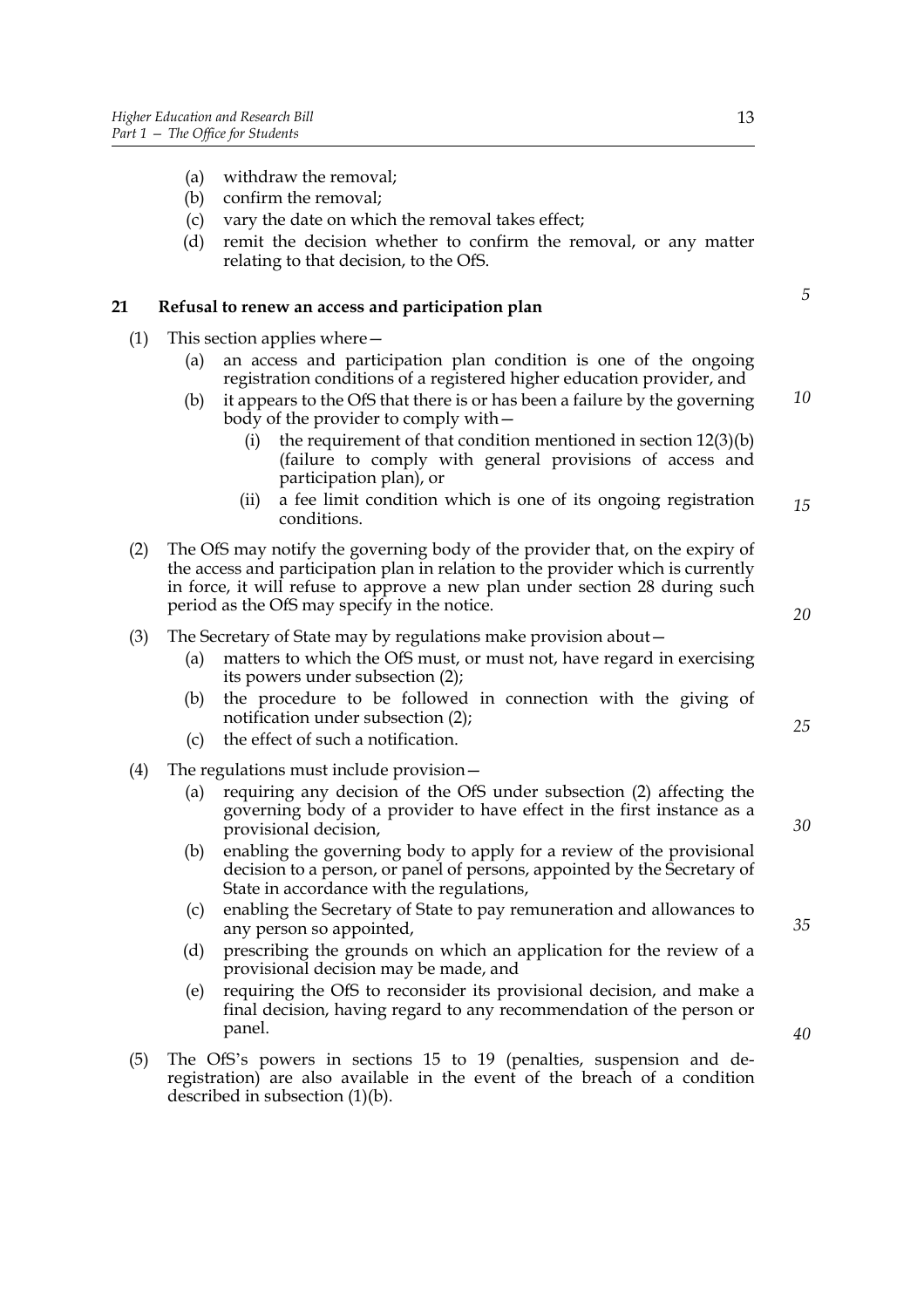- (a) withdraw the removal;
- (b) confirm the removal;
- (c) vary the date on which the removal takes effect;
- (d) remit the decision whether to confirm the removal, or any matter relating to that decision, to the OfS.

#### **21 Refusal to renew an access and participation plan**

- (1) This section applies where—
	- (a) an access and participation plan condition is one of the ongoing registration conditions of a registered higher education provider, and
	- (b) it appears to the OfS that there is or has been a failure by the governing body of the provider to comply with— *10*
		- (i) the requirement of that condition mentioned in section  $12(3)(b)$ (failure to comply with general provisions of access and participation plan), or
		- (ii) a fee limit condition which is one of its ongoing registration conditions. *15*
- (2) The OfS may notify the governing body of the provider that, on the expiry of the access and participation plan in relation to the provider which is currently in force, it will refuse to approve a new plan under section 28 during such period as the OfS may specify in the notice.

#### (3) The Secretary of State may by regulations make provision about—

- (a) matters to which the OfS must, or must not, have regard in exercising its powers under subsection (2);
- (b) the procedure to be followed in connection with the giving of notification under subsection (2);
- (c) the effect of such a notification.
- (4) The regulations must include provision—
	- (a) requiring any decision of the OfS under subsection (2) affecting the governing body of a provider to have effect in the first instance as a provisional decision,
	- (b) enabling the governing body to apply for a review of the provisional decision to a person, or panel of persons, appointed by the Secretary of State in accordance with the regulations,
	- (c) enabling the Secretary of State to pay remuneration and allowances to any person so appointed,
	- (d) prescribing the grounds on which an application for the review of a provisional decision may be made, and
	- (e) requiring the OfS to reconsider its provisional decision, and make a final decision, having regard to any recommendation of the person or panel.
- (5) The OfS's powers in sections 15 to 19 (penalties, suspension and deregistration) are also available in the event of the breach of a condition described in subsection (1)(b).

*5*

*35*

*20*

*25*

*30*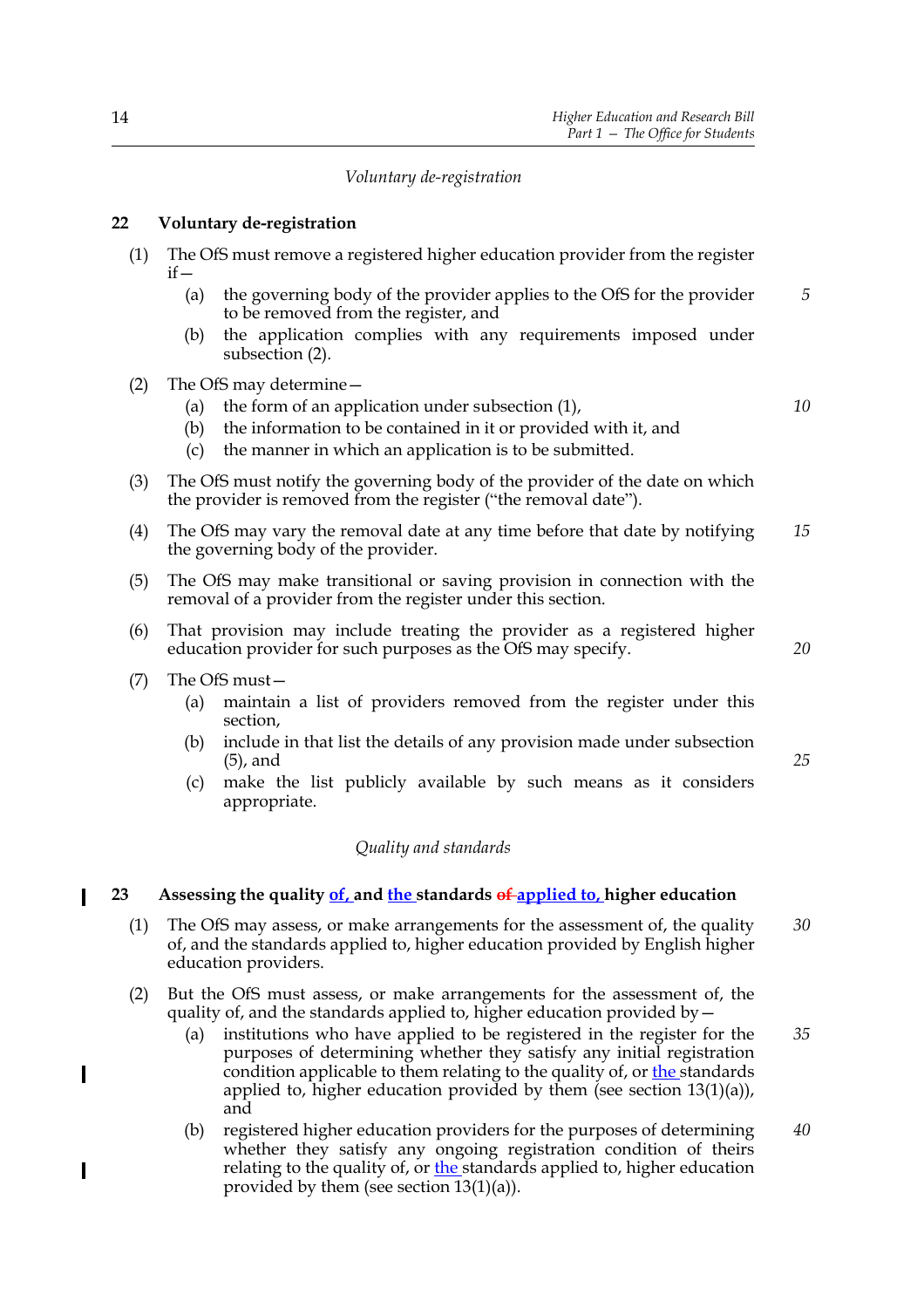## *Voluntary de-registration*

## **22 Voluntary de-registration**

- (1) The OfS must remove a registered higher education provider from the register  $if -$ 
	- (a) the governing body of the provider applies to the OfS for the provider to be removed from the register, and *5*
	- (b) the application complies with any requirements imposed under subsection (2).
- (2) The OfS may determine—
	- (a) the form of an application under subsection (1),

*10*

- (b) the information to be contained in it or provided with it, and
- (c) the manner in which an application is to be submitted.
- (3) The OfS must notify the governing body of the provider of the date on which the provider is removed from the register ("the removal date").
- (4) The OfS may vary the removal date at any time before that date by notifying the governing body of the provider. *15*
- (5) The OfS may make transitional or saving provision in connection with the removal of a provider from the register under this section.
- (6) That provision may include treating the provider as a registered higher education provider for such purposes as the OfS may specify.
- (7) The OfS must—

- (a) maintain a list of providers removed from the register under this section,
- (b) include in that list the details of any provision made under subsection (5), and
- (c) make the list publicly available by such means as it considers appropriate.

#### *Quality and standards*

## **23 Assessing the quality of, and the standards of applied to, higher education**

- (1) The OfS may assess, or make arrangements for the assessment of, the quality of, and the standards applied to, higher education provided by English higher education providers. *30*
- (2) But the OfS must assess, or make arrangements for the assessment of, the quality of, and the standards applied to, higher education provided by  $-$ 
	- (a) institutions who have applied to be registered in the register for the purposes of determining whether they satisfy any initial registration condition applicable to them relating to the quality of, or the standards applied to, higher education provided by them (see section 13(1)(a)), and *35*
	- (b) registered higher education providers for the purposes of determining whether they satisfy any ongoing registration condition of theirs relating to the quality of, or the standards applied to, higher education provided by them (see section 13(1)(a)). *40*

*20*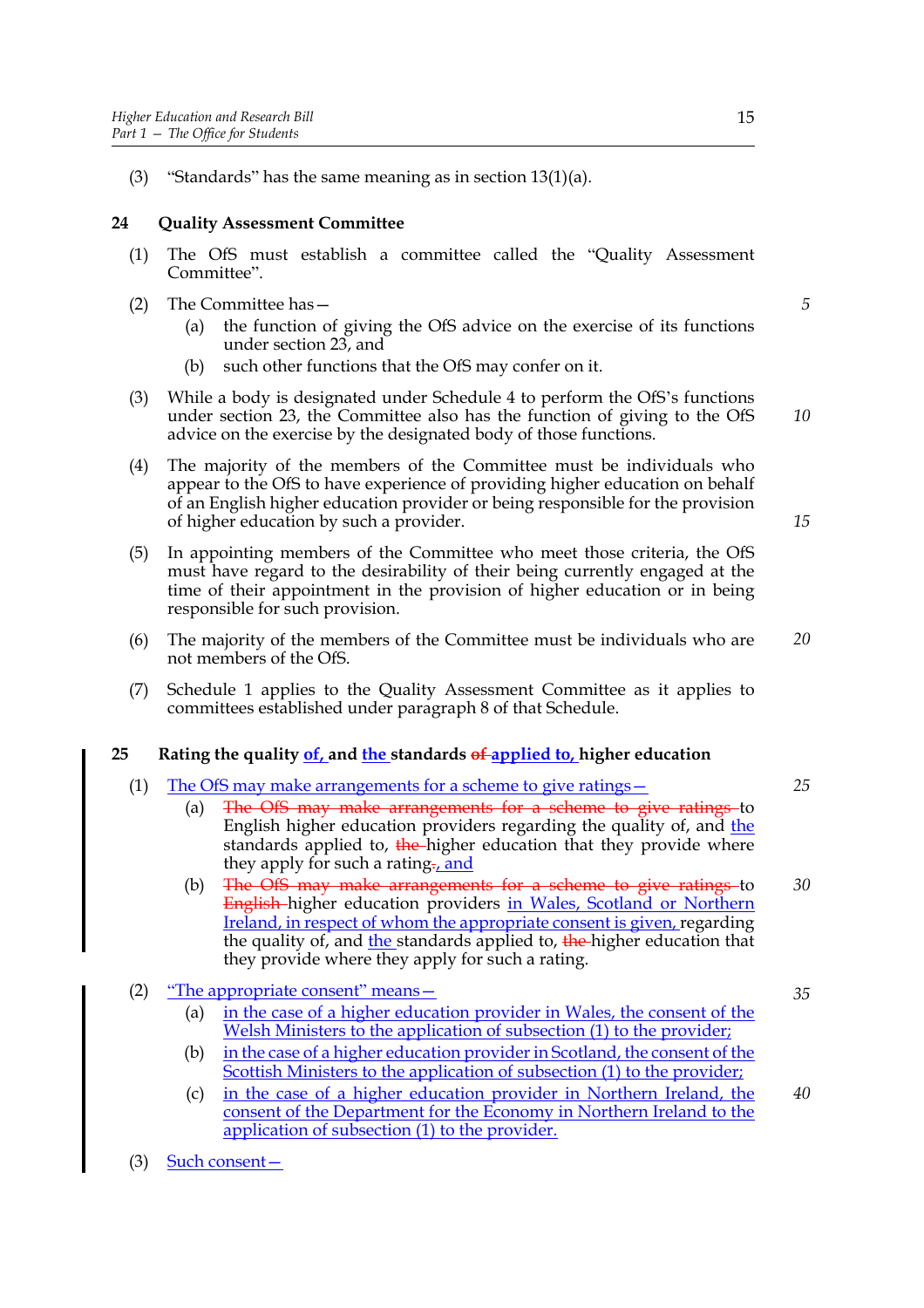(3) "Standards" has the same meaning as in section  $13(1)(a)$ .

## **24 Quality Assessment Committee**

- (1) The OfS must establish a committee called the "Quality Assessment Committee".
- (2) The Committee has—
	- (a) the function of giving the OfS advice on the exercise of its functions under section 23, and
	- (b) such other functions that the OfS may confer on it.
- (3) While a body is designated under Schedule 4 to perform the OfS's functions under section 23, the Committee also has the function of giving to the OfS advice on the exercise by the designated body of those functions.
- (4) The majority of the members of the Committee must be individuals who appear to the OfS to have experience of providing higher education on behalf of an English higher education provider or being responsible for the provision of higher education by such a provider.
- (5) In appointing members of the Committee who meet those criteria, the OfS must have regard to the desirability of their being currently engaged at the time of their appointment in the provision of higher education or in being responsible for such provision.
- (6) The majority of the members of the Committee must be individuals who are not members of the OfS. *20*
- (7) Schedule 1 applies to the Quality Assessment Committee as it applies to committees established under paragraph 8 of that Schedule.

## **25 Rating the quality of, and the standards of applied to, higher education**

- (1) The OfS may make arrangements for a scheme to give ratings—
	- (a) The OfS may make arrangements for a scheme to give ratings to English higher education providers regarding the quality of, and the standards applied to, the higher education that they provide where they apply for such a rating<sub>-</sub>, and
	- (b) The OfS may make arrangements for a scheme to give ratings to English higher education providers in Wales, Scotland or Northern Ireland, in respect of whom the appropriate consent is given, regarding the quality of, and the standards applied to, the higher education that they provide where they apply for such a rating. *30*
- (2) "The appropriate consent" means—
	- (a) in the case of a higher education provider in Wales, the consent of the Welsh Ministers to the application of subsection (1) to the provider;
	- (b) in the case of a higher education provider in Scotland, the consent of the Scottish Ministers to the application of subsection (1) to the provider;
	- (c) in the case of a higher education provider in Northern Ireland, the consent of the Department for the Economy in Northern Ireland to the application of subsection (1) to the provider. *40*
- (3) Such consent—

*5*

*10*

*15*

*25*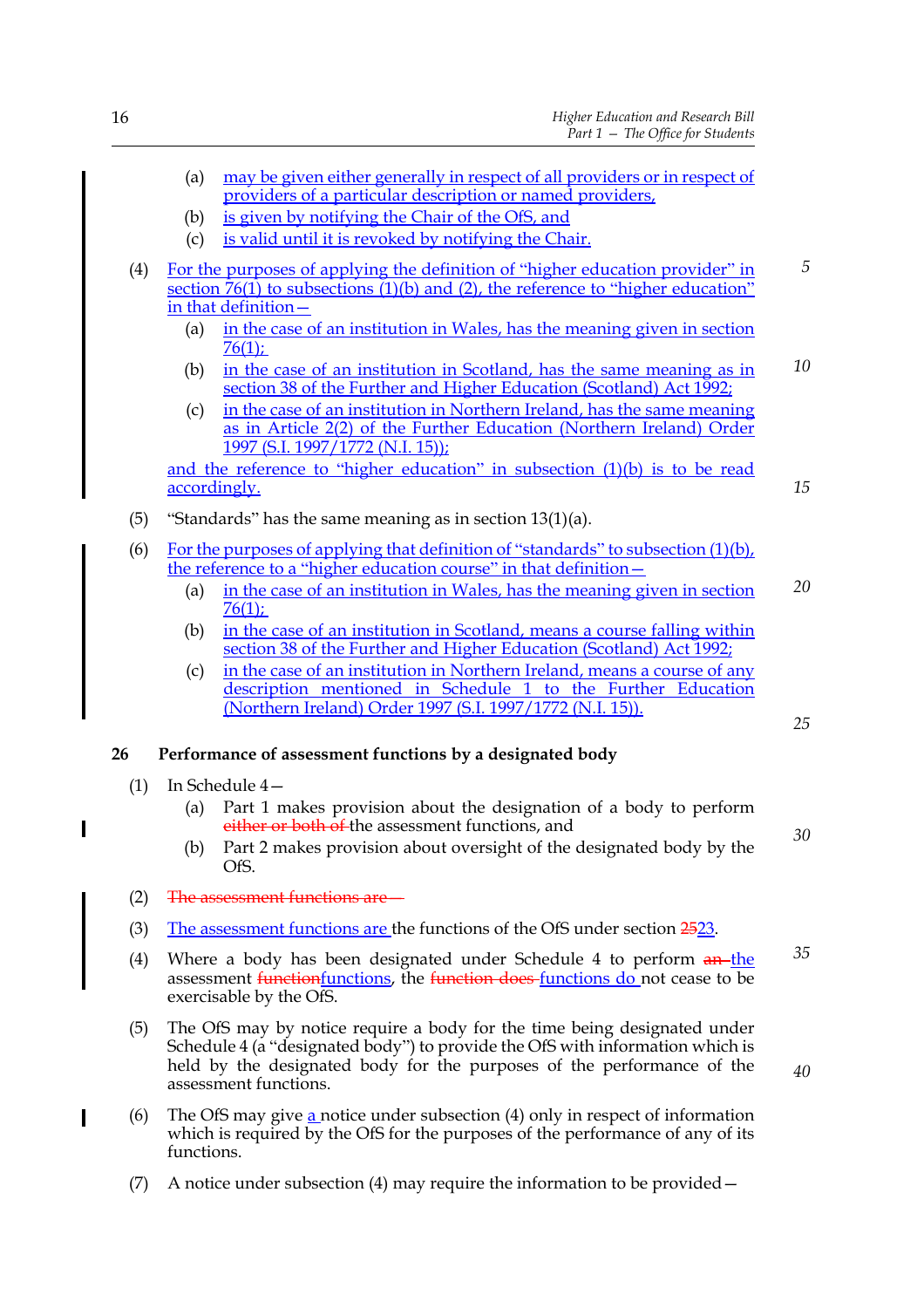|     | (a) | may be given either generally in respect of all providers or in respect of<br>providers of a particular description or named providers,                                                                 |                |
|-----|-----|---------------------------------------------------------------------------------------------------------------------------------------------------------------------------------------------------------|----------------|
|     | (b) | is given by notifying the Chair of the OfS, and                                                                                                                                                         |                |
|     | (c) | is valid until it is revoked by notifying the Chair.                                                                                                                                                    |                |
| (4) |     | For the purposes of applying the definition of "higher education provider" in<br>section $\overline{76(1)}$ to subsections $(1)(b)$ and (2), the reference to "higher education"<br>in that definition- | $\overline{5}$ |
|     | (a) | in the case of an institution in Wales, has the meaning given in section<br>$76(1)$ ;                                                                                                                   |                |
|     | (b) | in the case of an institution in Scotland, has the same meaning as in<br>section 38 of the Further and Higher Education (Scotland) Act 1992;                                                            | 10             |
|     | (c) | in the case of an institution in Northern Ireland, has the same meaning<br>as in Article 2(2) of the Further Education (Northern Ireland) Order<br>1997 (S.I. 1997/1772 (N.I. 15));                     |                |
|     |     | and the reference to "higher education" in subsection (1)(b) is to be read<br>accordingly.                                                                                                              | 15             |
| (5) |     | "Standards" has the same meaning as in section $13(1)(a)$ .                                                                                                                                             |                |
| (6) |     | For the purposes of applying that definition of "standards" to subsection $(1)(b)$ ,<br>the reference to a "higher education course" in that definition-                                                |                |
|     | (a) | in the case of an institution in Wales, has the meaning given in section<br>$76(1)$ ;                                                                                                                   | 20             |
|     | (b) | in the case of an institution in Scotland, means a course falling within<br>section 38 of the Further and Higher Education (Scotland) Act 1992;                                                         |                |
|     | (c) | in the case of an institution in Northern Ireland, means a course of any<br>description mentioned in Schedule 1 to the Further Education<br>(Northern Ireland) Order 1997 (S.I. 1997/1772 (N.I. 15)).   | 25             |
| 26  |     | Performance of assessment functions by a designated body                                                                                                                                                |                |
| (1) |     | In Schedule 4-                                                                                                                                                                                          |                |
|     | (a) | Part 1 makes provision about the designation of a body to perform<br>either or both of the assessment functions, and                                                                                    | 30             |
|     | (b) | Part 2 makes provision about oversight of the designated body by the<br>OfS.                                                                                                                            |                |
|     |     |                                                                                                                                                                                                         |                |

- (2) The assessment functions are—
- (3) The assessment functions are the functions of the OfS under section  $2523$ .
- (4) Where a body has been designated under Schedule 4 to perform  $an$ -the assessment functionfunctions, the function does functions do not cease to be exercisable by the OfS. *35*
- (5) The OfS may by notice require a body for the time being designated under Schedule 4 (a "designated body") to provide the OfS with information which is held by the designated body for the purposes of the performance of the assessment functions.
- (6) The OfS may give a notice under subsection (4) only in respect of information which is required by the OfS for the purposes of the performance of any of its functions.
- (7) A notice under subsection (4) may require the information to be provided—

 $\overline{\phantom{a}}$ 

 $\mathbf I$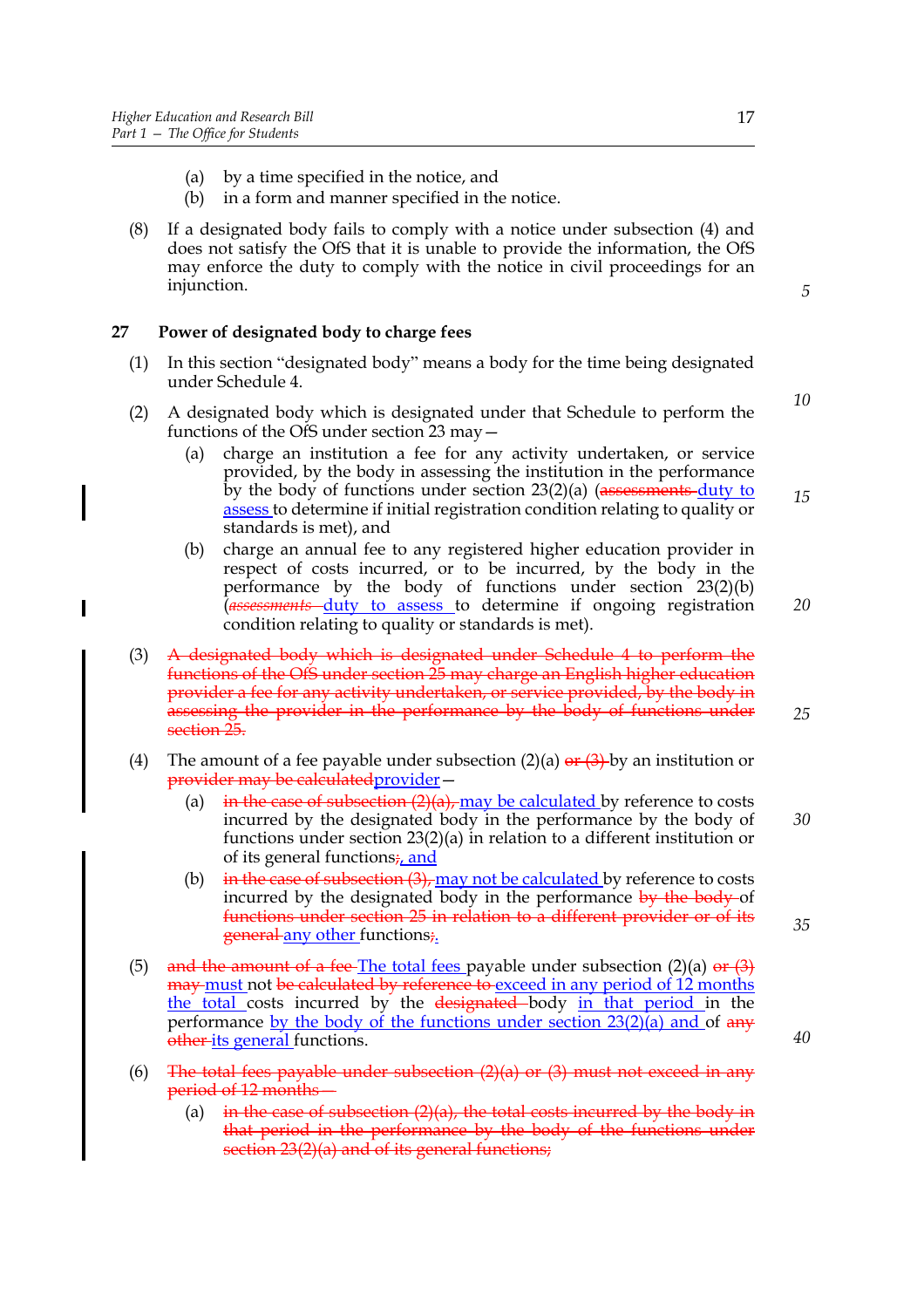$\overline{\phantom{a}}$ 

- (a) by a time specified in the notice, and
- (b) in a form and manner specified in the notice.
- (8) If a designated body fails to comply with a notice under subsection (4) and does not satisfy the OfS that it is unable to provide the information, the OfS may enforce the duty to comply with the notice in civil proceedings for an injunction.

*5*

*10*

*15*

*20*

## **27 Power of designated body to charge fees**

- (1) In this section "designated body" means a body for the time being designated under Schedule 4.
- (2) A designated body which is designated under that Schedule to perform the functions of the OfS under section 23 may—
	- (a) charge an institution a fee for any activity undertaken, or service provided, by the body in assessing the institution in the performance by the body of functions under section  $23(2)(a)$  (assessments duty to assess to determine if initial registration condition relating to quality or standards is met), and
	- (b) charge an annual fee to any registered higher education provider in respect of costs incurred, or to be incurred, by the body in the performance by the body of functions under section 23(2)(b) (*assessments* duty to assess to determine if ongoing registration condition relating to quality or standards is met).
- (3) A designated body which is designated under Schedule 4 to perform the functions of the OfS under section 25 may charge an English higher education provider a fee for any activity undertaken, or service provided, by the body in assessing the provider in the performance by the body of functions under section 25.
- (4) The amount of a fee payable under subsection (2)(a)  $\theta$   $\theta$  + (3) by an institution or provider may be calculatedprovider—
	- (a) in the case of subsection  $(2)(a)$ , may be calculated by reference to costs incurred by the designated body in the performance by the body of functions under section 23(2)(a) in relation to a different institution or of its general functions<sub> $\frac{1}{4}$ </sub> and
	- (b)  $\frac{1}{2}$  in the case of subsection (3), may not be calculated by reference to costs incurred by the designated body in the performance by the body of functions under section 25 in relation to a different provider or of its general any other functions;
- (5) and the amount of a fee-The total fees payable under subsection (2)(a)  $or (3)$ **may must not be calculated by reference to exceed in any period of 12 months** the total costs incurred by the designated body in that period in the performance by the body of the functions under section  $23(2)$ (a) and of any other its general functions.
- (6) The total fees payable under subsection  $(2)(a)$  or  $(3)$  must not exceed in any period of 12 months—
	- (a) in the case of subsection  $(2)(a)$ , the total costs incurred by the body in that period in the performance by the body of the functions under section 23(2)(a) and of its general functions;

*25*

*30*

*35*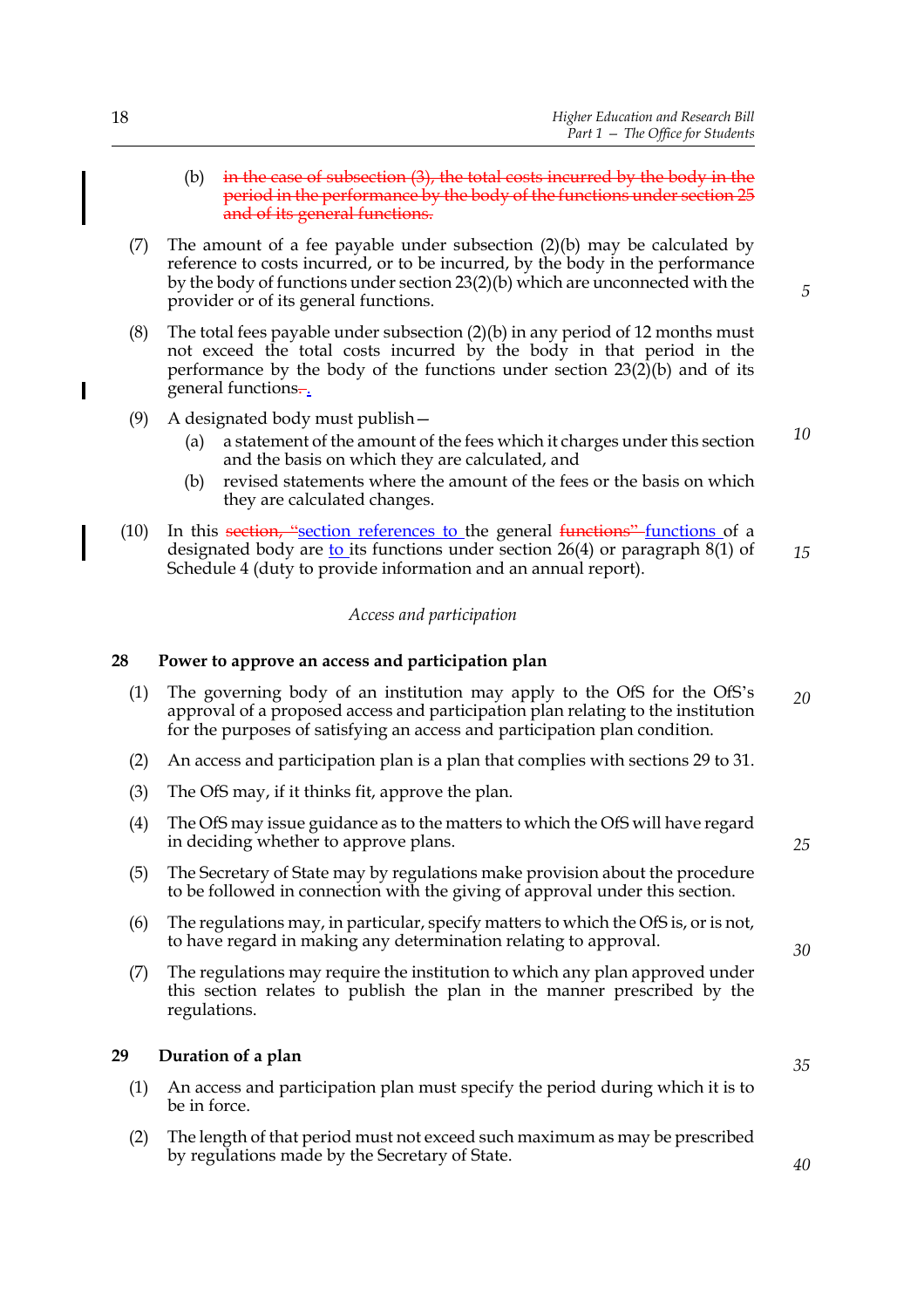- (b)  $\frac{1}{2}$  in the case of subsection (3), the total costs incurred by the body in the period in the performance by the body of the functions under section 25 and of its general functions.
- (7) The amount of a fee payable under subsection (2)(b) may be calculated by reference to costs incurred, or to be incurred, by the body in the performance by the body of functions under section 23(2)(b) which are unconnected with the provider or of its general functions.
- (8) The total fees payable under subsection (2)(b) in any period of 12 months must not exceed the total costs incurred by the body in that period in the performance by the body of the functions under section 23(2)(b) and of its general functions.
- (9) A designated body must publish—
	- (a) a statement of the amount of the fees which it charges under this section and the basis on which they are calculated, and
	- (b) revised statements where the amount of the fees or the basis on which they are calculated changes.
- (10) In this section, "section references to the general  $\frac{f$  functions of a designated body are  $to$  its functions under section 26(4) or paragraph 8(1) of</u> Schedule 4 (duty to provide information and an annual report). *15*

#### *Access and participation*

#### **28 Power to approve an access and participation plan**

- (1) The governing body of an institution may apply to the OfS for the OfS's approval of a proposed access and participation plan relating to the institution for the purposes of satisfying an access and participation plan condition. *20*
- (2) An access and participation plan is a plan that complies with sections 29 to 31.
- (3) The OfS may, if it thinks fit, approve the plan.
- (4) The OfS may issue guidance as to the matters to which the OfS will have regard in deciding whether to approve plans.
- (5) The Secretary of State may by regulations make provision about the procedure to be followed in connection with the giving of approval under this section.
- (6) The regulations may, in particular, specify matters to which the OfS is, or is not, to have regard in making any determination relating to approval.
- (7) The regulations may require the institution to which any plan approved under this section relates to publish the plan in the manner prescribed by the regulations.

#### **29 Duration of a plan**

- (1) An access and participation plan must specify the period during which it is to be in force.
- (2) The length of that period must not exceed such maximum as may be prescribed by regulations made by the Secretary of State.

 $\overline{\phantom{a}}$ 

*5*

*10*

*25*

*35*

*40*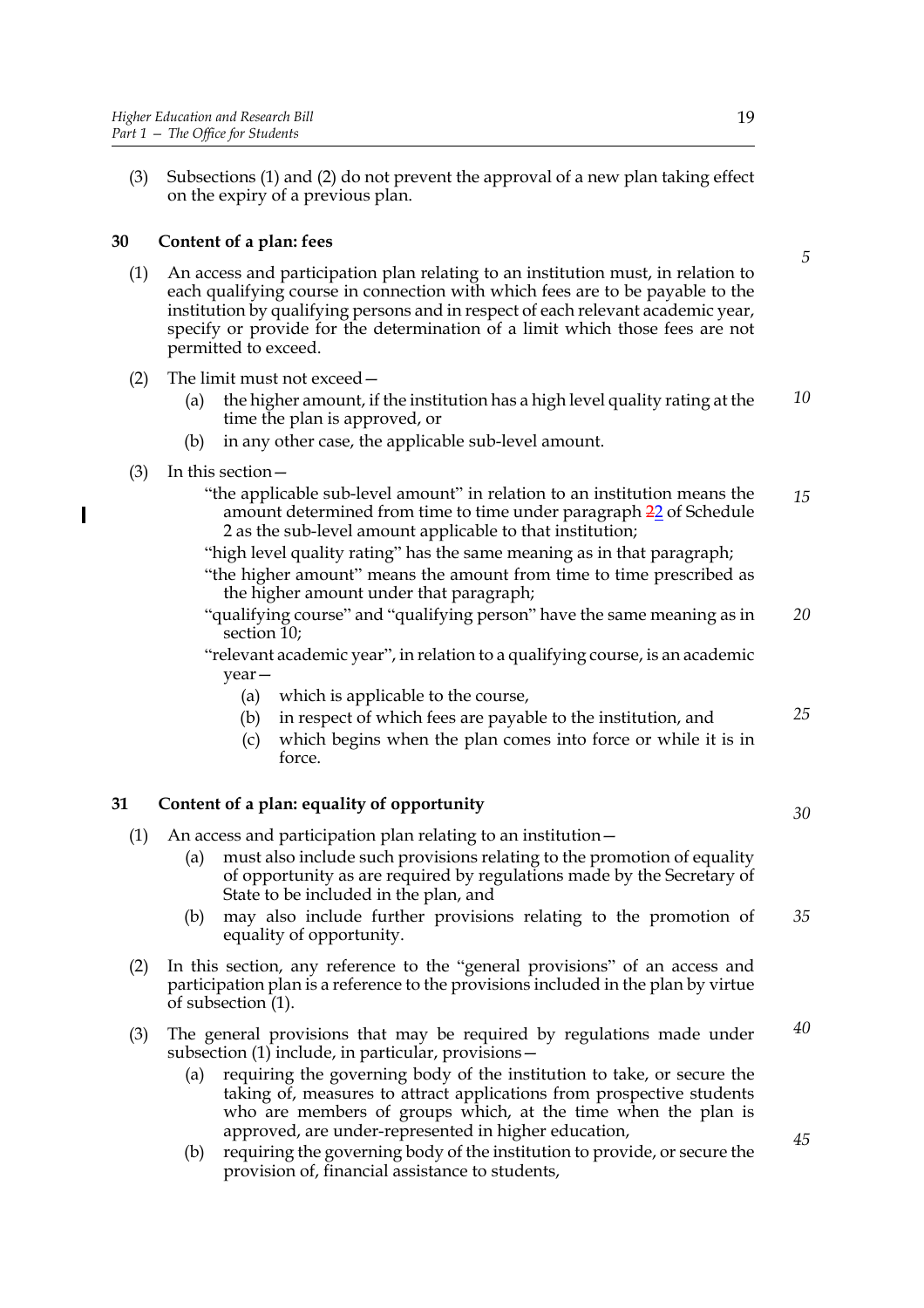(3) Subsections (1) and (2) do not prevent the approval of a new plan taking effect on the expiry of a previous plan.

## **30 Content of a plan: fees**

- (1) An access and participation plan relating to an institution must, in relation to each qualifying course in connection with which fees are to be payable to the institution by qualifying persons and in respect of each relevant academic year, specify or provide for the determination of a limit which those fees are not permitted to exceed.
- (2) The limit must not exceed—
	- (a) the higher amount, if the institution has a high level quality rating at the time the plan is approved, or *10*
	- (b) in any other case, the applicable sub-level amount.
- (3) In this section—
	- "the applicable sub-level amount" in relation to an institution means the amount determined from time to time under paragraph 22 of Schedule 2 as the sub-level amount applicable to that institution; *15*
	- "high level quality rating" has the same meaning as in that paragraph;
	- "the higher amount" means the amount from time to time prescribed as the higher amount under that paragraph;
	- "qualifying course" and "qualifying person" have the same meaning as in section 10; *20*
	- "relevant academic year", in relation to a qualifying course, is an academic year—
		- (a) which is applicable to the course,
		- (b) in respect of which fees are payable to the institution, and *25*
		- (c) which begins when the plan comes into force or while it is in force.

## **31 Content of a plan: equality of opportunity**

- (1) An access and participation plan relating to an institution—
	- (a) must also include such provisions relating to the promotion of equality of opportunity as are required by regulations made by the Secretary of State to be included in the plan, and
	- (b) may also include further provisions relating to the promotion of equality of opportunity. *35*
- (2) In this section, any reference to the "general provisions" of an access and participation plan is a reference to the provisions included in the plan by virtue of subsection (1).
- (3) The general provisions that may be required by regulations made under subsection (1) include, in particular, provisions— *40*
	- (a) requiring the governing body of the institution to take, or secure the taking of, measures to attract applications from prospective students who are members of groups which, at the time when the plan is approved, are under-represented in higher education,
	- (b) requiring the governing body of the institution to provide, or secure the provision of, financial assistance to students,

*5*

*45*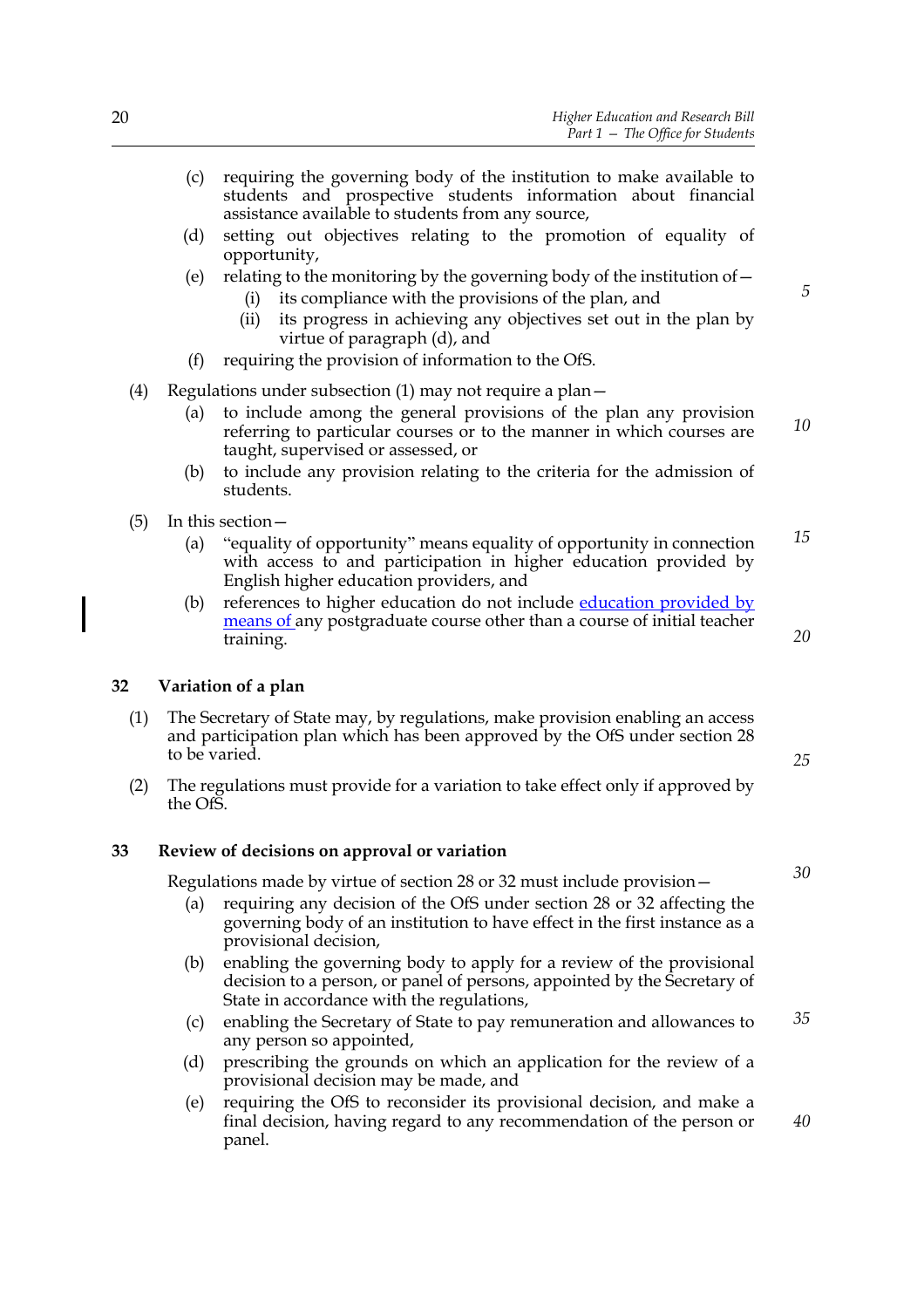- (c) requiring the governing body of the institution to make available to students and prospective students information about financial assistance available to students from any source,
- (d) setting out objectives relating to the promotion of equality of opportunity,
- (e) relating to the monitoring by the governing body of the institution of  $$ 
	- its compliance with the provisions of the plan, and
	- (ii) its progress in achieving any objectives set out in the plan by virtue of paragraph (d), and
- (f) requiring the provision of information to the OfS.
- (4) Regulations under subsection (1) may not require a plan—
	- (a) to include among the general provisions of the plan any provision referring to particular courses or to the manner in which courses are taught, supervised or assessed, or *10*
	- (b) to include any provision relating to the criteria for the admission of students.
- (5) In this section—
	- (a) "equality of opportunity" means equality of opportunity in connection with access to and participation in higher education provided by English higher education providers, and *15*
	- (b) references to higher education do not include education provided by means of any postgraduate course other than a course of initial teacher training.

#### **32 Variation of a plan**

- (1) The Secretary of State may, by regulations, make provision enabling an access and participation plan which has been approved by the OfS under section 28 to be varied.
- (2) The regulations must provide for a variation to take effect only if approved by the OfS.

#### **33 Review of decisions on approval or variation**

Regulations made by virtue of section 28 or 32 must include provision—

- (a) requiring any decision of the OfS under section 28 or 32 affecting the governing body of an institution to have effect in the first instance as a provisional decision,
- (b) enabling the governing body to apply for a review of the provisional decision to a person, or panel of persons, appointed by the Secretary of State in accordance with the regulations,
- (c) enabling the Secretary of State to pay remuneration and allowances to any person so appointed, *35*
- (d) prescribing the grounds on which an application for the review of a provisional decision may be made, and
- (e) requiring the OfS to reconsider its provisional decision, and make a final decision, having regard to any recommendation of the person or panel.

*5*

*20*

*25*

*40*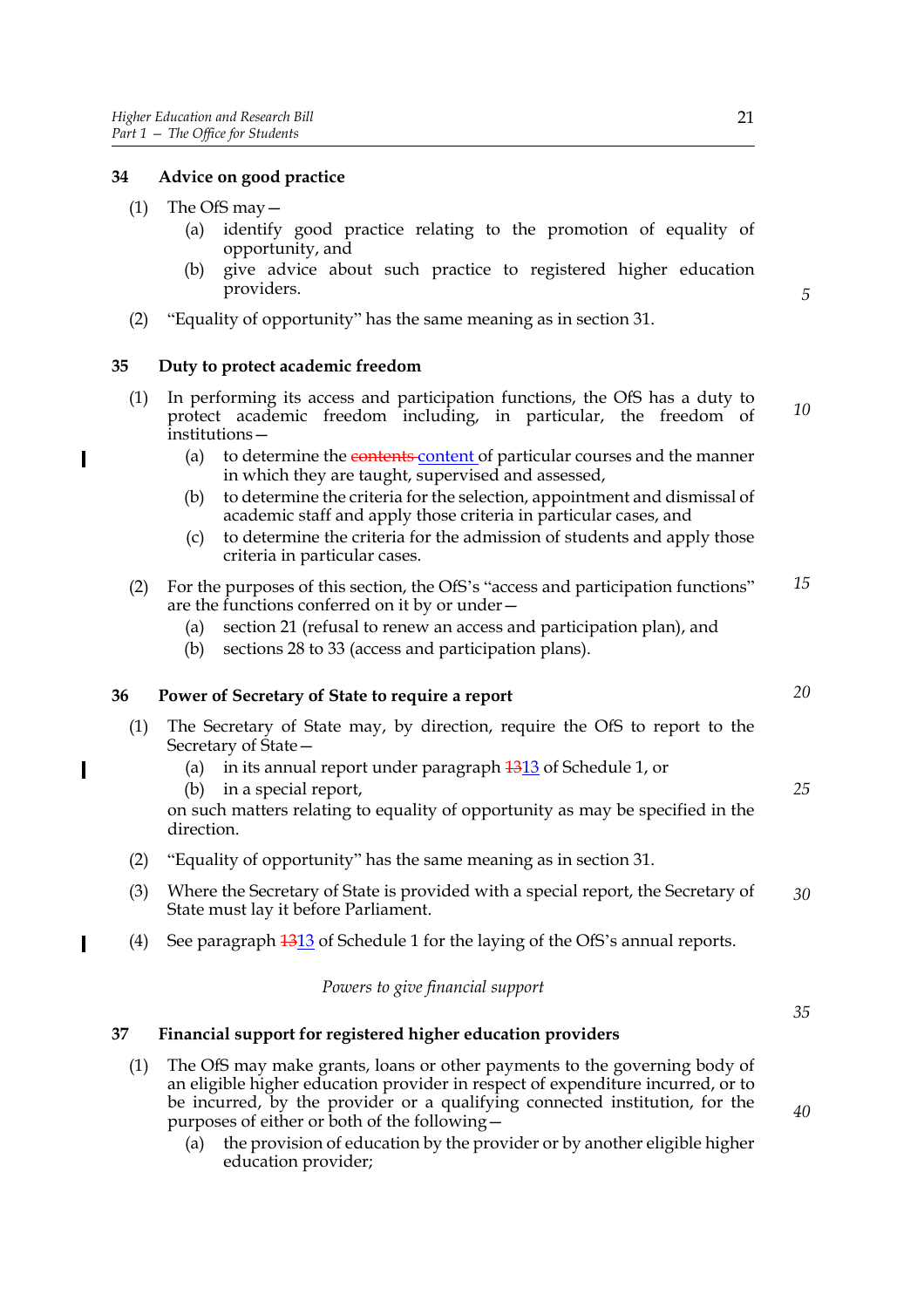## **34 Advice on good practice**

(1) The OfS may  $-$ 

 $\overline{\phantom{a}}$ 

- (a) identify good practice relating to the promotion of equality of opportunity, and
- (b) give advice about such practice to registered higher education providers.
- (2) "Equality of opportunity" has the same meaning as in section 31.

## **35 Duty to protect academic freedom**

- (1) In performing its access and participation functions, the OfS has a duty to protect academic freedom including, in particular, the freedom of institutions— *10*
	- (a) to determine the contents content of particular courses and the manner in which they are taught, supervised and assessed,
	- (b) to determine the criteria for the selection, appointment and dismissal of academic staff and apply those criteria in particular cases, and
	- (c) to determine the criteria for the admission of students and apply those criteria in particular cases.
- (2) For the purposes of this section, the OfS's "access and participation functions" are the functions conferred on it by or under— *15*
	- (a) section 21 (refusal to renew an access and participation plan), and
	- (b) sections 28 to 33 (access and participation plans).

## **36 Power of Secretary of State to require a report**

- (1) The Secretary of State may, by direction, require the OfS to report to the Secretary of State—
	- (a) in its annual report under paragraph  $\frac{1313}{13}$  of Schedule 1, or
	- (b) in a special report,
	- on such matters relating to equality of opportunity as may be specified in the direction.
- (2) "Equality of opportunity" has the same meaning as in section 31.
- (3) Where the Secretary of State is provided with a special report, the Secretary of State must lay it before Parliament. *30*
- (4) See paragraph  $\frac{1313}{13}$  of Schedule 1 for the laying of the OfS's annual reports.

## *Powers to give financial support*

## **37 Financial support for registered higher education providers**

- (1) The OfS may make grants, loans or other payments to the governing body of an eligible higher education provider in respect of expenditure incurred, or to be incurred, by the provider or a qualifying connected institution, for the purposes of either or both of the following—
	- (a) the provision of education by the provider or by another eligible higher education provider;

*20*

*5*

*25*

*35*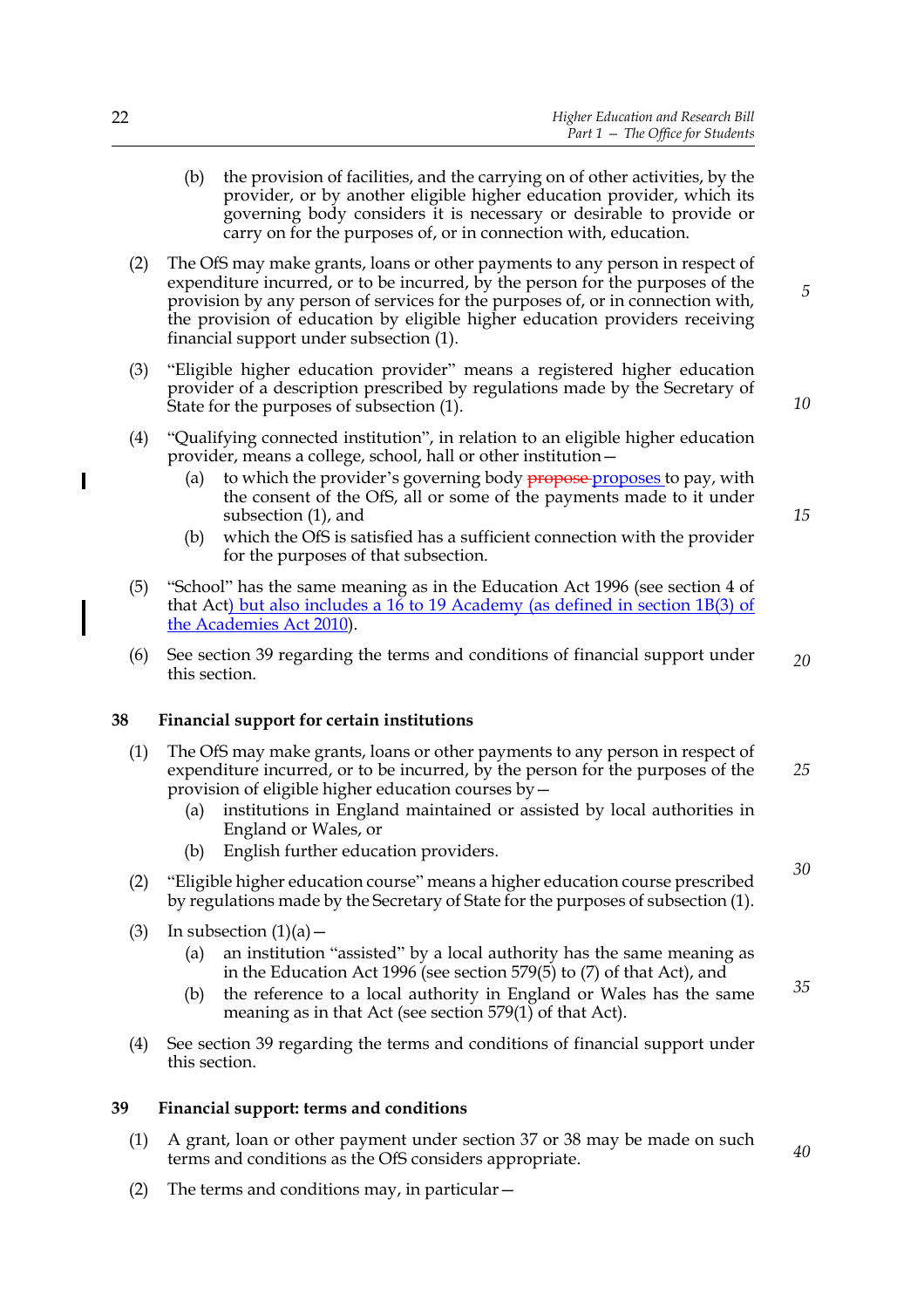- (b) the provision of facilities, and the carrying on of other activities, by the provider, or by another eligible higher education provider, which its governing body considers it is necessary or desirable to provide or carry on for the purposes of, or in connection with, education.
- (2) The OfS may make grants, loans or other payments to any person in respect of expenditure incurred, or to be incurred, by the person for the purposes of the provision by any person of services for the purposes of, or in connection with, the provision of education by eligible higher education providers receiving financial support under subsection (1).
- (3) "Eligible higher education provider" means a registered higher education provider of a description prescribed by regulations made by the Secretary of State for the purposes of subsection (1).
- (4) "Qualifying connected institution", in relation to an eligible higher education provider, means a college, school, hall or other institution—
	- (a) to which the provider's governing body  $\frac{1}{\text{propose}}$  proposes to pay, with the consent of the OfS, all or some of the payments made to it under subsection (1), and
	- (b) which the OfS is satisfied has a sufficient connection with the provider for the purposes of that subsection.
- (5) "School" has the same meaning as in the Education Act 1996 (see section 4 of that Act) but also includes a 16 to 19 Academy (as defined in section 1B(3) of the Academies Act 2010).
- (6) See section 39 regarding the terms and conditions of financial support under this section. *20*

## **38 Financial support for certain institutions**

- (1) The OfS may make grants, loans or other payments to any person in respect of expenditure incurred, or to be incurred, by the person for the purposes of the provision of eligible higher education courses by— *25*
	- (a) institutions in England maintained or assisted by local authorities in England or Wales, or
	- (b) English further education providers.
- (2) "Eligible higher education course" means a higher education course prescribed by regulations made by the Secretary of State for the purposes of subsection (1).
- (3) In subsection  $(1)(a)$ 
	- (a) an institution "assisted" by a local authority has the same meaning as in the Education Act 1996 (see section 579(5) to (7) of that Act), and
	- (b) the reference to a local authority in England or Wales has the same meaning as in that Act (see section  $579(1)$  of that Act). *35*
- (4) See section 39 regarding the terms and conditions of financial support under this section.

#### **39 Financial support: terms and conditions**

- (1) A grant, loan or other payment under section 37 or 38 may be made on such terms and conditions as the OfS considers appropriate.
- (2) The terms and conditions may, in particular—

 $\overline{\phantom{a}}$ 

*10*

*15*

*30*

*40*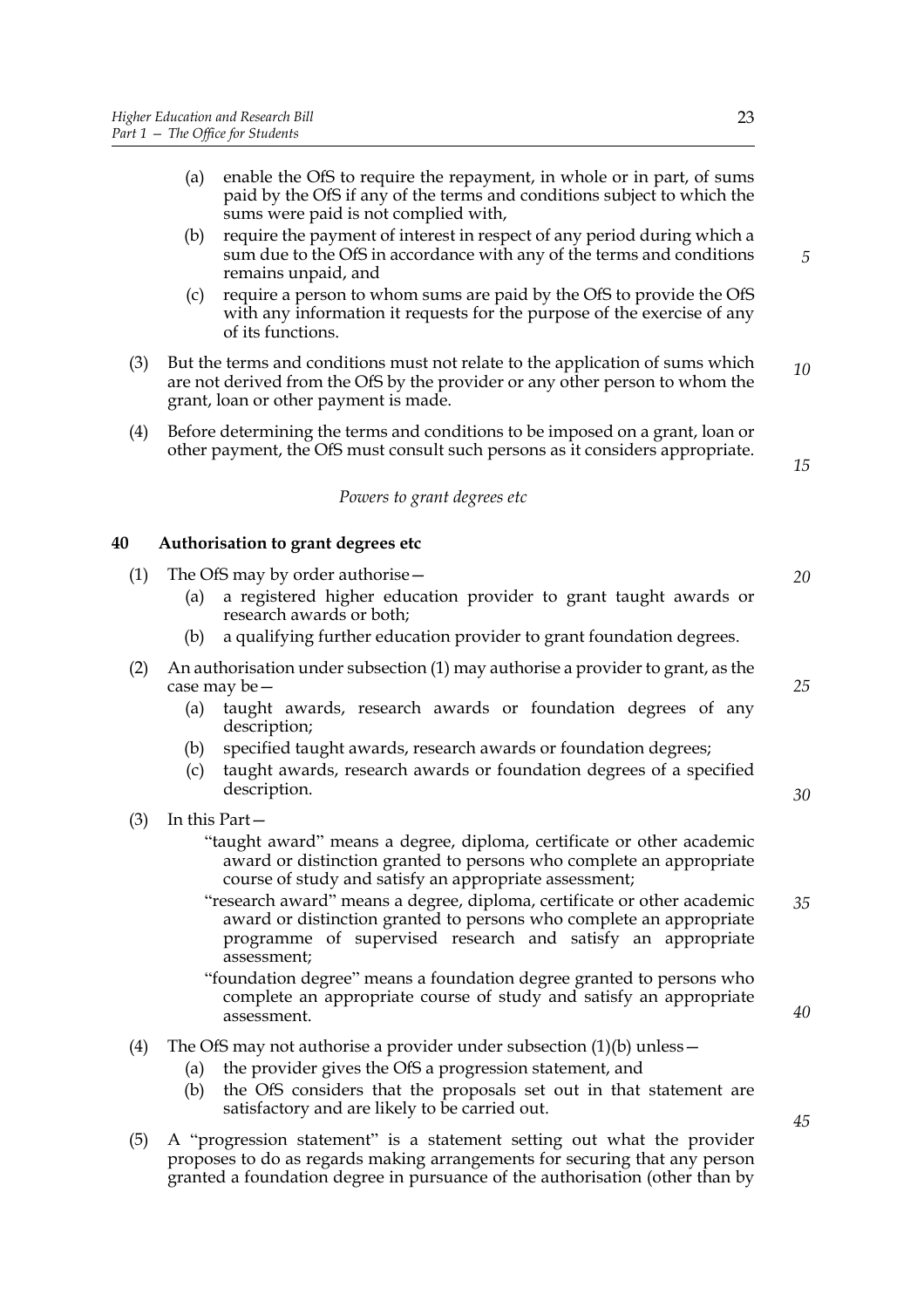sums were paid is not complied with, (b) require the payment of interest in respect of any period during which a sum due to the OfS in accordance with any of the terms and conditions remains unpaid, and

- (c) require a person to whom sums are paid by the OfS to provide the OfS with any information it requests for the purpose of the exercise of any of its functions.
- (3) But the terms and conditions must not relate to the application of sums which are not derived from the OfS by the provider or any other person to whom the grant, loan or other payment is made. *10*
- (4) Before determining the terms and conditions to be imposed on a grant, loan or other payment, the OfS must consult such persons as it considers appropriate.

*Powers to grant degrees etc*

## **40 Authorisation to grant degrees etc**

- (1) The OfS may by order authorise— (a) a registered higher education provider to grant taught awards or research awards or both; (b) a qualifying further education provider to grant foundation degrees. (2) An authorisation under subsection (1) may authorise a provider to grant, as the case may be— *20*
	- (a) taught awards, research awards or foundation degrees of any description;
	- (b) specified taught awards, research awards or foundation degrees;
	- (c) taught awards, research awards or foundation degrees of a specified description.
- (3) In this Part—
	- "taught award" means a degree, diploma, certificate or other academic award or distinction granted to persons who complete an appropriate course of study and satisfy an appropriate assessment;
	- "research award" means a degree, diploma, certificate or other academic award or distinction granted to persons who complete an appropriate programme of supervised research and satisfy an appropriate assessment; *35*
	- "foundation degree" means a foundation degree granted to persons who complete an appropriate course of study and satisfy an appropriate assessment.
- (4) The OfS may not authorise a provider under subsection  $(1)(b)$  unless  $-$ 
	- (a) the provider gives the OfS a progression statement, and
	- (b) the OfS considers that the proposals set out in that statement are satisfactory and are likely to be carried out.
- (5) A "progression statement" is a statement setting out what the provider proposes to do as regards making arrangements for securing that any person granted a foundation degree in pursuance of the authorisation (other than by

*5*

*25*

*15*

*30*

*40*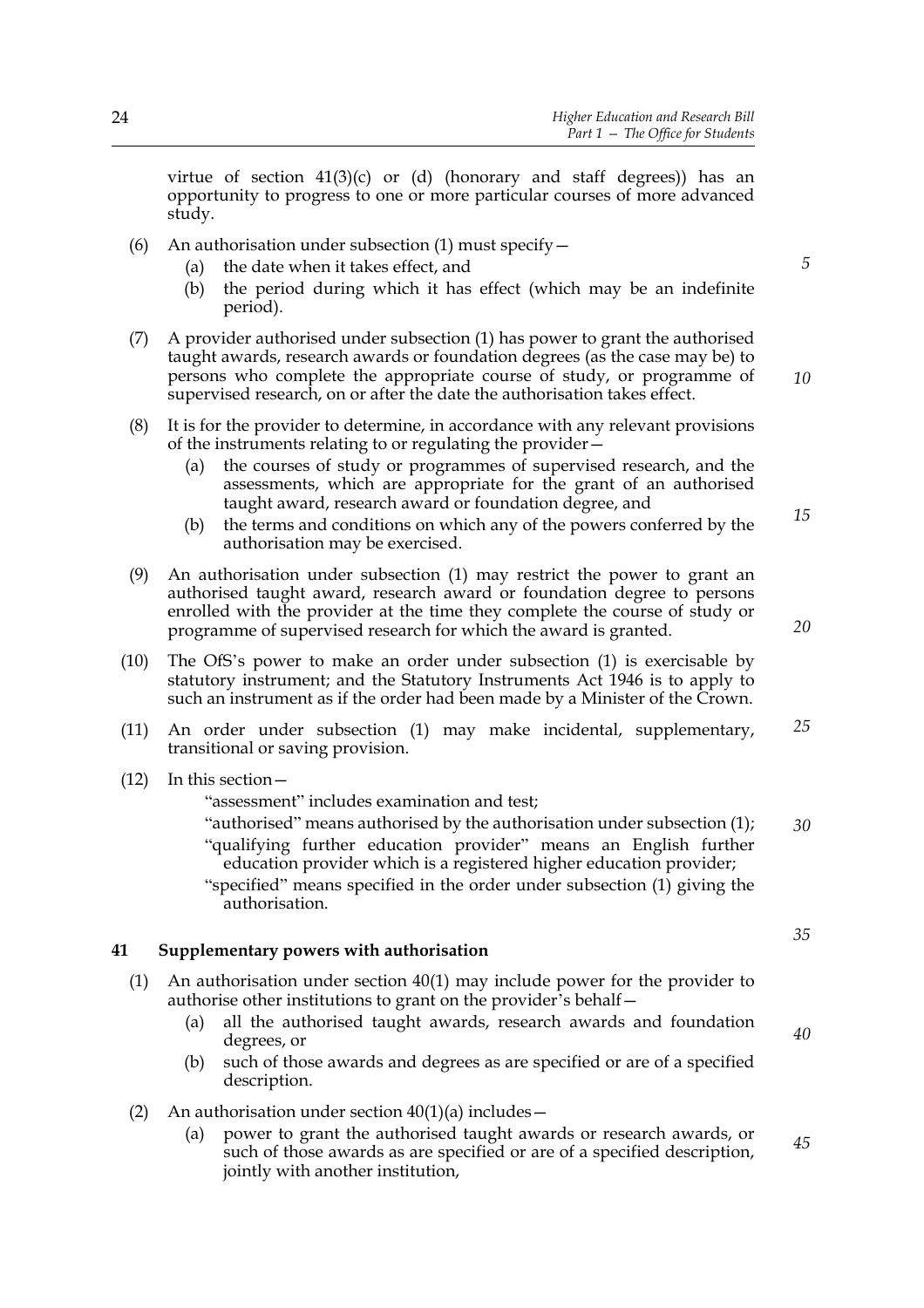virtue of section  $41(3)(c)$  or (d) (honorary and staff degrees)) has an opportunity to progress to one or more particular courses of more advanced study.

- (6) An authorisation under subsection (1) must specify  $-$ 
	- (a) the date when it takes effect, and
	- (b) the period during which it has effect (which may be an indefinite period).
- (7) A provider authorised under subsection (1) has power to grant the authorised taught awards, research awards or foundation degrees (as the case may be) to persons who complete the appropriate course of study, or programme of supervised research, on or after the date the authorisation takes effect.
- (8) It is for the provider to determine, in accordance with any relevant provisions of the instruments relating to or regulating the provider—
	- (a) the courses of study or programmes of supervised research, and the assessments, which are appropriate for the grant of an authorised taught award, research award or foundation degree, and
	- (b) the terms and conditions on which any of the powers conferred by the authorisation may be exercised.
- (9) An authorisation under subsection (1) may restrict the power to grant an authorised taught award, research award or foundation degree to persons enrolled with the provider at the time they complete the course of study or programme of supervised research for which the award is granted.
- (10) The OfS's power to make an order under subsection (1) is exercisable by statutory instrument; and the Statutory Instruments Act 1946 is to apply to such an instrument as if the order had been made by a Minister of the Crown.
- (11) An order under subsection (1) may make incidental, supplementary, transitional or saving provision. *25*
- (12) In this section—

"assessment" includes examination and test;

"authorised" means authorised by the authorisation under subsection (1); "qualifying further education provider" means an English further education provider which is a registered higher education provider; "specified" means specified in the order under subsection (1) giving the authorisation. *30*

## **41 Supplementary powers with authorisation**

- (1) An authorisation under section 40(1) may include power for the provider to authorise other institutions to grant on the provider's behalf—
	- (a) all the authorised taught awards, research awards and foundation degrees, or
	- (b) such of those awards and degrees as are specified or are of a specified description.
- (2) An authorisation under section  $40(1)(a)$  includes -
	- (a) power to grant the authorised taught awards or research awards, or such of those awards as are specified or are of a specified description, jointly with another institution, *45*

*5*

*10*

*15*

*20*

*35*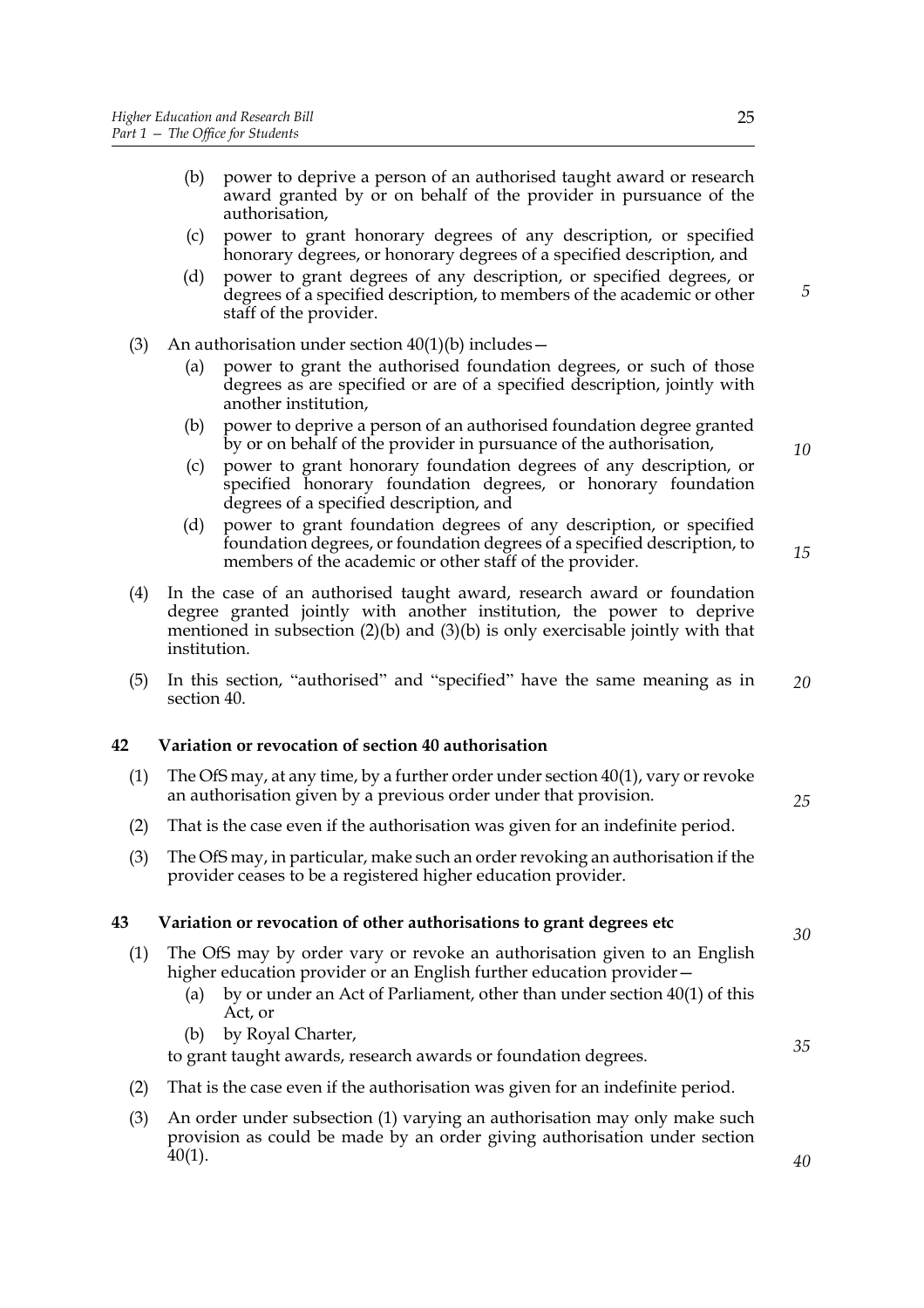- (b) power to deprive a person of an authorised taught award or research award granted by or on behalf of the provider in pursuance of the authorisation,
- (c) power to grant honorary degrees of any description, or specified honorary degrees, or honorary degrees of a specified description, and
- (d) power to grant degrees of any description, or specified degrees, or degrees of a specified description, to members of the academic or other staff of the provider.
- (3) An authorisation under section  $40(1)(b)$  includes
	- (a) power to grant the authorised foundation degrees, or such of those degrees as are specified or are of a specified description, jointly with another institution,
	- (b) power to deprive a person of an authorised foundation degree granted by or on behalf of the provider in pursuance of the authorisation,
	- (c) power to grant honorary foundation degrees of any description, or specified honorary foundation degrees, or honorary foundation degrees of a specified description, and
	- (d) power to grant foundation degrees of any description, or specified foundation degrees, or foundation degrees of a specified description, to members of the academic or other staff of the provider.
- (4) In the case of an authorised taught award, research award or foundation degree granted jointly with another institution, the power to deprive mentioned in subsection  $(2)(b)$  and  $(3)(b)$  is only exercisable jointly with that institution.
- (5) In this section, "authorised" and "specified" have the same meaning as in section 40. *20*

## **42 Variation or revocation of section 40 authorisation**

- (1) The OfS may, at any time, by a further order under section 40(1), vary or revoke an authorisation given by a previous order under that provision.
- (2) That is the case even if the authorisation was given for an indefinite period.
- (3) The OfS may, in particular, make such an order revoking an authorisation if the provider ceases to be a registered higher education provider.

## **43 Variation or revocation of other authorisations to grant degrees etc**

- (1) The OfS may by order vary or revoke an authorisation given to an English higher education provider or an English further education provider—
	- (a) by or under an Act of Parliament, other than under section 40(1) of this Act, or
	- (b) by Royal Charter,

to grant taught awards, research awards or foundation degrees.

- (2) That is the case even if the authorisation was given for an indefinite period.
- (3) An order under subsection (1) varying an authorisation may only make such provision as could be made by an order giving authorisation under section 40(1).

*10*

*5*

*25*

*35*

*40*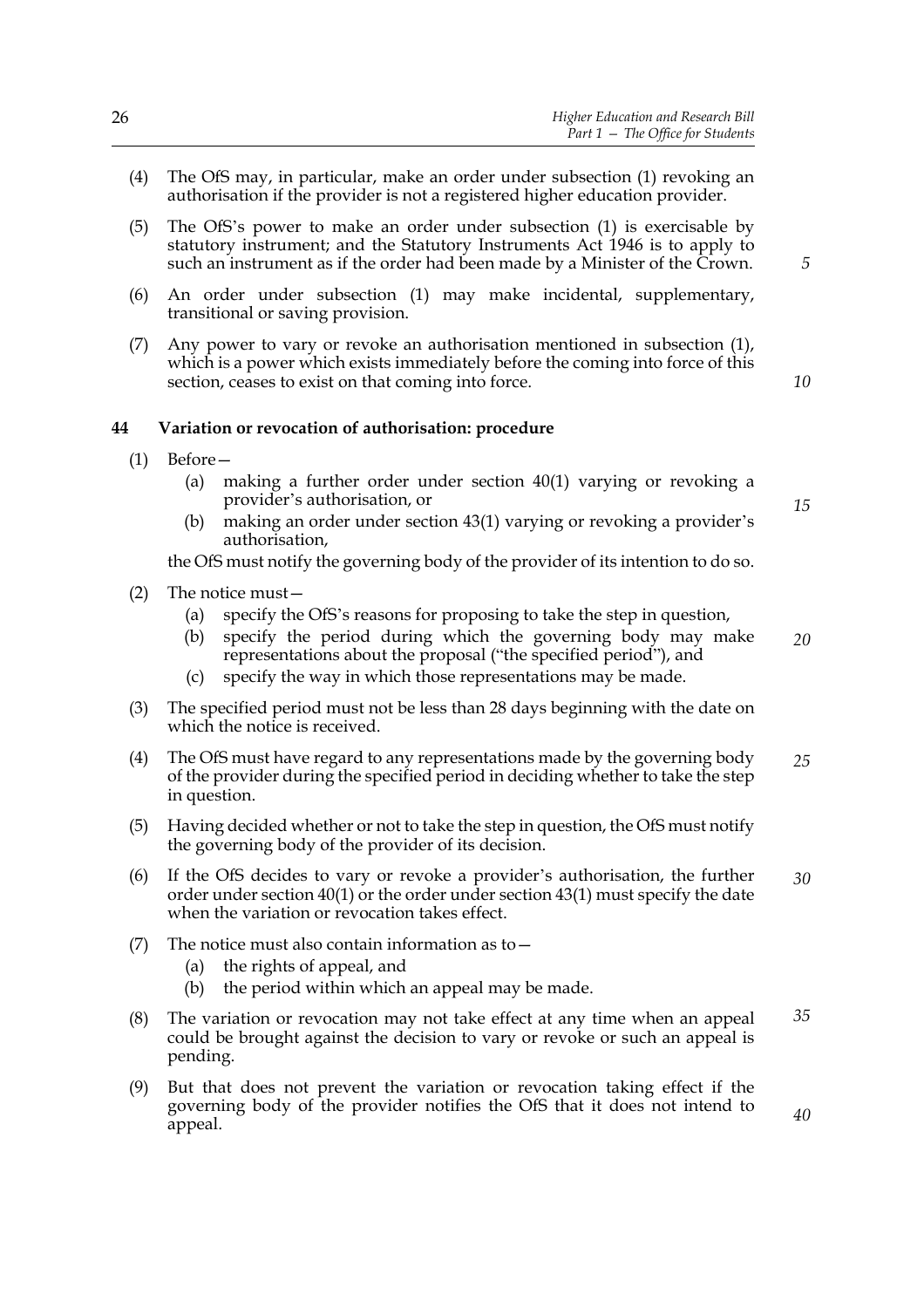- (4) The OfS may, in particular, make an order under subsection (1) revoking an authorisation if the provider is not a registered higher education provider.
- (5) The OfS's power to make an order under subsection (1) is exercisable by statutory instrument; and the Statutory Instruments Act 1946 is to apply to such an instrument as if the order had been made by a Minister of the Crown.
- (6) An order under subsection (1) may make incidental, supplementary, transitional or saving provision.
- (7) Any power to vary or revoke an authorisation mentioned in subsection (1), which is a power which exists immediately before the coming into force of this section, ceases to exist on that coming into force.

#### **44 Variation or revocation of authorisation: procedure**

- (1) Before—
	- (a) making a further order under section 40(1) varying or revoking a provider's authorisation, or
	- (b) making an order under section 43(1) varying or revoking a provider's authorisation,

the OfS must notify the governing body of the provider of its intention to do so.

- (2) The notice must—
	- (a) specify the OfS's reasons for proposing to take the step in question,
	- (b) specify the period during which the governing body may make representations about the proposal ("the specified period"), and *20*
	- (c) specify the way in which those representations may be made.
- (3) The specified period must not be less than 28 days beginning with the date on which the notice is received.
- (4) The OfS must have regard to any representations made by the governing body of the provider during the specified period in deciding whether to take the step in question. *25*
- (5) Having decided whether or not to take the step in question, the OfS must notify the governing body of the provider of its decision.
- (6) If the OfS decides to vary or revoke a provider's authorisation, the further order under section 40(1) or the order under section 43(1) must specify the date when the variation or revocation takes effect. *30*
- (7) The notice must also contain information as to  $-$ 
	- (a) the rights of appeal, and
	- (b) the period within which an appeal may be made.
- (8) The variation or revocation may not take effect at any time when an appeal could be brought against the decision to vary or revoke or such an appeal is pending. *35*
- (9) But that does not prevent the variation or revocation taking effect if the governing body of the provider notifies the OfS that it does not intend to appeal.

*5*

*10*

*15*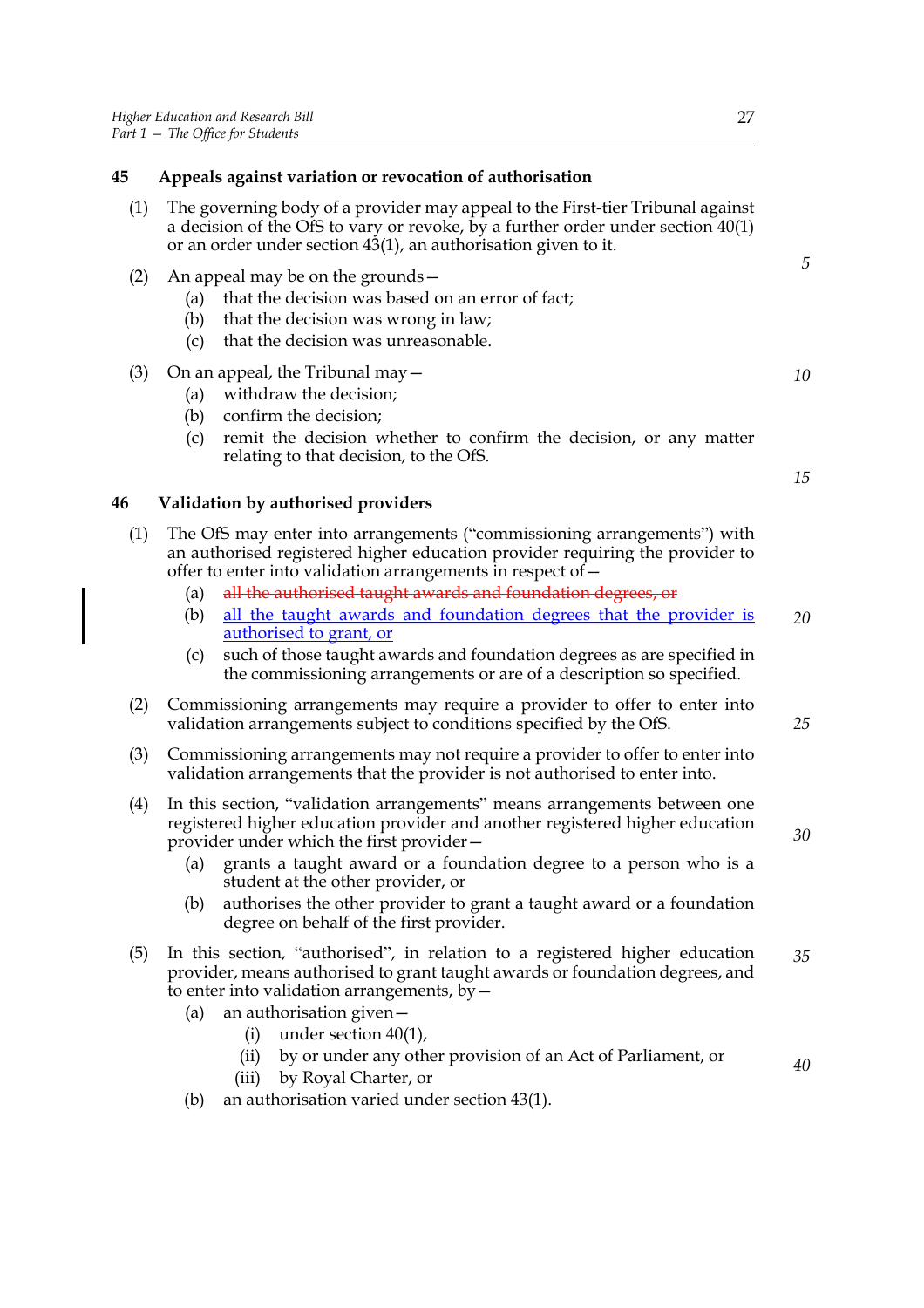| 45  | Appeals against variation or revocation of authorisation                                                                                                                                                                                                                                                                                                                                                                                                                                                                                                            |          |
|-----|---------------------------------------------------------------------------------------------------------------------------------------------------------------------------------------------------------------------------------------------------------------------------------------------------------------------------------------------------------------------------------------------------------------------------------------------------------------------------------------------------------------------------------------------------------------------|----------|
| (1) | The governing body of a provider may appeal to the First-tier Tribunal against<br>a decision of the OfS to vary or revoke, by a further order under section $40(1)$<br>or an order under section 43(1), an authorisation given to it.                                                                                                                                                                                                                                                                                                                               |          |
| (2) | An appeal may be on the grounds $-$<br>that the decision was based on an error of fact;<br>(a)<br>that the decision was wrong in law;<br>(b)<br>that the decision was unreasonable.<br>(c)                                                                                                                                                                                                                                                                                                                                                                          | 5        |
| (3) | On an appeal, the Tribunal may $-$<br>withdraw the decision;<br>(a)<br>confirm the decision;<br>(b)<br>remit the decision whether to confirm the decision, or any matter<br>(c)<br>relating to that decision, to the OfS.                                                                                                                                                                                                                                                                                                                                           | 10<br>15 |
| 46  | Validation by authorised providers                                                                                                                                                                                                                                                                                                                                                                                                                                                                                                                                  |          |
| (1) | The OfS may enter into arrangements ("commissioning arrangements") with<br>an authorised registered higher education provider requiring the provider to<br>offer to enter into validation arrangements in respect of -<br>all the authorised taught awards and foundation degrees, or<br>(a)<br>all the taught awards and foundation degrees that the provider is<br>(b)<br><u>authorised</u> to grant, or<br>such of those taught awards and foundation degrees as are specified in<br>(c)<br>the commissioning arrangements or are of a description so specified. | 20       |
| (2) | Commissioning arrangements may require a provider to offer to enter into<br>validation arrangements subject to conditions specified by the OfS.                                                                                                                                                                                                                                                                                                                                                                                                                     |          |
| (3) | Commissioning arrangements may not require a provider to offer to enter into<br>validation arrangements that the provider is not authorised to enter into.                                                                                                                                                                                                                                                                                                                                                                                                          |          |
| (4) | In this section, "validation arrangements" means arrangements between one<br>registered higher education provider and another registered higher education<br>provider under which the first provider-                                                                                                                                                                                                                                                                                                                                                               | 30       |

- (a) grants a taught award or a foundation degree to a person who is a student at the other provider, or
- (b) authorises the other provider to grant a taught award or a foundation degree on behalf of the first provider.
- (5) In this section, "authorised", in relation to a registered higher education provider, means authorised to grant taught awards or foundation degrees, and to enter into validation arrangements,  $by$   $-$ *35*
	- (a) an authorisation given—
		- (i) under section 40(1),
		- (ii) by or under any other provision of an Act of Parliament, or
		- (iii) by Royal Charter, or
	- (b) an authorisation varied under section 43(1).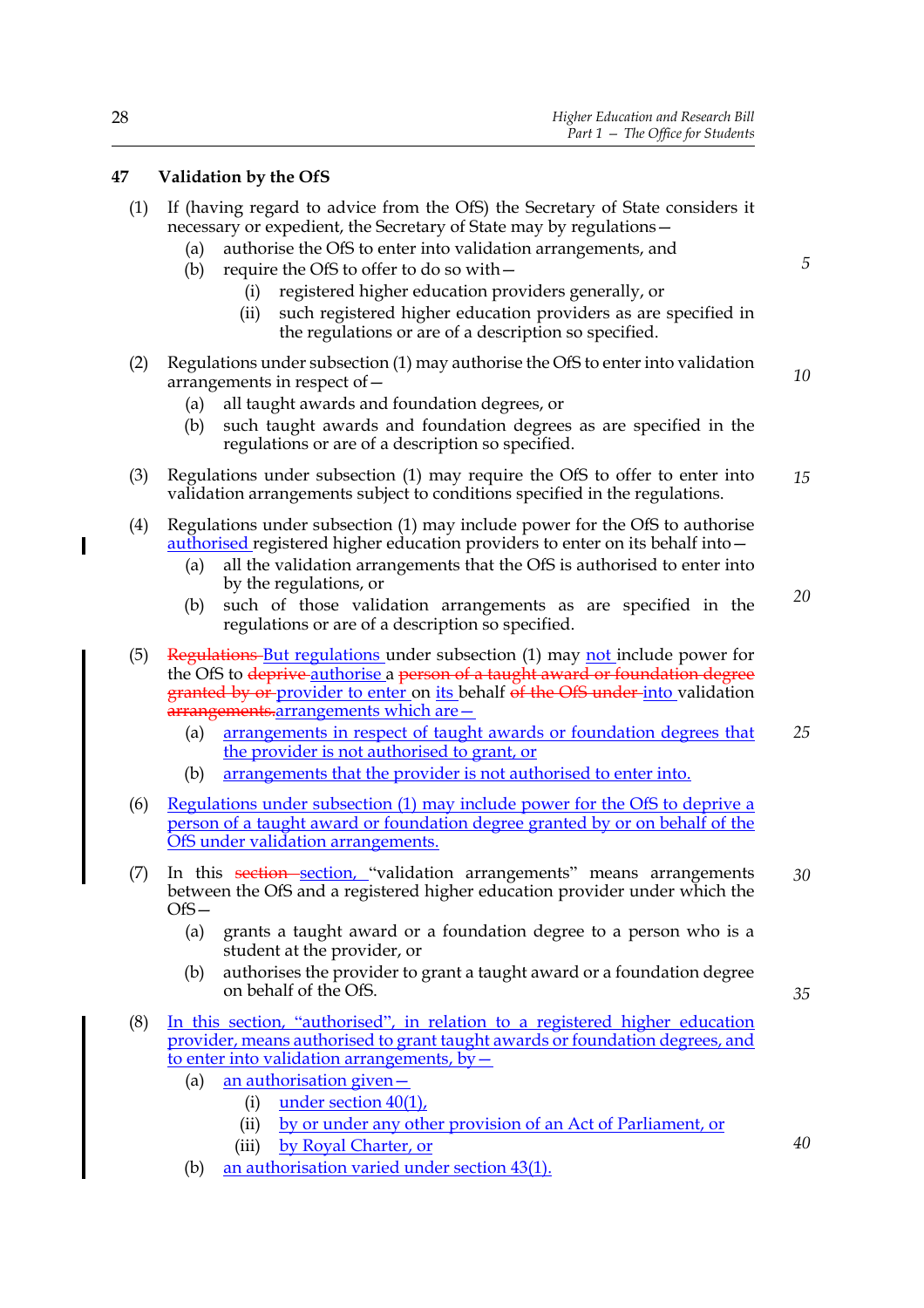## **47 Validation by the OfS**

| (1) If (having regard to advice from the OfS) the Secretary of State considers it |
|-----------------------------------------------------------------------------------|
| necessary or expedient, the Secretary of State may by regulations -               |

- (a) authorise the OfS to enter into validation arrangements, and
- (b) require the OfS to offer to do so with—
	- (i) registered higher education providers generally, or
	- (ii) such registered higher education providers as are specified in the regulations or are of a description so specified.
- (2) Regulations under subsection (1) may authorise the OfS to enter into validation arrangements in respect of— *10*
	- (a) all taught awards and foundation degrees, or
	- (b) such taught awards and foundation degrees as are specified in the regulations or are of a description so specified.
- (3) Regulations under subsection (1) may require the OfS to offer to enter into validation arrangements subject to conditions specified in the regulations. *15*
- (4) Regulations under subsection (1) may include power for the OfS to authorise authorised registered higher education providers to enter on its behalf into—
	- (a) all the validation arrangements that the OfS is authorised to enter into by the regulations, or
	- (b) such of those validation arrangements as are specified in the regulations or are of a description so specified. *20*
- (5) Regulations But regulations under subsection (1) may not include power for the OfS to deprive authorise a person of a taught award or foundation degree granted by or provider to enter on its behalf of the OfS under into validation arrangements.arrangements which are -
	- (a) arrangements in respect of taught awards or foundation degrees that the provider is not authorised to grant, or *25*
	- (b) arrangements that the provider is not authorised to enter into.
- (6) Regulations under subsection (1) may include power for the OfS to deprive a person of a taught award or foundation degree granted by or on behalf of the OfS under validation arrangements.
- (7) In this section section, "validation arrangements" means arrangements between the OfS and a registered higher education provider under which the OfS— *30*
	- (a) grants a taught award or a foundation degree to a person who is a student at the provider, or
	- (b) authorises the provider to grant a taught award or a foundation degree on behalf of the OfS.
- (8) In this section, "authorised", in relation to a registered higher education provider, means authorised to grant taught awards or foundation degrees, and to enter into validation arrangements,  $by -$ 
	- (a) an authorisation given—
		- (i) under section 40(1),
		- (ii) by or under any other provision of an Act of Parliament, or
		- (iii) by Royal Charter, or
	- (b) an authorisation varied under section 43(1).

T

*35*

*40*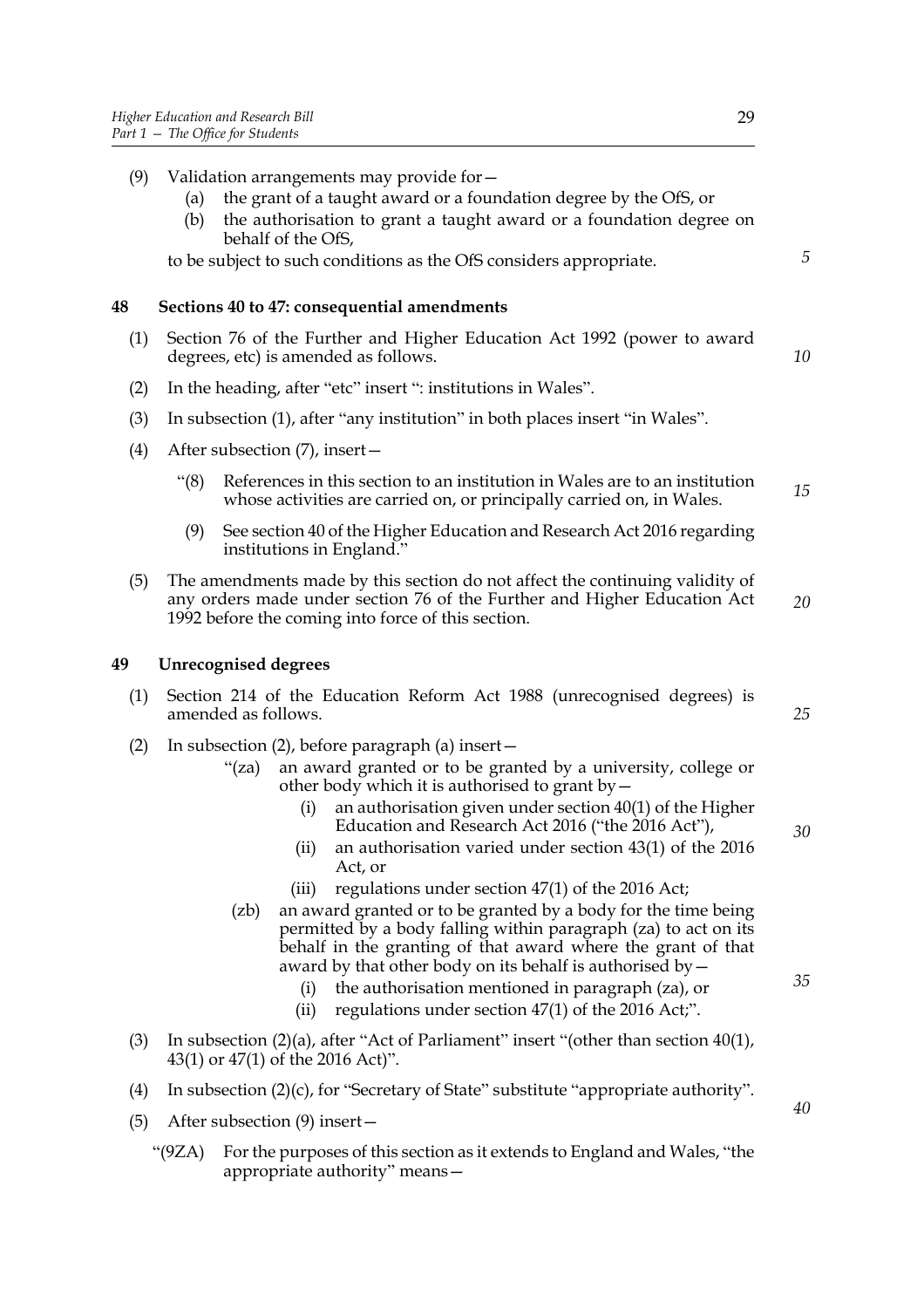- (a) the grant of a taught award or a foundation degree by the OfS, or
- (b) the authorisation to grant a taught award or a foundation degree on behalf of the OfS,

to be subject to such conditions as the OfS considers appropriate.

## **48 Sections 40 to 47: consequential amendments**

- (1) Section 76 of the Further and Higher Education Act 1992 (power to award degrees, etc) is amended as follows.
- (2) In the heading, after "etc" insert ": institutions in Wales".
- (3) In subsection (1), after "any institution" in both places insert "in Wales".
- (4) After subsection (7), insert—
	- "(8) References in this section to an institution in Wales are to an institution whose activities are carried on, or principally carried on, in Wales. *15*
	- (9) See section 40 of the Higher Education and Research Act 2016 regarding institutions in England."
- (5) The amendments made by this section do not affect the continuing validity of any orders made under section 76 of the Further and Higher Education Act 1992 before the coming into force of this section. *20*

## **49 Unrecognised degrees**

- (1) Section 214 of the Education Reform Act 1988 (unrecognised degrees) is amended as follows.
- (2) In subsection (2), before paragraph (a) insert—
	- "(za) an award granted or to be granted by a university, college or other body which it is authorised to grant by—
		- (i) an authorisation given under section 40(1) of the Higher Education and Research Act 2016 ("the 2016 Act"),
		- (ii) an authorisation varied under section 43(1) of the 2016 Act, or
		- (iii) regulations under section 47(1) of the 2016 Act;
	- (zb) an award granted or to be granted by a body for the time being permitted by a body falling within paragraph (za) to act on its behalf in the granting of that award where the grant of that award by that other body on its behalf is authorised by—
		- (i) the authorisation mentioned in paragraph (za), or
		- (ii) regulations under section 47(1) of the 2016 Act;".
- (3) In subsection (2)(a), after "Act of Parliament" insert "(other than section 40(1), 43(1) or 47(1) of the 2016 Act)".
- (4) In subsection (2)(c), for "Secretary of State" substitute "appropriate authority".
- (5) After subsection (9) insert—
	- "(9ZA) For the purposes of this section as it extends to England and Wales, "the appropriate authority" means—

*5*

*10*

*35*

*25*

*30*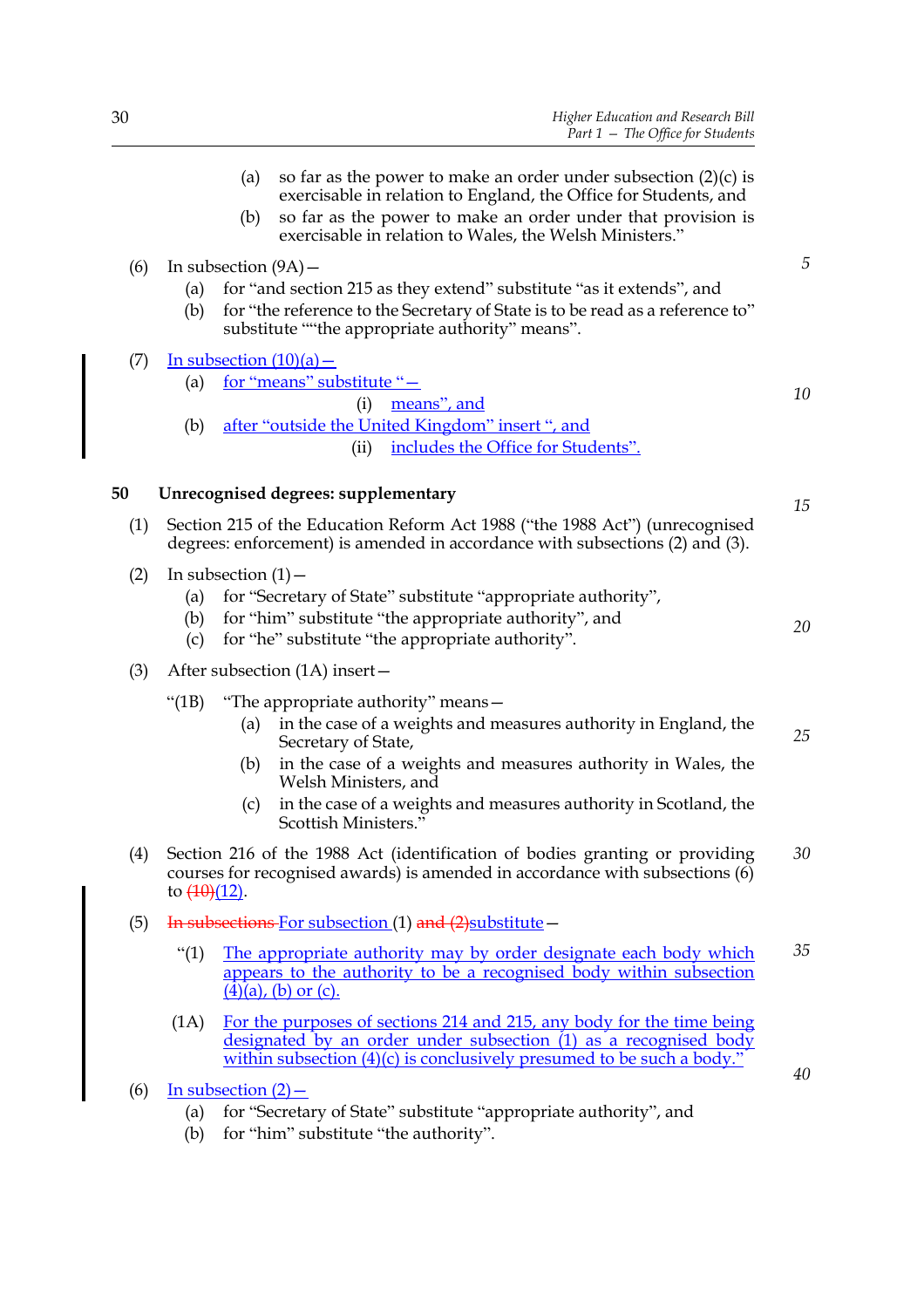|     | so far as the power to make an order under subsection $(2)(c)$ is<br>(a)<br>exercisable in relation to England, the Office for Students, and<br>so far as the power to make an order under that provision is<br>(b)<br>exercisable in relation to Wales, the Welsh Ministers."                                                                     |            |
|-----|----------------------------------------------------------------------------------------------------------------------------------------------------------------------------------------------------------------------------------------------------------------------------------------------------------------------------------------------------|------------|
| (6) | In subsection $(9A)$ –<br>for "and section 215 as they extend" substitute "as it extends", and<br>(a)<br>for "the reference to the Secretary of State is to be read as a reference to"<br>(b)<br>substitute ""the appropriate authority" means".                                                                                                   | $\sqrt{5}$ |
| (7) | In subsection $(10)(a)$ –<br>for "means" substitute "-<br>(a)<br>means", and<br>(i)                                                                                                                                                                                                                                                                | 10         |
|     | after "outside the United Kingdom" insert ", and<br>(b)<br>includes the Office for Students".<br>(ii)                                                                                                                                                                                                                                              |            |
| 50  | Unrecognised degrees: supplementary                                                                                                                                                                                                                                                                                                                | 15         |
| (1) | Section 215 of the Education Reform Act 1988 ("the 1988 Act") (unrecognised<br>degrees: enforcement) is amended in accordance with subsections (2) and (3).                                                                                                                                                                                        |            |
| (2) | In subsection $(1)$ –<br>for "Secretary of State" substitute "appropriate authority",<br>(a)<br>for "him" substitute "the appropriate authority", and<br>(b)<br>for "he" substitute "the appropriate authority".<br>(c)                                                                                                                            | 20         |
| (3) | After subsection $(1A)$ insert –                                                                                                                                                                                                                                                                                                                   |            |
|     | " $(1B)$<br>"The appropriate authority" means-<br>in the case of a weights and measures authority in England, the<br>(a)<br>Secretary of State,<br>in the case of a weights and measures authority in Wales, the<br>(b)<br>Welsh Ministers, and<br>in the case of a weights and measures authority in Scotland, the<br>(c)<br>Scottish Ministers." | 25         |
| (4) | Section 216 of the 1988 Act (identification of bodies granting or providing<br>courses for recognised awards) is amended in accordance with subsections (6)<br>to $\left(\frac{10}{12}\right)$ .                                                                                                                                                   | 30         |
| (5) | In subsections For subsection (1) and (2) substitute -                                                                                                                                                                                                                                                                                             |            |
|     | ``(1)<br>The appropriate authority may by order designate each body which<br>appears to the authority to be a recognised body within subsection<br>$(\overline{4})(a)$ , (b) or (c).                                                                                                                                                               | 35         |
|     | For the purposes of sections 214 and 215, any body for the time being<br>(1A)<br>designated by an order under subsection (1) as a recognised body<br>within subsection $(4)(c)$ is conclusively presumed to be such a body."                                                                                                                       |            |
| (6) | In subsection $(2)$ –<br>for "Secretary of State" substitute "appropriate authority", and<br>(a)                                                                                                                                                                                                                                                   | 40         |

(b) for "him" substitute "the authority".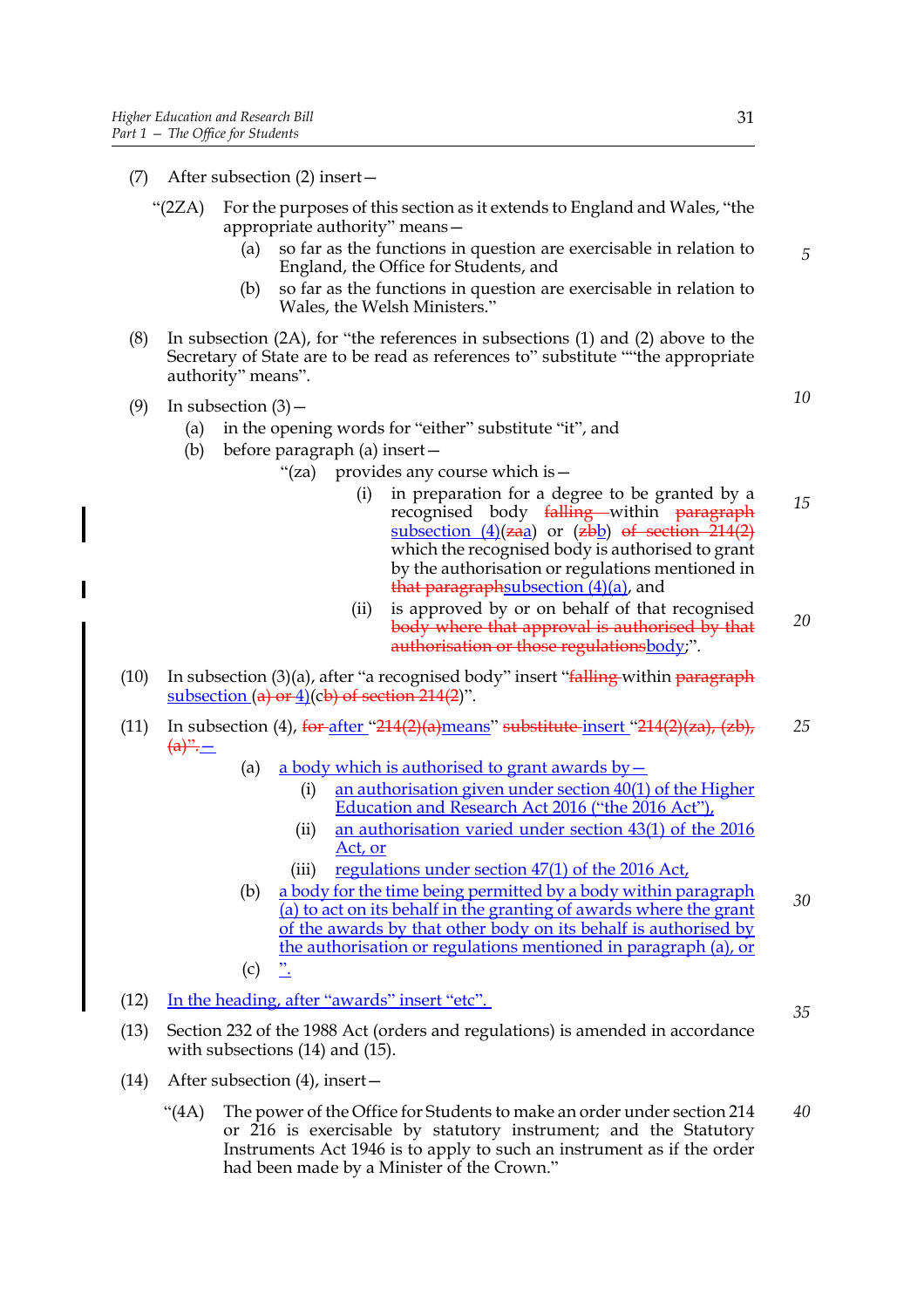- (7) After subsection (2) insert—
	- "(2ZA) For the purposes of this section as it extends to England and Wales, "the appropriate authority" means—
		- (a) so far as the functions in question are exercisable in relation to England, the Office for Students, and
		- (b) so far as the functions in question are exercisable in relation to Wales, the Welsh Ministers."
- (8) In subsection (2A), for "the references in subsections (1) and (2) above to the Secretary of State are to be read as references to" substitute ""the appropriate authority" means".
- (9) In subsection  $(3)$ 
	- (a) in the opening words for "either" substitute "it", and
	- (b) before paragraph (a) insert—
		- "(za) provides any course which is
			- in preparation for a degree to be granted by a recognised body falling within paragraph subsection  $(4)(zaa)$  or  $(zbb)$  of section 214(2) which the recognised body is authorised to grant by the authorisation or regulations mentioned in that paragraphsubsection  $(4)(a)$ , and *15*
			- (ii) is approved by or on behalf of that recognised body where that approval is authorised by that authorisation or those regulationsbody;". *20*
- (10) In subsection (3)(a), after "a recognised body" insert "falling within paragraph subsection  $(a)$  or 4)(cb) of section 214(2)".
- (11) In subsection (4),  $\frac{\text{for}}{214(2)}\text{ (a) means}$  substitute insert "214(2)(za), (zb),  $\frac{a}{a} =$ *25*
	- (a) a body which is authorised to grant awards by  $-$ 
		- (i) an authorisation given under section  $40(1)$  of the Higher Education and Research Act 2016 ("the 2016 Act"),
		- (ii) an authorisation varied under section 43(1) of the 2016 Act, or
		- (iii) regulations under section  $47(1)$  of the 2016 Act,
	- (b) a body for the time being permitted by a body within paragraph (a) to act on its behalf in the granting of awards where the grant of the awards by that other body on its behalf is authorised by the authorisation or regulations mentioned in paragraph (a), or *30*
	- $(c)$
- (12) In the heading, after "awards" insert "etc".
- (13) Section 232 of the 1988 Act (orders and regulations) is amended in accordance with subsections (14) and (15).
- (14) After subsection (4), insert—
	- "(4A) The power of the Office for Students to make an order under section 214 or 216 is exercisable by statutory instrument; and the Statutory Instruments Act 1946 is to apply to such an instrument as if the order had been made by a Minister of the Crown." *40*

*10*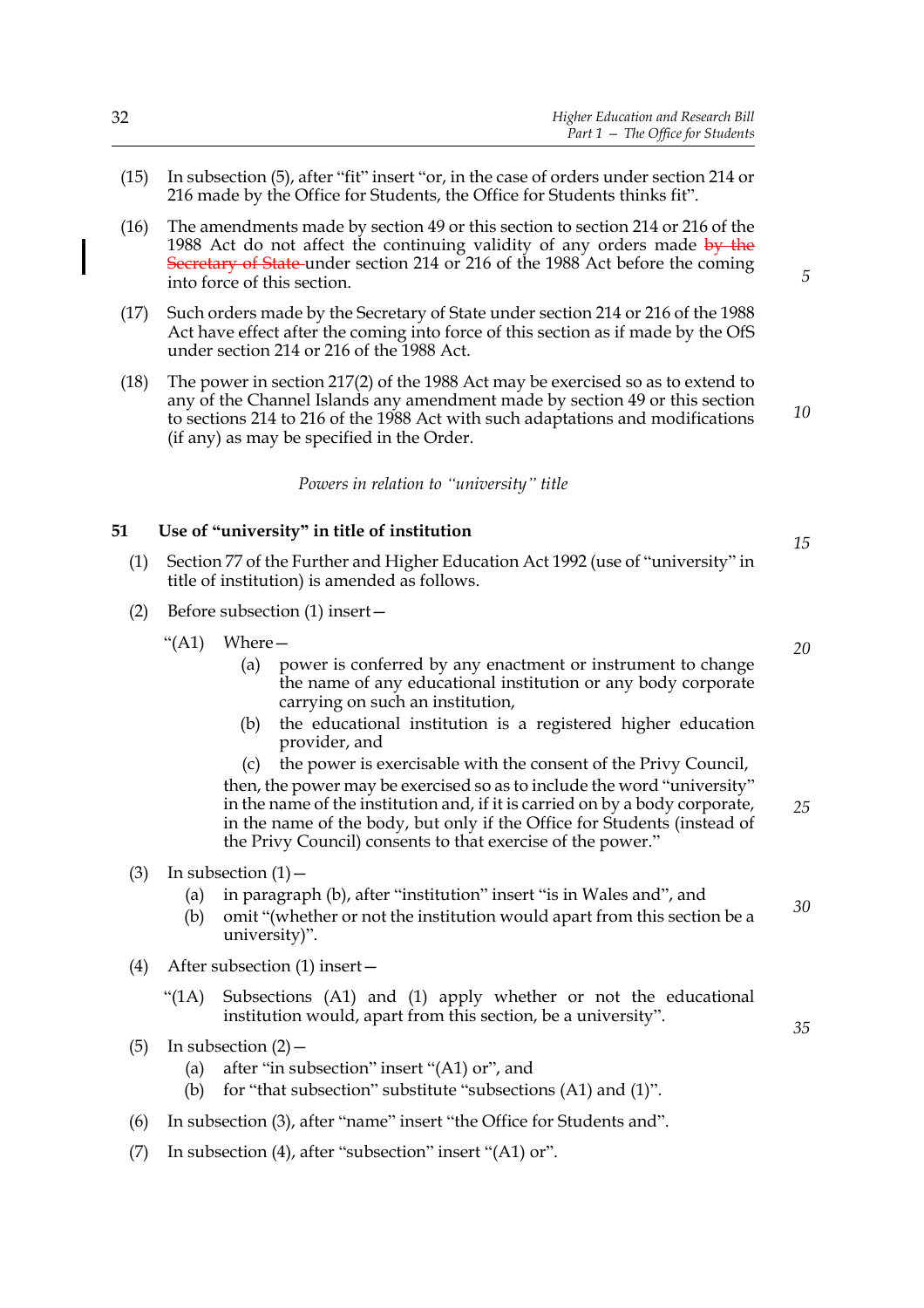- (15) In subsection (5), after "fit" insert "or, in the case of orders under section 214 or 216 made by the Office for Students, the Office for Students thinks fit".
- (16) The amendments made by section 49 or this section to section 214 or 216 of the 1988 Act do not affect the continuing validity of any orders made by the Secretary of State under section 214 or 216 of the 1988 Act before the coming into force of this section.
- (17) Such orders made by the Secretary of State under section 214 or 216 of the 1988 Act have effect after the coming into force of this section as if made by the OfS under section 214 or 216 of the 1988 Act.
- (18) The power in section 217(2) of the 1988 Act may be exercised so as to extend to any of the Channel Islands any amendment made by section 49 or this section to sections 214 to 216 of the 1988 Act with such adaptations and modifications (if any) as may be specified in the Order.

*Powers in relation to "university" title*

#### **51 Use of "university" in title of institution**

- (1) Section 77 of the Further and Higher Education Act 1992 (use of "university" in title of institution) is amended as follows.
- (2) Before subsection (1) insert—
	- "(A1) Where—
		- (a) power is conferred by any enactment or instrument to change the name of any educational institution or any body corporate carrying on such an institution,
		- (b) the educational institution is a registered higher education provider, and

(c) the power is exercisable with the consent of the Privy Council, then, the power may be exercised so as to include the word "university" in the name of the institution and, if it is carried on by a body corporate, in the name of the body, but only if the Office for Students (instead of the Privy Council) consents to that exercise of the power." *25*

- (3) In subsection  $(1)$ 
	- (a) in paragraph (b), after "institution" insert "is in Wales and", and
	- (b) omit "(whether or not the institution would apart from this section be a university)".
- (4) After subsection (1) insert—
	- "(1A) Subsections (A1) and (1) apply whether or not the educational institution would, apart from this section, be a university".
- (5) In subsection  $(2)$ 
	- (a) after "in subsection" insert "(A1) or", and
	- (b) for "that subsection" substitute "subsections  $(A1)$  and  $(1)$ ".
- (6) In subsection (3), after "name" insert "the Office for Students and".
- (7) In subsection (4), after "subsection" insert "(A1) or".

*15*

*10*

*5*

*20*

*30*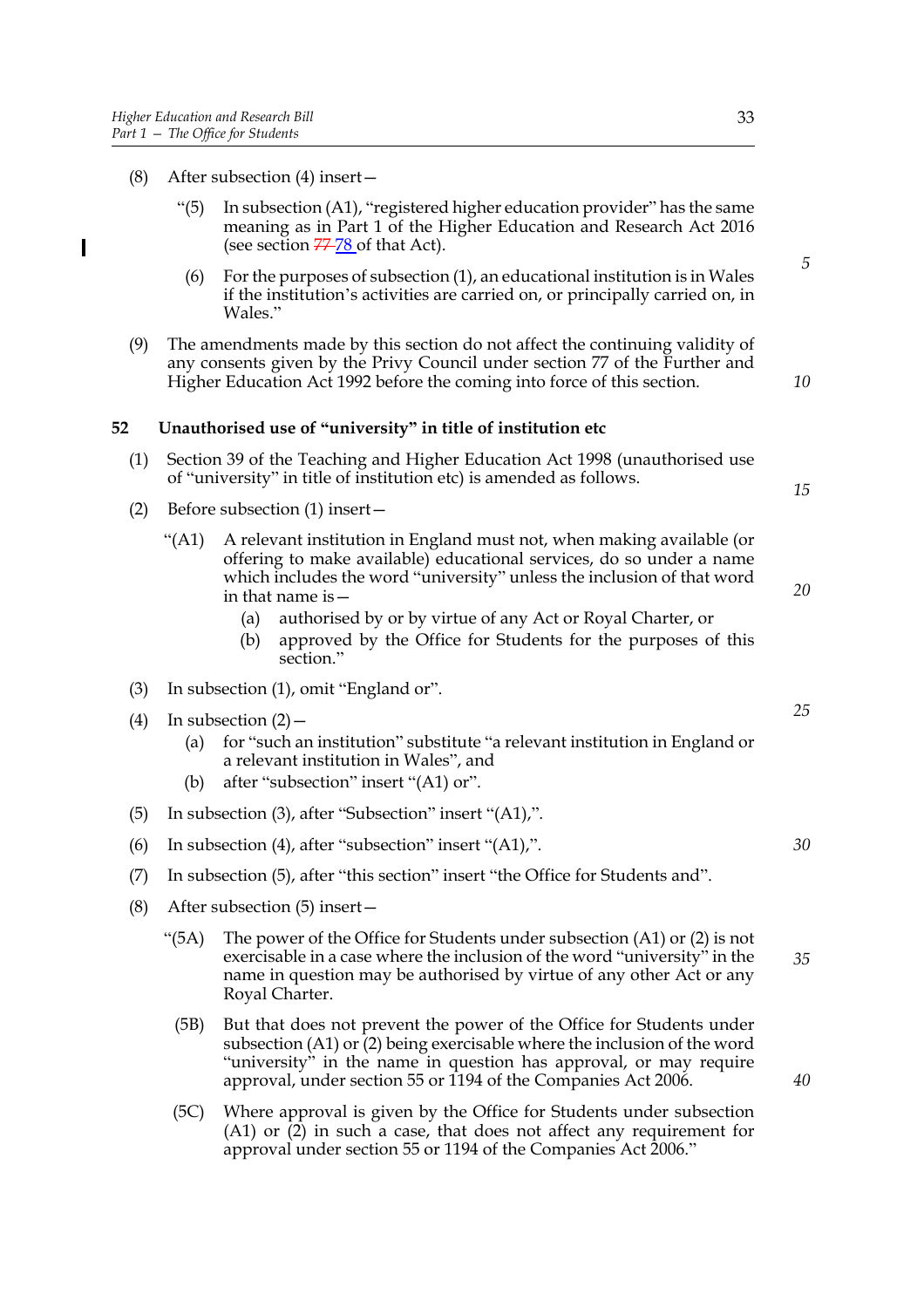$\overline{\phantom{a}}$ 

- (8) After subsection (4) insert—
	- "(5) In subsection (A1), "registered higher education provider" has the same meaning as in Part 1 of the Higher Education and Research Act 2016 (see section  $77-78$  of that Act).
	- (6) For the purposes of subsection (1), an educational institution is in Wales if the institution's activities are carried on, or principally carried on, in Wales."
- (9) The amendments made by this section do not affect the continuing validity of any consents given by the Privy Council under section 77 of the Further and Higher Education Act 1992 before the coming into force of this section.

#### **52 Unauthorised use of "university" in title of institution etc**

- (1) Section 39 of the Teaching and Higher Education Act 1998 (unauthorised use of "university" in title of institution etc) is amended as follows.
- (2) Before subsection (1) insert—
	- "(A1) A relevant institution in England must not, when making available (or offering to make available) educational services, do so under a name which includes the word "university" unless the inclusion of that word in that name is—
		- (a) authorised by or by virtue of any Act or Royal Charter, or
		- (b) approved by the Office for Students for the purposes of this section."
- (3) In subsection (1), omit "England or".
- (4) In subsection  $(2)$ 
	- (a) for "such an institution" substitute "a relevant institution in England or a relevant institution in Wales", and
	- (b) after "subsection" insert "(A1) or".
- (5) In subsection (3), after "Subsection" insert "(A1),".
- (6) In subsection (4), after "subsection" insert "(A1),".
- (7) In subsection (5), after "this section" insert "the Office for Students and".
- (8) After subsection (5) insert—
	- "(5A) The power of the Office for Students under subsection (A1) or (2) is not exercisable in a case where the inclusion of the word "university" in the name in question may be authorised by virtue of any other Act or any Royal Charter. *35*
		- (5B) But that does not prevent the power of the Office for Students under subsection  $(A1)$  or  $\overline{2}$ ) being exercisable where the inclusion of the word "university" in the name in question has approval, or may require approval, under section 55 or 1194 of the Companies Act 2006.
	- (5C) Where approval is given by the Office for Students under subsection (A1) or (2) in such a case, that does not affect any requirement for approval under section 55 or 1194 of the Companies Act 2006."

*5*

*10*

*15*

*20*

*25*

*30*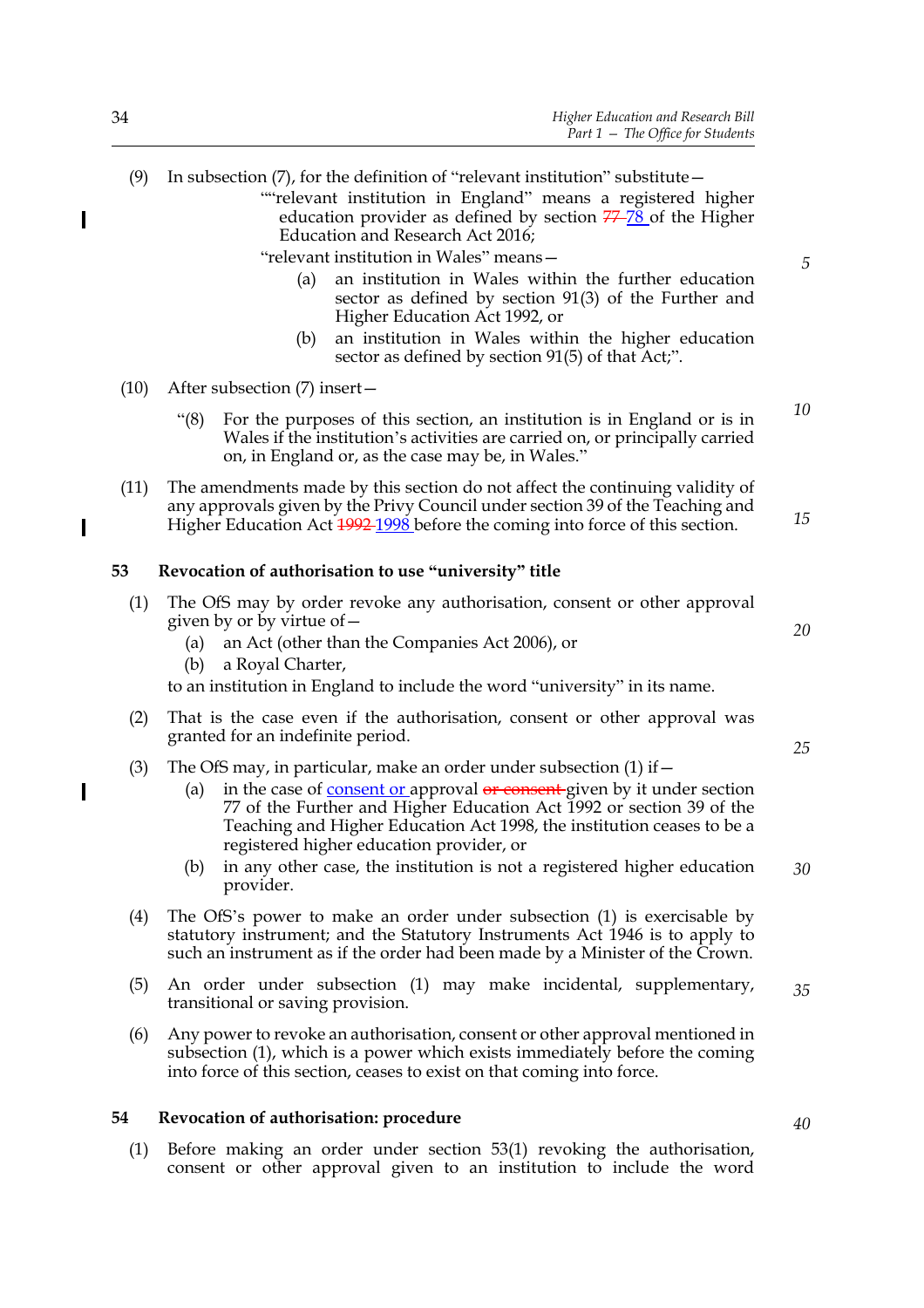""relevant institution in England" means a registered higher education provider as defined by section  $77-\frac{78}{8}$  of the Higher Education and Research Act 2016;

"relevant institution in Wales" means—

- (a) an institution in Wales within the further education sector as defined by section 91(3) of the Further and Higher Education Act 1992, or
- (b) an institution in Wales within the higher education sector as defined by section 91(5) of that Act;".
- (10) After subsection (7) insert—
	- "(8) For the purposes of this section, an institution is in England or is in Wales if the institution's activities are carried on, or principally carried on, in England or, as the case may be, in Wales."
- (11) The amendments made by this section do not affect the continuing validity of any approvals given by the Privy Council under section 39 of the Teaching and Higher Education Act  $\frac{1992}{1998}$  before the coming into force of this section.

#### **53 Revocation of authorisation to use "university" title**

- (1) The OfS may by order revoke any authorisation, consent or other approval given by or by virtue of—
	- (a) an Act (other than the Companies Act 2006), or
	- (b) a Royal Charter,

to an institution in England to include the word "university" in its name.

- (2) That is the case even if the authorisation, consent or other approval was granted for an indefinite period.
- (3) The OfS may, in particular, make an order under subsection  $(1)$  if  $-$ 
	- (a) in the case of consent or approval  $\theta$  consent given by it under section 77 of the Further and Higher Education Act 1992 or section 39 of the Teaching and Higher Education Act 1998, the institution ceases to be a registered higher education provider, or
	- (b) in any other case, the institution is not a registered higher education provider. *30*
- (4) The OfS's power to make an order under subsection (1) is exercisable by statutory instrument; and the Statutory Instruments Act 1946 is to apply to such an instrument as if the order had been made by a Minister of the Crown.
- (5) An order under subsection (1) may make incidental, supplementary, transitional or saving provision. *35*
- (6) Any power to revoke an authorisation, consent or other approval mentioned in subsection (1), which is a power which exists immediately before the coming into force of this section, ceases to exist on that coming into force.

#### **54 Revocation of authorisation: procedure**

(1) Before making an order under section 53(1) revoking the authorisation, consent or other approval given to an institution to include the word

 $\overline{\phantom{a}}$ 

 $\overline{\phantom{a}}$ 

*10*

*15*

*5*

*20*

*25*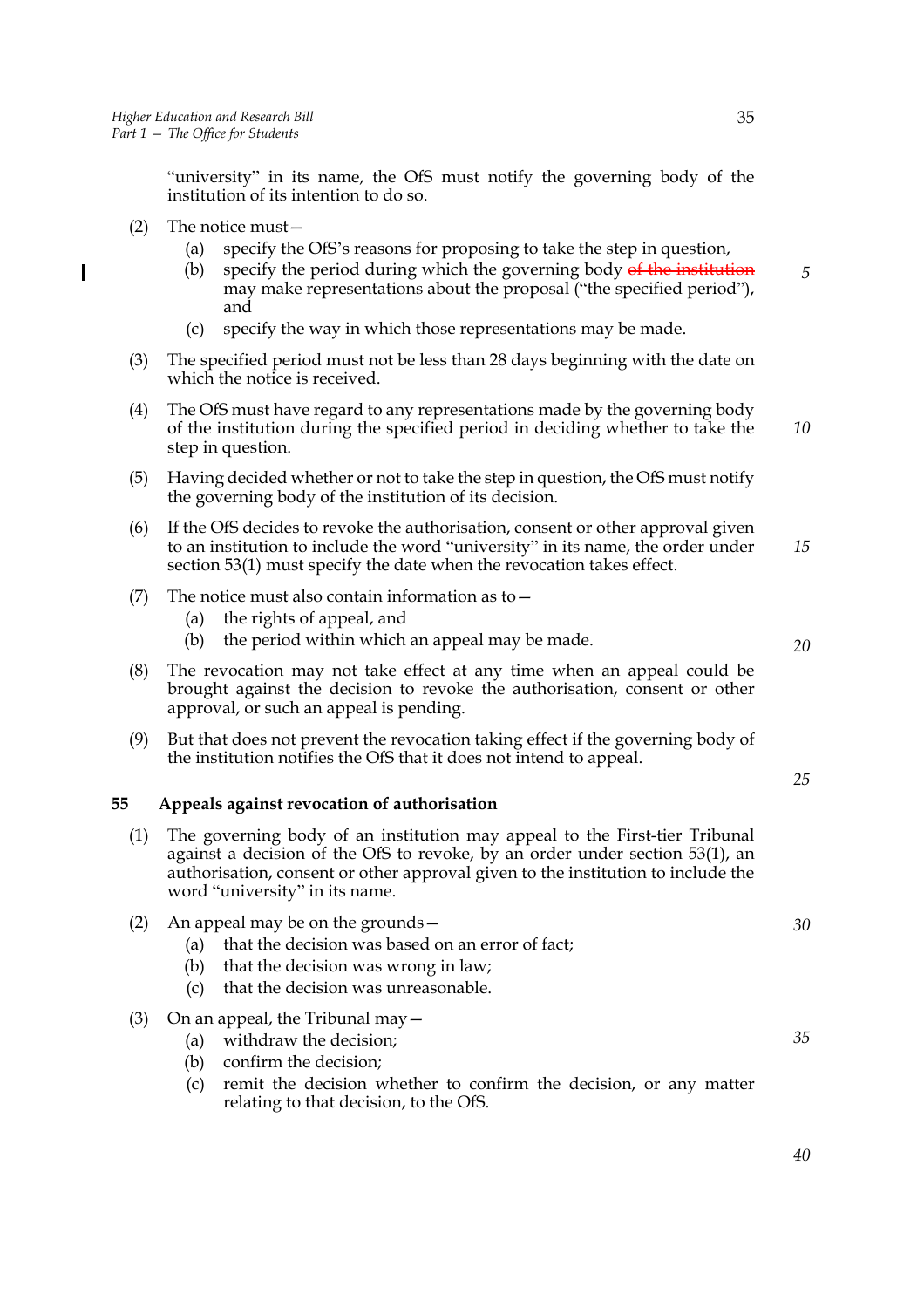"university" in its name, the OfS must notify the governing body of the institution of its intention to do so.

(2) The notice must—

 $\overline{\phantom{a}}$ 

- (a) specify the OfS's reasons for proposing to take the step in question,
- (b) specify the period during which the governing body of the institution may make representations about the proposal ("the specified period"), and
- (c) specify the way in which those representations may be made.
- (3) The specified period must not be less than 28 days beginning with the date on which the notice is received.
- (4) The OfS must have regard to any representations made by the governing body of the institution during the specified period in deciding whether to take the step in question. *10*
- (5) Having decided whether or not to take the step in question, the OfS must notify the governing body of the institution of its decision.
- (6) If the OfS decides to revoke the authorisation, consent or other approval given to an institution to include the word "university" in its name, the order under section 53(1) must specify the date when the revocation takes effect. *15*
- (7) The notice must also contain information as to  $-$ 
	- (a) the rights of appeal, and
	- (b) the period within which an appeal may be made.
- (8) The revocation may not take effect at any time when an appeal could be brought against the decision to revoke the authorisation, consent or other approval, or such an appeal is pending.
- (9) But that does not prevent the revocation taking effect if the governing body of the institution notifies the OfS that it does not intend to appeal.

#### **55 Appeals against revocation of authorisation**

- (1) The governing body of an institution may appeal to the First-tier Tribunal against a decision of the OfS to revoke, by an order under section 53(1), an authorisation, consent or other approval given to the institution to include the word "university" in its name.
- (2) An appeal may be on the grounds—
	- (a) that the decision was based on an error of fact;
	- (b) that the decision was wrong in law;
	- (c) that the decision was unreasonable.
- (3) On an appeal, the Tribunal may  $-$ 
	- (a) withdraw the decision;
	- (b) confirm the decision;
	- (c) remit the decision whether to confirm the decision, or any matter relating to that decision, to the OfS.

*5*

*30*

*20*

*25*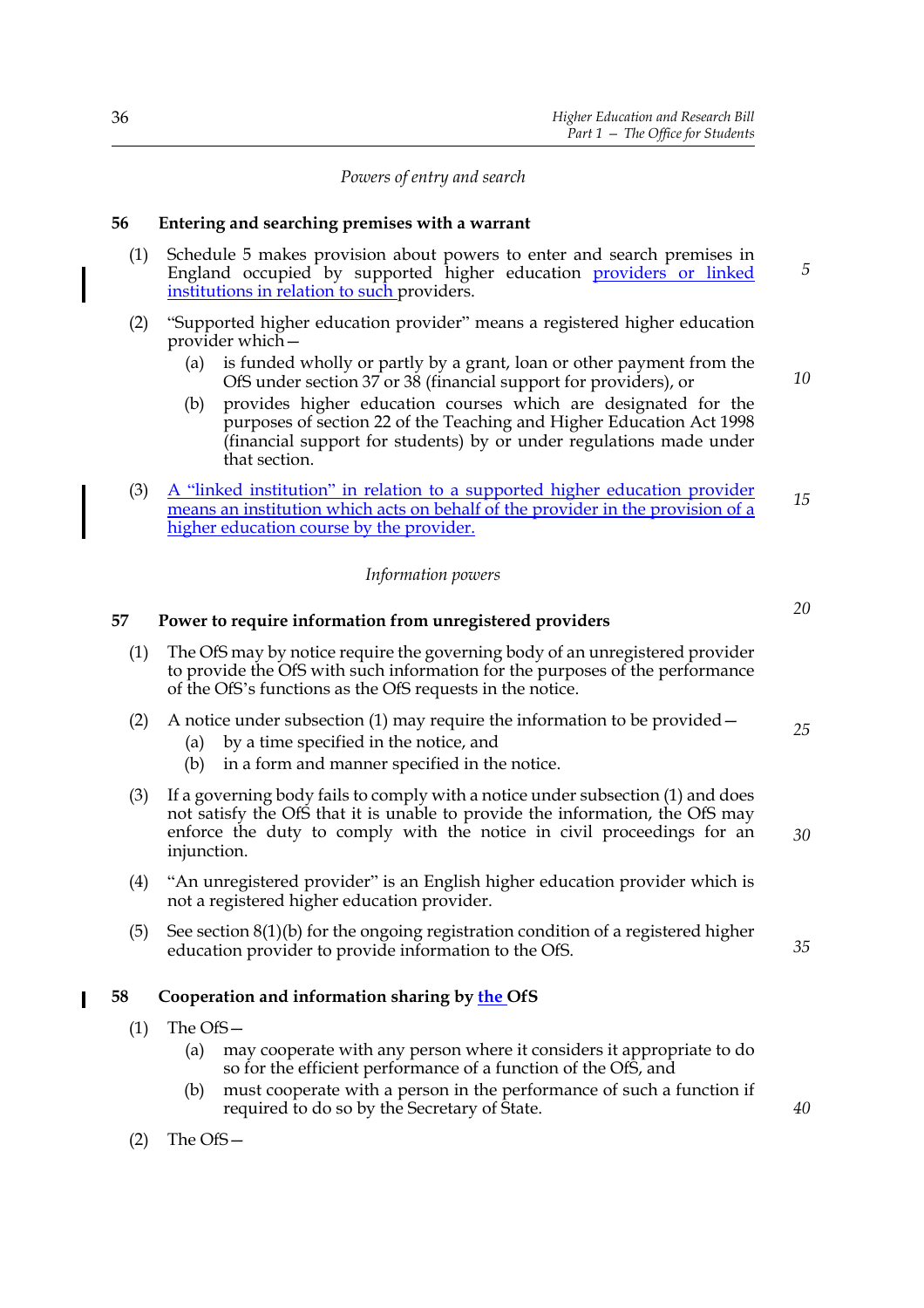#### *Powers of entry and search*

#### **56 Entering and searching premises with a warrant**

- (1) Schedule 5 makes provision about powers to enter and search premises in England occupied by supported higher education providers or linked institutions in relation to such providers.
- (2) "Supported higher education provider" means a registered higher education provider which—
	- (a) is funded wholly or partly by a grant, loan or other payment from the OfS under section 37 or 38 (financial support for providers), or
	- (b) provides higher education courses which are designated for the purposes of section 22 of the Teaching and Higher Education Act 1998 (financial support for students) by or under regulations made under that section.
- (3) A "linked institution" in relation to a supported higher education provider means an institution which acts on behalf of the provider in the provision of a higher education course by the provider. *15*

#### *Information powers*

#### **57 Power to require information from unregistered providers** (1) The OfS may by notice require the governing body of an unregistered provider to provide the OfS with such information for the purposes of the performance of the OfS's functions as the OfS requests in the notice. (2) A notice under subsection (1) may require the information to be provided— (a) by a time specified in the notice, and (b) in a form and manner specified in the notice. (3) If a governing body fails to comply with a notice under subsection (1) and does not satisfy the OfS that it is unable to provide the information, the OfS may enforce the duty to comply with the notice in civil proceedings for an injunction. (4) "An unregistered provider" is an English higher education provider which is not a registered higher education provider. (5) See section 8(1)(b) for the ongoing registration condition of a registered higher education provider to provide information to the OfS. **58 Cooperation and information sharing by the OfS** (1) The OfS— (a) may cooperate with any person where it considers it appropriate to do so for the efficient performance of a function of the OfS, and (b) must cooperate with a person in the performance of such a function if required to do so by the Secretary of State. *25 30 35 40*

(2) The OfS—

*20*

*5*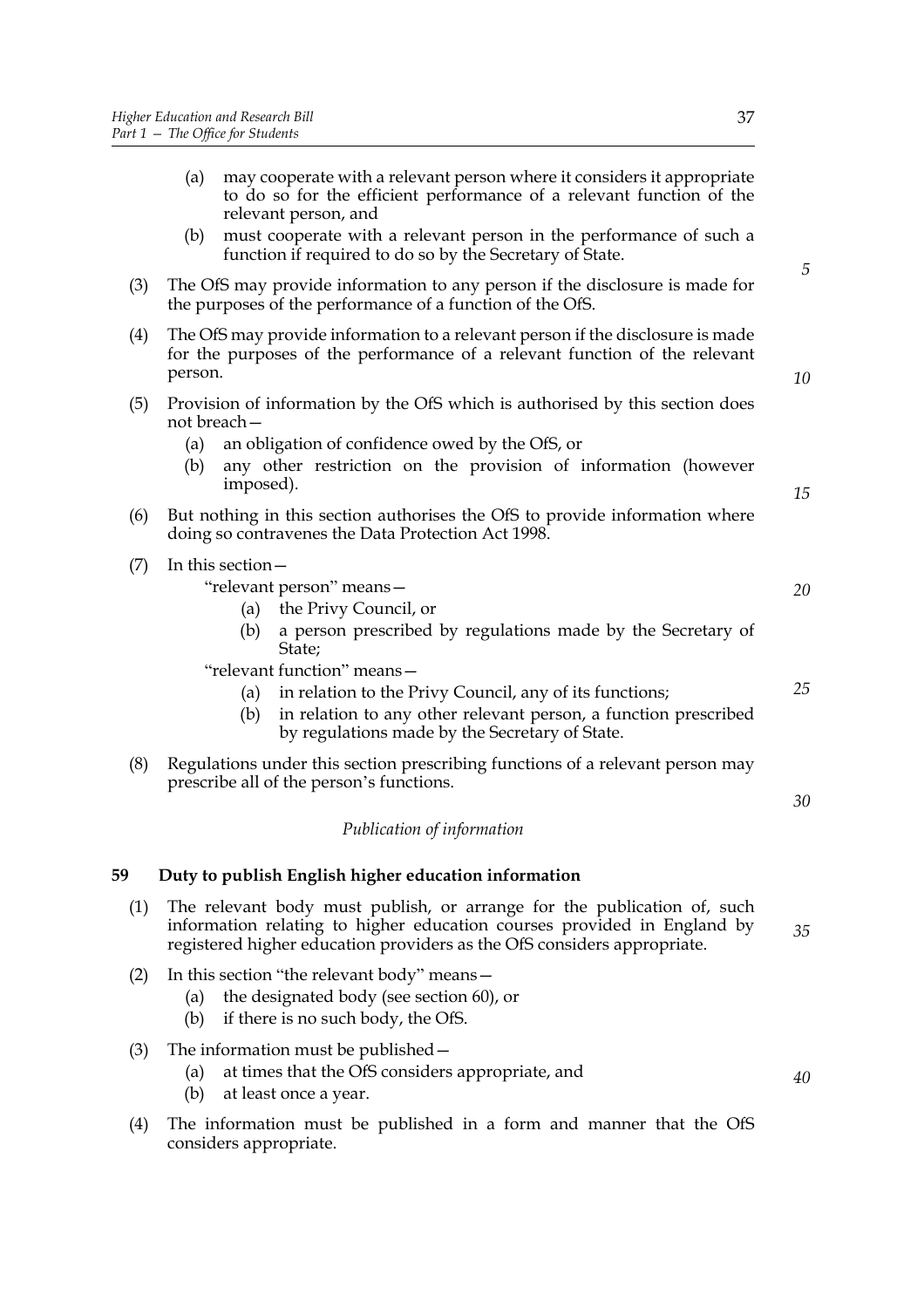- (a) may cooperate with a relevant person where it considers it appropriate to do so for the efficient performance of a relevant function of the relevant person, and (b) must cooperate with a relevant person in the performance of such a function if required to do so by the Secretary of State. (3) The OfS may provide information to any person if the disclosure is made for the purposes of the performance of a function of the OfS. (4) The OfS may provide information to a relevant person if the disclosure is made for the purposes of the performance of a relevant function of the relevant person. (5) Provision of information by the OfS which is authorised by this section does not breach— (a) an obligation of confidence owed by the OfS, or (b) any other restriction on the provision of information (however imposed). (6) But nothing in this section authorises the OfS to provide information where doing so contravenes the Data Protection Act 1998. (7) In this section— "relevant person" means— (a) the Privy Council, or (b) a person prescribed by regulations made by the Secretary of State; "relevant function" means— (a) in relation to the Privy Council, any of its functions; (b) in relation to any other relevant person, a function prescribed by regulations made by the Secretary of State. (8) Regulations under this section prescribing functions of a relevant person may prescribe all of the person's functions. *Publication of information* **59 Duty to publish English higher education information** (1) The relevant body must publish, or arrange for the publication of, such information relating to higher education courses provided in England by registered higher education providers as the OfS considers appropriate. (2) In this section "the relevant body" means— (a) the designated body (see section 60), or (b) if there is no such body, the OfS. *5 10 15 20 25 30 35*
	- (3) The information must be published—
		- (a) at times that the OfS considers appropriate, and
		- (b) at least once a year.
	- (4) The information must be published in a form and manner that the OfS considers appropriate.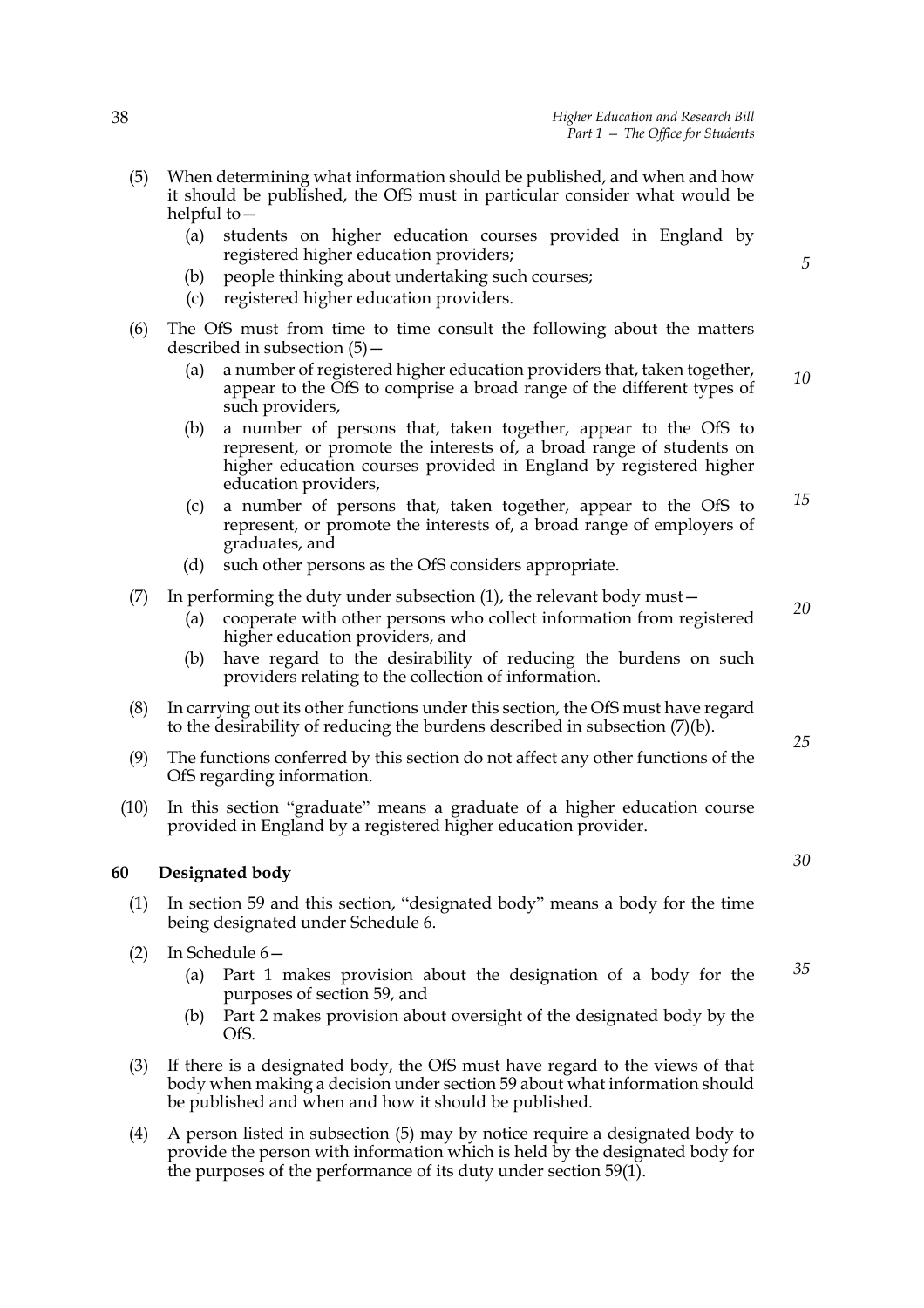- (5) When determining what information should be published, and when and how it should be published, the OfS must in particular consider what would be helpful to—
	- (a) students on higher education courses provided in England by registered higher education providers;
	- (b) people thinking about undertaking such courses;
	- (c) registered higher education providers.
- (6) The OfS must from time to time consult the following about the matters described in subsection (5)—
	- (a) a number of registered higher education providers that, taken together, appear to the OfS to comprise a broad range of the different types of such providers, *10*
	- (b) a number of persons that, taken together, appear to the OfS to represent, or promote the interests of, a broad range of students on higher education courses provided in England by registered higher education providers,
	- (c) a number of persons that, taken together, appear to the OfS to represent, or promote the interests of, a broad range of employers of graduates, and *15*
	- (d) such other persons as the OfS considers appropriate.
- $(7)$  In performing the duty under subsection  $(1)$ , the relevant body must  $-$ 
	- (a) cooperate with other persons who collect information from registered higher education providers, and
	- (b) have regard to the desirability of reducing the burdens on such providers relating to the collection of information.
- (8) In carrying out its other functions under this section, the OfS must have regard to the desirability of reducing the burdens described in subsection (7)(b).
- (9) The functions conferred by this section do not affect any other functions of the OfS regarding information.
- (10) In this section "graduate" means a graduate of a higher education course provided in England by a registered higher education provider.

#### **60 Designated body**

- (1) In section 59 and this section, "designated body" means a body for the time being designated under Schedule 6.
- (2) In Schedule 6—
	- (a) Part 1 makes provision about the designation of a body for the purposes of section 59, and
	- (b) Part 2 makes provision about oversight of the designated body by the OfS.
- (3) If there is a designated body, the OfS must have regard to the views of that body when making a decision under section 59 about what information should be published and when and how it should be published.
- (4) A person listed in subsection (5) may by notice require a designated body to provide the person with information which is held by the designated body for the purposes of the performance of its duty under section 59(1).

*30*

*25*

*20*

*5*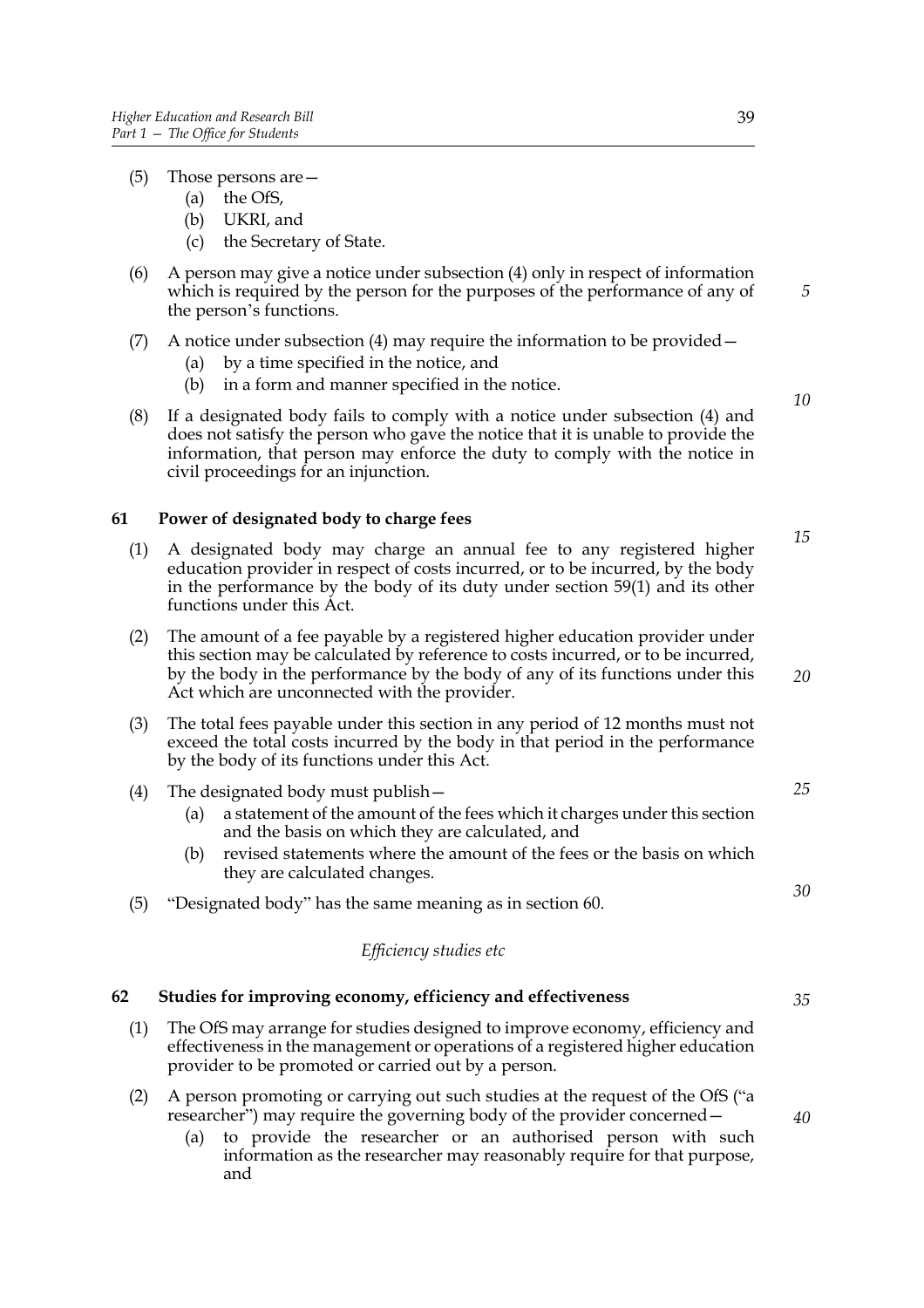- (5) Those persons are—
	- (a) the OfS,
	- (b) UKRI, and
	- (c) the Secretary of State.
- (6) A person may give a notice under subsection (4) only in respect of information which is required by the person for the purposes of the performance of any of the person's functions.
- (7) A notice under subsection (4) may require the information to be provided  $-$ 
	- (a) by a time specified in the notice, and
	- (b) in a form and manner specified in the notice.
- (8) If a designated body fails to comply with a notice under subsection (4) and does not satisfy the person who gave the notice that it is unable to provide the information, that person may enforce the duty to comply with the notice in civil proceedings for an injunction.

#### **61 Power of designated body to charge fees**

- (1) A designated body may charge an annual fee to any registered higher education provider in respect of costs incurred, or to be incurred, by the body in the performance by the body of its duty under section 59(1) and its other functions under this Act.
- (2) The amount of a fee payable by a registered higher education provider under this section may be calculated by reference to costs incurred, or to be incurred, by the body in the performance by the body of any of its functions under this Act which are unconnected with the provider.
- (3) The total fees payable under this section in any period of 12 months must not exceed the total costs incurred by the body in that period in the performance by the body of its functions under this Act.
- (4) The designated body must publish—
	- (a) a statement of the amount of the fees which it charges under this section and the basis on which they are calculated, and
	- (b) revised statements where the amount of the fees or the basis on which they are calculated changes.
- (5) "Designated body" has the same meaning as in section 60.

#### *Efficiency studies etc*

#### **62 Studies for improving economy, efficiency and effectiveness**

- (1) The OfS may arrange for studies designed to improve economy, efficiency and effectiveness in the management or operations of a registered higher education provider to be promoted or carried out by a person.
- (2) A person promoting or carrying out such studies at the request of the OfS ("a researcher") may require the governing body of the provider concerned—
	- (a) to provide the researcher or an authorised person with such information as the researcher may reasonably require for that purpose, and

*5*

*10*

*15*

*25*

*30*

*20*

*35*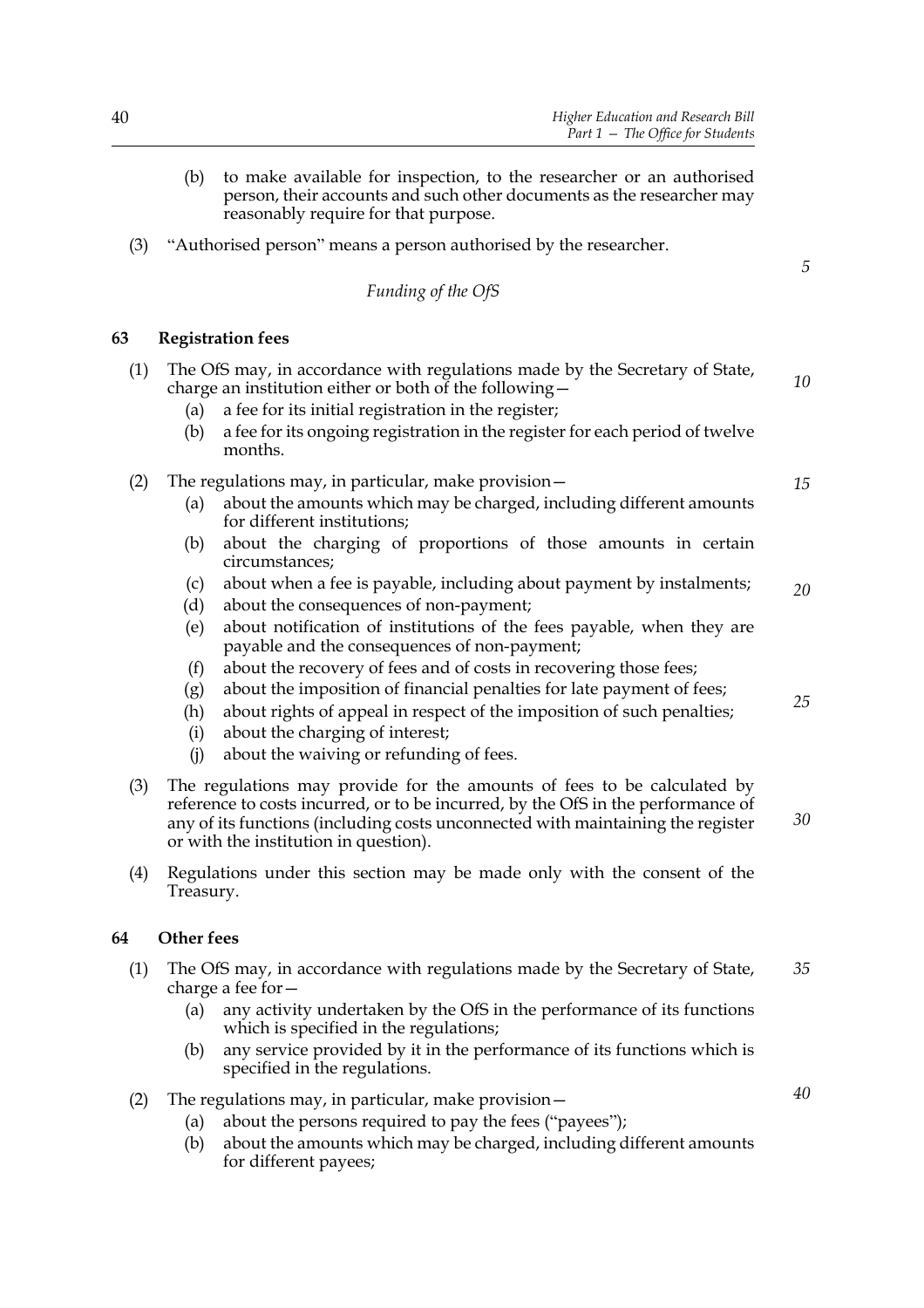- (b) to make available for inspection, to the researcher or an authorised person, their accounts and such other documents as the researcher may reasonably require for that purpose.
- (3) "Authorised person" means a person authorised by the researcher.

*Funding of the OfS*

#### **63 Registration fees**

| (1) | The OfS may, in accordance with regulations made by the Secretary of State,<br>charge an institution either or both of the following-                                                                                                                                                                                                 |    |  |  |
|-----|---------------------------------------------------------------------------------------------------------------------------------------------------------------------------------------------------------------------------------------------------------------------------------------------------------------------------------------|----|--|--|
|     | a fee for its initial registration in the register;<br>(a)<br>a fee for its ongoing registration in the register for each period of twelve<br>(b)<br>months.                                                                                                                                                                          |    |  |  |
| (2) | The regulations may, in particular, make provision -<br>about the amounts which may be charged, including different amounts<br>(a)<br>for different institutions;<br>about the charging of proportions of those amounts in certain<br>(b)<br>circumstances;                                                                           | 15 |  |  |
|     | about when a fee is payable, including about payment by instalments;<br>(c)<br>about the consequences of non-payment;<br>(d)<br>about notification of institutions of the fees payable, when they are<br>(e)<br>payable and the consequences of non-payment;                                                                          | 20 |  |  |
|     | about the recovery of fees and of costs in recovering those fees;<br>(f)<br>about the imposition of financial penalties for late payment of fees;<br>(g)<br>about rights of appeal in respect of the imposition of such penalties;<br>(h)<br>about the charging of interest;<br>(i)<br>about the waiving or refunding of fees.<br>(i) | 25 |  |  |
| (3) | The regulations may provide for the amounts of fees to be calculated by<br>reference to costs incurred, or to be incurred, by the OfS in the performance of<br>any of its functions (including costs unconnected with maintaining the register<br>or with the institution in question).                                               | 30 |  |  |
| (4) | Regulations under this section may be made only with the consent of the<br>Treasury.                                                                                                                                                                                                                                                  |    |  |  |
| 64  | <b>Other fees</b>                                                                                                                                                                                                                                                                                                                     |    |  |  |
| (1) | The OfS may, in accordance with regulations made by the Secretary of State,<br>charge a fee for $-$                                                                                                                                                                                                                                   | 35 |  |  |
|     | any activity undertaken by the OfS in the performance of its functions<br>(a)<br>which is specified in the regulations;                                                                                                                                                                                                               |    |  |  |
|     | any service provided by it in the performance of its functions which is<br>(b)<br>specified in the regulations.                                                                                                                                                                                                                       |    |  |  |
| (2) | The regulations may, in particular, make provision-<br>about the persons required to pay the fees ("payees");<br>(a)                                                                                                                                                                                                                  | 40 |  |  |

(b) about the amounts which may be charged, including different amounts for different payees;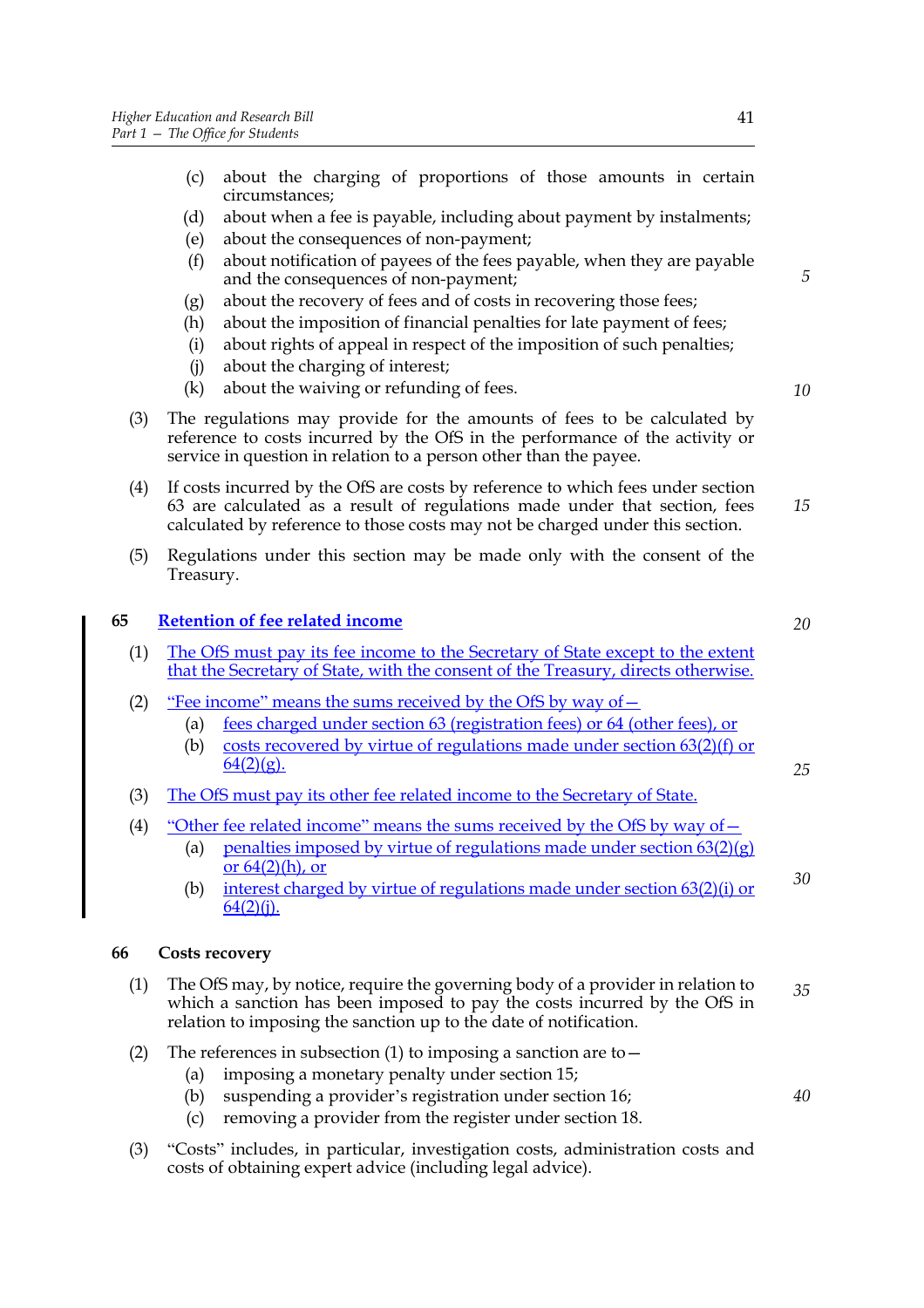- (c) about the charging of proportions of those amounts in certain circumstances;
- (d) about when a fee is payable, including about payment by instalments;
- (e) about the consequences of non-payment;
- (f) about notification of payees of the fees payable, when they are payable and the consequences of non-payment;
- (g) about the recovery of fees and of costs in recovering those fees;
- (h) about the imposition of financial penalties for late payment of fees;
- (i) about rights of appeal in respect of the imposition of such penalties;
- (j) about the charging of interest;
- (k) about the waiving or refunding of fees.

*20*

*25*

*30*

*40*

*5*

- (3) The regulations may provide for the amounts of fees to be calculated by reference to costs incurred by the OfS in the performance of the activity or service in question in relation to a person other than the payee.
- (4) If costs incurred by the OfS are costs by reference to which fees under section 63 are calculated as a result of regulations made under that section, fees calculated by reference to those costs may not be charged under this section. *15*
- (5) Regulations under this section may be made only with the consent of the Treasury.

#### **65 Retention of fee related income**

- (1) The OfS must pay its fee income to the Secretary of State except to the extent that the Secretary of State, with the consent of the Treasury, directs otherwise.
- (2) "Fee income" means the sums received by the OfS by way of  $-$ 
	- (a) fees charged under section 63 (registration fees) or 64 (other fees), or
	- (b) costs recovered by virtue of regulations made under section  $63(2)(f)$  or  $64(2)(g)$ .
- (3) The OfS must pay its other fee related income to the Secretary of State.
- (4) "Other fee related income" means the sums received by the OfS by way of—
	- (a) penalties imposed by virtue of regulations made under section  $63(2)(g)$ or  $64(2)$ (h), or
	- (b) interest charged by virtue of regulations made under section 63(2)(i) or  $64(2)(i)$ .

#### **66 Costs recovery**

- (1) The OfS may, by notice, require the governing body of a provider in relation to which a sanction has been imposed to pay the costs incurred by the OfS in relation to imposing the sanction up to the date of notification. *35*
- (2) The references in subsection (1) to imposing a sanction are to  $-$ 
	- (a) imposing a monetary penalty under section 15;
	- (b) suspending a provider's registration under section 16;
	- (c) removing a provider from the register under section 18.
- (3) "Costs" includes, in particular, investigation costs, administration costs and costs of obtaining expert advice (including legal advice).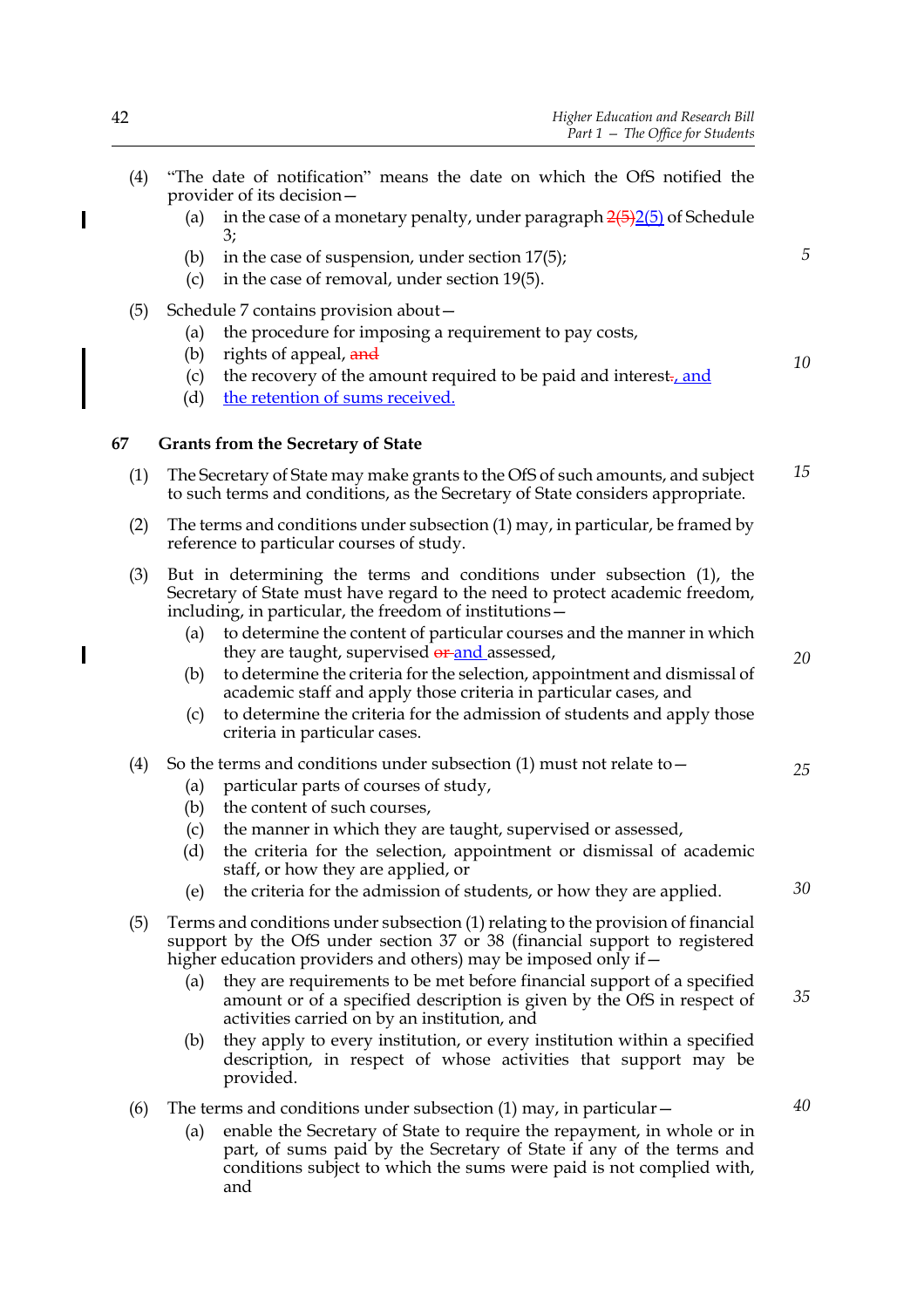- (4) "The date of notification" means the date on which the OfS notified the provider of its decision—
	- (a) in the case of a monetary penalty, under paragraph  $2(5)2(5)$  of Schedule 3;
	- (b) in the case of suspension, under section 17(5);
	- (c) in the case of removal, under section 19(5).
- (5) Schedule 7 contains provision about—
	- (a) the procedure for imposing a requirement to pay costs,
	- (b) rights of appeal,  $\frac{and}{end}$
	- (c) the recovery of the amount required to be paid and interest., and
	- (d) the retention of sums received.

#### **67 Grants from the Secretary of State**

- (1) The Secretary of State may make grants to the OfS of such amounts, and subject to such terms and conditions, as the Secretary of State considers appropriate. *15*
- (2) The terms and conditions under subsection (1) may, in particular, be framed by reference to particular courses of study.
- (3) But in determining the terms and conditions under subsection (1), the Secretary of State must have regard to the need to protect academic freedom, including, in particular, the freedom of institutions—
	- (a) to determine the content of particular courses and the manner in which they are taught, supervised or and assessed,
	- (b) to determine the criteria for the selection, appointment and dismissal of academic staff and apply those criteria in particular cases, and
	- (c) to determine the criteria for the admission of students and apply those criteria in particular cases.
- (4) So the terms and conditions under subsection (1) must not relate to  $-$ 
	- (a) particular parts of courses of study,
		- (b) the content of such courses,
		- (c) the manner in which they are taught, supervised or assessed,
		- (d) the criteria for the selection, appointment or dismissal of academic staff, or how they are applied, or
		- (e) the criteria for the admission of students, or how they are applied.
- (5) Terms and conditions under subsection (1) relating to the provision of financial support by the OfS under section 37 or 38 (financial support to registered higher education providers and others) may be imposed only if  $-$ 
	- (a) they are requirements to be met before financial support of a specified amount or of a specified description is given by the OfS in respect of activities carried on by an institution, and *35*
	- (b) they apply to every institution, or every institution within a specified description, in respect of whose activities that support may be provided.
- (6) The terms and conditions under subsection  $(1)$  may, in particular  $-$ 
	- (a) enable the Secretary of State to require the repayment, in whole or in part, of sums paid by the Secretary of State if any of the terms and conditions subject to which the sums were paid is not complied with, and

*20*

*5*

*10*

*25*

*30*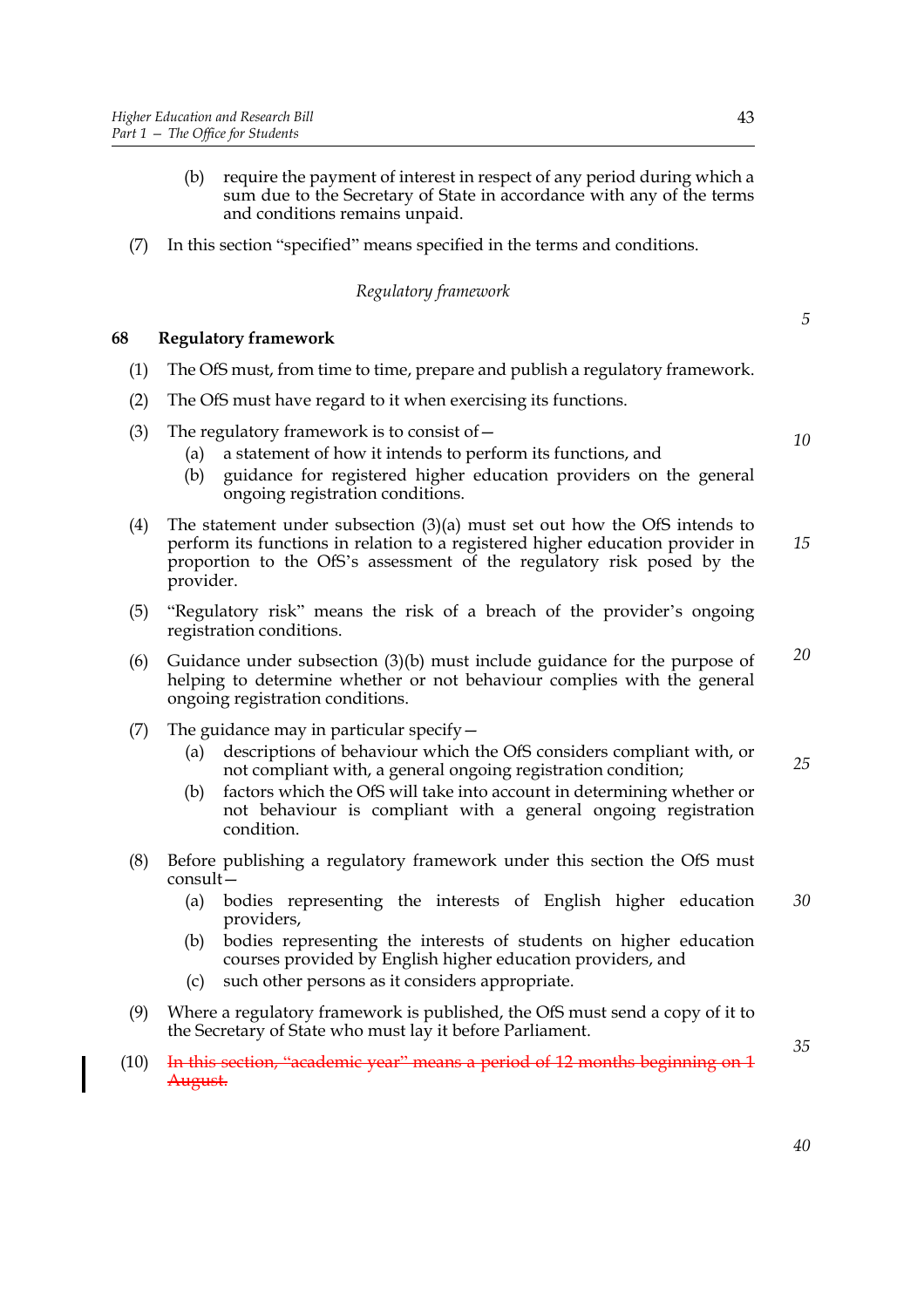- (b) require the payment of interest in respect of any period during which a sum due to the Secretary of State in accordance with any of the terms and conditions remains unpaid.
- (7) In this section "specified" means specified in the terms and conditions.

#### *Regulatory framework*

#### **68 Regulatory framework**

- (1) The OfS must, from time to time, prepare and publish a regulatory framework.
- (2) The OfS must have regard to it when exercising its functions.
- (3) The regulatory framework is to consist of  $-$ 
	- (a) a statement of how it intends to perform its functions, and
	- (b) guidance for registered higher education providers on the general ongoing registration conditions.
- (4) The statement under subsection (3)(a) must set out how the OfS intends to perform its functions in relation to a registered higher education provider in proportion to the OfS's assessment of the regulatory risk posed by the provider. *15*
- (5) "Regulatory risk" means the risk of a breach of the provider's ongoing registration conditions.
- (6) Guidance under subsection (3)(b) must include guidance for the purpose of helping to determine whether or not behaviour complies with the general ongoing registration conditions. *20*
- (7) The guidance may in particular specify—
	- (a) descriptions of behaviour which the OfS considers compliant with, or not compliant with, a general ongoing registration condition; *25*
	- (b) factors which the OfS will take into account in determining whether or not behaviour is compliant with a general ongoing registration condition.
- (8) Before publishing a regulatory framework under this section the OfS must consult—
	- (a) bodies representing the interests of English higher education providers, *30*
	- (b) bodies representing the interests of students on higher education courses provided by English higher education providers, and
	- (c) such other persons as it considers appropriate.
- (9) Where a regulatory framework is published, the OfS must send a copy of it to the Secretary of State who must lay it before Parliament.
- (10) In this section, "academic year" means a period of  $12$  months beginning on  $1$ August.

*5*

*10*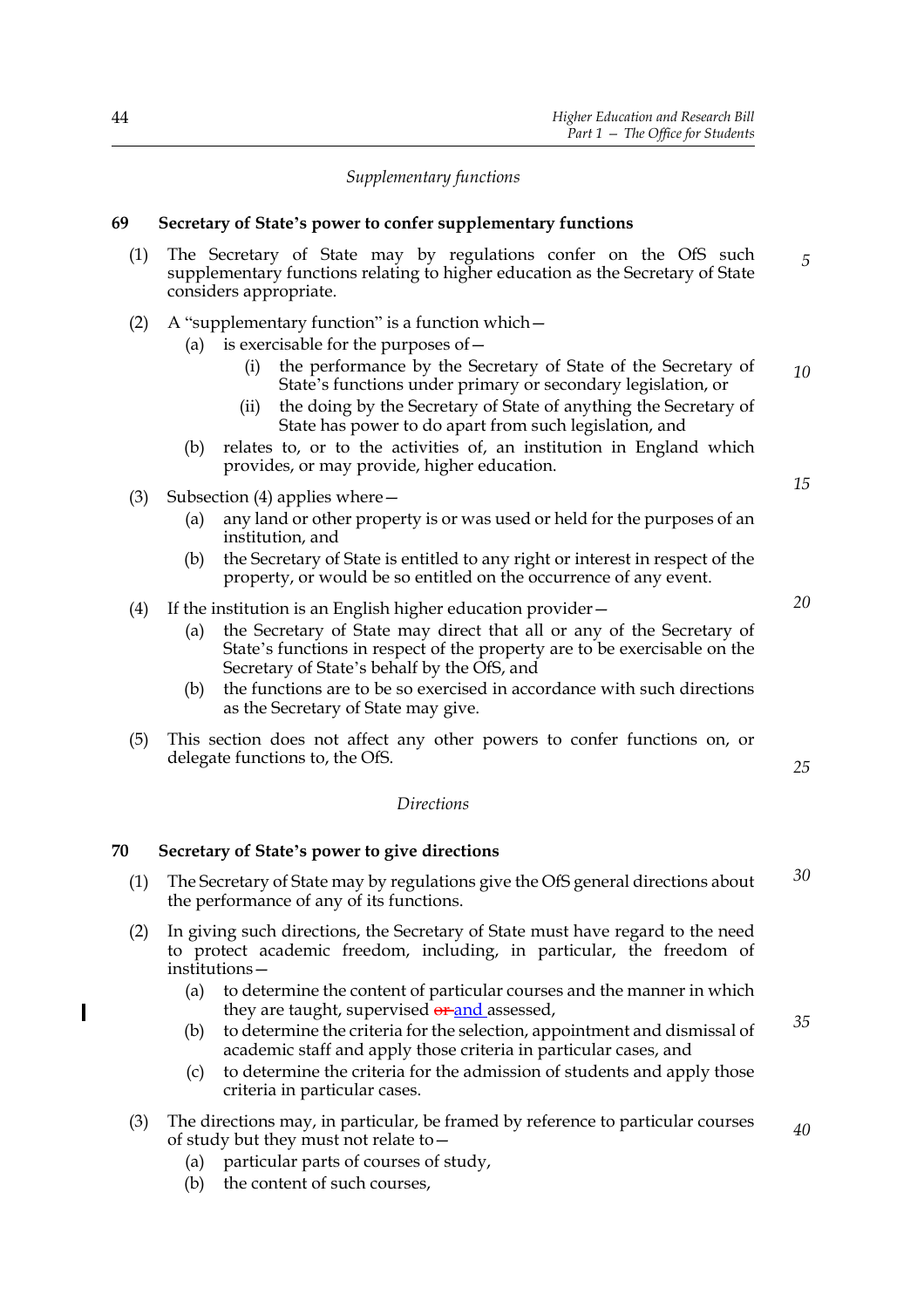#### *Supplementary functions*

#### **69 Secretary of State's power to confer supplementary functions**

- (1) The Secretary of State may by regulations confer on the OfS such supplementary functions relating to higher education as the Secretary of State considers appropriate. (2) A "supplementary function" is a function which— (a) is exercisable for the purposes of— (i) the performance by the Secretary of State of the Secretary of *5*
	- State's functions under primary or secondary legislation, or *10*
	- (ii) the doing by the Secretary of State of anything the Secretary of State has power to do apart from such legislation, and
	- (b) relates to, or to the activities of, an institution in England which provides, or may provide, higher education.
- (3) Subsection (4) applies where—
	- (a) any land or other property is or was used or held for the purposes of an institution, and
	- (b) the Secretary of State is entitled to any right or interest in respect of the property, or would be so entitled on the occurrence of any event.

#### (4) If the institution is an English higher education provider—

- (a) the Secretary of State may direct that all or any of the Secretary of State's functions in respect of the property are to be exercisable on the Secretary of State's behalf by the OfS, and
- (b) the functions are to be so exercised in accordance with such directions as the Secretary of State may give.
- (5) This section does not affect any other powers to confer functions on, or delegate functions to, the OfS.

### *Directions*

#### **70 Secretary of State's power to give directions**

- (1) The Secretary of State may by regulations give the OfS general directions about the performance of any of its functions. *30*
- (2) In giving such directions, the Secretary of State must have regard to the need to protect academic freedom, including, in particular, the freedom of institutions—
	- (a) to determine the content of particular courses and the manner in which they are taught, supervised or and assessed,
	- (b) to determine the criteria for the selection, appointment and dismissal of academic staff and apply those criteria in particular cases, and
	- (c) to determine the criteria for the admission of students and apply those criteria in particular cases.
- (3) The directions may, in particular, be framed by reference to particular courses of study but they must not relate to—
	- (a) particular parts of courses of study,
	- (b) the content of such courses,

I

*20*

*15*

*25*

*35*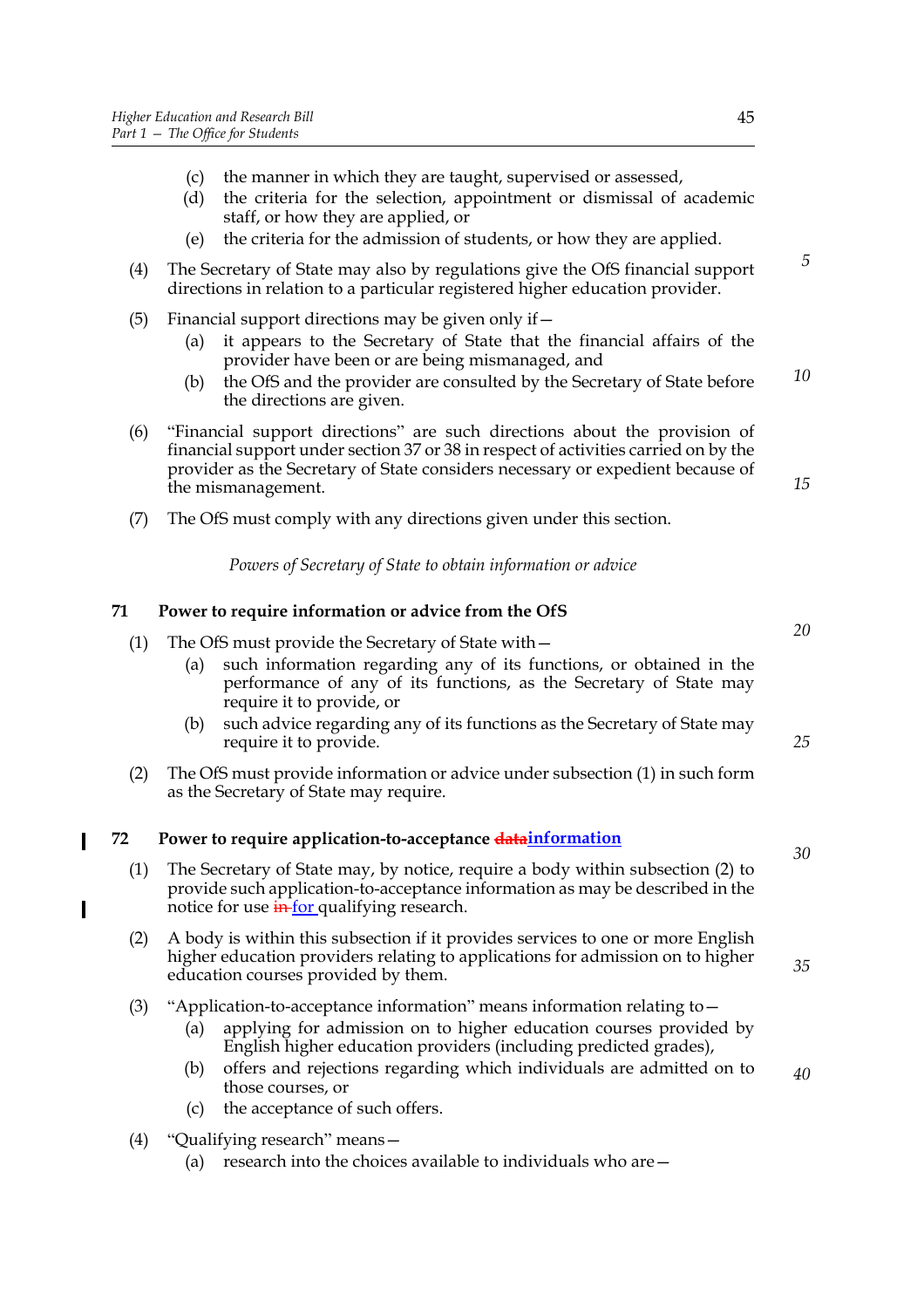- (c) the manner in which they are taught, supervised or assessed,
- (d) the criteria for the selection, appointment or dismissal of academic staff, or how they are applied, or
- (e) the criteria for the admission of students, or how they are applied.
- (4) The Secretary of State may also by regulations give the OfS financial support directions in relation to a particular registered higher education provider.
- (5) Financial support directions may be given only if  $-$ 
	- (a) it appears to the Secretary of State that the financial affairs of the provider have been or are being mismanaged, and
	- (b) the OfS and the provider are consulted by the Secretary of State before the directions are given. *10*
- (6) "Financial support directions" are such directions about the provision of financial support under section 37 or 38 in respect of activities carried on by the provider as the Secretary of State considers necessary or expedient because of the mismanagement.
- (7) The OfS must comply with any directions given under this section.
	- *Powers of Secretary of State to obtain information or advice*

#### **71 Power to require information or advice from the OfS**

- (1) The OfS must provide the Secretary of State with— (a) such information regarding any of its functions, or obtained in the performance of any of its functions, as the Secretary of State may require it to provide, or
	- (b) such advice regarding any of its functions as the Secretary of State may require it to provide.
- (2) The OfS must provide information or advice under subsection (1) in such form as the Secretary of State may require.

#### **72 Power to require application-to-acceptance datainformation**

- (1) The Secretary of State may, by notice, require a body within subsection (2) to provide such application-to-acceptance information as may be described in the notice for use  $\frac{1}{\ln \ln x}$  qualifying research.
- (2) A body is within this subsection if it provides services to one or more English higher education providers relating to applications for admission on to higher education courses provided by them.
- (3) "Application-to-acceptance information" means information relating to—
	- (a) applying for admission on to higher education courses provided by English higher education providers (including predicted grades),
	- (b) offers and rejections regarding which individuals are admitted on to those courses, or *40*
	- (c) the acceptance of such offers.
- (4) "Qualifying research" means—

Π

I

(a) research into the choices available to individuals who are—

*15*

*5*

*20*

*25*

*30*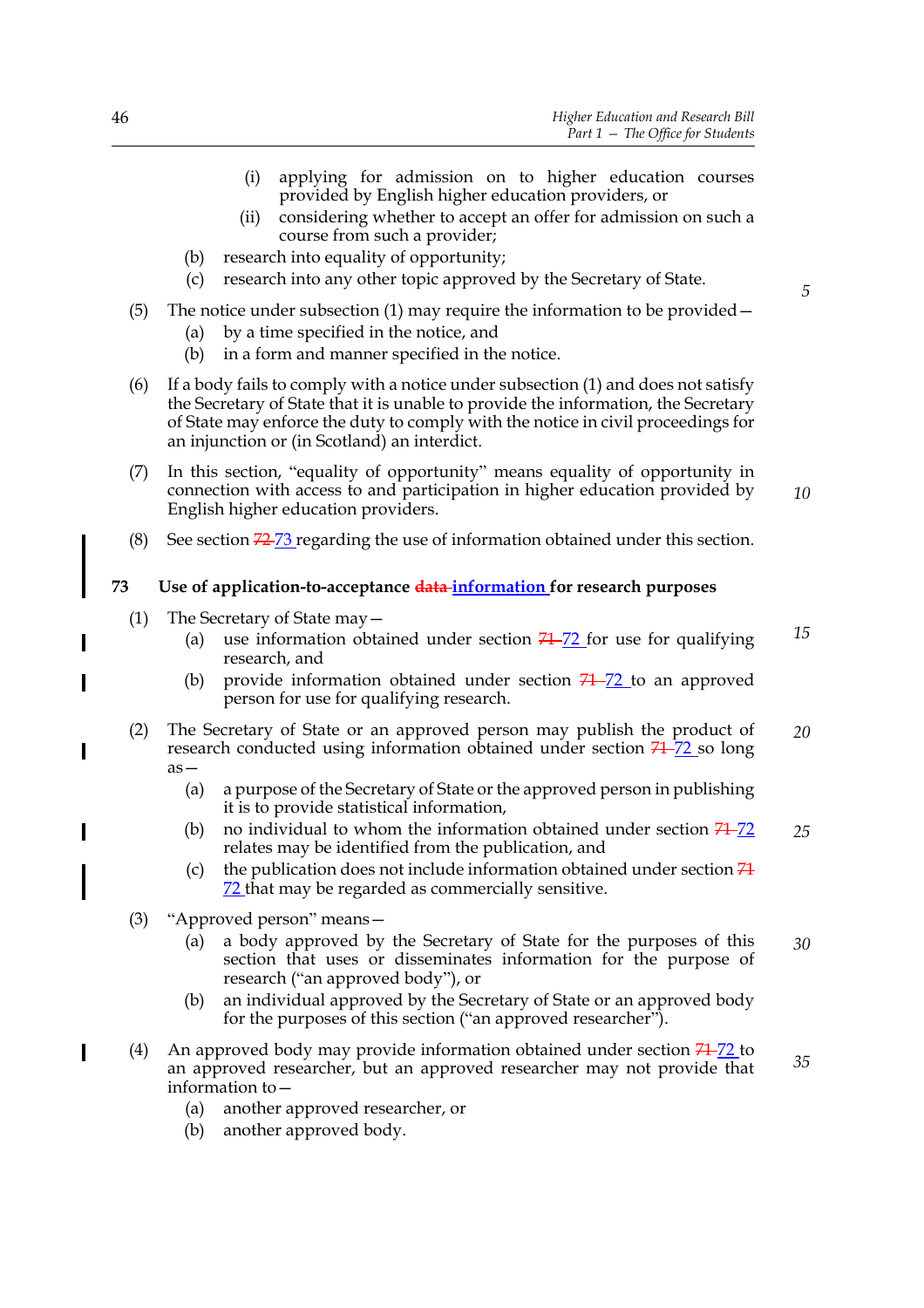- (i) applying for admission on to higher education courses provided by English higher education providers, or
- (ii) considering whether to accept an offer for admission on such a course from such a provider;
- (b) research into equality of opportunity;
- (c) research into any other topic approved by the Secretary of State.
- (5) The notice under subsection (1) may require the information to be provided—
	- (a) by a time specified in the notice, and
	- (b) in a form and manner specified in the notice.
- (6) If a body fails to comply with a notice under subsection (1) and does not satisfy the Secretary of State that it is unable to provide the information, the Secretary of State may enforce the duty to comply with the notice in civil proceedings for an injunction or (in Scotland) an interdict.
- (7) In this section, "equality of opportunity" means equality of opportunity in connection with access to and participation in higher education provided by English higher education providers.
- (8) See section  $72\frac{73}{12}$  regarding the use of information obtained under this section.

#### **73 Use of application-to-acceptance data information for research purposes**

- (1) The Secretary of State may—
	- (a) use information obtained under section  $74-72$  for use for qualifying research, and
	- (b) provide information obtained under section  $74 72$  to an approved person for use for qualifying research.
- (2) The Secretary of State or an approved person may publish the product of research conducted using information obtained under section  $71-72$  so long as— *20*
	- (a) a purpose of the Secretary of State or the approved person in publishing it is to provide statistical information,
	- (b) no individual to whom the information obtained under section  $71-72$ relates may be identified from the publication, and *25*
	- (c) the publication does not include information obtained under section  $\overline{74}$ 72 that may be regarded as commercially sensitive.
- (3) "Approved person" means—
	- (a) a body approved by the Secretary of State for the purposes of this section that uses or disseminates information for the purpose of research ("an approved body"), or *30*
	- (b) an individual approved by the Secretary of State or an approved body for the purposes of this section ("an approved researcher").
- (4) An approved body may provide information obtained under section  $74-72$  to an approved researcher, but an approved researcher may not provide that information to— *35*
	- (a) another approved researcher, or
	- (b) another approved body.

*10*

*5*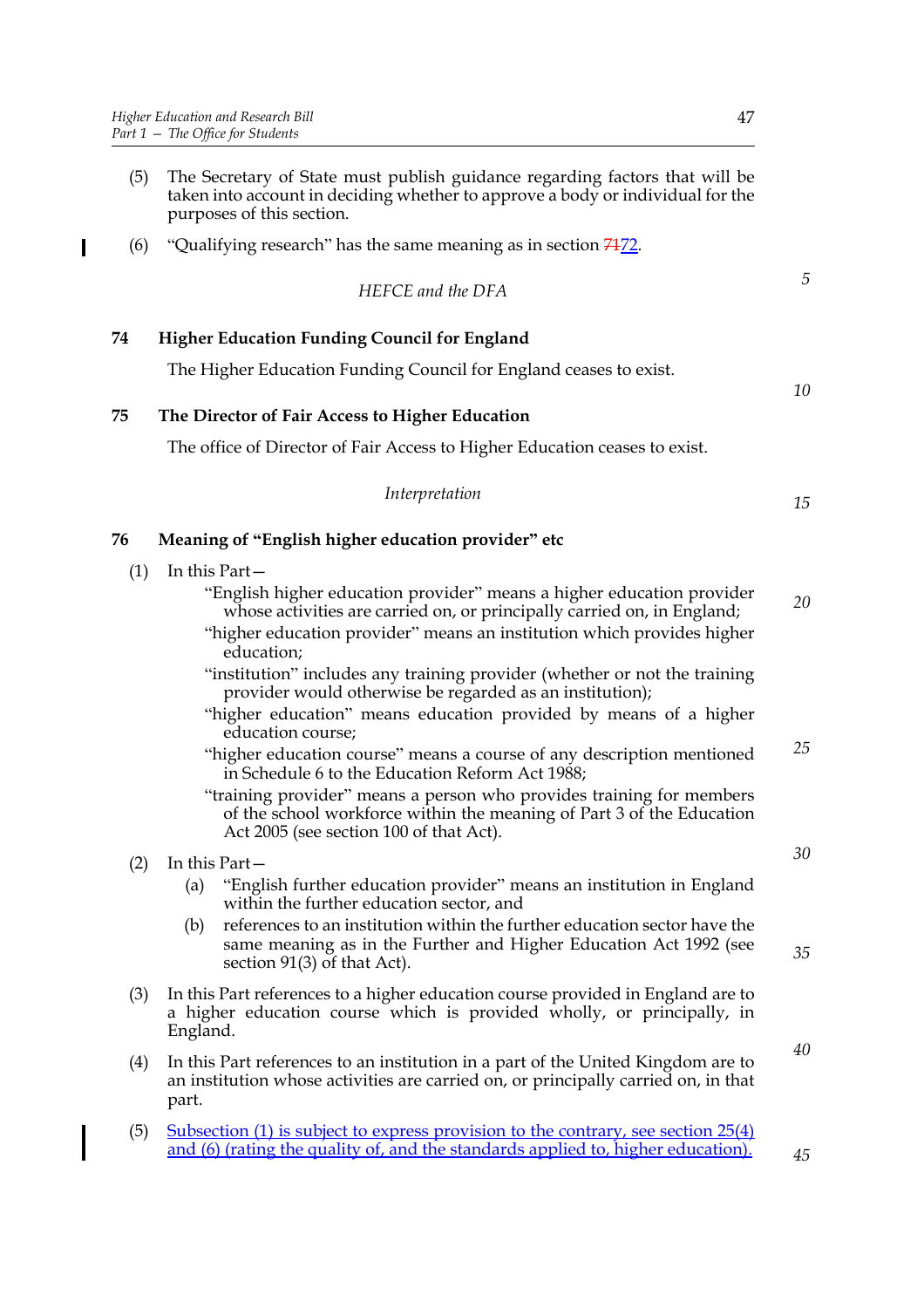$\blacksquare$ 

- (5) The Secretary of State must publish guidance regarding factors that will be taken into account in deciding whether to approve a body or individual for the purposes of this section.
- (6) "Qualifying research" has the same meaning as in section  $7472$ .

*HEFCE and the DFA*

*5*

**74 Higher Education Funding Council for England**

The Higher Education Funding Council for England ceases to exist.

#### **75 The Director of Fair Access to Higher Education**

The office of Director of Fair Access to Higher Education ceases to exist.

|  | Interpretation |  |
|--|----------------|--|
|--|----------------|--|

*15*

*30*

*35*

*40*

*45*

*10*

#### **76 Meaning of "English higher education provider" etc**

- (1) In this Part—
	- "English higher education provider" means a higher education provider whose activities are carried on, or principally carried on, in England; *20*
	- "higher education provider" means an institution which provides higher education;
	- "institution" includes any training provider (whether or not the training provider would otherwise be regarded as an institution);
	- "higher education" means education provided by means of a higher education course;
	- "higher education course" means a course of any description mentioned in Schedule 6 to the Education Reform Act 1988; *25*
	- "training provider" means a person who provides training for members of the school workforce within the meaning of Part 3 of the Education Act 2005 (see section 100 of that Act).

(2) In this Part—

- (a) "English further education provider" means an institution in England within the further education sector, and
- (b) references to an institution within the further education sector have the same meaning as in the Further and Higher Education Act 1992 (see section 91(3) of that Act).
- (3) In this Part references to a higher education course provided in England are to a higher education course which is provided wholly, or principally, in England.
- (4) In this Part references to an institution in a part of the United Kingdom are to an institution whose activities are carried on, or principally carried on, in that part.
- (5) Subsection (1) is subject to express provision to the contrary, see section 25(4) and (6) (rating the quality of, and the standards applied to, higher education).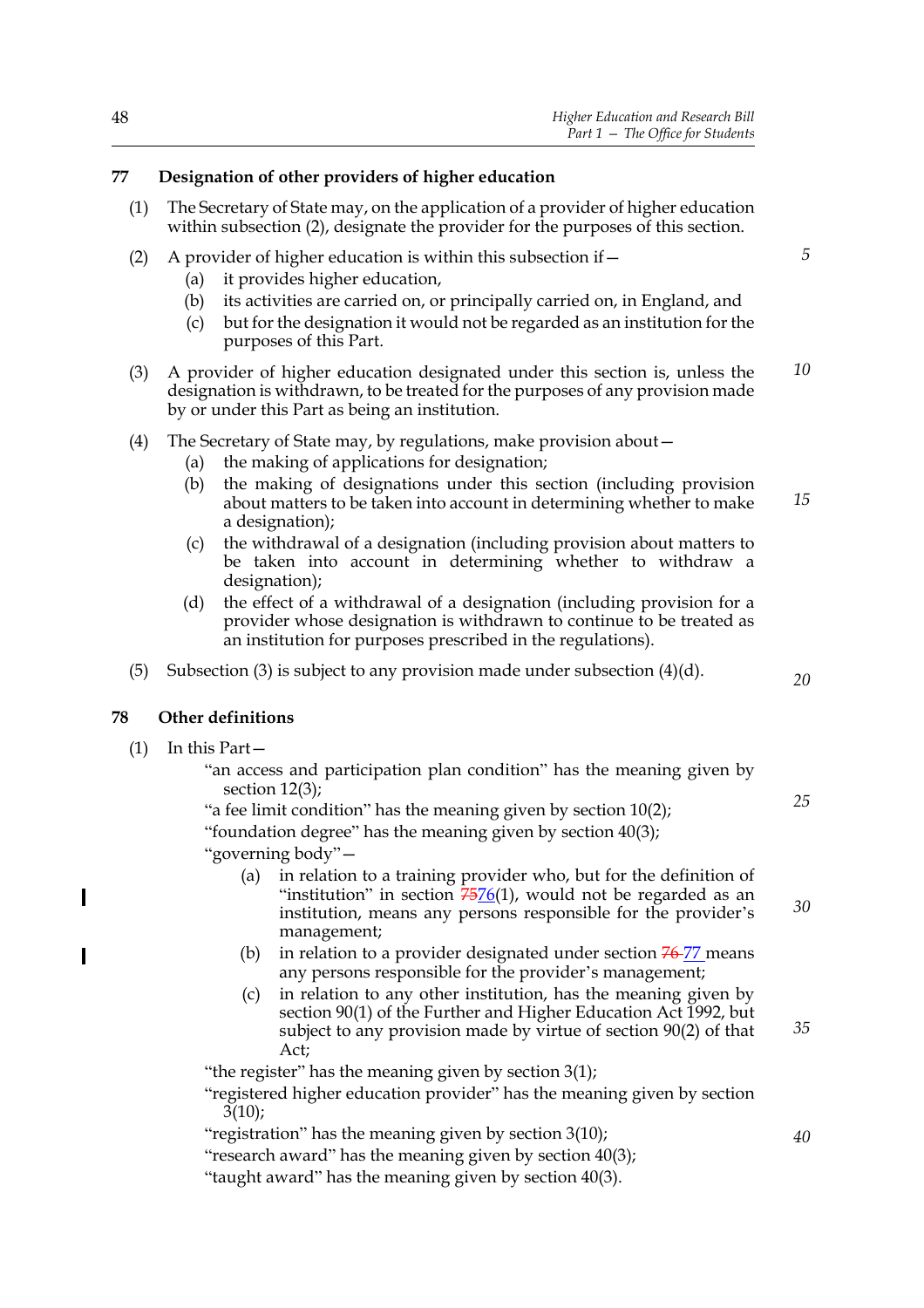#### **77 Designation of other providers of higher education**

- (1) The Secretary of State may, on the application of a provider of higher education within subsection (2), designate the provider for the purposes of this section.
- (2) A provider of higher education is within this subsection if  $-$ 
	- (a) it provides higher education,
	- (b) its activities are carried on, or principally carried on, in England, and
	- (c) but for the designation it would not be regarded as an institution for the purposes of this Part.
- (3) A provider of higher education designated under this section is, unless the designation is withdrawn, to be treated for the purposes of any provision made by or under this Part as being an institution. *10*
- (4) The Secretary of State may, by regulations, make provision about—
	- (a) the making of applications for designation;
	- (b) the making of designations under this section (including provision about matters to be taken into account in determining whether to make a designation); *15*
	- (c) the withdrawal of a designation (including provision about matters to be taken into account in determining whether to withdraw a designation);
	- (d) the effect of a withdrawal of a designation (including provision for a provider whose designation is withdrawn to continue to be treated as an institution for purposes prescribed in the regulations).
- (5) Subsection (3) is subject to any provision made under subsection (4)(d).

#### **78 Other definitions**

(1) In this Part—

 $\overline{\phantom{a}}$ 

"an access and participation plan condition" has the meaning given by section 12(3);

"a fee limit condition" has the meaning given by section 10(2); "foundation degree" has the meaning given by section 40(3);

"governing body"—

- (a) in relation to a training provider who, but for the definition of "institution" in section  $75/6(1)$ , would not be regarded as an institution, means any persons responsible for the provider's management;
- (b) in relation to a provider designated under section  $\frac{76-77}{7}$  means any persons responsible for the provider's management;
- (c) in relation to any other institution, has the meaning given by section 90(1) of the Further and Higher Education Act 1992, but subject to any provision made by virtue of section 90(2) of that Act; *35*

"the register" has the meaning given by section 3(1);

"registered higher education provider" has the meaning given by section  $3(10)$ ;

"registration" has the meaning given by section 3(10);

"research award" has the meaning given by section 40(3);

"taught award" has the meaning given by section 40(3).

*20*

*5*

*30*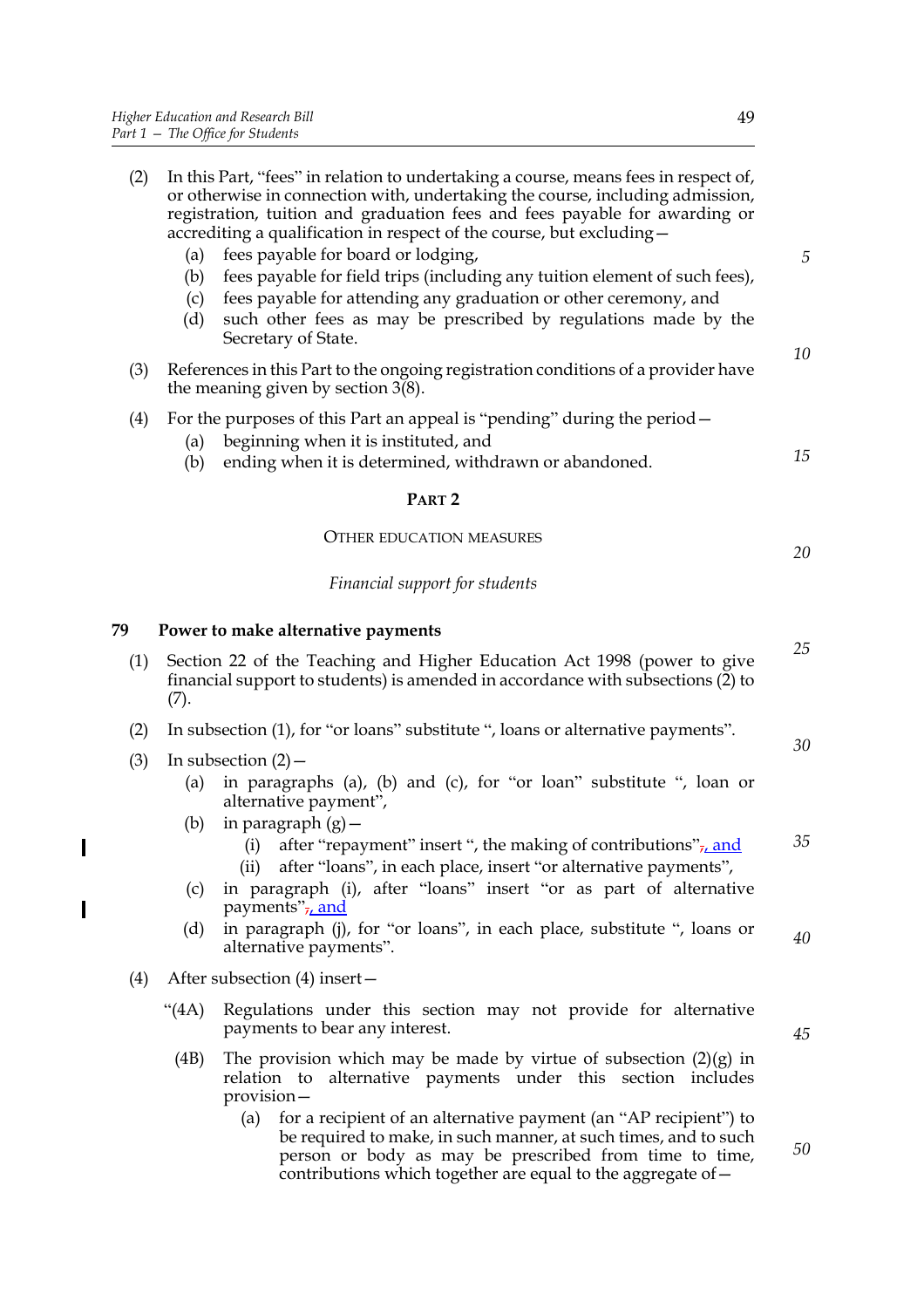$\mathbf{l}$ 

 $\overline{\mathbf{I}}$ 

| (2) | In this Part, "fees" in relation to undertaking a course, means fees in respect of,<br>or otherwise in connection with, undertaking the course, including admission,<br>registration, tuition and graduation fees and fees payable for awarding or<br>accrediting a qualification in respect of the course, but excluding -<br>fees payable for board or lodging,<br>(a)<br>fees payable for field trips (including any tuition element of such fees),<br>(b)<br>fees payable for attending any graduation or other ceremony, and<br>(c)<br>such other fees as may be prescribed by regulations made by the<br>(d)<br>Secretary of State. | $\sqrt{5}$ |
|-----|-------------------------------------------------------------------------------------------------------------------------------------------------------------------------------------------------------------------------------------------------------------------------------------------------------------------------------------------------------------------------------------------------------------------------------------------------------------------------------------------------------------------------------------------------------------------------------------------------------------------------------------------|------------|
| (3) | References in this Part to the ongoing registration conditions of a provider have<br>the meaning given by section $3(8)$ .                                                                                                                                                                                                                                                                                                                                                                                                                                                                                                                | 10         |
| (4) | For the purposes of this Part an appeal is "pending" during the period -<br>beginning when it is instituted, and<br>(a)<br>ending when it is determined, withdrawn or abandoned.<br>(b)                                                                                                                                                                                                                                                                                                                                                                                                                                                   | 15         |
|     | PART <sub>2</sub>                                                                                                                                                                                                                                                                                                                                                                                                                                                                                                                                                                                                                         |            |
|     | <b>OTHER EDUCATION MEASURES</b>                                                                                                                                                                                                                                                                                                                                                                                                                                                                                                                                                                                                           | 20         |
|     | Financial support for students                                                                                                                                                                                                                                                                                                                                                                                                                                                                                                                                                                                                            |            |
| 79  | Power to make alternative payments                                                                                                                                                                                                                                                                                                                                                                                                                                                                                                                                                                                                        | 25         |
| (1) | Section 22 of the Teaching and Higher Education Act 1998 (power to give<br>financial support to students) is amended in accordance with subsections (2) to<br>(7).                                                                                                                                                                                                                                                                                                                                                                                                                                                                        |            |
| (2) | In subsection (1), for "or loans" substitute ", loans or alternative payments".                                                                                                                                                                                                                                                                                                                                                                                                                                                                                                                                                           | 30         |
| (3) | In subsection $(2)$ –<br>in paragraphs (a), (b) and (c), for "or loan" substitute ", loan or<br>(a)<br>alternative payment",<br>in paragraph $(g)$ –<br>(b)                                                                                                                                                                                                                                                                                                                                                                                                                                                                               |            |
|     | after "repayment" insert ", the making of contributions" $_{7t}$ and<br>(i)<br>after "loans", in each place, insert "or alternative payments",<br>(ii)<br>in paragraph (i), after "loans" insert "or as part of alternative<br>(c)<br>payments", and                                                                                                                                                                                                                                                                                                                                                                                      | 35         |
|     | in paragraph (j), for "or loans", in each place, substitute ", loans or<br>(d)<br>alternative payments".                                                                                                                                                                                                                                                                                                                                                                                                                                                                                                                                  | 40         |
| (4) | After subsection (4) insert -                                                                                                                                                                                                                                                                                                                                                                                                                                                                                                                                                                                                             |            |
|     | Regulations under this section may not provide for alternative<br>"(4A)<br>payments to bear any interest.                                                                                                                                                                                                                                                                                                                                                                                                                                                                                                                                 | 45         |
|     | The provision which may be made by virtue of subsection $(2)(g)$ in<br>(4B)<br>alternative payments under this section includes<br>relation to<br>provision-                                                                                                                                                                                                                                                                                                                                                                                                                                                                              |            |
|     | for a recipient of an alternative payment (an "AP recipient") to<br>(a)<br>be required to make, in such manner, at such times, and to such<br>person or body as may be prescribed from time to time,                                                                                                                                                                                                                                                                                                                                                                                                                                      | 50         |

contributions which together are equal to the aggregate of—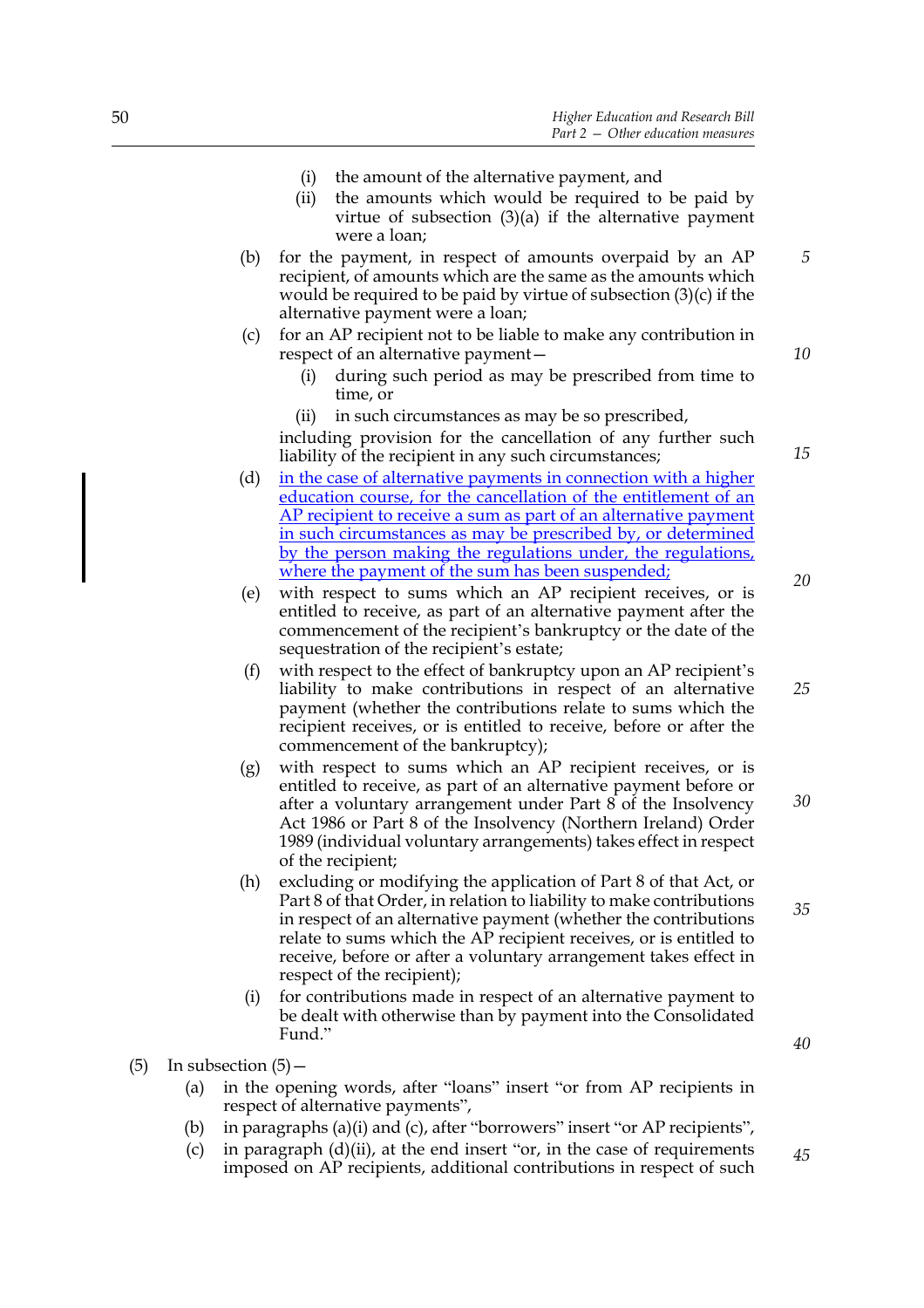- (i) the amount of the alternative payment, and
- (ii) the amounts which would be required to be paid by virtue of subsection  $(3)(a)$  if the alternative payment were a loan;
- (b) for the payment, in respect of amounts overpaid by an AP recipient, of amounts which are the same as the amounts which would be required to be paid by virtue of subsection (3)(c) if the alternative payment were a loan;
- (c) for an AP recipient not to be liable to make any contribution in respect of an alternative payment—
	- (i) during such period as may be prescribed from time to time, or
	- (ii) in such circumstances as may be so prescribed,

including provision for the cancellation of any further such liability of the recipient in any such circumstances;

- (d) in the case of alternative payments in connection with a higher education course, for the cancellation of the entitlement of an AP recipient to receive a sum as part of an alternative payment in such circumstances as may be prescribed by, or determined by the person making the regulations under, the regulations, where the payment of the sum has been suspended;
- (e) with respect to sums which an AP recipient receives, or is entitled to receive, as part of an alternative payment after the commencement of the recipient's bankruptcy or the date of the sequestration of the recipient's estate;
- (f) with respect to the effect of bankruptcy upon an AP recipient's liability to make contributions in respect of an alternative payment (whether the contributions relate to sums which the recipient receives, or is entitled to receive, before or after the commencement of the bankruptcy);
- (g) with respect to sums which an AP recipient receives, or is entitled to receive, as part of an alternative payment before or after a voluntary arrangement under Part 8 of the Insolvency Act 1986 or Part 8 of the Insolvency (Northern Ireland) Order 1989 (individual voluntary arrangements) takes effect in respect of the recipient; *30*
- (h) excluding or modifying the application of Part 8 of that Act, or Part 8 of that Order, in relation to liability to make contributions in respect of an alternative payment (whether the contributions relate to sums which the AP recipient receives, or is entitled to receive, before or after a voluntary arrangement takes effect in respect of the recipient);
- (i) for contributions made in respect of an alternative payment to be dealt with otherwise than by payment into the Consolidated Fund."
- (5) In subsection  $(5)$  -
	- (a) in the opening words, after "loans" insert "or from AP recipients in respect of alternative payments",
	- (b) in paragraphs (a)(i) and (c), after "borrowers" insert "or AP recipients",
	- (c) in paragraph (d)(ii), at the end insert "or, in the case of requirements imposed on AP recipients, additional contributions in respect of such *45*

*20*

*25*

*5*

*10*

*15*

*35*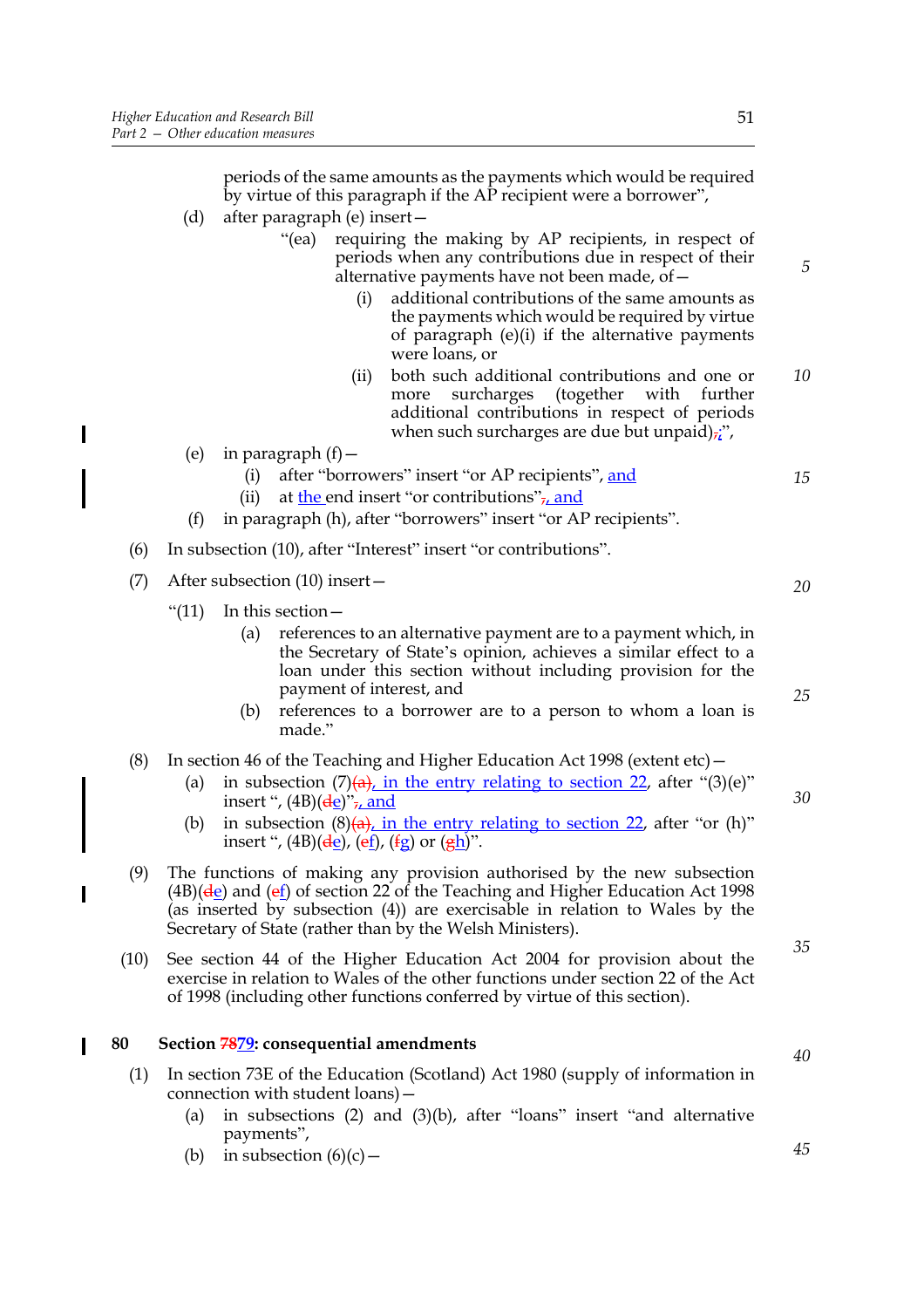periods of the same amounts as the payments which would be required by virtue of this paragraph if the AP recipient were a borrower",

- (d) after paragraph (e) insert—
	- "(ea) requiring the making by AP recipients, in respect of periods when any contributions due in respect of their alternative payments have not been made, of—
		- (i) additional contributions of the same amounts as the payments which would be required by virtue of paragraph (e)(i) if the alternative payments were loans, or
		- (ii) both such additional contributions and one or more surcharges (together with further additional contributions in respect of periods when such surcharges are due but unpaid) $\vec{v}$ , *10*
- (e) in paragraph  $(f)$  -

 $\overline{\phantom{a}}$ 

- (i) after "borrowers" insert "or AP recipients", and (ii) at the end insert "or contributions", and
- (f) in paragraph (h), after "borrowers" insert "or AP recipients".
- (6) In subsection (10), after "Interest" insert "or contributions".
- (7) After subsection (10) insert—
	- " $(11)$  In this section -
		- (a) references to an alternative payment are to a payment which, in the Secretary of State's opinion, achieves a similar effect to a loan under this section without including provision for the payment of interest, and
		- (b) references to a borrower are to a person to whom a loan is made."
- (8) In section 46 of the Teaching and Higher Education Act 1998 (extent etc)—
	- (a) in subsection  $(7)(a)$ , in the entry relating to section 22, after "(3)(e)" insert ",  $(4B)(\frac{de}{c})$ ", and
		- (b) in subsection  $(8)(a)$ , in the entry relating to section 22, after "or (h)" insert ",  $(4B)(\frac{de}{de})$ ,  $(\frac{ef}{g})$ ,  $(\frac{fg}{g})$  or  $(\frac{eh}{g})$ ".
- (9) The functions of making any provision authorised by the new subsection  $(4B)(\frac{de}{de})$  and  $(e_1)$  of section 22 of the Teaching and Higher Education Act 1998 (as inserted by subsection (4)) are exercisable in relation to Wales by the Secretary of State (rather than by the Welsh Ministers).
- (10) See section 44 of the Higher Education Act 2004 for provision about the exercise in relation to Wales of the other functions under section 22 of the Act of 1998 (including other functions conferred by virtue of this section).

#### **80 Section 7879: consequential amendments**

- (1) In section 73E of the Education (Scotland) Act 1980 (supply of information in connection with student loans)—
	- (a) in subsections (2) and (3)(b), after "loans" insert "and alternative payments",
	- (b) in subsection  $(6)(c)$  –

# *45*

*40*

*20*

*15*

*5*

*25*

*30*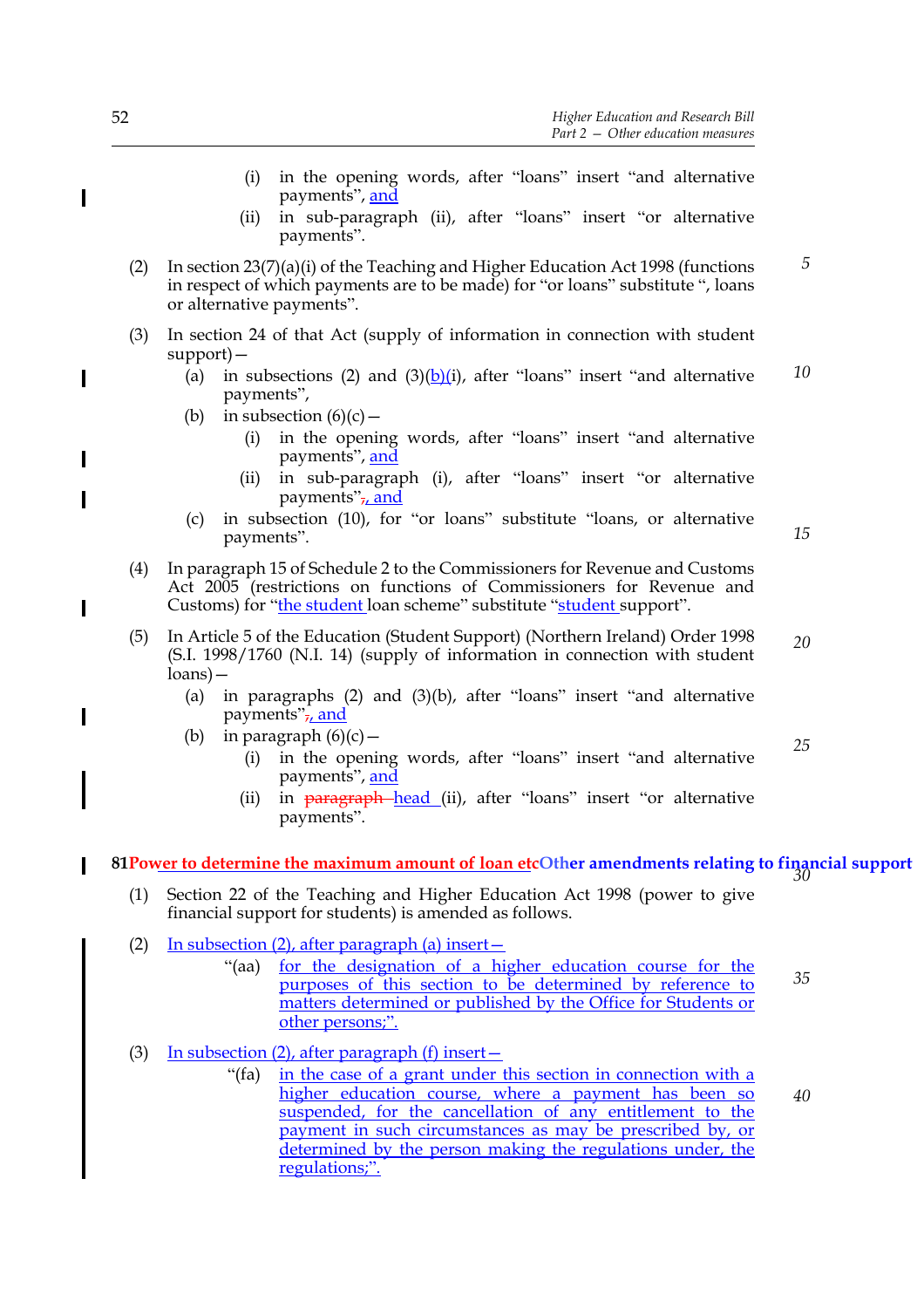- (i) in the opening words, after "loans" insert "and alternative payments", and
- (ii) in sub-paragraph (ii), after "loans" insert "or alternative payments".
- (2) In section 23(7)(a)(i) of the Teaching and Higher Education Act 1998 (functions in respect of which payments are to be made) for "or loans" substitute ", loans or alternative payments". *5*
- (3) In section 24 of that Act (supply of information in connection with student support)—
	- (a) in subsections (2) and  $(3)(b)(i)$ , after "loans" insert "and alternative payments", *10*
	- (b) in subsection  $(6)(c)$ 
		- (i) in the opening words, after "loans" insert "and alternative payments", and
		- (ii) in sub-paragraph (i), after "loans" insert "or alternative payments" $\frac{1}{l}$  and
	- (c) in subsection (10), for "or loans" substitute "loans, or alternative payments".

- (4) In paragraph 15 of Schedule 2 to the Commissioners for Revenue and Customs Act 2005 (restrictions on functions of Commissioners for Revenue and Customs) for "the student loan scheme" substitute "student support".
- (5) In Article 5 of the Education (Student Support) (Northern Ireland) Order 1998 (S.I. 1998/1760 (N.I. 14) (supply of information in connection with student loans)— *20*
	- (a) in paragraphs (2) and (3)(b), after "loans" insert "and alternative payments" $\frac{1}{7}$  and
	- (b) in paragraph  $(6)(c)$ 
		- (i) in the opening words, after "loans" insert "and alternative payments", and *25*
		- (ii) in **paragraph** head (ii), after "loans" insert "or alternative payments".

## **81Power to determine the maximum amount of loan etcOther amendments relating to financial support** *30*

- (1) Section 22 of the Teaching and Higher Education Act 1998 (power to give financial support for students) is amended as follows.
- (2) In subsection (2), after paragraph (a) insert—
	- "(aa) for the designation of a higher education course for the purposes of this section to be determined by reference to matters determined or published by the Office for Students or other persons;". *35*
- (3) In subsection (2), after paragraph (f) insert—
	- "(fa) in the case of a grant under this section in connection with a higher education course, where a payment has been so suspended, for the cancellation of any entitlement to the payment in such circumstances as may be prescribed by, or determined by the person making the regulations under, the regulations;". *40*

 $\overline{\phantom{a}}$ 

 $\blacksquare$ 

 $\overline{\phantom{a}}$ 

I

 $\overline{\phantom{a}}$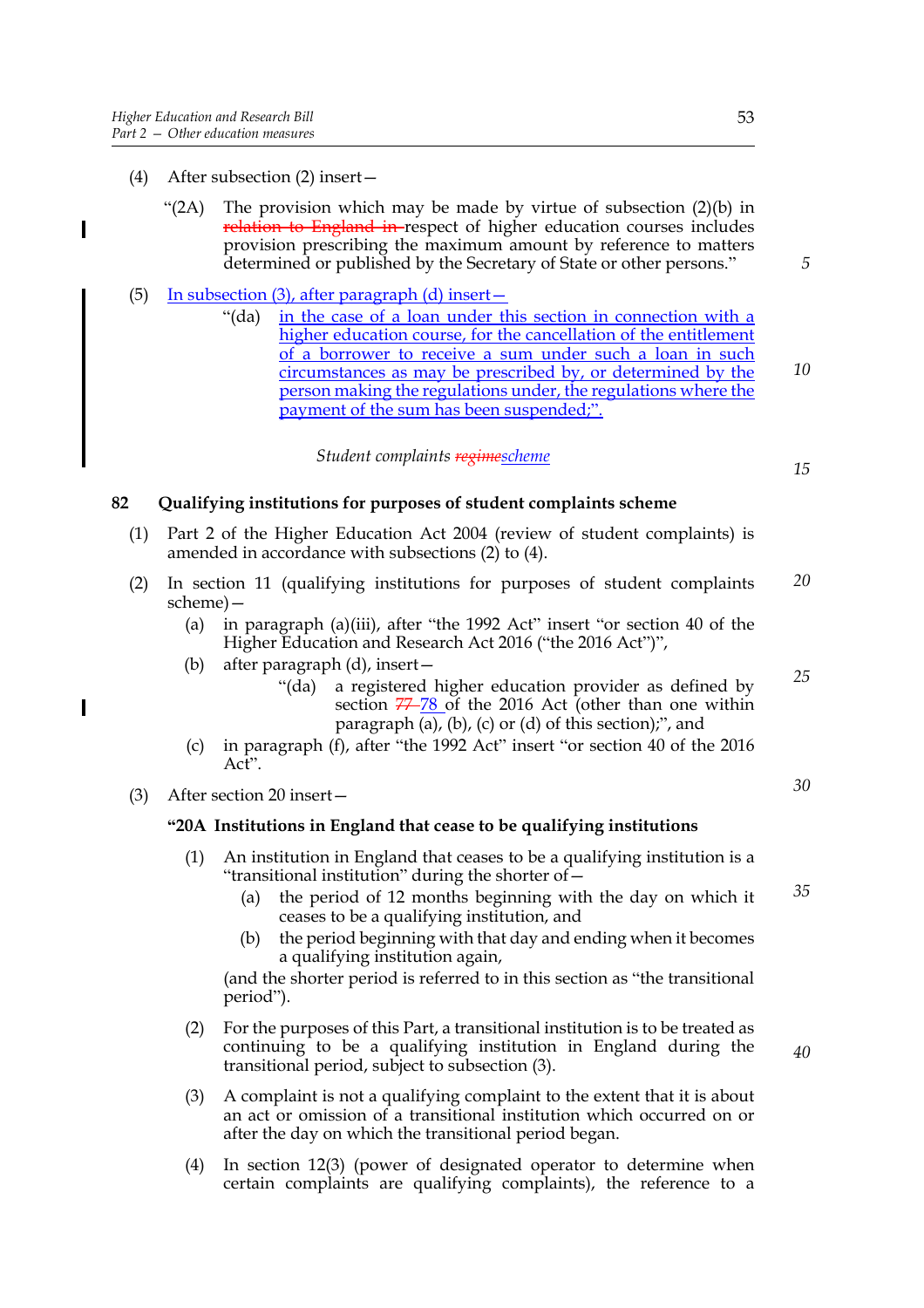I

- (4) After subsection (2) insert—
	- "(2A) The provision which may be made by virtue of subsection  $(2)(b)$  in relation to England in respect of higher education courses includes provision prescribing the maximum amount by reference to matters determined or published by the Secretary of State or other persons."
- (5) In subsection (3), after paragraph (d) insert  $-$ 
	- "(da) in the case of a loan under this section in connection with a higher education course, for the cancellation of the entitlement of a borrower to receive a sum under such a loan in such circumstances as may be prescribed by, or determined by the person making the regulations under, the regulations where the payment of the sum has been suspended;". *10*

#### *Student complaints regimescheme*

**82 Qualifying institutions for purposes of student complaints scheme**

- (1) Part 2 of the Higher Education Act 2004 (review of student complaints) is amended in accordance with subsections (2) to (4).
- (2) In section 11 (qualifying institutions for purposes of student complaints scheme)— *20*
	- (a) in paragraph (a)(iii), after "the 1992 Act" insert "or section 40 of the Higher Education and Research Act 2016 ("the 2016 Act")",
	- (b) after paragraph (d), insert—
		- "(da) a registered higher education provider as defined by section  $77-78$  of the 2016 Act (other than one within paragraph (a), (b), (c) or (d) of this section);", and
	- (c) in paragraph (f), after "the 1992 Act" insert "or section 40 of the 2016 Act".
- (3) After section 20 insert—

#### **"20A Institutions in England that cease to be qualifying institutions**

- (1) An institution in England that ceases to be a qualifying institution is a "transitional institution" during the shorter of—
	- (a) the period of 12 months beginning with the day on which it ceases to be a qualifying institution, and *35*
	- (b) the period beginning with that day and ending when it becomes a qualifying institution again,

(and the shorter period is referred to in this section as "the transitional period").

- (2) For the purposes of this Part, a transitional institution is to be treated as continuing to be a qualifying institution in England during the transitional period, subject to subsection (3).
- (3) A complaint is not a qualifying complaint to the extent that it is about an act or omission of a transitional institution which occurred on or after the day on which the transitional period began.
- (4) In section 12(3) (power of designated operator to determine when certain complaints are qualifying complaints), the reference to a

*5*

*15*

*25*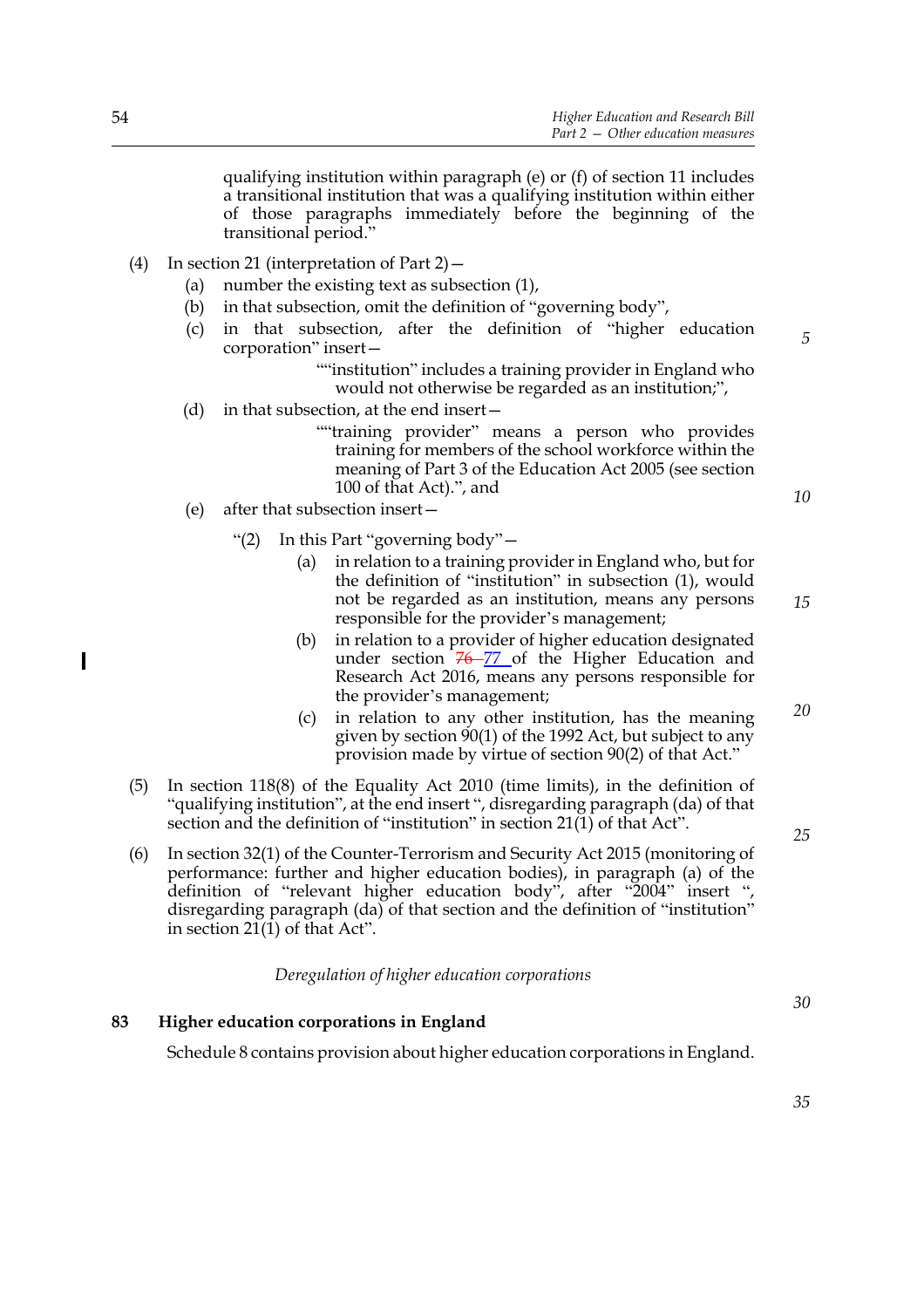qualifying institution within paragraph (e) or (f) of section 11 includes a transitional institution that was a qualifying institution within either of those paragraphs immediately before the beginning of the transitional period."

- (4) In section 21 (interpretation of Part 2)—
	- (a) number the existing text as subsection (1),
	- (b) in that subsection, omit the definition of "governing body",
	- (c) in that subsection, after the definition of "higher education corporation" insert—

""institution" includes a training provider in England who would not otherwise be regarded as an institution;",

- (d) in that subsection, at the end insert—
	- ""training provider" means a person who provides training for members of the school workforce within the meaning of Part 3 of the Education Act 2005 (see section 100 of that Act).", and
- (e) after that subsection insert—
	- "(2) In this Part "governing body"—
		- (a) in relation to a training provider in England who, but for the definition of "institution" in subsection (1), would not be regarded as an institution, means any persons responsible for the provider's management;
		- (b) in relation to a provider of higher education designated under section  $76 - 77$  of the Higher Education and Research Act 2016, means any persons responsible for the provider's management;
		- (c) in relation to any other institution, has the meaning given by section 90(1) of the 1992 Act, but subject to any provision made by virtue of section 90(2) of that Act."
- (5) In section 118(8) of the Equality Act 2010 (time limits), in the definition of "qualifying institution", at the end insert ", disregarding paragraph (da) of that section and the definition of "institution" in section 21(1) of that Act".
- (6) In section 32(1) of the Counter-Terrorism and Security Act 2015 (monitoring of performance: further and higher education bodies), in paragraph (a) of the definition of "relevant higher education body", after "2004" insert ", disregarding paragraph (da) of that section and the definition of "institution" in section  $21(1)$  of that Act".

*Deregulation of higher education corporations*

#### **83 Higher education corporations in England**

Schedule 8 contains provision about higher education corporations in England.

*25*

*35*

*30*

 $\overline{\phantom{a}}$ 

*10*

*5*

*15*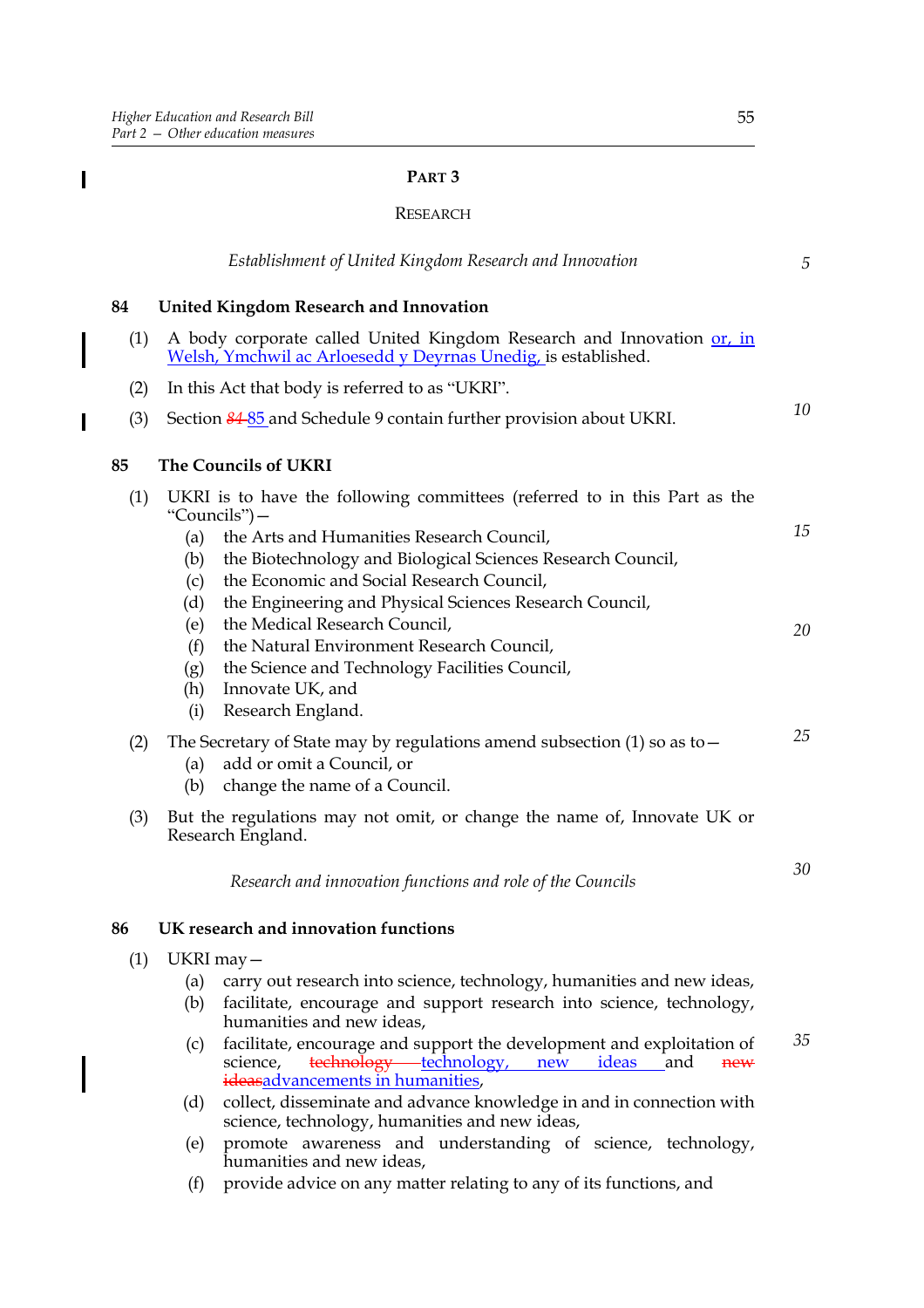$\mathbf I$ 

 $\overline{\phantom{a}}$ 

#### **PART 3**

#### RESEARCH

|            | Establishment of United Kingdom Research and Innovation                                                                                                                                                                                                                                                                                                                                                                                                                                                                                                | 5              |
|------------|--------------------------------------------------------------------------------------------------------------------------------------------------------------------------------------------------------------------------------------------------------------------------------------------------------------------------------------------------------------------------------------------------------------------------------------------------------------------------------------------------------------------------------------------------------|----------------|
| 84         | <b>United Kingdom Research and Innovation</b>                                                                                                                                                                                                                                                                                                                                                                                                                                                                                                          |                |
| (1)        | A body corporate called United Kingdom Research and Innovation or, in<br>Welsh, Ymchwil ac Arloesedd y Deyrnas Unedig, is established.                                                                                                                                                                                                                                                                                                                                                                                                                 |                |
| (2)        | In this Act that body is referred to as "UKRI".                                                                                                                                                                                                                                                                                                                                                                                                                                                                                                        |                |
| (3)        | Section 84-85 and Schedule 9 contain further provision about UKRI.                                                                                                                                                                                                                                                                                                                                                                                                                                                                                     | 10             |
| 85         | <b>The Councils of UKRI</b>                                                                                                                                                                                                                                                                                                                                                                                                                                                                                                                            |                |
| (1)        | UKRI is to have the following committees (referred to in this Part as the<br>"Councils") –<br>the Arts and Humanities Research Council,<br>(a)<br>the Biotechnology and Biological Sciences Research Council,<br>(b)<br>the Economic and Social Research Council,<br>(c)<br>the Engineering and Physical Sciences Research Council,<br>(d)<br>the Medical Research Council,<br>(e)<br>the Natural Environment Research Council,<br>(f)<br>the Science and Technology Facilities Council,<br>(g)<br>Innovate UK, and<br>(h)<br>Research England.<br>(i) | 15<br>20<br>25 |
| (2)<br>(3) | The Secretary of State may by regulations amend subsection $(1)$ so as to $-$<br>add or omit a Council, or<br>(a)<br>change the name of a Council.<br>(b)<br>But the regulations may not omit, or change the name of, Innovate UK or                                                                                                                                                                                                                                                                                                                   |                |
|            | Research England.<br>Research and innovation functions and role of the Councils                                                                                                                                                                                                                                                                                                                                                                                                                                                                        | 30             |
| 86         | UK research and innovation functions                                                                                                                                                                                                                                                                                                                                                                                                                                                                                                                   |                |
| (1)        | UKRI may-<br>carry out research into science, technology, humanities and new ideas,<br>(a)<br>facilitate, encourage and support research into science, technology,<br>(b)<br>humanities and new ideas,<br>facilitate, encourage and support the development and exploitation of<br>(c)<br>technology technology,<br>science,<br>new<br><u>ideas</u><br>and<br>new<br>ideasadvancements in humanities,<br>collect, disseminate and advance knowledge in and in connection with<br>(d)                                                                   | 35             |
|            | science, technology, humanities and new ideas,                                                                                                                                                                                                                                                                                                                                                                                                                                                                                                         |                |

- (e) promote awareness and understanding of science, technology, humanities and new ideas,
- (f) provide advice on any matter relating to any of its functions, and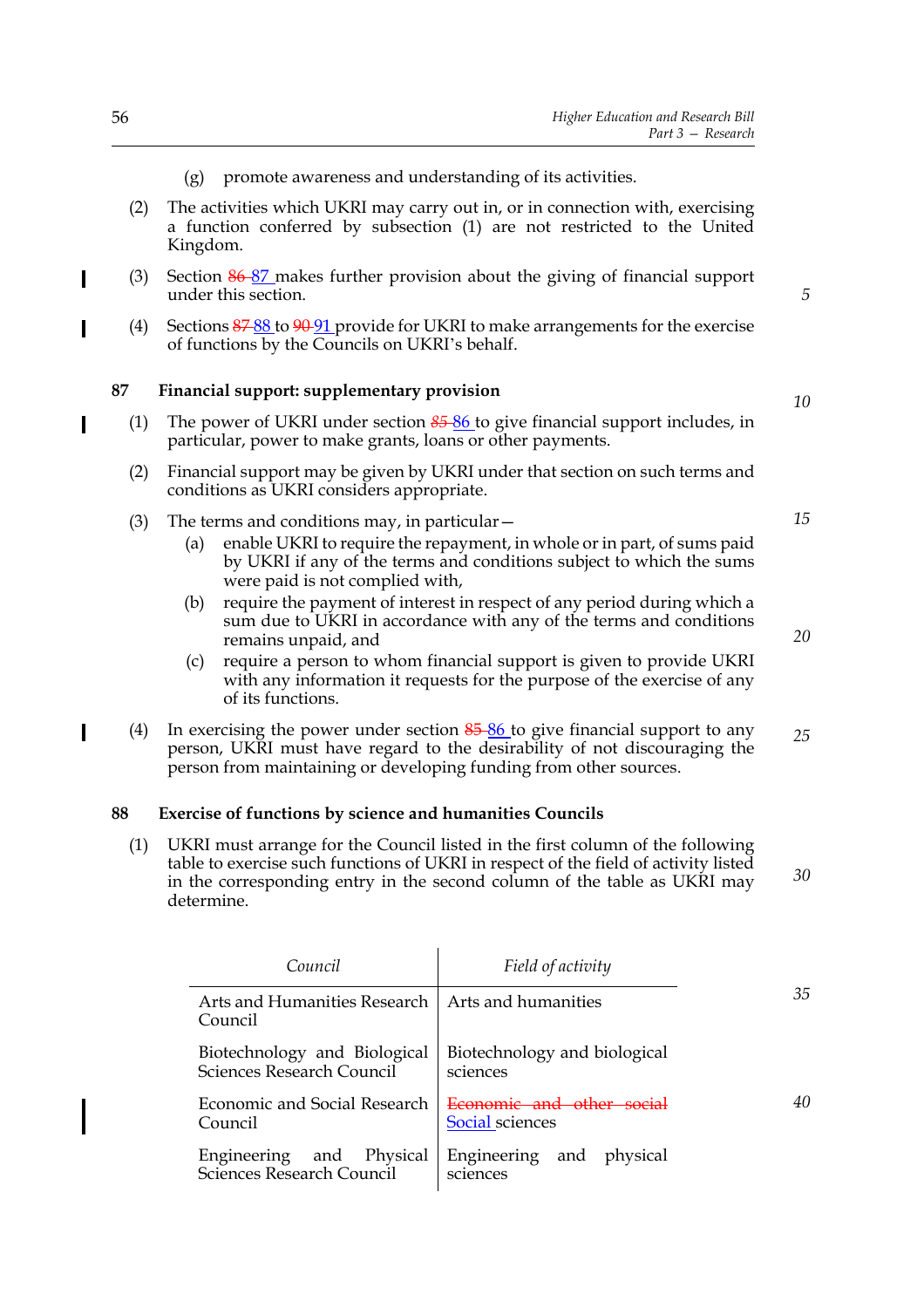- (g) promote awareness and understanding of its activities.
- (2) The activities which UKRI may carry out in, or in connection with, exercising a function conferred by subsection (1) are not restricted to the United Kingdom.
- (3) Section  $86-87$  makes further provision about the giving of financial support under this section.
	- (4) Sections  $\frac{87.88 \text{ to } 90.91 \text{ provide for UKRI to make arrangements for the exercise}$ of functions by the Councils on UKRI's behalf.

#### **87 Financial support: supplementary provision**

- (1) The power of UKRI under section *85* 86 to give financial support includes, in particular, power to make grants, loans or other payments.
- (2) Financial support may be given by UKRI under that section on such terms and conditions as UKRI considers appropriate.
- (3) The terms and conditions may, in particular—
	- (a) enable UKRI to require the repayment, in whole or in part, of sums paid by UKRI if any of the terms and conditions subject to which the sums were paid is not complied with,
	- (b) require the payment of interest in respect of any period during which a sum due to UKRI in accordance with any of the terms and conditions remains unpaid, and
	- (c) require a person to whom financial support is given to provide UKRI with any information it requests for the purpose of the exercise of any of its functions.
- (4) In exercising the power under section  $85-86$  to give financial support to any person, UKRI must have regard to the desirability of not discouraging the person from maintaining or developing funding from other sources. *25*

#### **88 Exercise of functions by science and humanities Councils**

(1) UKRI must arrange for the Council listed in the first column of the following table to exercise such functions of UKRI in respect of the field of activity listed in the corresponding entry in the second column of the table as UKRI may determine. *30*

| Council                                                       | Field of activity                        |    |
|---------------------------------------------------------------|------------------------------------------|----|
| Arts and Humanities Research   Arts and humanities<br>Council |                                          | 35 |
| Biotechnology and Biological<br>Sciences Research Council     | Biotechnology and biological<br>sciences |    |
| Economic and Social Research<br>Council                       | Social sciences                          | 40 |
| and Physical<br>Engineering<br>Sciences Research Council      | Engineering and physical<br>sciences     |    |

 $\overline{\phantom{a}}$ 

*10*

*5*

*20*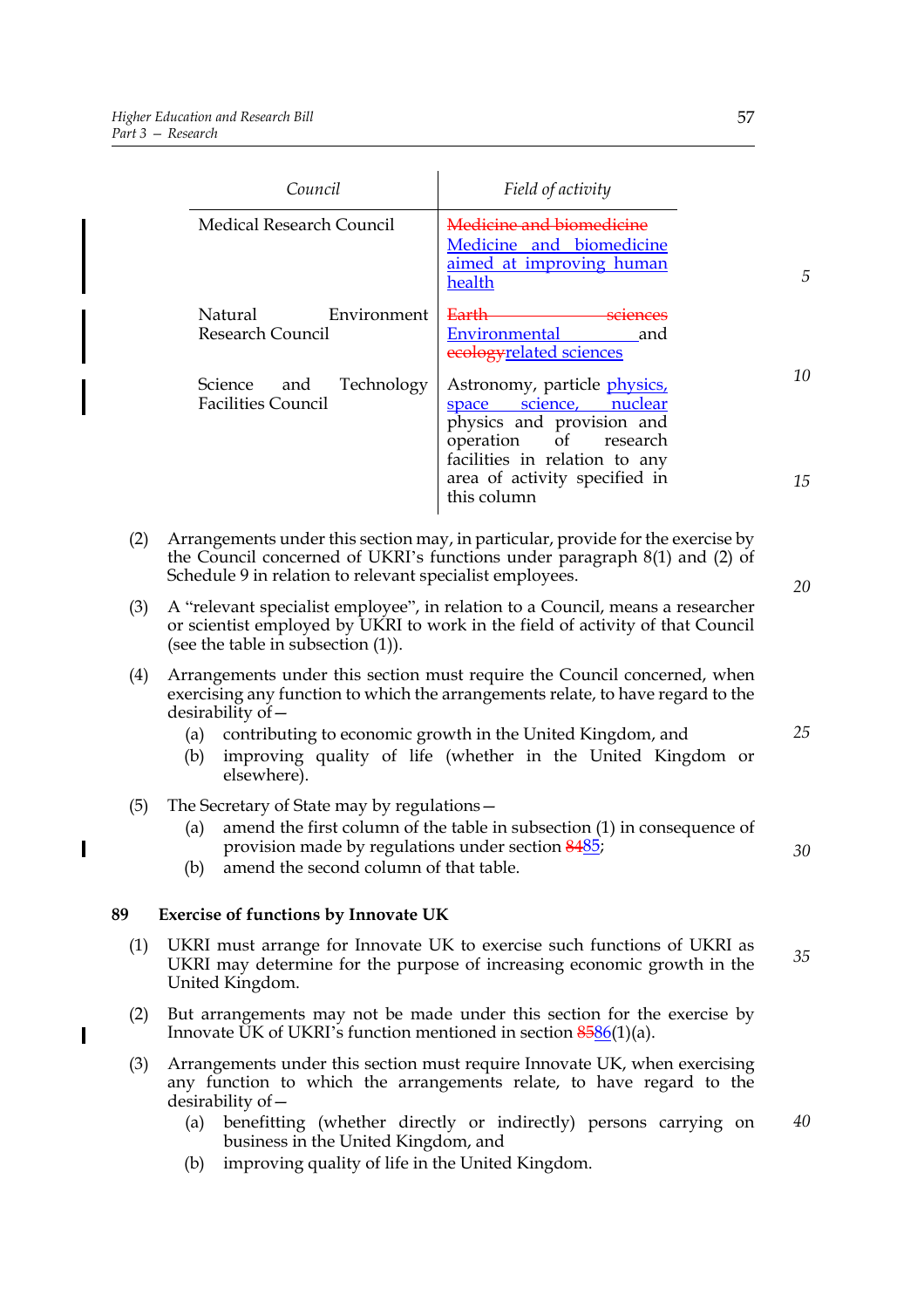$\overline{\mathbf{I}}$ 

 $\overline{\mathbf{I}}$ 

|     | Council                                                                                                                                                                                                                                                                                                                                      | Field of activity                                                                                                                                                                                                     |          |
|-----|----------------------------------------------------------------------------------------------------------------------------------------------------------------------------------------------------------------------------------------------------------------------------------------------------------------------------------------------|-----------------------------------------------------------------------------------------------------------------------------------------------------------------------------------------------------------------------|----------|
|     | <b>Medical Research Council</b>                                                                                                                                                                                                                                                                                                              | Medicine and biomedicine<br>Medicine and biomedicine<br>aimed at improving human<br>health                                                                                                                            | 5        |
|     | Natural<br>Environment<br><b>Research Council</b>                                                                                                                                                                                                                                                                                            | <del>Earth</del><br>sciences<br>Environmental<br>and<br>ecologyrelated sciences                                                                                                                                       |          |
|     | Technology<br>Science<br>and<br><b>Facilities Council</b>                                                                                                                                                                                                                                                                                    | Astronomy, particle <i>physics</i> ,<br>space science, nuclear<br>physics and provision and<br>operation<br>of<br>research<br>facilities in relation to any<br>area of activity specified in<br>this column           | 10<br>15 |
| (2) | Arrangements under this section may, in particular, provide for the exercise by<br>the Council concerned of UKRI's functions under paragraph 8(1) and (2) of<br>Schedule 9 in relation to relevant specialist employees.                                                                                                                     |                                                                                                                                                                                                                       | 20       |
| (3) | A "relevant specialist employee", in relation to a Council, means a researcher<br>or scientist employed by UKRI to work in the field of activity of that Council<br>(see the table in subsection $(1)$ ).                                                                                                                                    |                                                                                                                                                                                                                       |          |
| (4) | Arrangements under this section must require the Council concerned, when<br>exercising any function to which the arrangements relate, to have regard to the<br>$desirability of -$<br>contributing to economic growth in the United Kingdom, and<br>(a)<br>improving quality of life (whether in the United Kingdom or<br>(b)<br>elsewhere). |                                                                                                                                                                                                                       |          |
| (5) | The Secretary of State may by regulations -<br>(a)<br>provision made by regulations under section 8485;<br>amend the second column of that table.<br>(b)                                                                                                                                                                                     | amend the first column of the table in subsection $(1)$ in consequence of                                                                                                                                             | 30       |
| 89  | <b>Exercise of functions by Innovate UK</b>                                                                                                                                                                                                                                                                                                  |                                                                                                                                                                                                                       |          |
| (1) | UKRI must arrange for Innovate UK to exercise such functions of UKRI as<br>UKRI may determine for the purpose of increasing economic growth in the<br>United Kingdom.                                                                                                                                                                        |                                                                                                                                                                                                                       | 35       |
| (2) | Innovate UK of UKRI's function mentioned in section $8586(1)(a)$ .                                                                                                                                                                                                                                                                           | But arrangements may not be made under this section for the exercise by                                                                                                                                               |          |
| (3) | desirability of –<br>(a)<br>business in the United Kingdom, and                                                                                                                                                                                                                                                                              | Arrangements under this section must require Innovate UK, when exercising<br>any function to which the arrangements relate, to have regard to the<br>benefitting (whether directly or indirectly) persons carrying on | 40       |

(b) improving quality of life in the United Kingdom.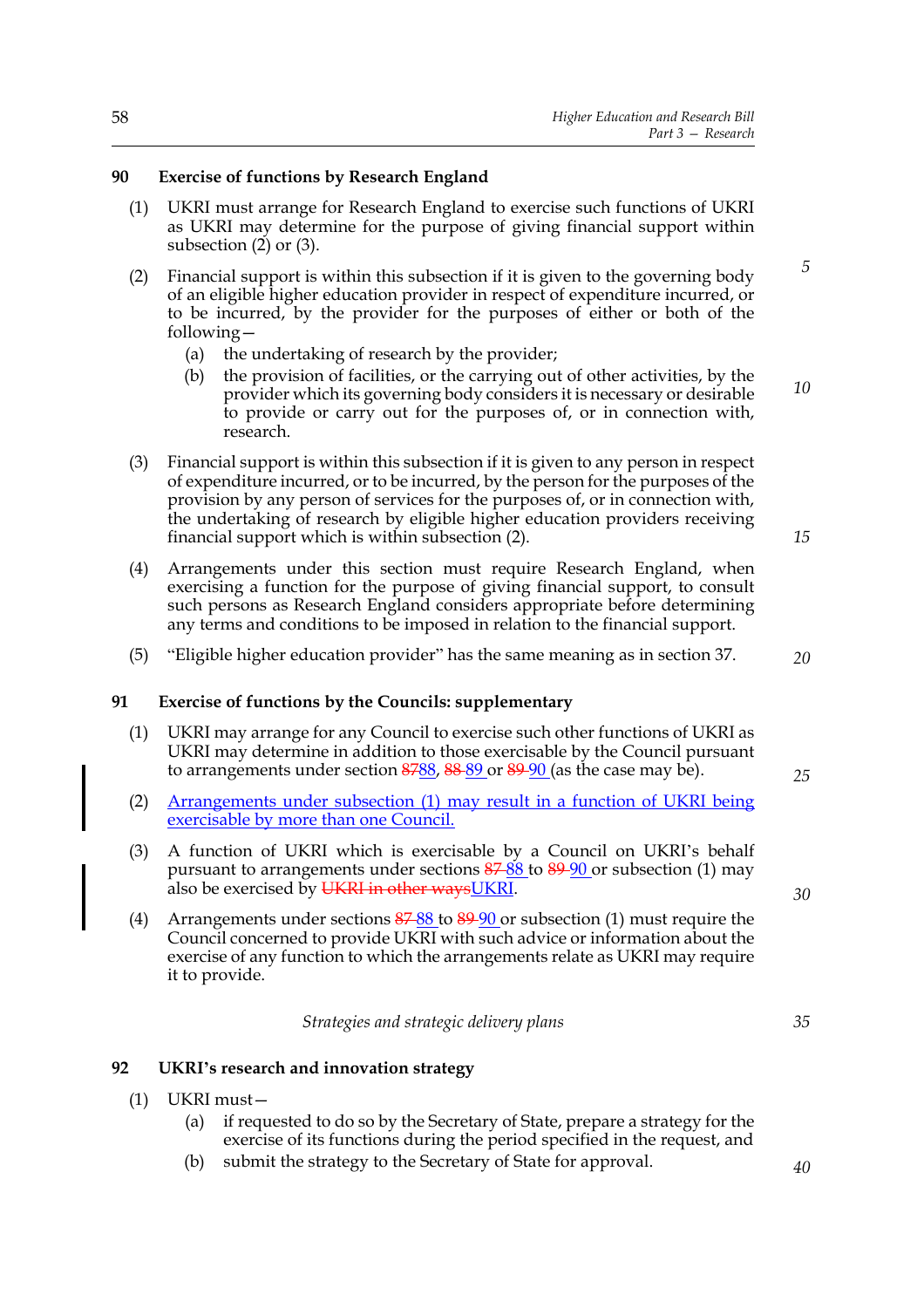#### **90 Exercise of functions by Research England**

- (1) UKRI must arrange for Research England to exercise such functions of UKRI as UKRI may determine for the purpose of giving financial support within subsection  $(2)$  or  $(3)$ .
- (2) Financial support is within this subsection if it is given to the governing body of an eligible higher education provider in respect of expenditure incurred, or to be incurred, by the provider for the purposes of either or both of the following—
	- (a) the undertaking of research by the provider;
	- (b) the provision of facilities, or the carrying out of other activities, by the provider which its governing body considers it is necessary or desirable to provide or carry out for the purposes of, or in connection with, research. *10*
- (3) Financial support is within this subsection if it is given to any person in respect of expenditure incurred, or to be incurred, by the person for the purposes of the provision by any person of services for the purposes of, or in connection with, the undertaking of research by eligible higher education providers receiving financial support which is within subsection (2).
- (4) Arrangements under this section must require Research England, when exercising a function for the purpose of giving financial support, to consult such persons as Research England considers appropriate before determining any terms and conditions to be imposed in relation to the financial support.
- (5) "Eligible higher education provider" has the same meaning as in section 37.

#### **91 Exercise of functions by the Councils: supplementary**

- (1) UKRI may arrange for any Council to exercise such other functions of UKRI as UKRI may determine in addition to those exercisable by the Council pursuant to arrangements under section 8788, 88-89 or 89-90 (as the case may be).
- (2) Arrangements under subsection (1) may result in a function of UKRI being exercisable by more than one Council.
- (3) A function of UKRI which is exercisable by a Council on UKRI's behalf pursuant to arrangements under sections  $\frac{87}{88}$  to  $\frac{89}{90}$  or subsection (1) may also be exercised by UKRI in other ways UKRI.
- (4) Arrangements under sections 87 88 to 89 90 or subsection (1) must require the Council concerned to provide UKRI with such advice or information about the exercise of any function to which the arrangements relate as UKRI may require it to provide.

*Strategies and strategic delivery plans*

#### **92 UKRI's research and innovation strategy**

- (1) UKRI must—
	- (a) if requested to do so by the Secretary of State, prepare a strategy for the exercise of its functions during the period specified in the request, and
	- (b) submit the strategy to the Secretary of State for approval.

*5*

*15*

*20*

*25*

*35*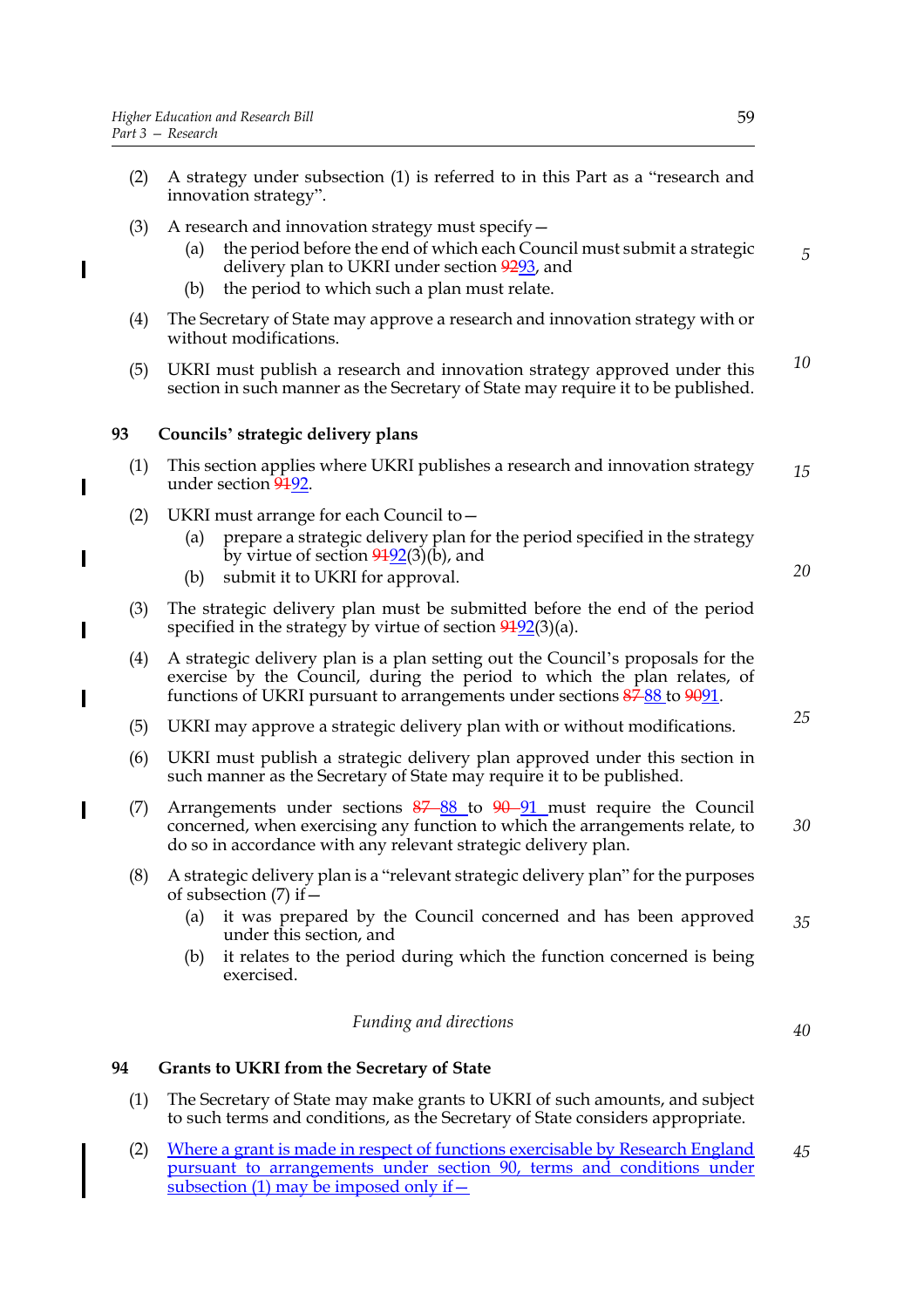$\overline{\phantom{a}}$ 

I

- (2) A strategy under subsection (1) is referred to in this Part as a "research and innovation strategy".
- (3) A research and innovation strategy must specify—
	- (a) the period before the end of which each Council must submit a strategic delivery plan to UKRI under section 9293, and
	- (b) the period to which such a plan must relate.
- (4) The Secretary of State may approve a research and innovation strategy with or without modifications.
- (5) UKRI must publish a research and innovation strategy approved under this section in such manner as the Secretary of State may require it to be published. *10*

#### **93 Councils' strategic delivery plans**

- (1) This section applies where UKRI publishes a research and innovation strategy under section 9192. *15*
- (2) UKRI must arrange for each Council to—
	- (a) prepare a strategic delivery plan for the period specified in the strategy by virtue of section  $9192(3)(b)$ , and
	- (b) submit it to UKRI for approval.
- (3) The strategic delivery plan must be submitted before the end of the period specified in the strategy by virtue of section  $9192(3)(a)$ .
- (4) A strategic delivery plan is a plan setting out the Council's proposals for the exercise by the Council, during the period to which the plan relates, of functions of UKRI pursuant to arrangements under sections  $\frac{87}{88}$  to  $\frac{9091}{888}$ .
- (5) UKRI may approve a strategic delivery plan with or without modifications.
- (6) UKRI must publish a strategic delivery plan approved under this section in such manner as the Secretary of State may require it to be published.
- (7) Arrangements under sections  $87-88$  to  $90-91$  must require the Council concerned, when exercising any function to which the arrangements relate, to do so in accordance with any relevant strategic delivery plan. *30*
- (8) A strategic delivery plan is a "relevant strategic delivery plan" for the purposes of subsection (7) if—
	- (a) it was prepared by the Council concerned and has been approved under this section, and *35*
	- (b) it relates to the period during which the function concerned is being exercised.

#### *Funding and directions*

#### **94 Grants to UKRI from the Secretary of State**

- (1) The Secretary of State may make grants to UKRI of such amounts, and subject to such terms and conditions, as the Secretary of State considers appropriate.
- (2) Where a grant is made in respect of functions exercisable by Research England pursuant to arrangements under section 90, terms and conditions under subsection (1) may be imposed only if  $-$ *45*

*5*

*25*

*20*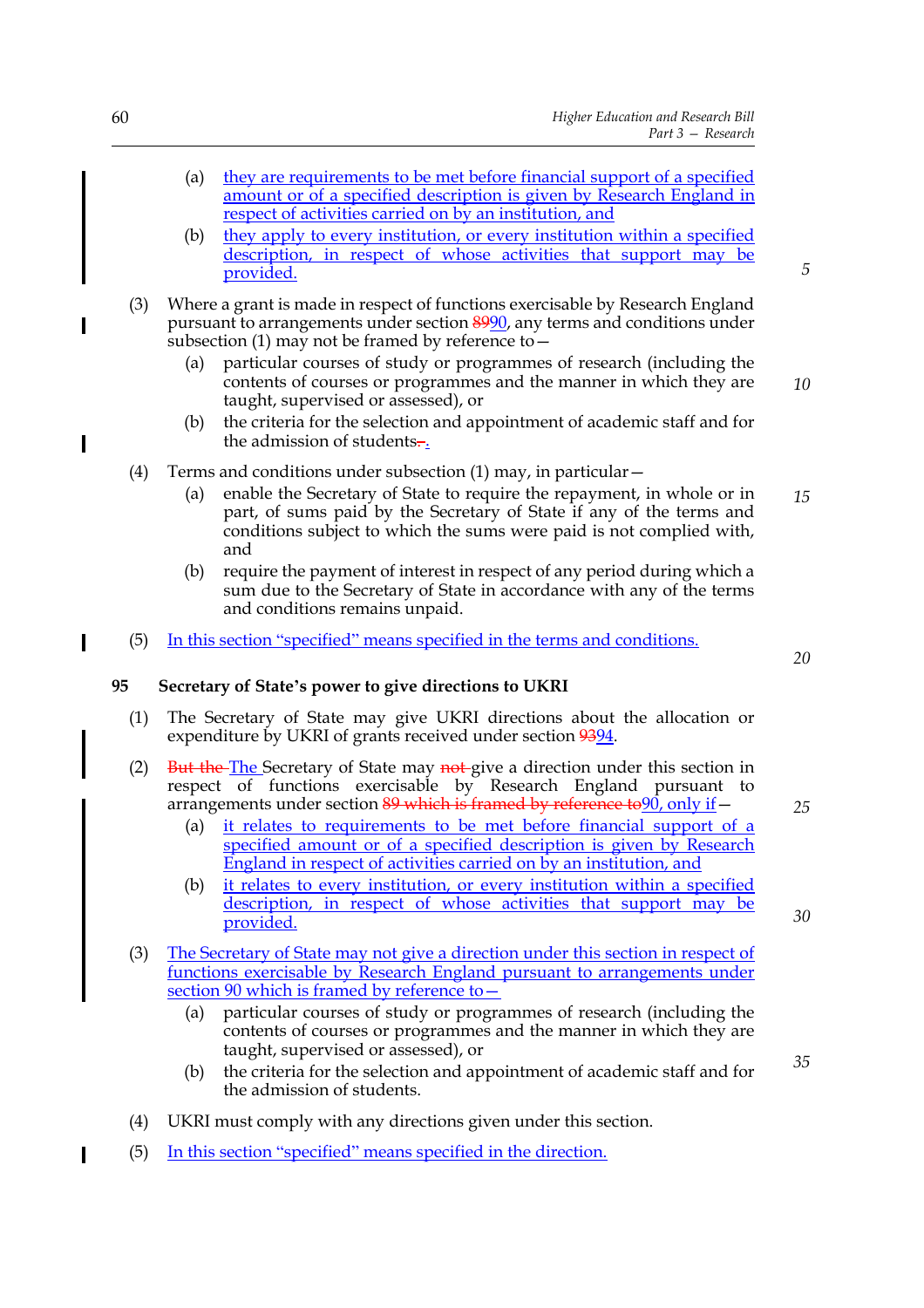- (a) they are requirements to be met before financial support of a specified amount or of a specified description is given by Research England in respect of activities carried on by an institution, and
- (b) they apply to every institution, or every institution within a specified description, in respect of whose activities that support may be provided.
- (3) Where a grant is made in respect of functions exercisable by Research England pursuant to arrangements under section 8990, any terms and conditions under subsection (1) may not be framed by reference to—
	- (a) particular courses of study or programmes of research (including the contents of courses or programmes and the manner in which they are taught, supervised or assessed), or
	- (b) the criteria for the selection and appointment of academic staff and for the admission of students.
- (4) Terms and conditions under subsection  $(1)$  may, in particular  $-$ 
	- (a) enable the Secretary of State to require the repayment, in whole or in part, of sums paid by the Secretary of State if any of the terms and conditions subject to which the sums were paid is not complied with, and *15*
	- (b) require the payment of interest in respect of any period during which a sum due to the Secretary of State in accordance with any of the terms and conditions remains unpaid.
- (5) In this section "specified" means specified in the terms and conditions.

#### **95 Secretary of State's power to give directions to UKRI**

- (1) The Secretary of State may give UKRI directions about the allocation or expenditure by UKRI of grants received under section 9394.
- (2) But the The Secretary of State may not give a direction under this section in respect of functions exercisable by Research England pursuant to arrangements under section  $89$  which is framed by reference to  $90$ , only if  $-$ 
	- (a) it relates to requirements to be met before financial support of a specified amount or of a specified description is given by Research England in respect of activities carried on by an institution, and
	- (b) it relates to every institution, or every institution within a specified description, in respect of whose activities that support may be provided.
- (3) The Secretary of State may not give a direction under this section in respect of functions exercisable by Research England pursuant to arrangements under section 90 which is framed by reference to—
	- (a) particular courses of study or programmes of research (including the contents of courses or programmes and the manner in which they are taught, supervised or assessed), or
	- (b) the criteria for the selection and appointment of academic staff and for the admission of students.
- (4) UKRI must comply with any directions given under this section.
- (5) In this section "specified" means specified in the direction.

 $\overline{\phantom{a}}$ 

*5*

*10*

*20*

*25*

*30*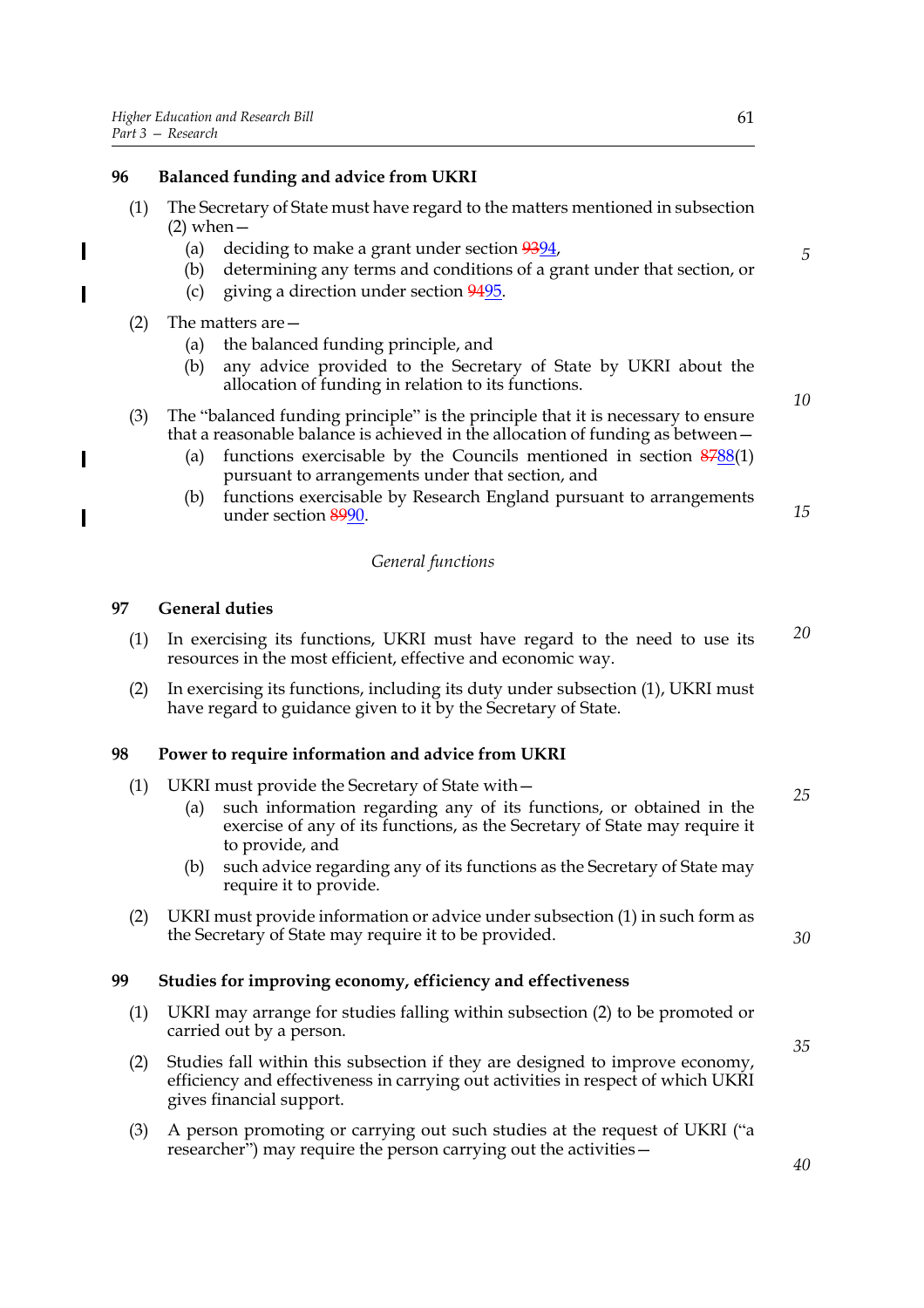#### **96 Balanced funding and advice from UKRI**

- (1) The Secretary of State must have regard to the matters mentioned in subsection  $(2)$  when  $-$ 
	- (a) deciding to make a grant under section  $9394$ ,
	- (b) determining any terms and conditions of a grant under that section, or
	- (c) giving a direction under section 9495.

#### (2) The matters are—

 $\overline{\phantom{a}}$ 

 $\overline{\phantom{a}}$ 

 $\overline{\phantom{a}}$ 

 $\overline{\phantom{a}}$ 

- (a) the balanced funding principle, and
- (b) any advice provided to the Secretary of State by UKRI about the allocation of funding in relation to its functions.

#### (3) The "balanced funding principle" is the principle that it is necessary to ensure that a reasonable balance is achieved in the allocation of funding as between—

- (a) functions exercisable by the Councils mentioned in section 8788(1) pursuant to arrangements under that section, and
- (b) functions exercisable by Research England pursuant to arrangements under section 8990.

#### *General functions*

#### **97 General duties**

- (1) In exercising its functions, UKRI must have regard to the need to use its resources in the most efficient, effective and economic way. *20*
- (2) In exercising its functions, including its duty under subsection (1), UKRI must have regard to guidance given to it by the Secretary of State.

#### **98 Power to require information and advice from UKRI**

- (1) UKRI must provide the Secretary of State with—
	- (a) such information regarding any of its functions, or obtained in the exercise of any of its functions, as the Secretary of State may require it to provide, and
	- (b) such advice regarding any of its functions as the Secretary of State may require it to provide.
- (2) UKRI must provide information or advice under subsection (1) in such form as the Secretary of State may require it to be provided.

#### **99 Studies for improving economy, efficiency and effectiveness**

- (1) UKRI may arrange for studies falling within subsection (2) to be promoted or carried out by a person.
- (2) Studies fall within this subsection if they are designed to improve economy, efficiency and effectiveness in carrying out activities in respect of which UKRI gives financial support.
- (3) A person promoting or carrying out such studies at the request of UKRI ("a researcher") may require the person carrying out the activities—

*5*

*10*

*15*

*35*

*30*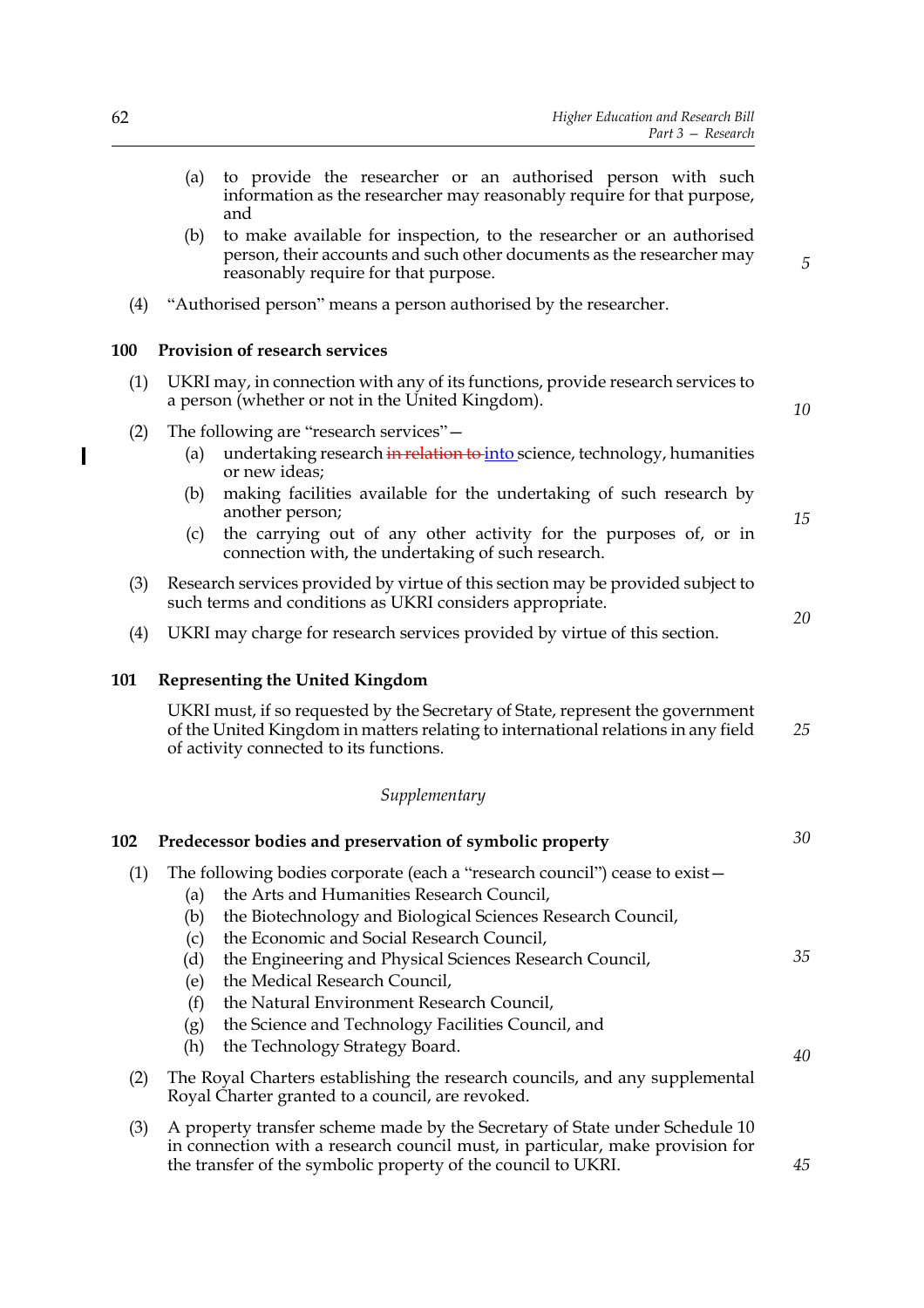|     | (a)                                                                                                                                         | to provide the researcher or an authorised person with such<br>information as the researcher may reasonably require for that purpose,<br>and                                                                                         |                |
|-----|---------------------------------------------------------------------------------------------------------------------------------------------|--------------------------------------------------------------------------------------------------------------------------------------------------------------------------------------------------------------------------------------|----------------|
|     | (b)                                                                                                                                         | to make available for inspection, to the researcher or an authorised<br>person, their accounts and such other documents as the researcher may<br>reasonably require for that purpose.                                                | $\overline{5}$ |
| (4) |                                                                                                                                             | "Authorised person" means a person authorised by the researcher.                                                                                                                                                                     |                |
| 100 |                                                                                                                                             | Provision of research services                                                                                                                                                                                                       |                |
| (1) |                                                                                                                                             | UKRI may, in connection with any of its functions, provide research services to<br>a person (whether or not in the United Kingdom).                                                                                                  | 10             |
| (2) | (a)                                                                                                                                         | The following are "research services" –<br>undertaking research in relation to into science, technology, humanities<br>or new ideas;                                                                                                 |                |
|     | (b)                                                                                                                                         | making facilities available for the undertaking of such research by<br>another person;                                                                                                                                               | 15             |
|     | (c)                                                                                                                                         | the carrying out of any other activity for the purposes of, or in<br>connection with, the undertaking of such research.                                                                                                              |                |
| (3) | Research services provided by virtue of this section may be provided subject to<br>such terms and conditions as UKRI considers appropriate. |                                                                                                                                                                                                                                      |                |
| (4) |                                                                                                                                             | UKRI may charge for research services provided by virtue of this section.                                                                                                                                                            | 20             |
| 101 |                                                                                                                                             | <b>Representing the United Kingdom</b>                                                                                                                                                                                               |                |
|     |                                                                                                                                             | UKRI must, if so requested by the Secretary of State, represent the government<br>of the United Kingdom in matters relating to international relations in any field<br>of activity connected to its functions.                       | 25             |
|     |                                                                                                                                             | Supplementary                                                                                                                                                                                                                        |                |
| 102 |                                                                                                                                             | Predecessor bodies and preservation of symbolic property                                                                                                                                                                             | 30             |
| (1) | (a)<br>(b)                                                                                                                                  | The following bodies corporate (each a "research council") cease to exist –<br>the Arts and Humanities Research Council,<br>the Biotechnology and Biological Sciences Research Council,<br>the Economic and Social Research Council, |                |
|     |                                                                                                                                             |                                                                                                                                                                                                                                      |                |
|     | (c)<br>(d)<br>(e)<br>(f)<br>(g)<br>(h)                                                                                                      | the Engineering and Physical Sciences Research Council,<br>the Medical Research Council,<br>the Natural Environment Research Council,<br>the Science and Technology Facilities Council, and<br>the Technology Strategy Board.        | 35             |
| (2) |                                                                                                                                             | The Royal Charters establishing the research councils, and any supplemental<br>Royal Charter granted to a council, are revoked.                                                                                                      | 40             |

 $\mathbf I$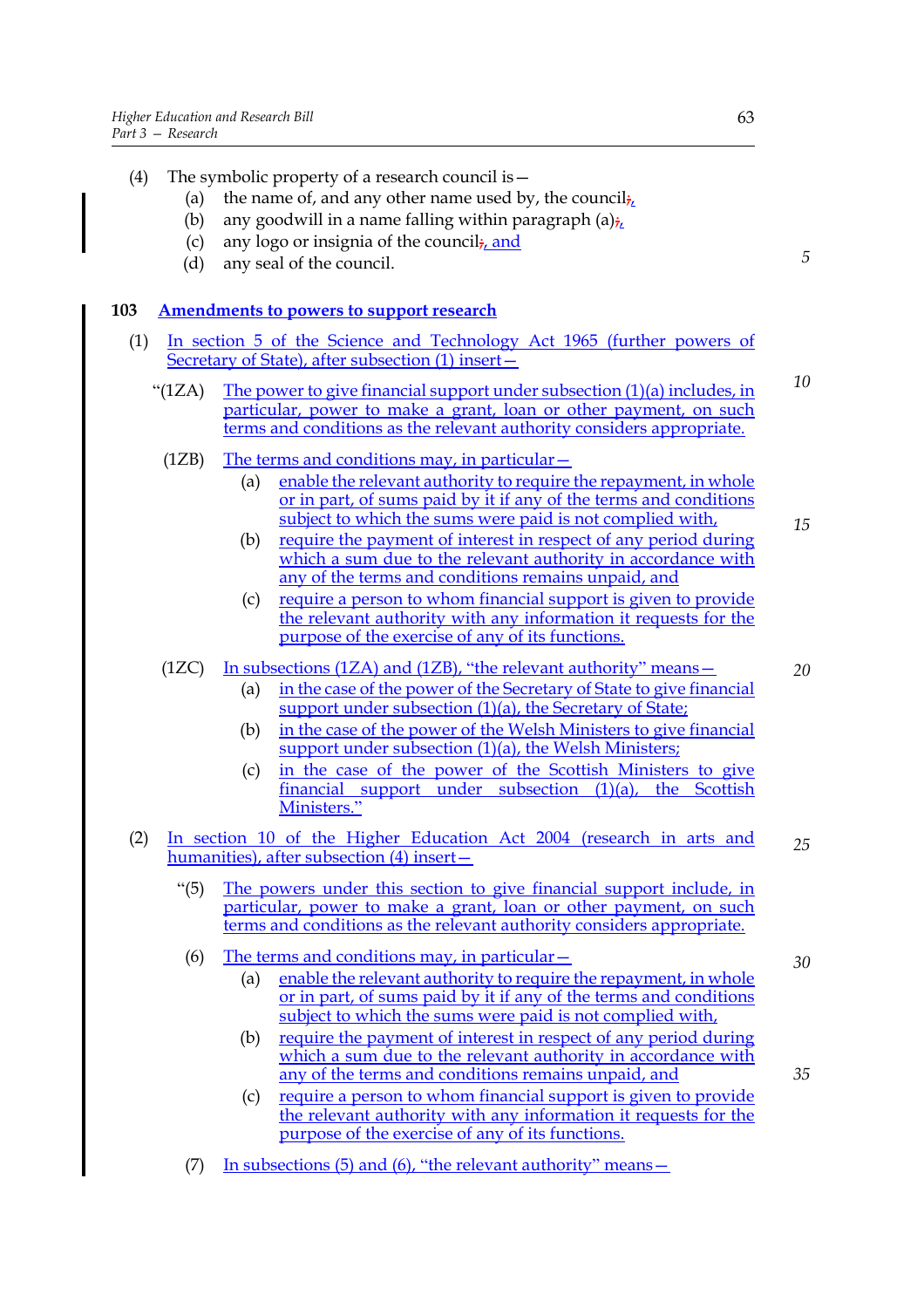| (4) |                 | The symbolic property of a research council is -                                                                                                                                                                                                           |    |
|-----|-----------------|------------------------------------------------------------------------------------------------------------------------------------------------------------------------------------------------------------------------------------------------------------|----|
|     | (a)             | the name of, and any other name used by, the council $\frac{1}{2}$                                                                                                                                                                                         |    |
|     | (b)             | any goodwill in a name falling within paragraph $(a)_{i}$                                                                                                                                                                                                  |    |
|     | (c)             | any logo or insignia of the council <sub>i, and</sub>                                                                                                                                                                                                      |    |
|     | (d)             | any seal of the council.                                                                                                                                                                                                                                   | 5  |
|     |                 |                                                                                                                                                                                                                                                            |    |
| 103 |                 | <b>Amendments to powers to support research</b>                                                                                                                                                                                                            |    |
| (1) |                 | <u>In section 5 of the Science and Technology Act 1965 (further powers of</u><br>Secretary of State), after subsection (1) insert-                                                                                                                         |    |
|     | " $(1ZA)$       | The power to give financial support under subsection (1)(a) includes, in<br>particular, power to make a grant, loan or other payment, on such<br>terms and conditions as the relevant authority considers appropriate.                                     | 10 |
|     | (1ZB)           | <u>The terms and conditions may, in particular –</u>                                                                                                                                                                                                       |    |
|     |                 | enable the relevant authority to require the repayment, in whole<br>(a)<br>or in part, of sums paid by it if any of the terms and conditions                                                                                                               |    |
|     |                 | subject to which the sums were paid is not complied with,<br>require the payment of interest in respect of any period during<br>(b)<br>which a sum due to the relevant authority in accordance with<br>any of the terms and conditions remains unpaid, and | 15 |
|     |                 | require a person to whom financial support is given to provide<br>(c)<br>the relevant authority with any information it requests for the<br>purpose of the exercise of any of its functions.                                                               |    |
|     | (1ZC)           | In subsections (1ZA) and (1ZB), "the relevant authority" means –                                                                                                                                                                                           | 20 |
|     |                 | in the case of the power of the Secretary of State to give financial<br>(a)<br>support under subsection (1)(a), the Secretary of State;                                                                                                                    |    |
|     |                 | in the case of the power of the Welsh Ministers to give financial<br>(b)<br>support under subsection (1)(a), the Welsh Ministers;                                                                                                                          |    |
|     |                 | in the case of the power of the Scottish Ministers to give<br>(c)<br>financial support under subsection $(1)(a)$ , the Scottish<br>Ministers."                                                                                                             |    |
| (2) |                 | In section 10 of the Higher Education Act 2004 (research in arts and                                                                                                                                                                                       | 25 |
|     |                 | humanities), after subsection (4) insert-                                                                                                                                                                                                                  |    |
|     | $\cdot\cdot(5)$ | The powers under this section to give financial support include, in<br>particular, power to make a grant, loan or other payment, on such<br>terms and conditions as the relevant authority considers appropriate.                                          |    |
|     | (6)             | The terms and conditions may, in particular $-$                                                                                                                                                                                                            | 30 |
|     |                 | enable the relevant authority to require the repayment, in whole<br>(a)<br>or in part, of sums paid by it if any of the terms and conditions<br>subject to which the sums were paid is not complied with,                                                  |    |
|     |                 | require the payment of interest in respect of any period during<br>(b)<br>which a sum due to the relevant authority in accordance with<br>any of the terms and conditions remains unpaid, and                                                              | 35 |
|     |                 | require a person to whom financial support is given to provide<br>(c)<br>the relevant authority with any information it requests for the<br>purpose of the exercise of any of its functions.                                                               |    |
|     | (7)             | In subsections (5) and (6), "the relevant authority" means –                                                                                                                                                                                               |    |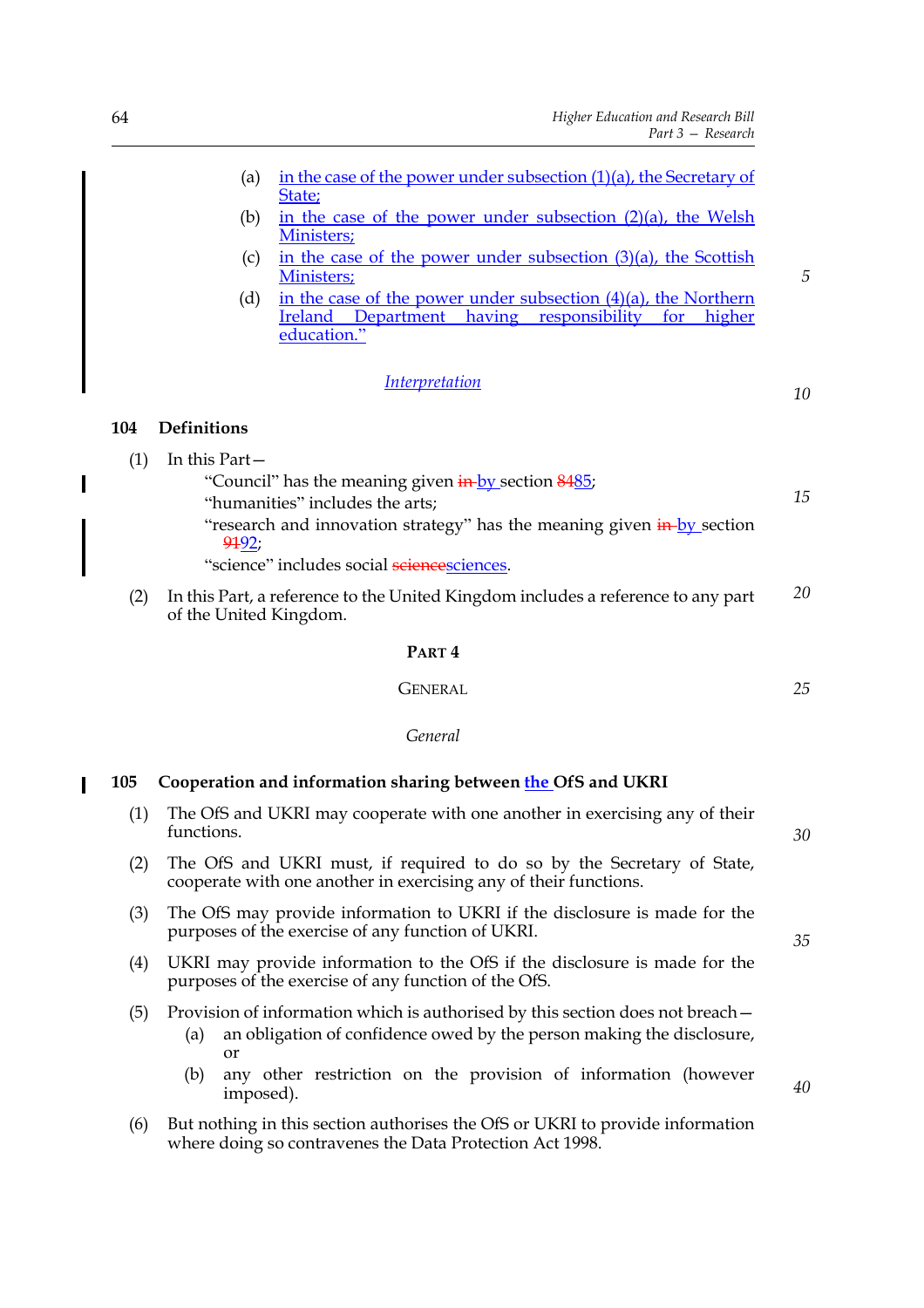| (a)                       | in the case of the power under subsection (1)(a), the Secretary of<br>State;                                                                           |    |
|---------------------------|--------------------------------------------------------------------------------------------------------------------------------------------------------|----|
| (b)                       | in the case of the power under subsection $(2)(a)$ , the Welsh<br>Ministers;                                                                           |    |
| (c)                       | in the case of the power under subsection (3)(a), the Scottish<br>Ministers;                                                                           | 5  |
| (d)                       | in the case of the power under subsection $(4)(a)$ , the Northern<br>Ireland<br>Department<br>having<br>responsibility<br>higher<br>for<br>education." |    |
|                           | <i><u><b>Interpretation</b></u></i>                                                                                                                    | 10 |
| <b>Definitions</b><br>104 |                                                                                                                                                        |    |
| In this Part-<br>(1)      |                                                                                                                                                        |    |
|                           | "Council" has the meaning given <b>in-</b> by section 8485;<br>"humanities" includes the arts;                                                         | 15 |
| 9192;                     | "research and innovation strategy" has the meaning given in-by section                                                                                 |    |
|                           | "science" includes social sciencesciences.                                                                                                             |    |
| (2)                       | In this Part, a reference to the United Kingdom includes a reference to any part                                                                       | 20 |

#### **PART 4**

**GENERAL** 

*25*

*40*

*General*

| <b>105</b> | Cooperation and information sharing between the OfS and UKRI |  |  |
|------------|--------------------------------------------------------------|--|--|
|------------|--------------------------------------------------------------|--|--|

| (1) | The OfS and UKRI may cooperate with one another in exercising any of their<br>functions.                                                   | 30 |
|-----|--------------------------------------------------------------------------------------------------------------------------------------------|----|
| (2) | The OfS and UKRI must, if required to do so by the Secretary of State,<br>cooperate with one another in exercising any of their functions. |    |
| (3) | The OfS may provide information to UKRI if the disclosure is made for the<br>purposes of the exercise of any function of UKRI.             | 35 |
| (4) | UKRI may provide information to the OfS if the disclosure is made for the<br>purposes of the exercise of any function of the OfS.          |    |
| (5) | Provision of information which is authorised by this section does not breach-                                                              |    |

- (a) an obligation of confidence owed by the person making the disclosure, or
- (b) any other restriction on the provision of information (however imposed).
- (6) But nothing in this section authorises the OfS or UKRI to provide information where doing so contravenes the Data Protection Act 1998.

 $\overline{\phantom{a}}$ 

 $\overline{\mathbf{I}}$ 

of the United Kingdom.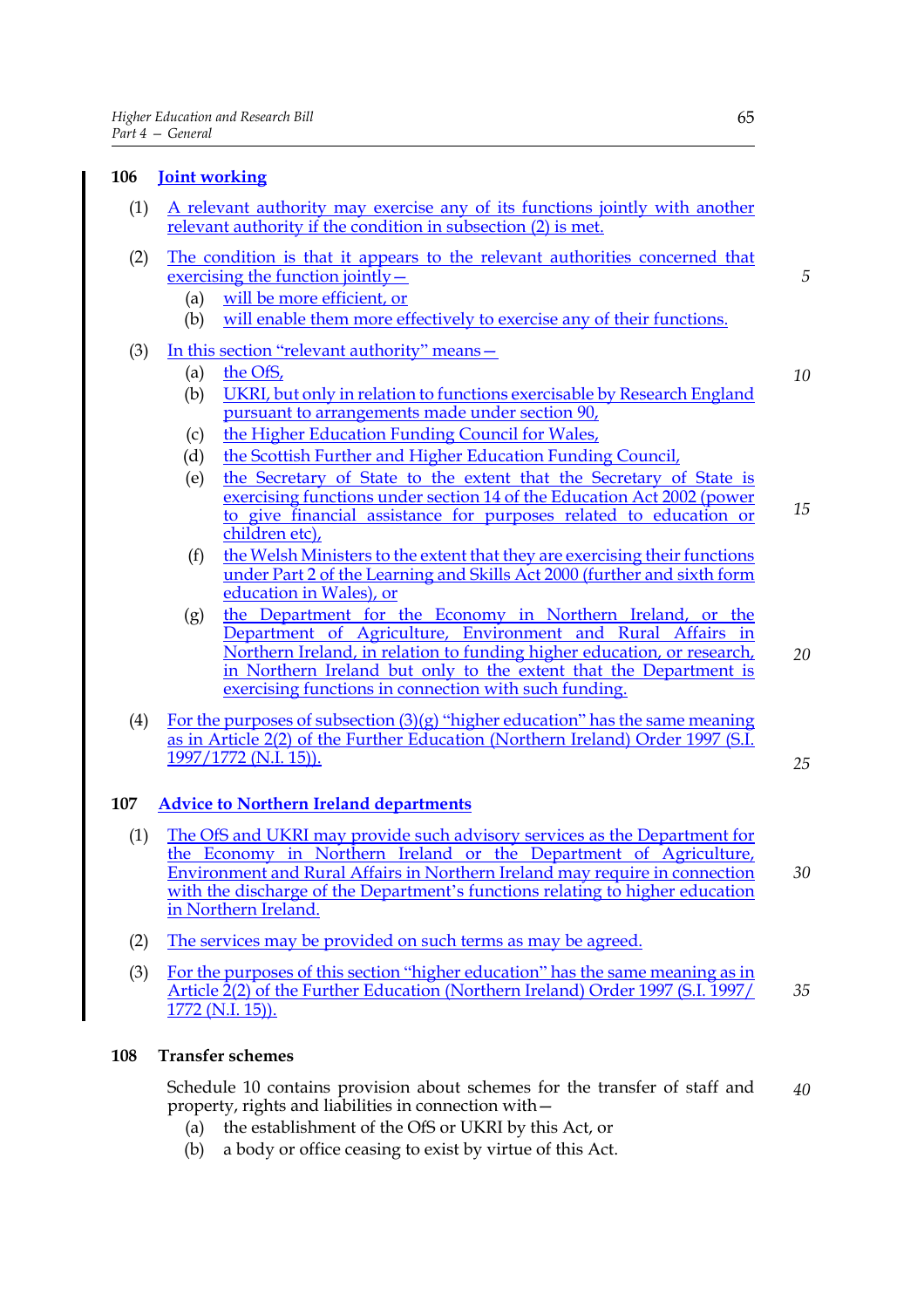#### **106 Joint working** (1) A relevant authority may exercise any of its functions jointly with another relevant authority if the condition in subsection (2) is met. (2) The condition is that it appears to the relevant authorities concerned that exercising the function jointly— (a) will be more efficient, or (b) will enable them more effectively to exercise any of their functions. (3) In this section "relevant authority" means— (a) the OfS, (b) UKRI, but only in relation to functions exercisable by Research England pursuant to arrangements made under section 90, (c) the Higher Education Funding Council for Wales, (d) the Scottish Further and Higher Education Funding Council, (e) the Secretary of State to the extent that the Secretary of State is exercising functions under section 14 of the Education Act 2002 (power to give financial assistance for purposes related to education or children etc), (f) the Welsh Ministers to the extent that they are exercising their functions under Part 2 of the Learning and Skills Act 2000 (further and sixth form education in Wales), or (g) the Department for the Economy in Northern Ireland, or the Department of Agriculture, Environment and Rural Affairs in Northern Ireland, in relation to funding higher education, or research, in Northern Ireland but only to the extent that the Department is exercising functions in connection with such funding. (4) For the purposes of subsection  $(3)(g)$  "higher education" has the same meaning as in Article 2(2) of the Further Education (Northern Ireland) Order 1997 (S.I. 1997/1772 (N.I. 15)).

#### **107 Advice to Northern Ireland departments**

- (1) The OfS and UKRI may provide such advisory services as the Department for the Economy in Northern Ireland or the Department of Agriculture, Environment and Rural Affairs in Northern Ireland may require in connection with the discharge of the Department's functions relating to higher education in Northern Ireland. *30*
- (2) The services may be provided on such terms as may be agreed.
- (3) For the purposes of this section "higher education" has the same meaning as in Article 2(2) of the Further Education (Northern Ireland) Order 1997 (S.I. 1997/ 1772 (N.I. 15)). *35*

#### **108 Transfer schemes**

Schedule 10 contains provision about schemes for the transfer of staff and property, rights and liabilities in connection with— *40*

- (a) the establishment of the OfS or UKRI by this Act, or
- (b) a body or office ceasing to exist by virtue of this Act.

*5*

*10*

*15*

*20*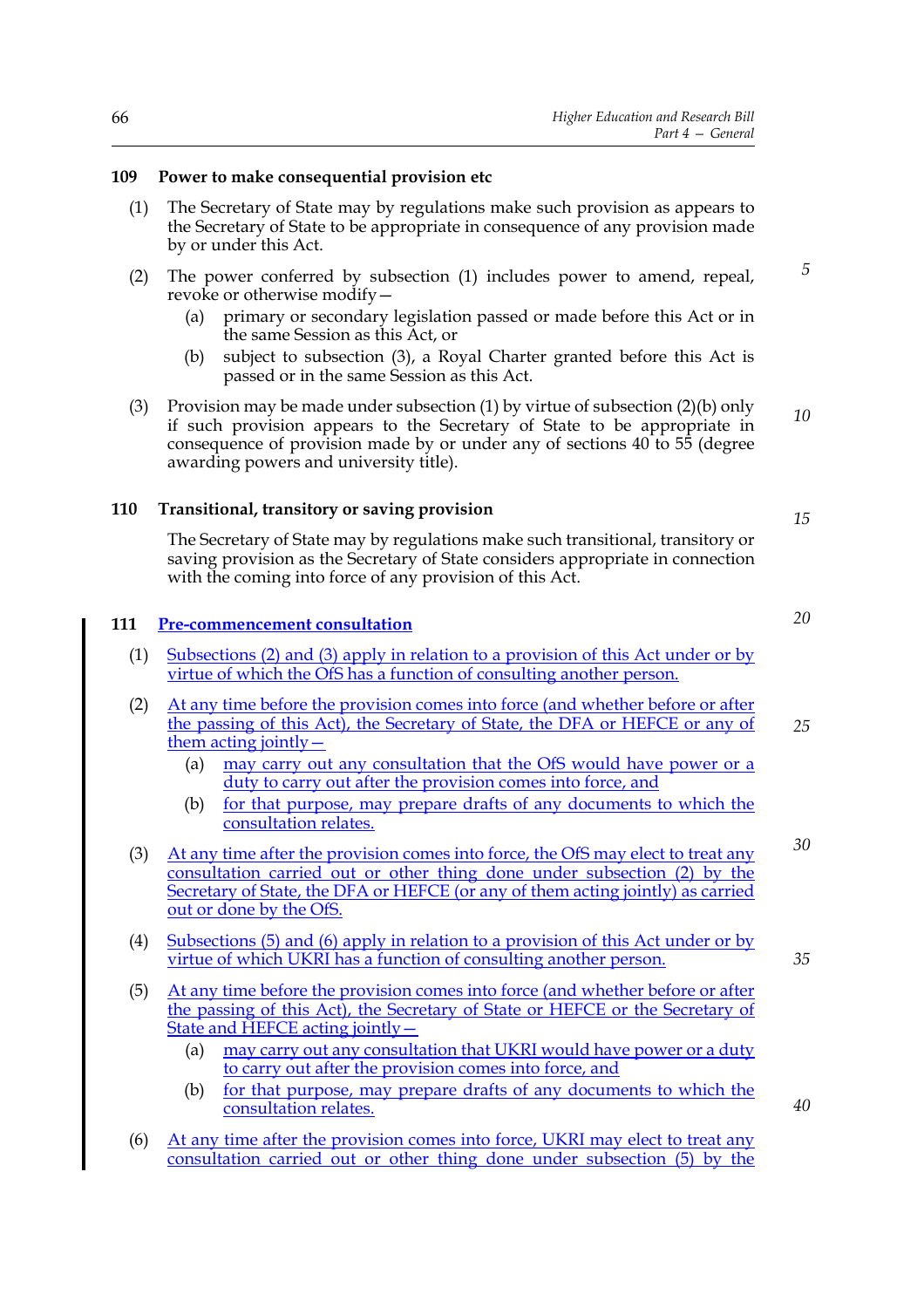#### **109 Power to make consequential provision etc**

- (1) The Secretary of State may by regulations make such provision as appears to the Secretary of State to be appropriate in consequence of any provision made by or under this Act.
- (2) The power conferred by subsection (1) includes power to amend, repeal, revoke or otherwise modify—
	- (a) primary or secondary legislation passed or made before this Act or in the same Session as this Act, or
	- (b) subject to subsection (3), a Royal Charter granted before this Act is passed or in the same Session as this Act.
- (3) Provision may be made under subsection (1) by virtue of subsection (2)(b) only if such provision appears to the Secretary of State to be appropriate in consequence of provision made by or under any of sections 40 to 55 (degree awarding powers and university title). *10*

#### **110 Transitional, transitory or saving provision**

The Secretary of State may by regulations make such transitional, transitory or saving provision as the Secretary of State considers appropriate in connection with the coming into force of any provision of this Act.

#### **111 Pre-commencement consultation**

- (1) Subsections (2) and (3) apply in relation to a provision of this Act under or by virtue of which the OfS has a function of consulting another person.
- (2) At any time before the provision comes into force (and whether before or after the passing of this Act), the Secretary of State, the DFA or HEFCE or any of them acting jointly— *25*
	- (a) may carry out any consultation that the OfS would have power or a duty to carry out after the provision comes into force, and
	- (b) for that purpose, may prepare drafts of any documents to which the consultation relates.
- (3) At any time after the provision comes into force, the OfS may elect to treat any consultation carried out or other thing done under subsection (2) by the Secretary of State, the DFA or HEFCE (or any of them acting jointly) as carried out or done by the OfS.
- (4) Subsections (5) and (6) apply in relation to a provision of this Act under or by virtue of which UKRI has a function of consulting another person.
- (5) At any time before the provision comes into force (and whether before or after the passing of this Act), the Secretary of State or HEFCE or the Secretary of State and HEFCE acting jointly -
	- (a) may carry out any consultation that UKRI would have power or a duty to carry out after the provision comes into force, and
	- (b) for that purpose, may prepare drafts of any documents to which the consultation relates.
- (6) At any time after the provision comes into force, UKRI may elect to treat any consultation carried out or other thing done under subsection (5) by the

*15*

*5*

*20*

*30*

*35*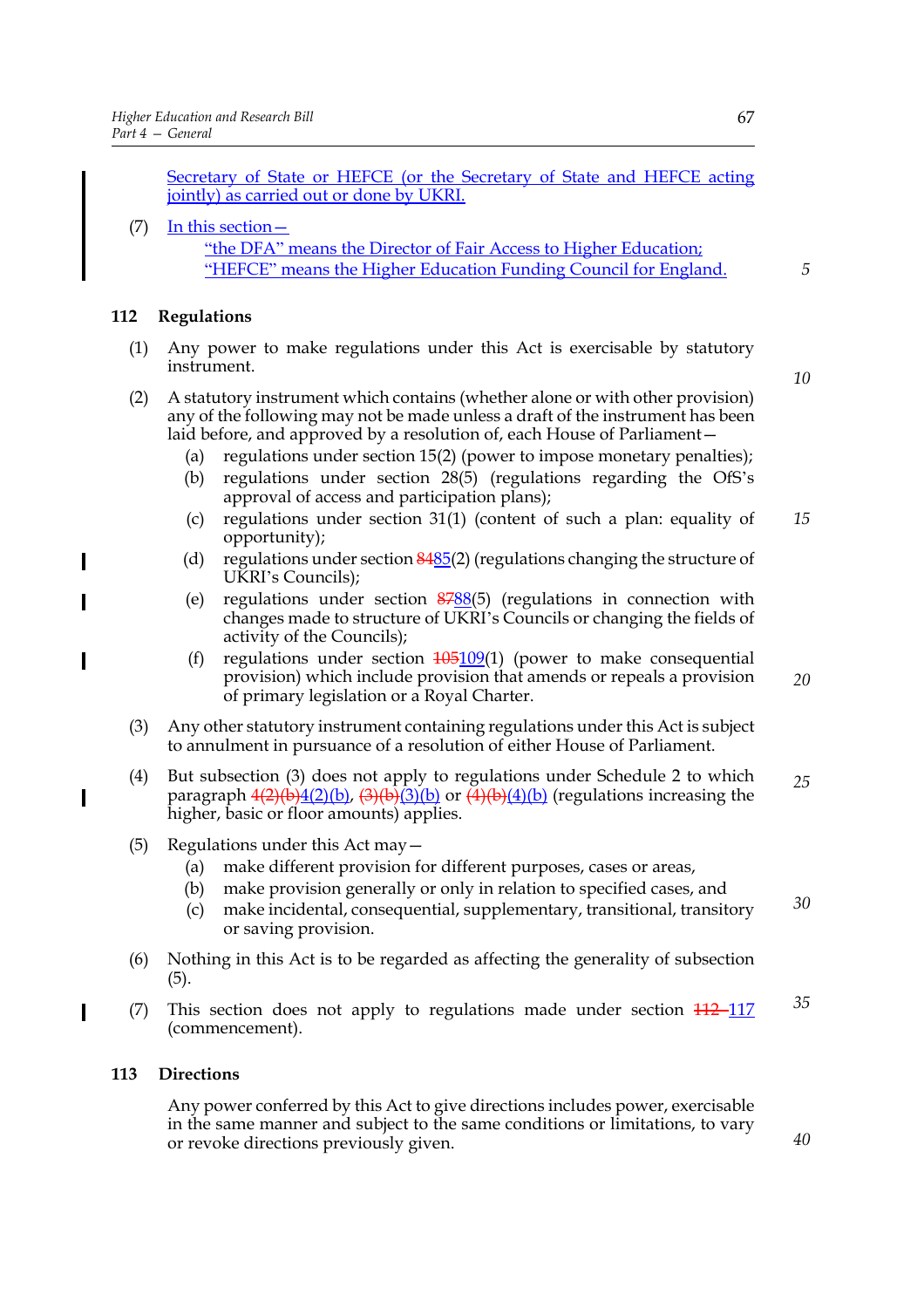Secretary of State or HEFCE (or the Secretary of State and HEFCE acting jointly) as carried out or done by UKRI.

# (7) In this section  $-$ "the DFA" means the Director of Fair Access to Higher Education; "HEFCE" means the Higher Education Funding Council for England.

## **112 Regulations**

 $\overline{\phantom{a}}$ 

I

I

- (1) Any power to make regulations under this Act is exercisable by statutory instrument.
- (2) A statutory instrument which contains (whether alone or with other provision) any of the following may not be made unless a draft of the instrument has been laid before, and approved by a resolution of, each House of Parliament—
	- (a) regulations under section 15(2) (power to impose monetary penalties);
	- (b) regulations under section 28(5) (regulations regarding the OfS's approval of access and participation plans);
	- (c) regulations under section 31(1) (content of such a plan: equality of opportunity); *15*
	- (d) regulations under section  $\frac{8485}{2}$  (regulations changing the structure of UKRI's Councils);
	- (e) regulations under section 8788(5) (regulations in connection with changes made to structure of UKRI's Councils or changing the fields of activity of the Councils);
	- (f) regulations under section  $\frac{105109}{11}$  (power to make consequential provision) which include provision that amends or repeals a provision of primary legislation or a Royal Charter.
- (3) Any other statutory instrument containing regulations under this Act is subject to annulment in pursuance of a resolution of either House of Parliament.
- (4) But subsection (3) does not apply to regulations under Schedule 2 to which paragraph  $4(2)(b)4(2)(b)$ ,  $(3)(b)3(b)$  or  $(4)(b)(4)(b)$  (regulations increasing the higher, basic or floor amounts) applies. *25*
- (5) Regulations under this Act may—
	- (a) make different provision for different purposes, cases or areas,
	- (b) make provision generally or only in relation to specified cases, and
	- (c) make incidental, consequential, supplementary, transitional, transitory or saving provision. *30*
- (6) Nothing in this Act is to be regarded as affecting the generality of subsection (5).
- (7) This section does not apply to regulations made under section  $\frac{112 117}{112}$ (commencement). *35*

## **113 Directions**

Any power conferred by this Act to give directions includes power, exercisable in the same manner and subject to the same conditions or limitations, to vary or revoke directions previously given.

*10*

*20*

*5*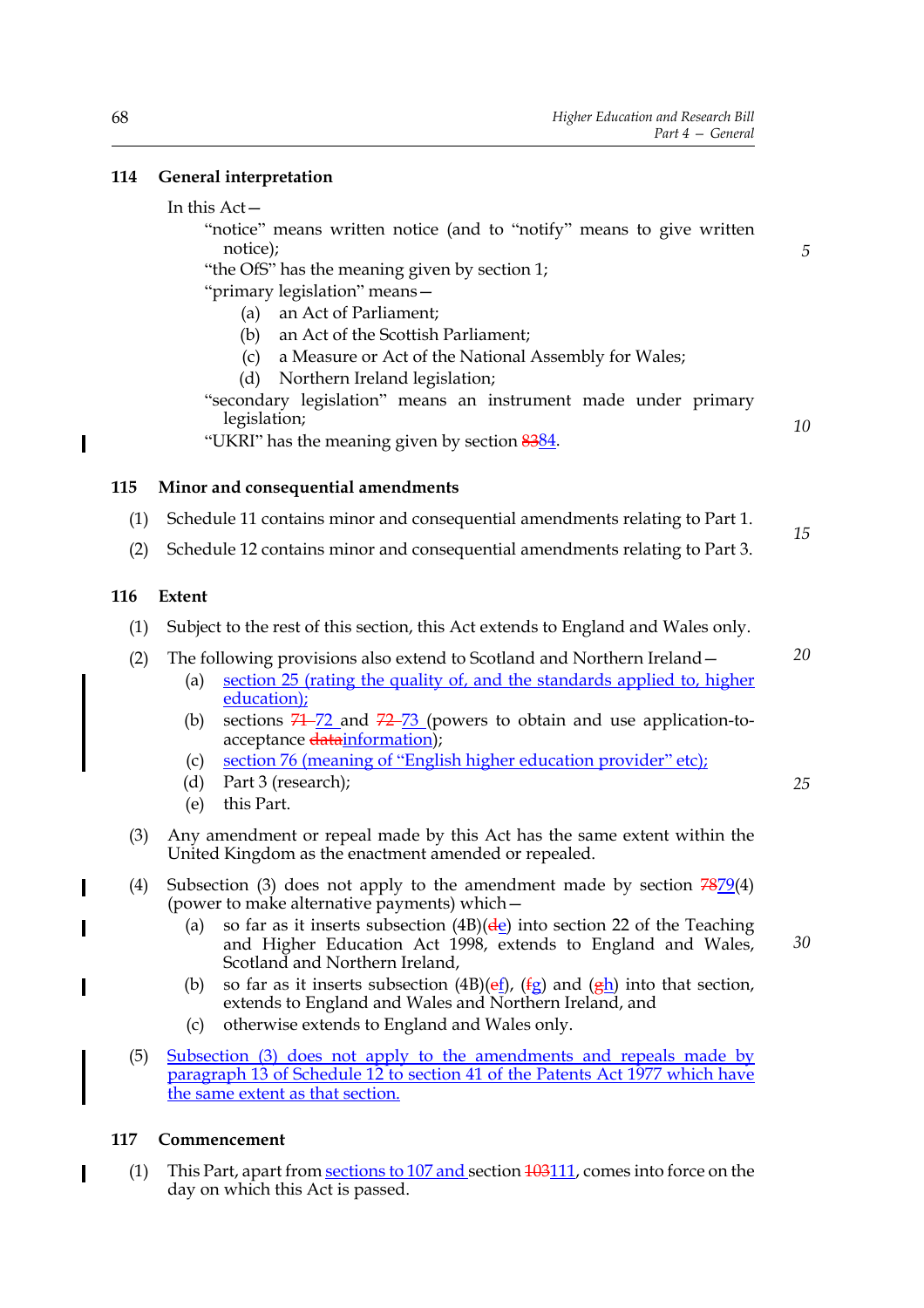# **114 General interpretation**

#### In this Act—

"notice" means written notice (and to "notify" means to give written notice);

"the OfS" has the meaning given by section 1;

"primary legislation" means—

- (a) an Act of Parliament;
- (b) an Act of the Scottish Parliament;
- (c) a Measure or Act of the National Assembly for Wales;
- (d) Northern Ireland legislation;

"secondary legislation" means an instrument made under primary legislation;

"UKRI" has the meaning given by section 8384.

# **115 Minor and consequential amendments**

- (1) Schedule 11 contains minor and consequential amendments relating to Part 1. *15*
- (2) Schedule 12 contains minor and consequential amendments relating to Part 3.

## **116 Extent**

- (1) Subject to the rest of this section, this Act extends to England and Wales only.
- (2) The following provisions also extend to Scotland and Northern Ireland—
	- (a) section 25 (rating the quality of, and the standards applied to, higher education);
		- (b) sections  $71 72$  and  $72 73$  (powers to obtain and use application-toacceptance datainformation);
		- (c) section 76 (meaning of "English higher education provider" etc);
	- (d) Part 3 (research);
	- (e) this Part.
- (3) Any amendment or repeal made by this Act has the same extent within the United Kingdom as the enactment amended or repealed.
- (4) Subsection (3) does not apply to the amendment made by section  $7879(4)$ (power to make alternative payments) which—
	- (a) so far as it inserts subsection  $(4B)(\frac{d}{e})$  into section 22 of the Teaching and Higher Education Act 1998, extends to England and Wales, Scotland and Northern Ireland,
	- (b) so far as it inserts subsection  $(4B)(ef)$ ,  $(fg)$  and  $(gh)$  into that section, extends to England and Wales and Northern Ireland, and
	- (c) otherwise extends to England and Wales only.
- (5) Subsection (3) does not apply to the amendments and repeals made by paragraph 13 of Schedule 12 to section 41 of the Patents Act 1977 which have the same extent as that section.

#### **117 Commencement**

(1) This Part, apart from sections to 107 and section 103111, comes into force on the day on which this Act is passed.

*25*

*30*

*20*

*5*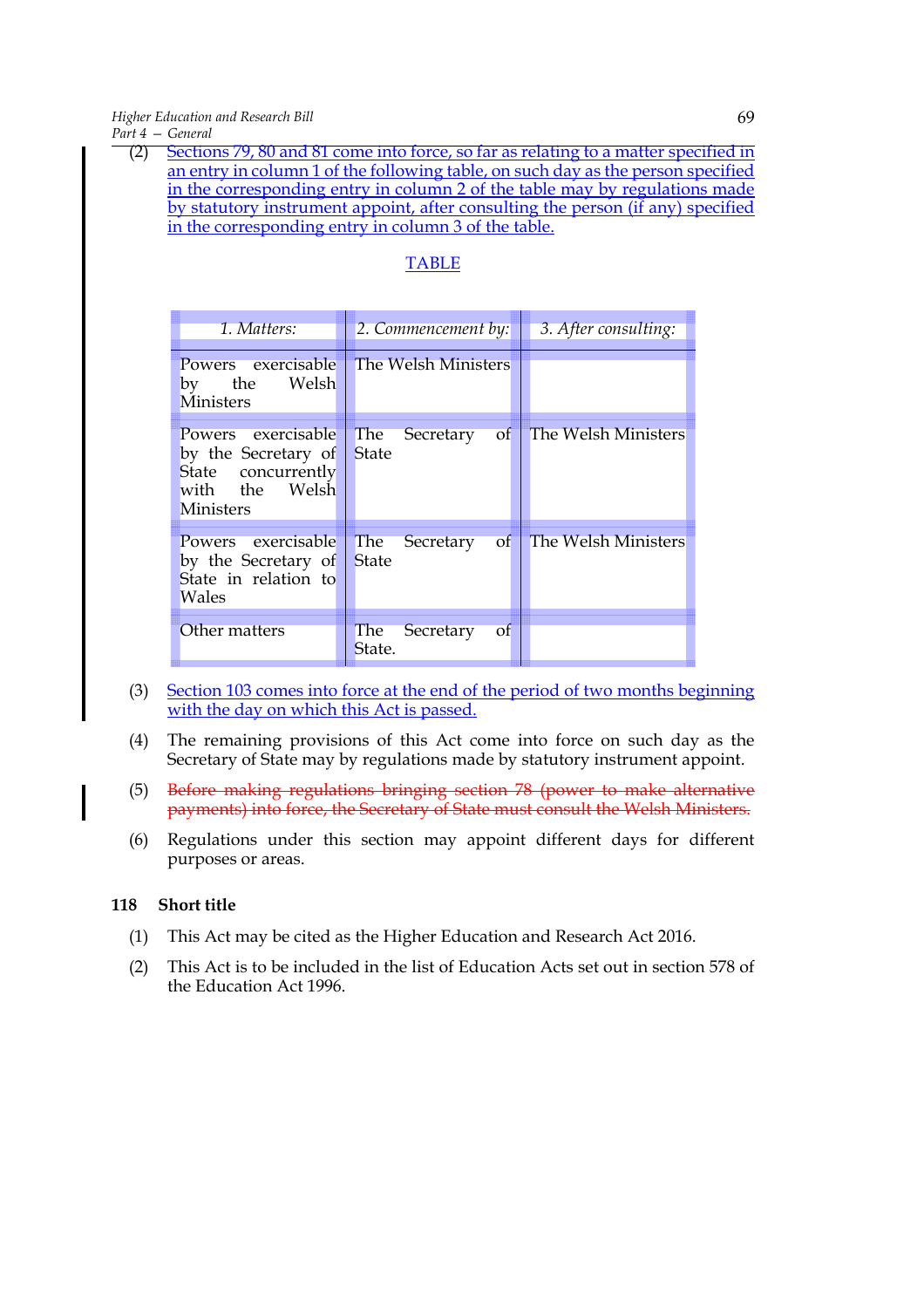*Higher Education and Research Bill Part 4 — General*

| Sections 79, 80 and 81 come into force, so far as relating to a matter specified in |
|-------------------------------------------------------------------------------------|
| an entry in column 1 of the following table, on such day as the person specified    |
| in the corresponding entry in column 2 of the table may by regulations made         |
| by statutory instrument appoint, after consulting the person (if any) specified     |
| in the corresponding entry in column 3 of the table.                                |
|                                                                                     |

# TABLE

| 1. Matters:                                                                                           | $2.$ Commencement by:                      | 3. After consulting: |
|-------------------------------------------------------------------------------------------------------|--------------------------------------------|----------------------|
| Powers exercisable<br>by the Welsh<br><b>Ministers</b>                                                | The Welsh Ministers                        |                      |
| Powers exercisable<br>by the Secretary of<br>State concurrently<br>with the Welsh<br><b>Ministers</b> | The Secretary<br>$\circ$ f<br><b>State</b> | The Welsh Ministers  |
| Powers exercisable<br>by the Secretary of<br>State in relation to<br>Wales                            | The Secretary of<br>State                  | The Welsh Ministers  |
| Other matters                                                                                         | The Secretary<br>- of<br>State.            |                      |

- (3) Section 103 comes into force at the end of the period of two months beginning with the day on which this Act is passed.
- (4) The remaining provisions of this Act come into force on such day as the Secretary of State may by regulations made by statutory instrument appoint.
- (5) Before making regulations bringing section 78 (power to make alternative payments) into force, the Secretary of State must consult the Welsh Ministers.
- (6) Regulations under this section may appoint different days for different purposes or areas.

#### **118 Short title**

- (1) This Act may be cited as the Higher Education and Research Act 2016.
- (2) This Act is to be included in the list of Education Acts set out in section 578 of the Education Act 1996.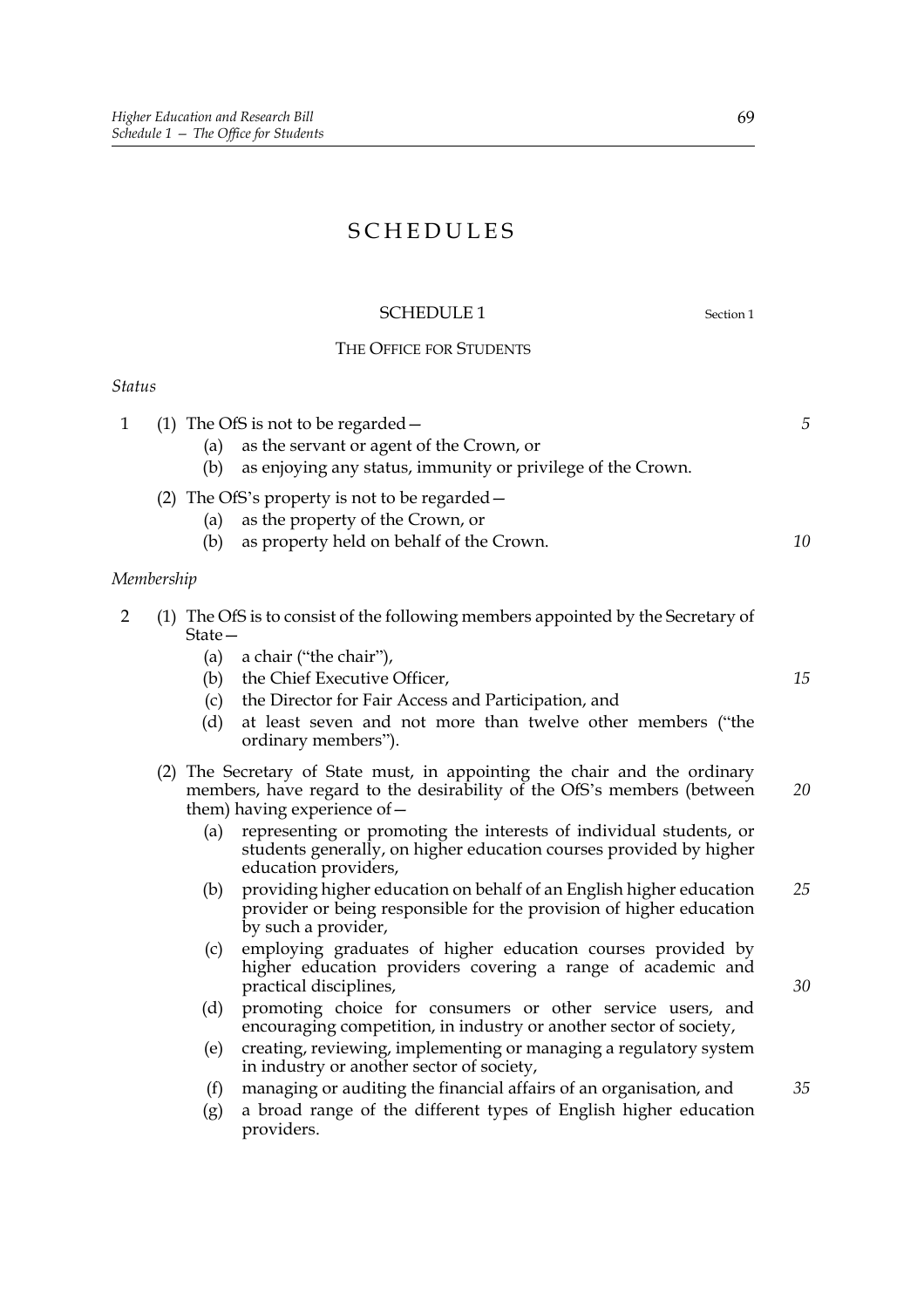# SCHEDULES

## SCHEDULE 1 Section 1

*35*

# THE OFFICE FOR STUDENTS

#### *Status*

| $\mathbf{1}$   |            | (1) The OfS is not to be regarded $-$                                                                                                                                                 | 5  |
|----------------|------------|---------------------------------------------------------------------------------------------------------------------------------------------------------------------------------------|----|
|                | (a)        | as the servant or agent of the Crown, or                                                                                                                                              |    |
|                | (b)        | as enjoying any status, immunity or privilege of the Crown.                                                                                                                           |    |
|                |            | (2) The OfS's property is not to be regarded -                                                                                                                                        |    |
|                | (a)        | as the property of the Crown, or                                                                                                                                                      |    |
|                | (b)        | as property held on behalf of the Crown.                                                                                                                                              | 10 |
|                | Membership |                                                                                                                                                                                       |    |
| $\overline{2}$ | $State-$   | (1) The OfS is to consist of the following members appointed by the Secretary of                                                                                                      |    |
|                | (a)        | a chair ("the chair"),                                                                                                                                                                |    |
|                | (b)        | the Chief Executive Officer,                                                                                                                                                          | 15 |
|                | (c)        | the Director for Fair Access and Participation, and                                                                                                                                   |    |
|                | (d)        | at least seven and not more than twelve other members ("the<br>ordinary members").                                                                                                    |    |
|                |            | (2) The Secretary of State must, in appointing the chair and the ordinary<br>members, have regard to the desirability of the OfS's members (between<br>them) having experience of $-$ | 20 |
|                | (a)        | representing or promoting the interests of individual students, or<br>students generally, on higher education courses provided by higher<br>education providers,                      |    |
|                | (b)        | providing higher education on behalf of an English higher education<br>provider or being responsible for the provision of higher education<br>by such a provider,                     | 25 |
|                | (c)        | employing graduates of higher education courses provided by<br>higher education providers covering a range of academic and<br>practical disciplines,                                  | 30 |

- (d) promoting choice for consumers or other service users, and encouraging competition, in industry or another sector of society,
- (e) creating, reviewing, implementing or managing a regulatory system in industry or another sector of society,
- (f) managing or auditing the financial affairs of an organisation, and
- (g) a broad range of the different types of English higher education providers.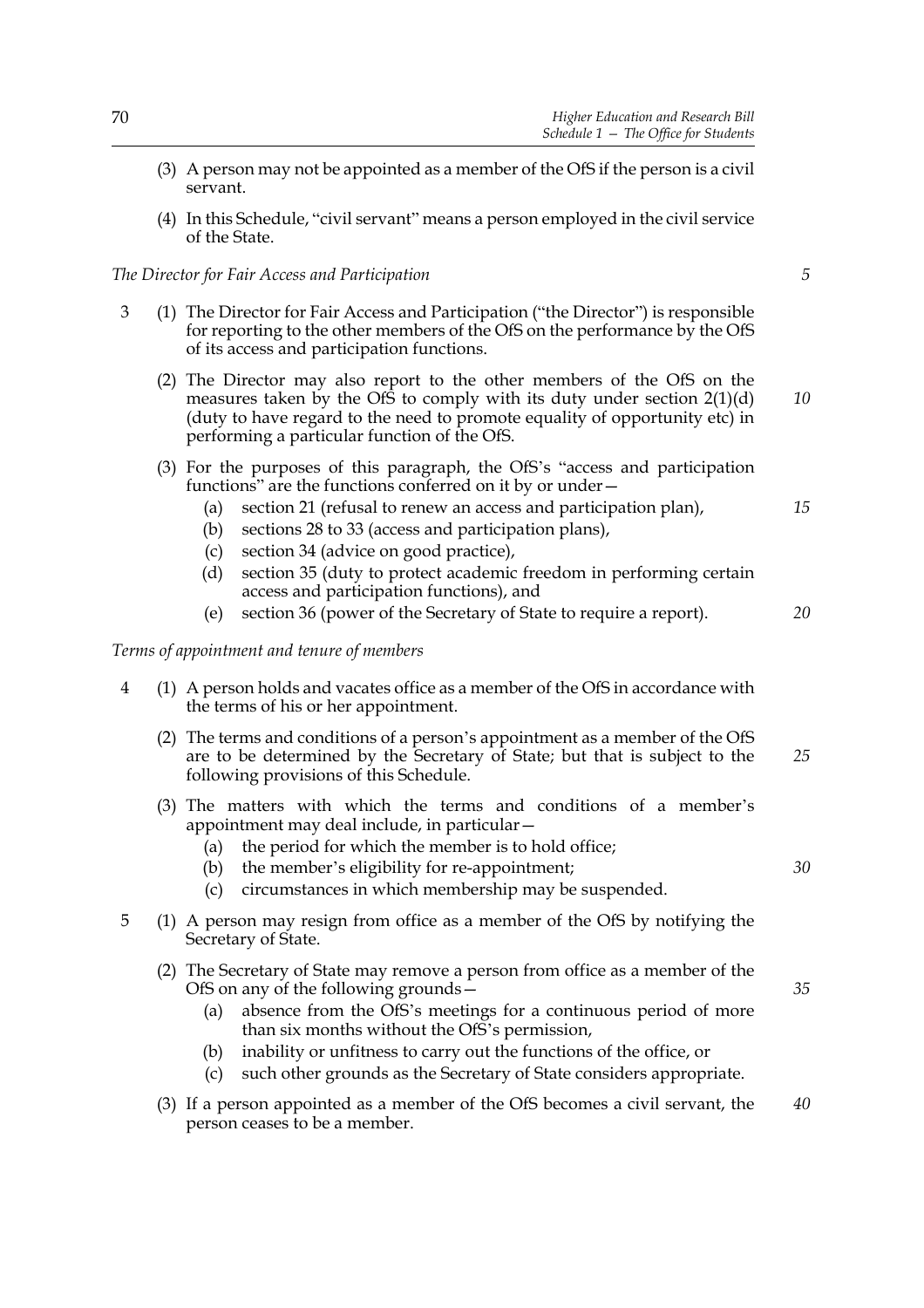- (3) A person may not be appointed as a member of the OfS if the person is a civil servant.
- (4) In this Schedule, "civil servant" means a person employed in the civil service of the State.

#### *The Director for Fair Access and Participation*

- 3 (1) The Director for Fair Access and Participation ("the Director") is responsible for reporting to the other members of the OfS on the performance by the OfS of its access and participation functions.
	- (2) The Director may also report to the other members of the OfS on the measures taken by the OfS to comply with its duty under section  $2(1)(d)$ (duty to have regard to the need to promote equality of opportunity etc) in performing a particular function of the OfS. *10*
	- (3) For the purposes of this paragraph, the OfS's "access and participation functions" are the functions conferred on it by or under—
		- (a) section 21 (refusal to renew an access and participation plan),
		- (b) sections 28 to 33 (access and participation plans),
		- (c) section 34 (advice on good practice),
		- (d) section 35 (duty to protect academic freedom in performing certain access and participation functions), and
		- (e) section 36 (power of the Secretary of State to require a report).

#### *Terms of appointment and tenure of members*

- 4 (1) A person holds and vacates office as a member of the OfS in accordance with the terms of his or her appointment.
	- (2) The terms and conditions of a person's appointment as a member of the OfS are to be determined by the Secretary of State; but that is subject to the following provisions of this Schedule. *25*
	- (3) The matters with which the terms and conditions of a member's appointment may deal include, in particular—
		- (a) the period for which the member is to hold office;
		- (b) the member's eligibility for re-appointment;
		- (c) circumstances in which membership may be suspended.
- 5 (1) A person may resign from office as a member of the OfS by notifying the Secretary of State.
	- (2) The Secretary of State may remove a person from office as a member of the OfS on any of the following grounds—
		- (a) absence from the OfS's meetings for a continuous period of more than six months without the OfS's permission,
		- (b) inability or unfitness to carry out the functions of the office, or
		- (c) such other grounds as the Secretary of State considers appropriate.
	- (3) If a person appointed as a member of the OfS becomes a civil servant, the person ceases to be a member. *40*

*5*

*15*

*20*

*30*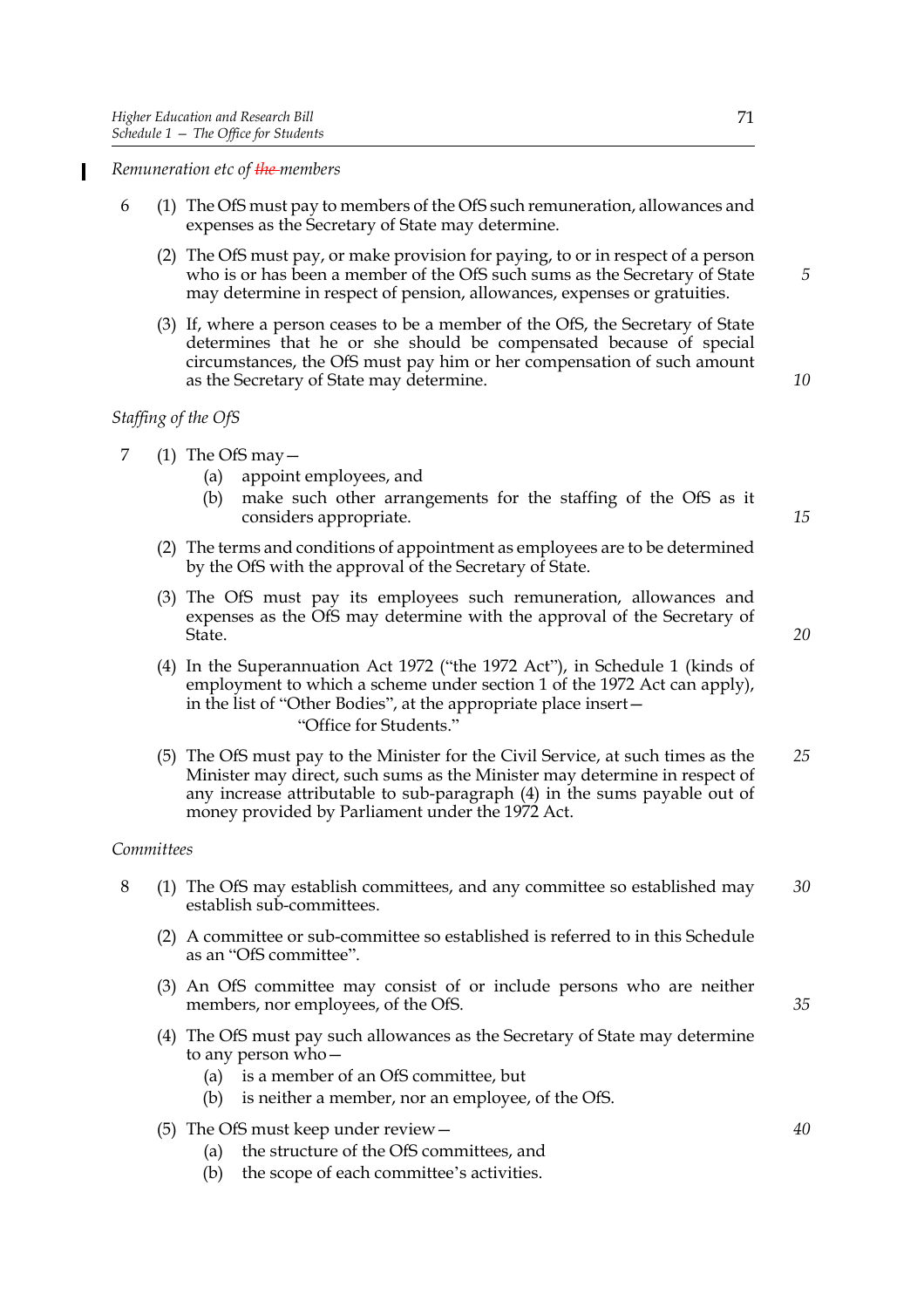*Remuneration etc of the members*

- 6 (1) The OfS must pay to members of the OfS such remuneration, allowances and expenses as the Secretary of State may determine.
	- (2) The OfS must pay, or make provision for paying, to or in respect of a person who is or has been a member of the OfS such sums as the Secretary of State may determine in respect of pension, allowances, expenses or gratuities.
	- (3) If, where a person ceases to be a member of the OfS, the Secretary of State determines that he or she should be compensated because of special circumstances, the OfS must pay him or her compensation of such amount as the Secretary of State may determine.

# *Staffing of the OfS*

- 7 (1) The OfS may  $-$ 
	- (a) appoint employees, and
	- (b) make such other arrangements for the staffing of the OfS as it considers appropriate.
	- (2) The terms and conditions of appointment as employees are to be determined by the OfS with the approval of the Secretary of State.
	- (3) The OfS must pay its employees such remuneration, allowances and expenses as the OfS may determine with the approval of the Secretary of State.
	- (4) In the Superannuation Act 1972 ("the 1972 Act"), in Schedule 1 (kinds of employment to which a scheme under section 1 of the 1972 Act can apply), in the list of "Other Bodies", at the appropriate place insert— "Office for Students."
	- (5) The OfS must pay to the Minister for the Civil Service, at such times as the Minister may direct, such sums as the Minister may determine in respect of any increase attributable to sub-paragraph (4) in the sums payable out of money provided by Parliament under the 1972 Act. *25*

#### *Committees*

- 8 (1) The OfS may establish committees, and any committee so established may establish sub-committees. *30*
	- (2) A committee or sub-committee so established is referred to in this Schedule as an "OfS committee".
	- (3) An OfS committee may consist of or include persons who are neither members, nor employees, of the OfS.
	- (4) The OfS must pay such allowances as the Secretary of State may determine to any person who—
		- (a) is a member of an OfS committee, but
		- (b) is neither a member, nor an employee, of the OfS.
	- (5) The OfS must keep under review—
		- (a) the structure of the OfS committees, and
		- (b) the scope of each committee's activities.

*10*

*5*

*20*

*15*

*40*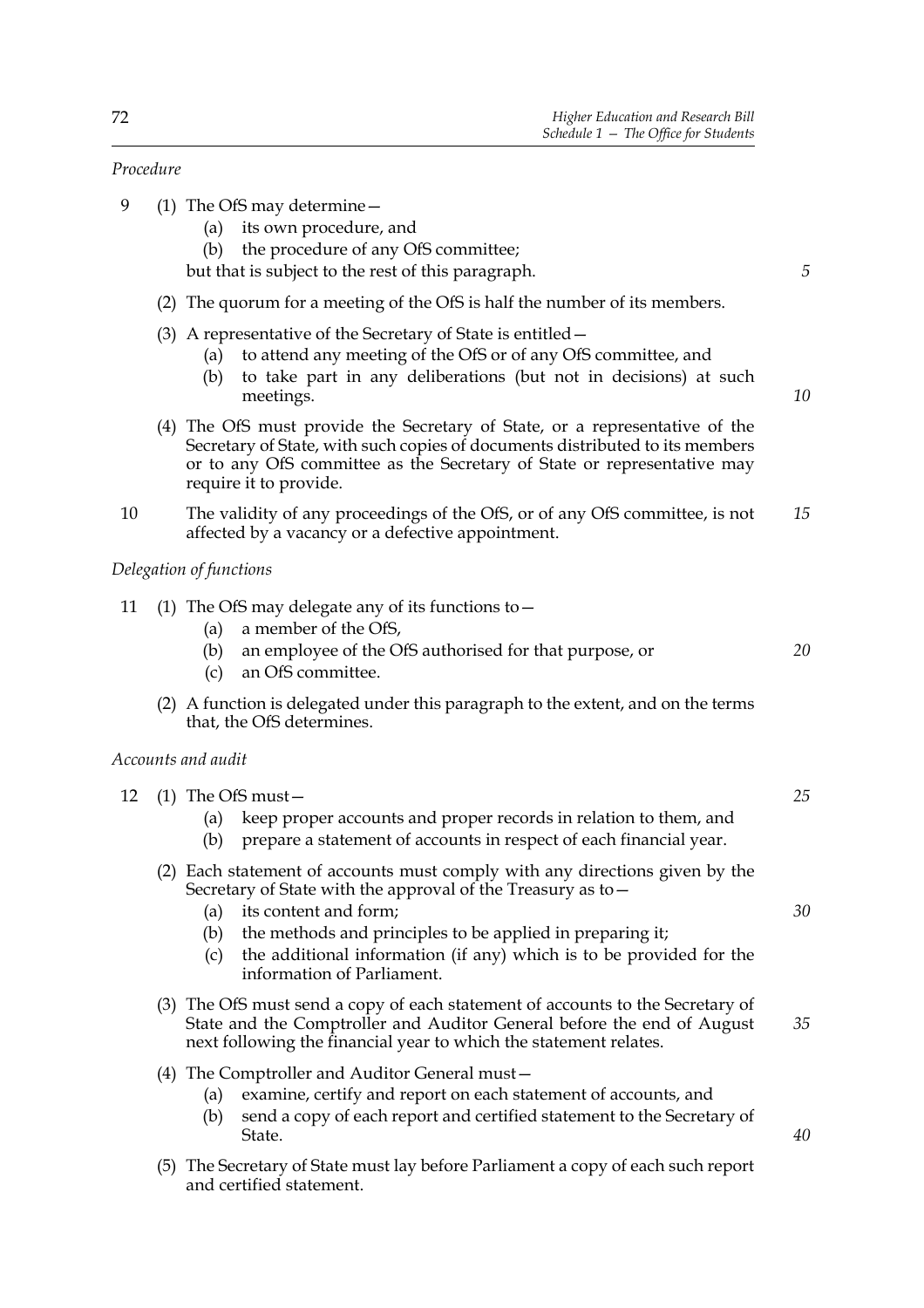*5*

*10*

*20*

#### *Procedure*

- 9 (1) The OfS may determine—
	- (a) its own procedure, and
	- (b) the procedure of any OfS committee;

but that is subject to the rest of this paragraph.

- (2) The quorum for a meeting of the OfS is half the number of its members.
- (3) A representative of the Secretary of State is entitled—
	- (a) to attend any meeting of the OfS or of any OfS committee, and
	- (b) to take part in any deliberations (but not in decisions) at such meetings.
- (4) The OfS must provide the Secretary of State, or a representative of the Secretary of State, with such copies of documents distributed to its members or to any OfS committee as the Secretary of State or representative may require it to provide.
- 10 The validity of any proceedings of the OfS, or of any OfS committee, is not affected by a vacancy or a defective appointment. *15*

*Delegation of functions*

- 11 (1) The OfS may delegate any of its functions to—
	- (a) a member of the OfS,
	- (b) an employee of the OfS authorised for that purpose, or
	- (c) an OfS committee.

and certified statement.

(2) A function is delegated under this paragraph to the extent, and on the terms that, the OfS determines.

#### *Accounts and audit*

| 12 |                   | $(1)$ The OfS must –                                                                                                                                                                                                                                                                                                              | 25 |
|----|-------------------|-----------------------------------------------------------------------------------------------------------------------------------------------------------------------------------------------------------------------------------------------------------------------------------------------------------------------------------|----|
|    | (a)<br>(b)        | keep proper accounts and proper records in relation to them, and<br>prepare a statement of accounts in respect of each financial year.                                                                                                                                                                                            |    |
|    | (a)<br>(b)<br>(c) | Each statement of accounts must comply with any directions given by the<br>Secretary of State with the approval of the Treasury as to-<br>its content and form;<br>the methods and principles to be applied in preparing it;<br>the additional information (if any) which is to be provided for the<br>information of Parliament. | 30 |
|    |                   | (3) The OfS must send a copy of each statement of accounts to the Secretary of<br>State and the Comptroller and Auditor General before the end of August<br>next following the financial year to which the statement relates.                                                                                                     | 35 |
|    | (a)<br>(b)        | (4) The Comptroller and Auditor General must-<br>examine, certify and report on each statement of accounts, and<br>send a copy of each report and certified statement to the Secretary of<br>State.                                                                                                                               | 40 |
|    | (5)               | The Secretary of State must lay before Parliament a copy of each such report                                                                                                                                                                                                                                                      |    |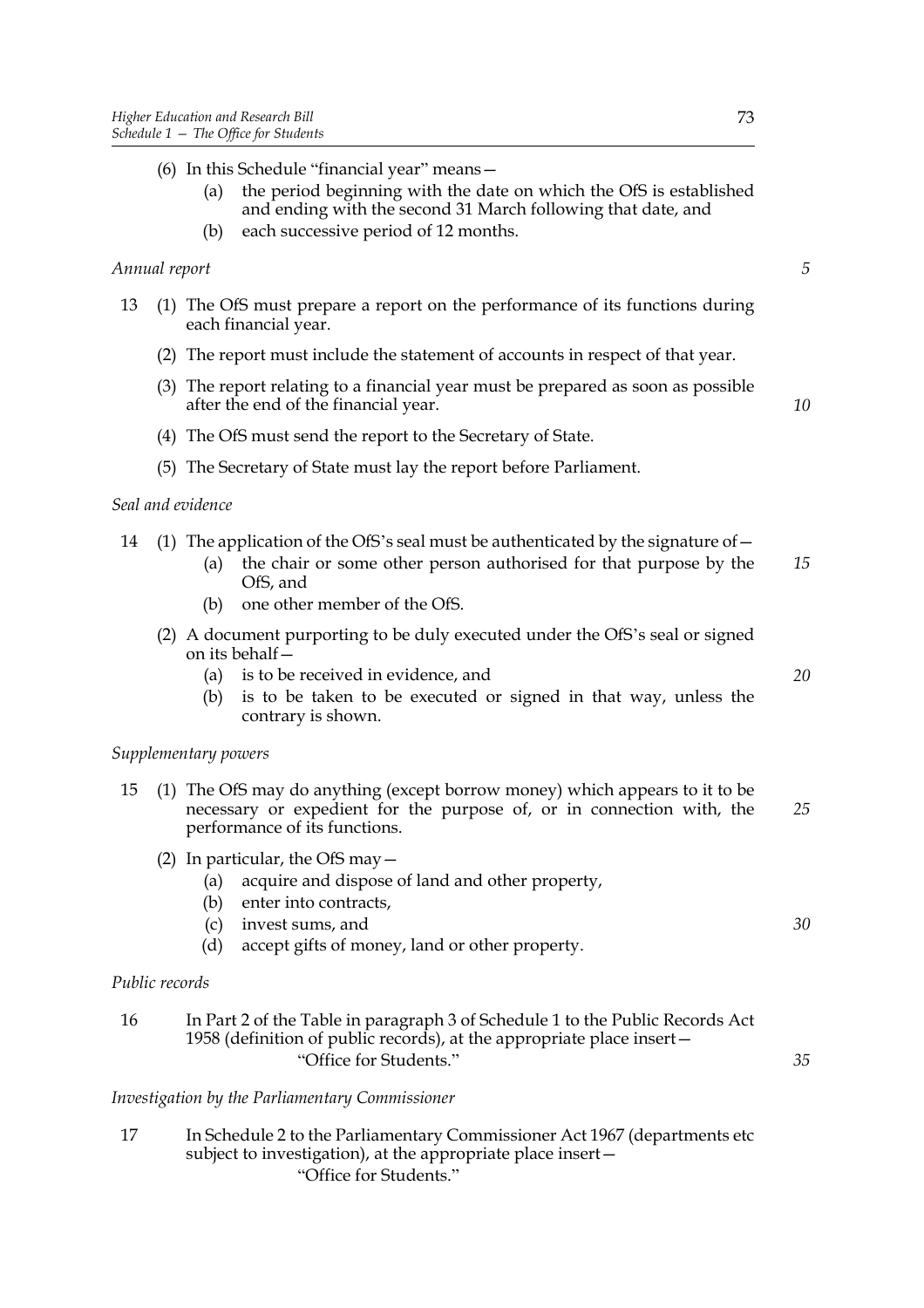|                |     | (a)                      | $(6)$ In this Schedule "financial year" means $-$<br>the period beginning with the date on which the OfS is established<br>and ending with the second 31 March following that date, and |    |
|----------------|-----|--------------------------|-----------------------------------------------------------------------------------------------------------------------------------------------------------------------------------------|----|
|                |     | (b)                      | each successive period of 12 months.                                                                                                                                                    |    |
| Annual report  |     |                          |                                                                                                                                                                                         | 5  |
| 13             |     |                          | (1) The OfS must prepare a report on the performance of its functions during<br>each financial year.                                                                                    |    |
|                |     |                          | (2) The report must include the statement of accounts in respect of that year.                                                                                                          |    |
|                |     |                          | (3) The report relating to a financial year must be prepared as soon as possible<br>after the end of the financial year.                                                                | 10 |
|                |     |                          | (4) The OfS must send the report to the Secretary of State.                                                                                                                             |    |
|                |     |                          | (5) The Secretary of State must lay the report before Parliament.                                                                                                                       |    |
|                |     | Seal and evidence        |                                                                                                                                                                                         |    |
| 14             |     | (a)                      | (1) The application of the OfS's seal must be authenticated by the signature of $-$<br>the chair or some other person authorised for that purpose by the<br>OfS, and                    | 15 |
|                |     | (b)                      | one other member of the OfS.                                                                                                                                                            |    |
|                | (2) |                          | A document purporting to be duly executed under the OfS's seal or signed<br>on its behalf-                                                                                              |    |
|                |     | (a)                      | is to be received in evidence, and                                                                                                                                                      | 20 |
|                |     | (b)                      | is to be taken to be executed or signed in that way, unless the<br>contrary is shown.                                                                                                   |    |
|                |     | Supplementary powers     |                                                                                                                                                                                         |    |
| 15             | (1) |                          | The OfS may do anything (except borrow money) which appears to it to be<br>necessary or expedient for the purpose of, or in connection with, the<br>performance of its functions.       | 25 |
|                |     | (a)<br>(b)<br>(c)<br>(d) | (2) In particular, the OfS may $-$<br>acquire and dispose of land and other property,<br>enter into contracts,<br>invest sums, and<br>accept gifts of money, land or other property.    | 30 |
| Public records |     |                          |                                                                                                                                                                                         |    |
| 16             |     |                          | In Part 2 of the Table in paragraph 3 of Schedule 1 to the Public Records Act<br>1958 (definition of public records), at the appropriate place insert-<br>"Office for Students."        | 35 |
|                |     |                          |                                                                                                                                                                                         |    |

*Investigation by the Parliamentary Commissioner*

17 In Schedule 2 to the Parliamentary Commissioner Act 1967 (departments etc subject to investigation), at the appropriate place insert— "Office for Students."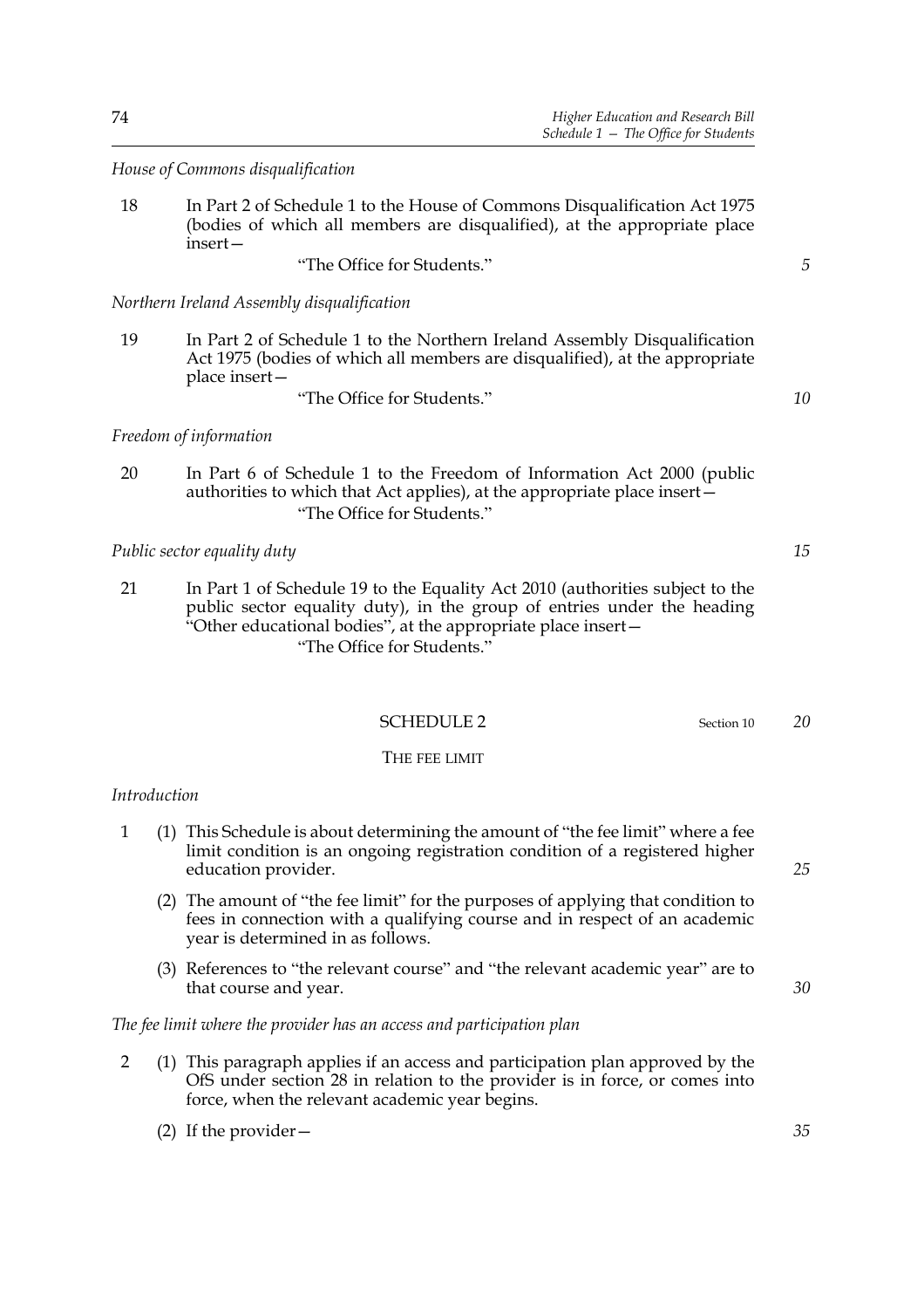*House of Commons disqualification*

18 In Part 2 of Schedule 1 to the House of Commons Disqualification Act 1975 (bodies of which all members are disqualified), at the appropriate place insert—

"The Office for Students."

*Northern Ireland Assembly disqualification*

- 19 In Part 2 of Schedule 1 to the Northern Ireland Assembly Disqualification Act 1975 (bodies of which all members are disqualified), at the appropriate place insert—
	- "The Office for Students."

*Freedom of information*

20 In Part 6 of Schedule 1 to the Freedom of Information Act 2000 (public authorities to which that Act applies), at the appropriate place insert— "The Office for Students."

*Public sector equality duty*

21 In Part 1 of Schedule 19 to the Equality Act 2010 (authorities subject to the public sector equality duty), in the group of entries under the heading "Other educational bodies", at the appropriate place insert— "The Office for Students."

# SCHEDULE 2 Section 10

#### THE FEE LIMIT

## *Introduction*

- 1 (1) This Schedule is about determining the amount of "the fee limit" where a fee limit condition is an ongoing registration condition of a registered higher education provider.
	- (2) The amount of "the fee limit" for the purposes of applying that condition to fees in connection with a qualifying course and in respect of an academic year is determined in as follows.
	- (3) References to "the relevant course" and "the relevant academic year" are to that course and year.

## *The fee limit where the provider has an access and participation plan*

2 (1) This paragraph applies if an access and participation plan approved by the OfS under section 28 in relation to the provider is in force, or comes into force, when the relevant academic year begins.

(2) If the provider—

*15*

*5*

*10*

*20*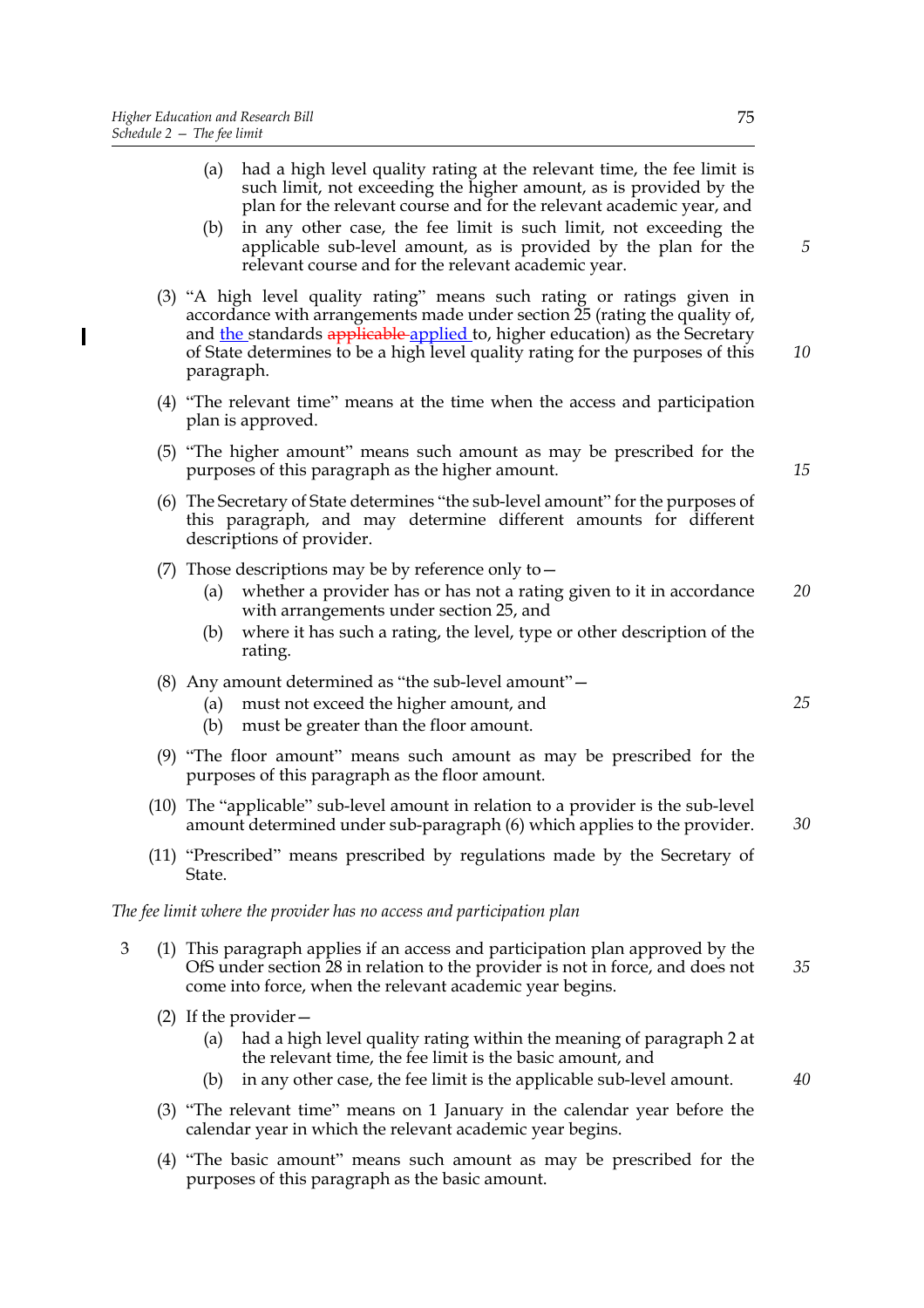- (a) had a high level quality rating at the relevant time, the fee limit is such limit, not exceeding the higher amount, as is provided by the plan for the relevant course and for the relevant academic year, and
- (b) in any other case, the fee limit is such limit, not exceeding the applicable sub-level amount, as is provided by the plan for the relevant course and for the relevant academic year.
- (3) "A high level quality rating" means such rating or ratings given in accordance with arrangements made under section 25 (rating the quality of, and the standards applicable applied to, higher education) as the Secretary of State determines to be a high level quality rating for the purposes of this paragraph.
- (4) "The relevant time" means at the time when the access and participation plan is approved.
- (5) "The higher amount" means such amount as may be prescribed for the purposes of this paragraph as the higher amount.
- (6) The Secretary of State determines "the sub-level amount" for the purposes of this paragraph, and may determine different amounts for different descriptions of provider.
- (7) Those descriptions may be by reference only to  $-$ 
	- (a) whether a provider has or has not a rating given to it in accordance with arrangements under section 25, and *20*
	- (b) where it has such a rating, the level, type or other description of the rating.
- (8) Any amount determined as "the sub-level amount"—
	- (a) must not exceed the higher amount, and
	- (b) must be greater than the floor amount.
- (9) "The floor amount" means such amount as may be prescribed for the purposes of this paragraph as the floor amount.
- (10) The "applicable" sub-level amount in relation to a provider is the sub-level amount determined under sub-paragraph (6) which applies to the provider.
- (11) "Prescribed" means prescribed by regulations made by the Secretary of State.

#### *The fee limit where the provider has no access and participation plan*

- 3 (1) This paragraph applies if an access and participation plan approved by the OfS under section 28 in relation to the provider is not in force, and does not come into force, when the relevant academic year begins. *35*
	- (2) If the provider—
		- (a) had a high level quality rating within the meaning of paragraph 2 at the relevant time, the fee limit is the basic amount, and
		- (b) in any other case, the fee limit is the applicable sub-level amount.
	- (3) "The relevant time" means on 1 January in the calendar year before the calendar year in which the relevant academic year begins.
	- (4) "The basic amount" means such amount as may be prescribed for the purposes of this paragraph as the basic amount.

*15*

*25*

*30*

*40*

*10*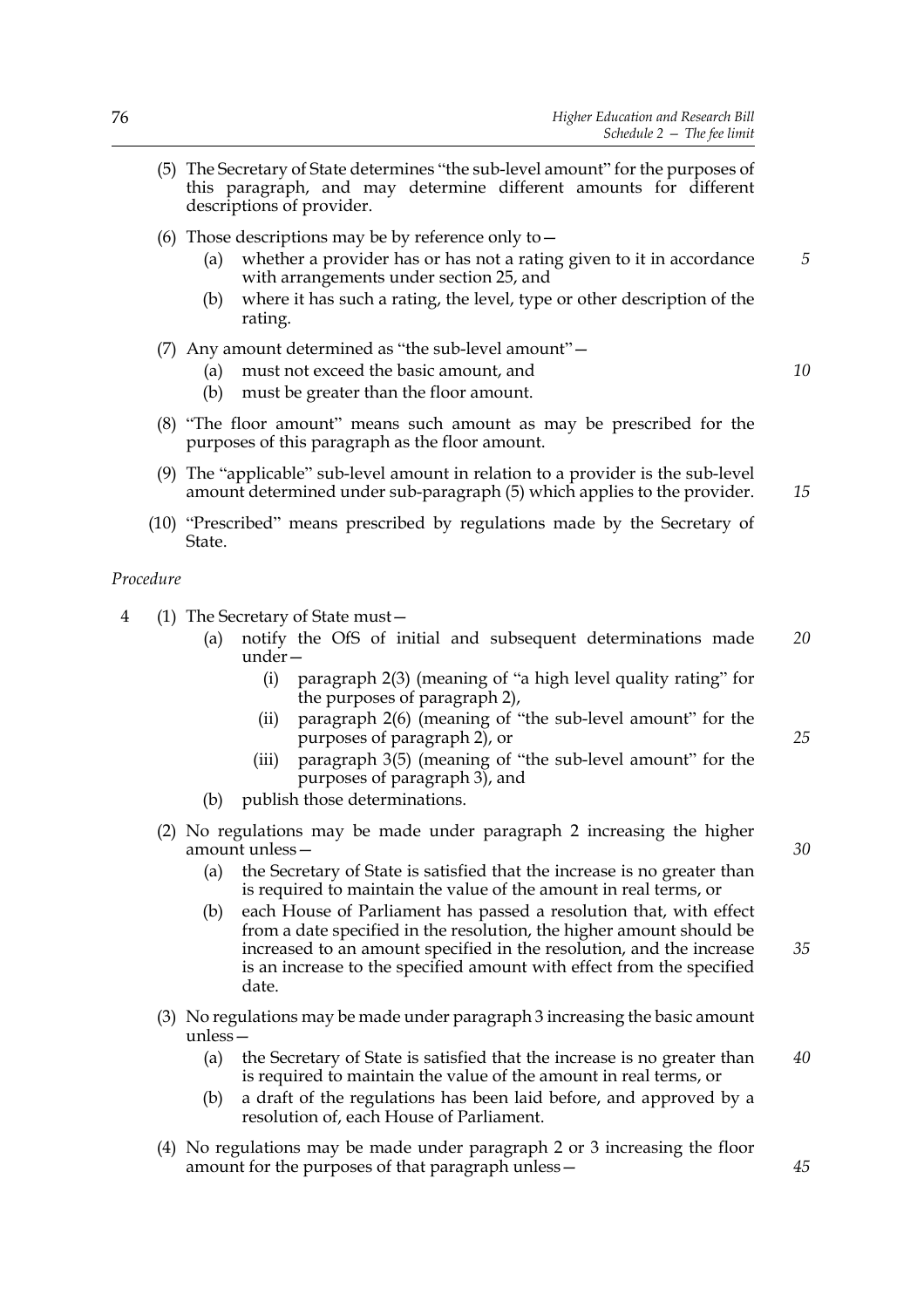- (5) The Secretary of State determines "the sub-level amount" for the purposes of this paragraph, and may determine different amounts for different descriptions of provider.
- (6) Those descriptions may be by reference only to  $-$ 
	- (a) whether a provider has or has not a rating given to it in accordance with arrangements under section 25, and
	- (b) where it has such a rating, the level, type or other description of the rating.
- (7) Any amount determined as "the sub-level amount"—
	- (a) must not exceed the basic amount, and
	- (b) must be greater than the floor amount.
- (8) "The floor amount" means such amount as may be prescribed for the purposes of this paragraph as the floor amount.
- (9) The "applicable" sub-level amount in relation to a provider is the sub-level amount determined under sub-paragraph (5) which applies to the provider.
- (10) "Prescribed" means prescribed by regulations made by the Secretary of State.

*Procedure*

- 4 (1) The Secretary of State must—
	- (a) notify the OfS of initial and subsequent determinations made under— *20*
		- (i) paragraph 2(3) (meaning of "a high level quality rating" for the purposes of paragraph 2),
		- (ii) paragraph 2(6) (meaning of "the sub-level amount" for the purposes of paragraph 2), or
		- (iii) paragraph 3(5) (meaning of "the sub-level amount" for the purposes of paragraph 3), and
	- (b) publish those determinations.
	- (2) No regulations may be made under paragraph 2 increasing the higher amount unless—
		- (a) the Secretary of State is satisfied that the increase is no greater than is required to maintain the value of the amount in real terms, or
		- (b) each House of Parliament has passed a resolution that, with effect from a date specified in the resolution, the higher amount should be increased to an amount specified in the resolution, and the increase is an increase to the specified amount with effect from the specified date. *35*
	- (3) No regulations may be made under paragraph 3 increasing the basic amount unless—
		- (a) the Secretary of State is satisfied that the increase is no greater than is required to maintain the value of the amount in real terms, or *40*
		- (b) a draft of the regulations has been laid before, and approved by a resolution of, each House of Parliament.
	- (4) No regulations may be made under paragraph 2 or 3 increasing the floor amount for the purposes of that paragraph unless—

*30*

*25*

*5*

*10*

*15*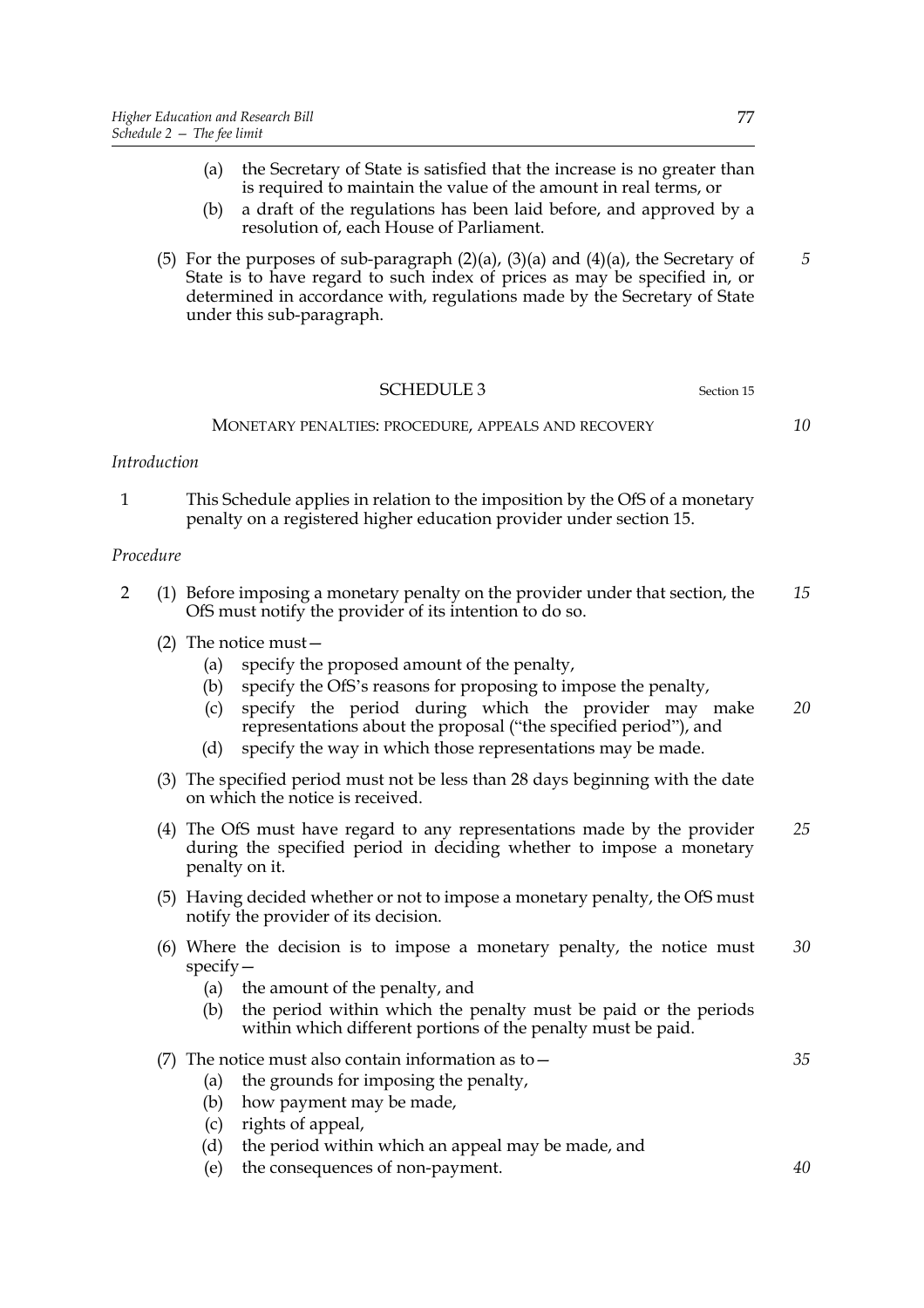- (a) the Secretary of State is satisfied that the increase is no greater than is required to maintain the value of the amount in real terms, or
- (b) a draft of the regulations has been laid before, and approved by a resolution of, each House of Parliament.
- (5) For the purposes of sub-paragraph  $(2)(a)$ ,  $(3)(a)$  and  $(4)(a)$ , the Secretary of State is to have regard to such index of prices as may be specified in, or determined in accordance with, regulations made by the Secretary of State under this sub-paragraph.

| <b>SCHEDULE 3</b>                                   | Section 15 |  |
|-----------------------------------------------------|------------|--|
| MONETARY PENALTIES: PROCEDURE, APPEALS AND RECOVERY |            |  |

#### *Introduction*

1 This Schedule applies in relation to the imposition by the OfS of a monetary penalty on a registered higher education provider under section 15.

#### *Procedure*

- 2 (1) Before imposing a monetary penalty on the provider under that section, the OfS must notify the provider of its intention to do so. *15*
	- (2) The notice must—
		- (a) specify the proposed amount of the penalty,
		- (b) specify the OfS's reasons for proposing to impose the penalty,
		- (c) specify the period during which the provider may make representations about the proposal ("the specified period"), and *20*
		- (d) specify the way in which those representations may be made.
	- (3) The specified period must not be less than 28 days beginning with the date on which the notice is received.
	- (4) The OfS must have regard to any representations made by the provider during the specified period in deciding whether to impose a monetary penalty on it. *25*
	- (5) Having decided whether or not to impose a monetary penalty, the OfS must notify the provider of its decision.
	- (6) Where the decision is to impose a monetary penalty, the notice must specify— *30*
		- (a) the amount of the penalty, and
		- (b) the period within which the penalty must be paid or the periods within which different portions of the penalty must be paid.
	- (7) The notice must also contain information as to  $-$ (a) the grounds for imposing the penalty,
		- (b) how payment may be made,
		- (c) rights of appeal,
		- (d) the period within which an appeal may be made, and
		- (e) the consequences of non-payment.

*5*

*35*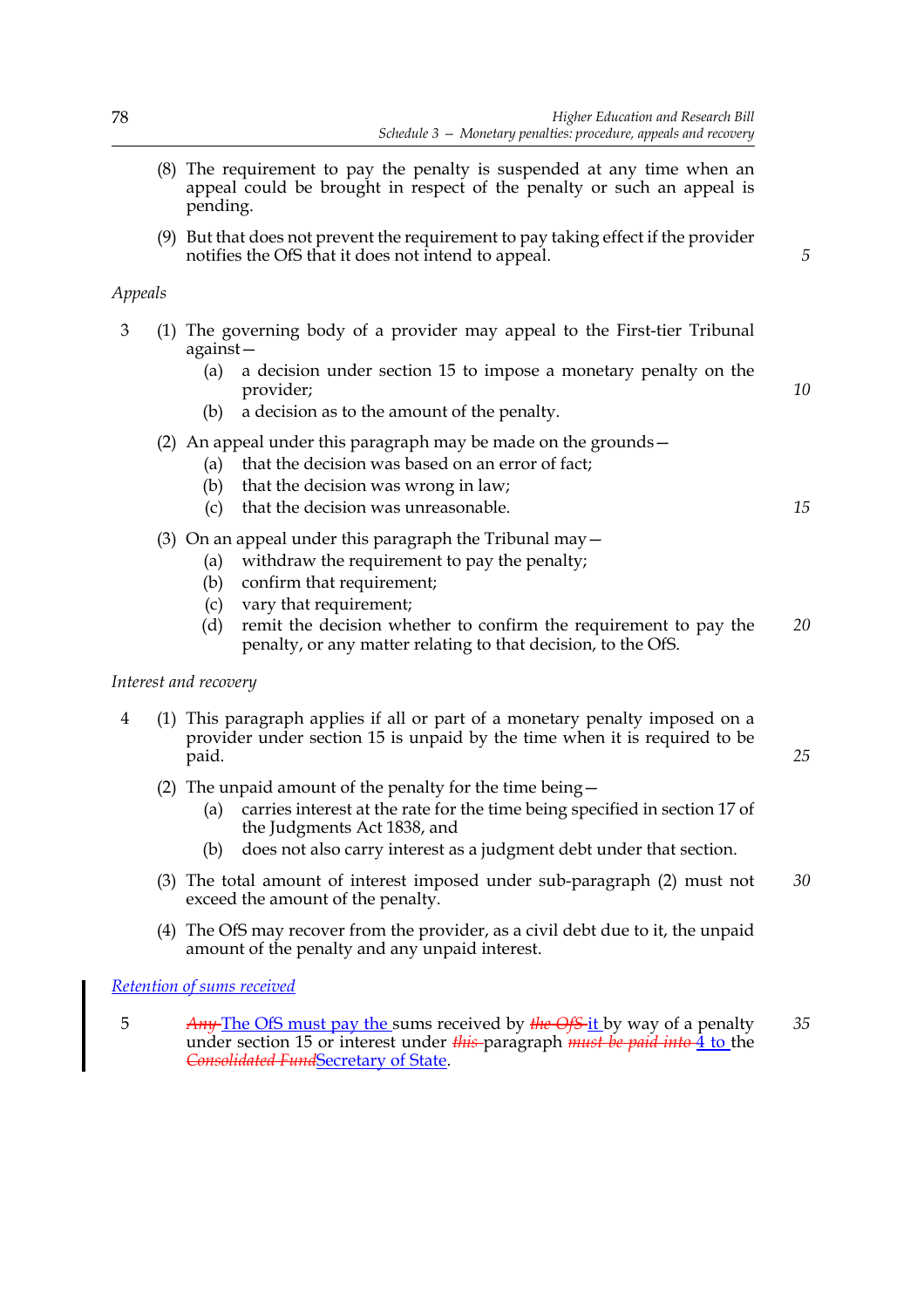*5*

*10*

*15*

*25*

- (8) The requirement to pay the penalty is suspended at any time when an appeal could be brought in respect of the penalty or such an appeal is pending.
- (9) But that does not prevent the requirement to pay taking effect if the provider notifies the OfS that it does not intend to appeal.

# *Appeals*

- 3 (1) The governing body of a provider may appeal to the First-tier Tribunal against—
	- (a) a decision under section 15 to impose a monetary penalty on the provider;
	- (b) a decision as to the amount of the penalty.
	- (2) An appeal under this paragraph may be made on the grounds—
		- (a) that the decision was based on an error of fact;
		- (b) that the decision was wrong in law;
		- (c) that the decision was unreasonable.
	- (3) On an appeal under this paragraph the Tribunal may  $-$ 
		- (a) withdraw the requirement to pay the penalty;
		- (b) confirm that requirement;
		- (c) vary that requirement;
		- (d) remit the decision whether to confirm the requirement to pay the penalty, or any matter relating to that decision, to the OfS. *20*

## *Interest and recovery*

- 4 (1) This paragraph applies if all or part of a monetary penalty imposed on a provider under section 15 is unpaid by the time when it is required to be paid.
	- (2) The unpaid amount of the penalty for the time being—
		- (a) carries interest at the rate for the time being specified in section 17 of the Judgments Act 1838, and
		- (b) does not also carry interest as a judgment debt under that section.
	- (3) The total amount of interest imposed under sub-paragraph (2) must not exceed the amount of the penalty. *30*
	- (4) The OfS may recover from the provider, as a civil debt due to it, the unpaid amount of the penalty and any unpaid interest.

## *Retention of sums received*

5 *Any* The OfS must pay the sums received by *the OfS* it by way of a penalty under section 15 or interest under *this* paragraph *must be paid into* 4 to the *Consolidated Fund*Secretary of State. *35*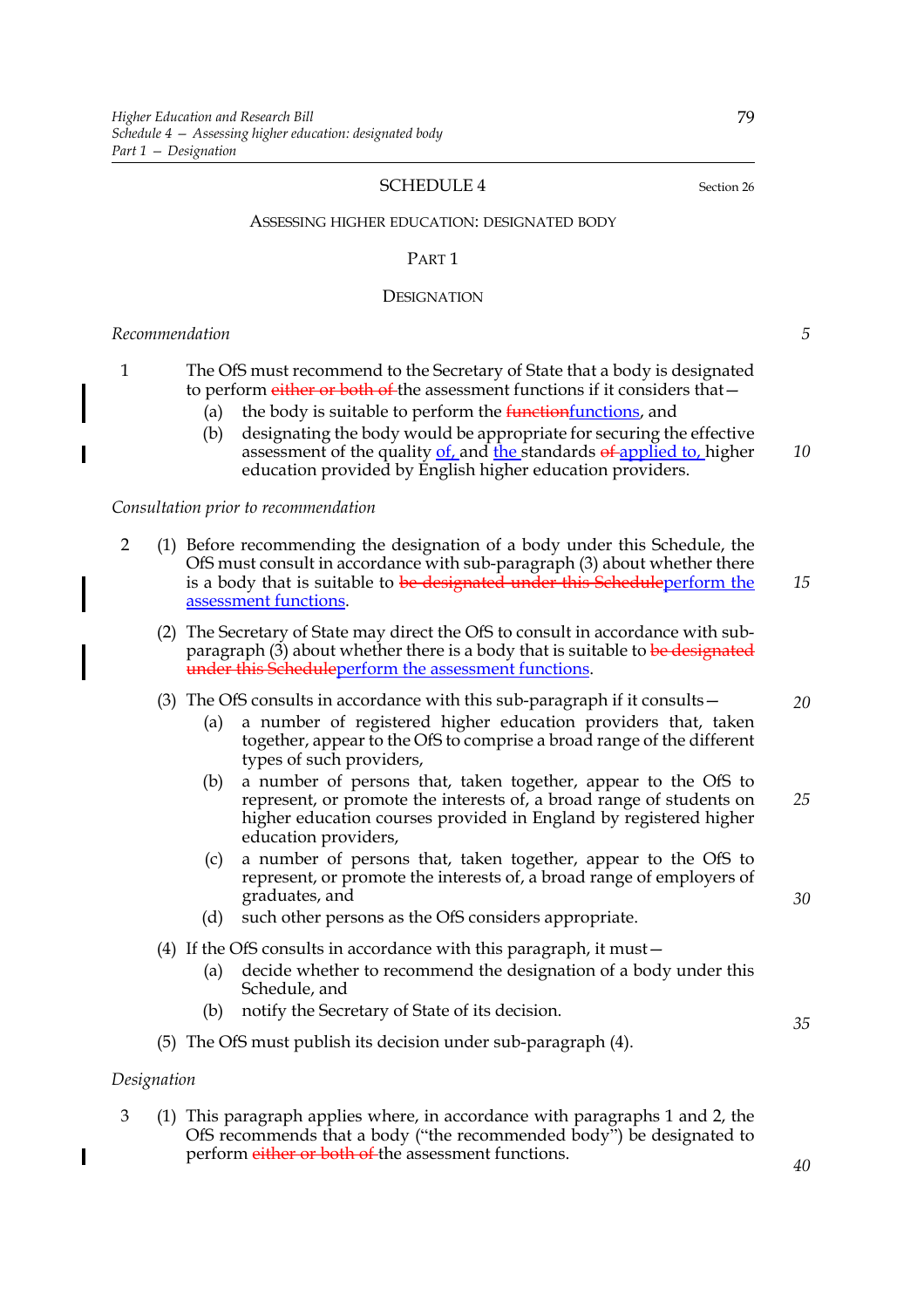#### SCHEDULE 4 Section 26

ASSESSING HIGHER EDUCATION: DESIGNATED BODY

#### PART 1

#### **DESIGNATION**

#### *Recommendation*

| The OfS must recommend to the Secretary of State that a body is designated   |
|------------------------------------------------------------------------------|
| to perform either or both of the assessment functions if it considers that – |

- (a) the body is suitable to perform the  $f$ unctionfunctions, and
- (b) designating the body would be appropriate for securing the effective assessment of the quality of, and the standards of applied to, higher education provided by English higher education providers.

#### *Consultation prior to recommendation*

- 2 (1) Before recommending the designation of a body under this Schedule, the OfS must consult in accordance with sub-paragraph (3) about whether there is a body that is suitable to be designated under this Schedule perform the assessment functions. *15*
	- (2) The Secretary of State may direct the OfS to consult in accordance with subparagraph  $(3)$  about whether there is a body that is suitable to be designated under this Scheduleperform the assessment functions.

#### (3) The OfS consults in accordance with this sub-paragraph if it consults—

- (a) a number of registered higher education providers that, taken together, appear to the OfS to comprise a broad range of the different types of such providers,
- (b) a number of persons that, taken together, appear to the OfS to represent, or promote the interests of, a broad range of students on higher education courses provided in England by registered higher education providers, *25*
- (c) a number of persons that, taken together, appear to the OfS to represent, or promote the interests of, a broad range of employers of graduates, and
- (d) such other persons as the OfS considers appropriate.
- (4) If the OfS consults in accordance with this paragraph, it must—
	- (a) decide whether to recommend the designation of a body under this Schedule, and
	- (b) notify the Secretary of State of its decision.
- (5) The OfS must publish its decision under sub-paragraph (4).

## *Designation*

 $\overline{\phantom{a}}$ 

3 (1) This paragraph applies where, in accordance with paragraphs 1 and 2, the OfS recommends that a body ("the recommended body") be designated to perform either or both of the assessment functions.

*30*

*35*

*40*

# *5*

*10*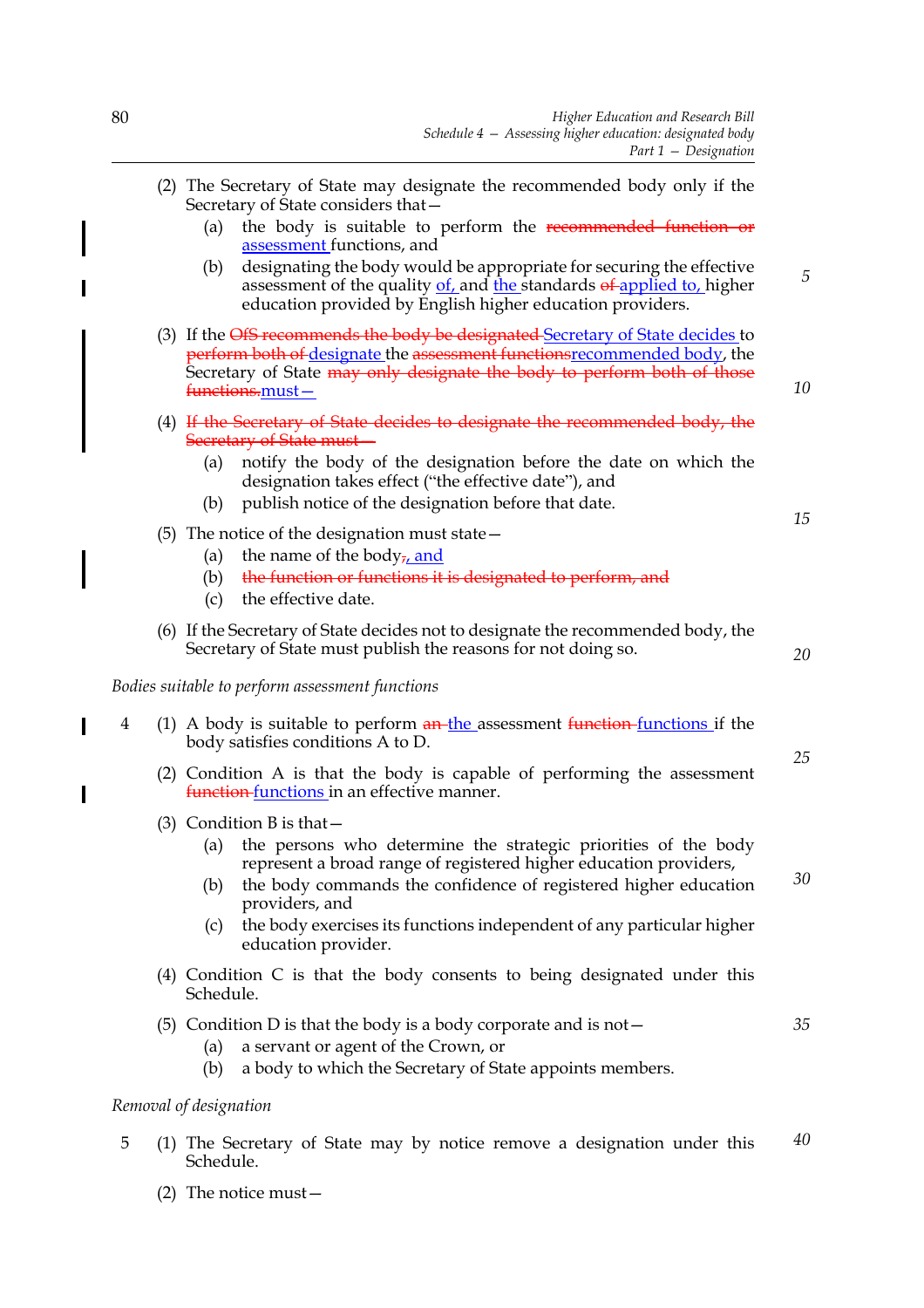|   | (2) The Secretary of State may designate the recommended body only if the<br>Secretary of State considers that-                                                                                                                                                                                                                                                                |    |
|---|--------------------------------------------------------------------------------------------------------------------------------------------------------------------------------------------------------------------------------------------------------------------------------------------------------------------------------------------------------------------------------|----|
|   | the body is suitable to perform the recommended function or<br>(a)<br>assessment functions, and                                                                                                                                                                                                                                                                                |    |
|   | designating the body would be appropriate for securing the effective<br>(b)<br>assessment of the quality of, and the standards of applied to, higher<br>education provided by English higher education providers.                                                                                                                                                              | 5  |
|   | (3) If the OfS recommends the body be designated Secretary of State decides to<br><b>perform both of designate the assessment functions recommended body, the</b><br>Secretary of State may only designate the body to perform both of those<br><del>functions.</del> must-                                                                                                    | 10 |
|   | (4) If the Secretary of State decides to designate the recommended body, the<br>Secretary of State must-                                                                                                                                                                                                                                                                       |    |
|   | notify the body of the designation before the date on which the<br>(a)<br>designation takes effect ("the effective date"), and<br>publish notice of the designation before that date.<br>(b)                                                                                                                                                                                   |    |
|   | (5) The notice of the designation must state $-$<br>the name of the body <sub>7</sub> , and<br>(a)<br>the function or functions it is designated to perform, and<br>(b)<br>the effective date.<br>(c)                                                                                                                                                                          | 15 |
|   | (6) If the Secretary of State decides not to designate the recommended body, the<br>Secretary of State must publish the reasons for not doing so.                                                                                                                                                                                                                              | 20 |
|   | Bodies suitable to perform assessment functions                                                                                                                                                                                                                                                                                                                                |    |
| 4 | (1) A body is suitable to perform $\frac{an-the}{}$ assessment $\frac{function}{}$ inctions if the<br>body satisfies conditions A to D.                                                                                                                                                                                                                                        |    |
|   | (2) Condition A is that the body is capable of performing the assessment<br>function functions in an effective manner.                                                                                                                                                                                                                                                         | 25 |
|   | $(3)$ Condition B is that $-$<br>the persons who determine the strategic priorities of the body<br>(a)<br>represent a broad range of registered higher education providers,<br>the body commands the confidence of registered higher education<br>(b)<br>providers, and<br>the body exercises its functions independent of any particular higher<br>(c)<br>education provider. | 30 |
|   | (4) Condition C is that the body consents to being designated under this<br>Schedule.                                                                                                                                                                                                                                                                                          |    |
|   | (5) Condition D is that the body is a body corporate and is not $-$<br>a servant or agent of the Crown, or<br>(a)<br>a body to which the Secretary of State appoints members.<br>(b)                                                                                                                                                                                           | 35 |

# *Removal of designation*

5 (1) The Secretary of State may by notice remove a designation under this Schedule. *40*

 $\overline{\mathbf{I}}$ 

 $\overline{\phantom{a}}$ 

(2) The notice must—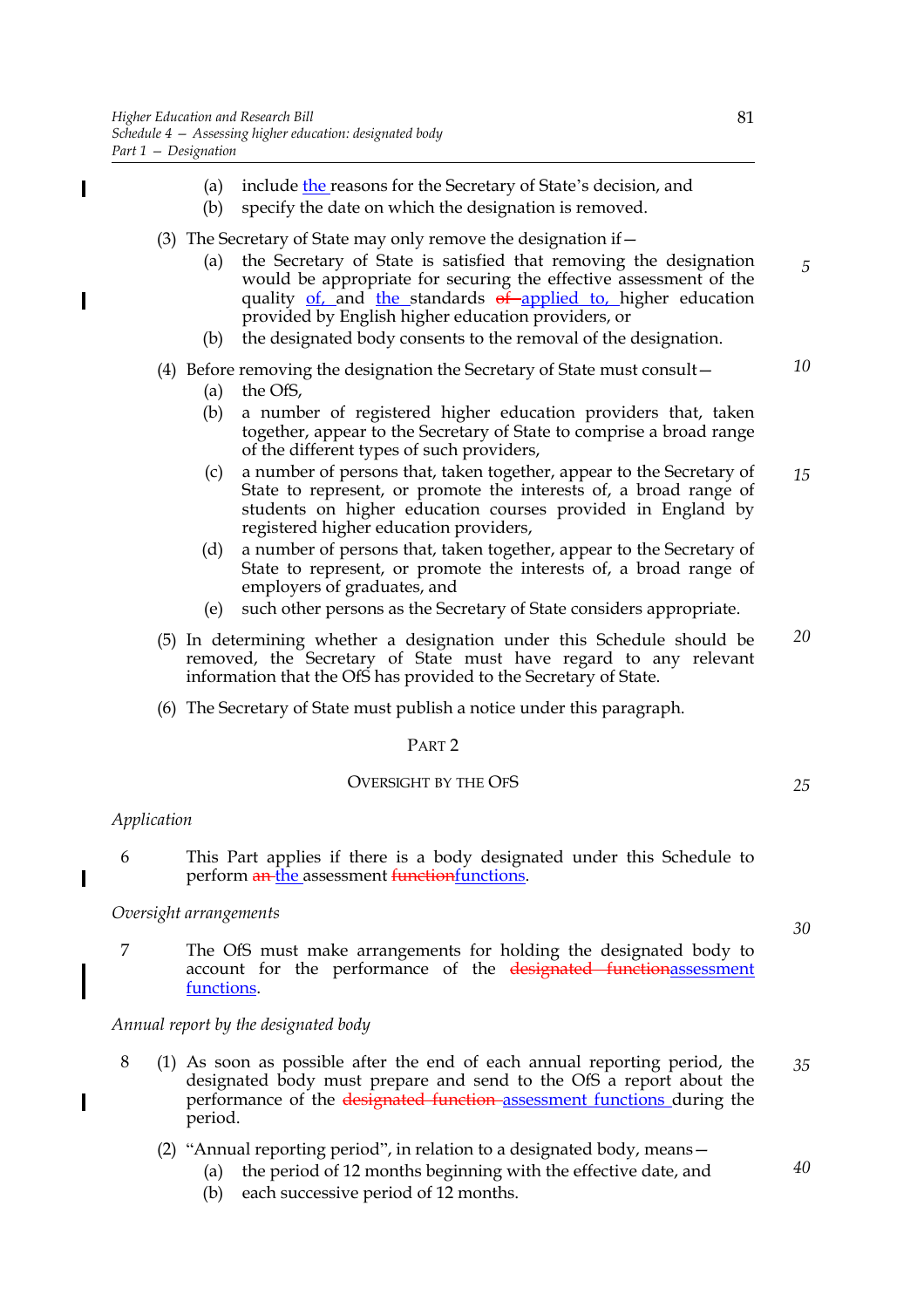- (a) include  $the$  reasons for the Secretary of State's decision, and</u>
- (b) specify the date on which the designation is removed.
- (3) The Secretary of State may only remove the designation if  $-$ 
	- (a) the Secretary of State is satisfied that removing the designation would be appropriate for securing the effective assessment of the quality  $of$ , and the standards  $of$  applied to, higher education provided by English higher education providers, or
	- (b) the designated body consents to the removal of the designation.
- (4) Before removing the designation the Secretary of State must consult—
	- (a) the OfS,
	- (b) a number of registered higher education providers that, taken together, appear to the Secretary of State to comprise a broad range of the different types of such providers,
	- (c) a number of persons that, taken together, appear to the Secretary of State to represent, or promote the interests of, a broad range of students on higher education courses provided in England by registered higher education providers, *15*
	- (d) a number of persons that, taken together, appear to the Secretary of State to represent, or promote the interests of, a broad range of employers of graduates, and
	- (e) such other persons as the Secretary of State considers appropriate.
- (5) In determining whether a designation under this Schedule should be removed, the Secretary of State must have regard to any relevant information that the OfS has provided to the Secretary of State. *20*
- (6) The Secretary of State must publish a notice under this paragraph.

#### PART 2

#### OVERSIGHT BY THE OFS

#### *Application*

 $\overline{\phantom{a}}$ 

 $\overline{\phantom{a}}$ 

I

6 This Part applies if there is a body designated under this Schedule to perform an the assessment functionfunctions.

#### *Oversight arrangements*

7 The OfS must make arrangements for holding the designated body to account for the performance of the designated functionassessment functions.

*Annual report by the designated body*

- 8 (1) As soon as possible after the end of each annual reporting period, the designated body must prepare and send to the OfS a report about the performance of the designated function assessment functions during the period. *35*
	- (2) "Annual reporting period", in relation to a designated body, means—
		- (a) the period of 12 months beginning with the effective date, and
		- (b) each successive period of 12 months.

*5*

*10*

*40*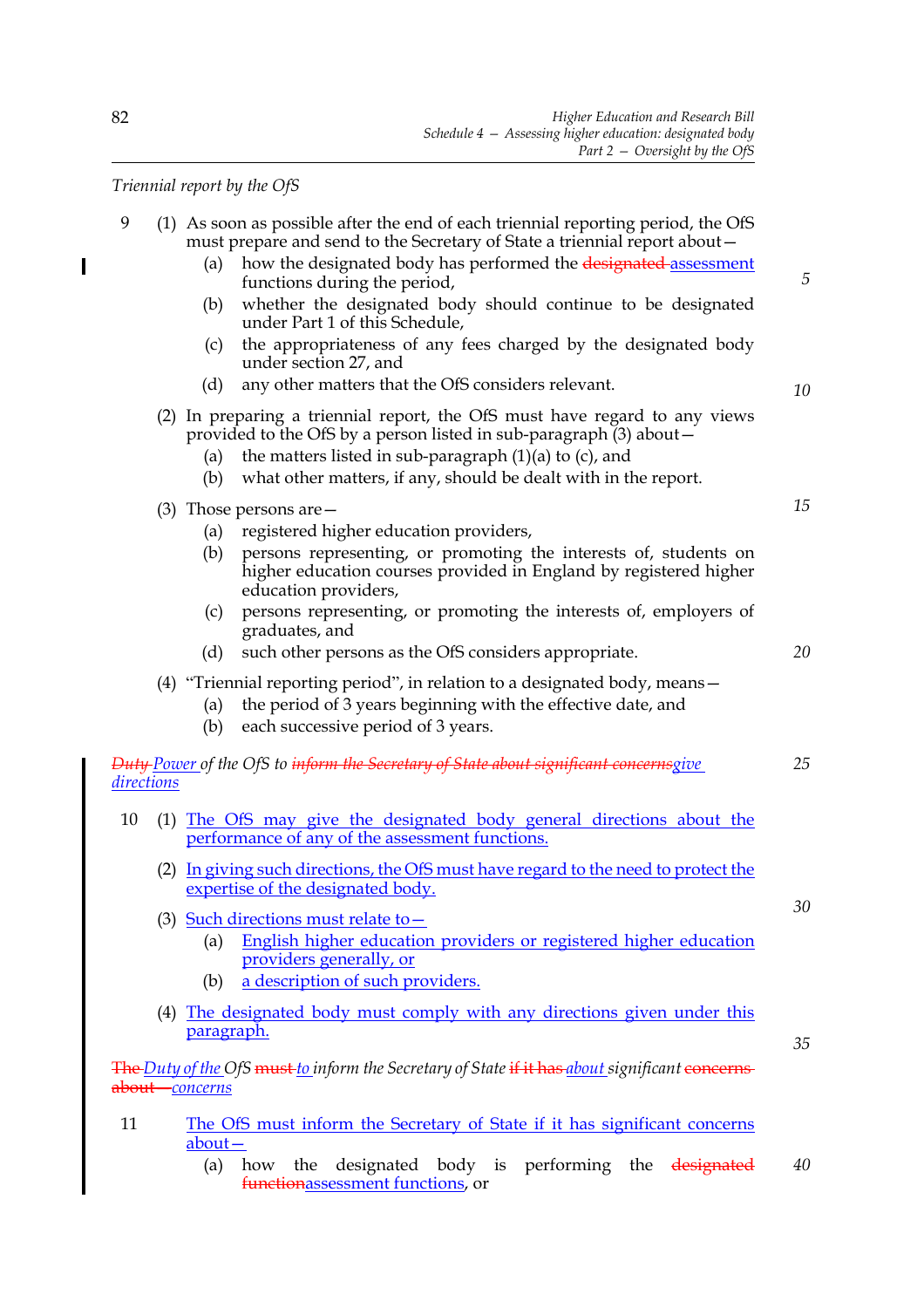*Triennial report by the OfS*

| 9          | (1) As soon as possible after the end of each triennial reporting period, the OfS<br>must prepare and send to the Secretary of State a triennial report about -<br>how the designated body has performed the designated-assessment<br>(a)<br>functions during the period,<br>whether the designated body should continue to be designated<br>(b)<br>under Part 1 of this Schedule,<br>the appropriateness of any fees charged by the designated body<br>(c)<br>under section 27, and<br>any other matters that the OfS considers relevant.<br>(d) | 5  |
|------------|---------------------------------------------------------------------------------------------------------------------------------------------------------------------------------------------------------------------------------------------------------------------------------------------------------------------------------------------------------------------------------------------------------------------------------------------------------------------------------------------------------------------------------------------------|----|
|            | (2) In preparing a triennial report, the OfS must have regard to any views                                                                                                                                                                                                                                                                                                                                                                                                                                                                        | 10 |
|            | provided to the OfS by a person listed in sub-paragraph $(3)$ about $-$<br>the matters listed in sub-paragraph $(1)(a)$ to $(c)$ , and<br>(a)<br>what other matters, if any, should be dealt with in the report.<br>(b)                                                                                                                                                                                                                                                                                                                           |    |
|            | $(3)$ Those persons are $-$                                                                                                                                                                                                                                                                                                                                                                                                                                                                                                                       | 15 |
|            | registered higher education providers,<br>(a)<br>persons representing, or promoting the interests of, students on<br>(b)<br>higher education courses provided in England by registered higher<br>education providers,                                                                                                                                                                                                                                                                                                                             |    |
|            | persons representing, or promoting the interests of, employers of<br>(c)<br>graduates, and                                                                                                                                                                                                                                                                                                                                                                                                                                                        |    |
|            | such other persons as the OfS considers appropriate.<br>(d)                                                                                                                                                                                                                                                                                                                                                                                                                                                                                       | 20 |
|            | (4) "Triennial reporting period", in relation to a designated body, means $-$<br>the period of 3 years beginning with the effective date, and<br>(a)<br>each successive period of 3 years.<br>(b)                                                                                                                                                                                                                                                                                                                                                 |    |
| directions | <b>Duty Power of the OfS to inform the Secretary of State about significant concernsgive</b>                                                                                                                                                                                                                                                                                                                                                                                                                                                      | 25 |
| 10         | (1) The OfS may give the designated body general directions about the<br>performance of any of the assessment functions.                                                                                                                                                                                                                                                                                                                                                                                                                          |    |
|            | (2) In giving such directions, the OfS must have regard to the need to protect the<br>expertise of the designated body.                                                                                                                                                                                                                                                                                                                                                                                                                           |    |
|            | (3) Such directions must relate to $-$<br>English higher education providers or registered higher education<br>(a)<br>providers generally, or                                                                                                                                                                                                                                                                                                                                                                                                     | 30 |
|            | a description of such providers.<br>(b)                                                                                                                                                                                                                                                                                                                                                                                                                                                                                                           |    |
|            | (4) The designated body must comply with any directions given under this<br>paragraph.                                                                                                                                                                                                                                                                                                                                                                                                                                                            | 35 |
|            | <b>The Duty of the OfS must to inform the Secretary of State if it has about significant concerns</b><br><del>about -</del> concerns                                                                                                                                                                                                                                                                                                                                                                                                              |    |
| 11         | The OfS must inform the Secretary of State if it has significant concerns<br>$\frac{\text{about}}{\text{}}$                                                                                                                                                                                                                                                                                                                                                                                                                                       |    |
|            | designated body is performing the designated<br>(a)<br>the<br>how<br>functionassessment functions, or                                                                                                                                                                                                                                                                                                                                                                                                                                             | 40 |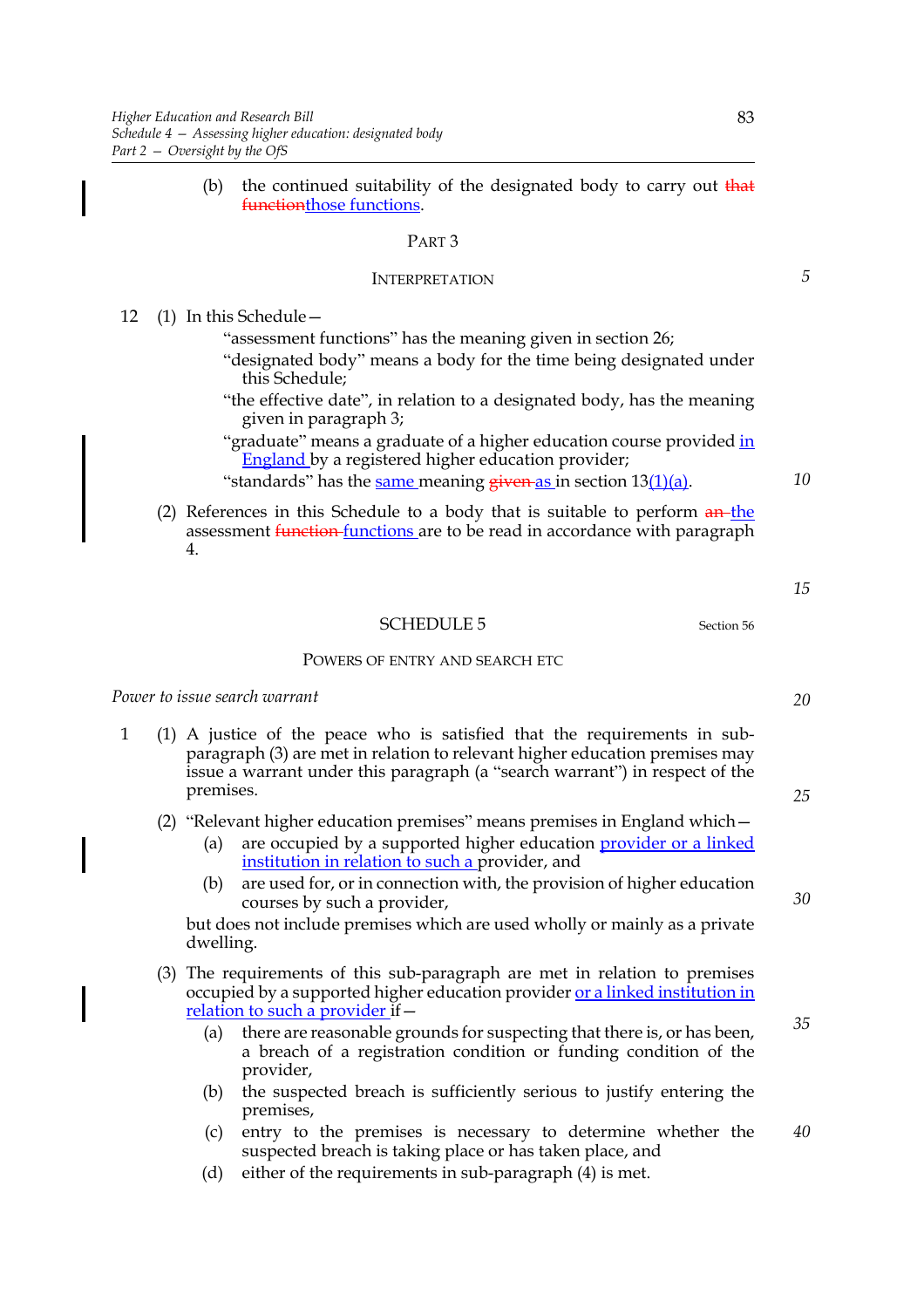(b) the continued suitability of the designated body to carry out  $\frac{d}{dx}$ functionthose functions.

#### PART 3

#### INTERPRETATION

12 (1) In this Schedule—

"assessment functions" has the meaning given in section 26;

- "designated body" means a body for the time being designated under this Schedule;
- "the effective date", in relation to a designated body, has the meaning given in paragraph 3;
- "graduate" means a graduate of a higher education course provided in England by a registered higher education provider;
- "standards" has the same meaning  $g$ iven as in section  $13(1)(a)$ .
- (2) References in this Schedule to a body that is suitable to perform  $a_n$ -the assessment **function** functions are to be read in accordance with paragraph 4.
	-

# SCHEDULE 5 Section 56

#### POWERS OF ENTRY AND SEARCH ETC

*Power to issue search warrant*

1 (1) A justice of the peace who is satisfied that the requirements in subparagraph (3) are met in relation to relevant higher education premises may issue a warrant under this paragraph (a "search warrant") in respect of the premises.

(2) "Relevant higher education premises" means premises in England which—

- are occupied by a supported higher education *provider or a linked* institution in relation to such a provider, and
- (b) are used for, or in connection with, the provision of higher education courses by such a provider,

but does not include premises which are used wholly or mainly as a private dwelling.

- (3) The requirements of this sub-paragraph are met in relation to premises occupied by a supported higher education provider or a linked institution in relation to such a provider if—
	- (a) there are reasonable grounds for suspecting that there is, or has been, a breach of a registration condition or funding condition of the provider,
	- (b) the suspected breach is sufficiently serious to justify entering the premises,
	- (c) entry to the premises is necessary to determine whether the suspected breach is taking place or has taken place, and *40*
	- (d) either of the requirements in sub-paragraph (4) is met.

*5*

*10*

*15*

*20*

*25*

*30*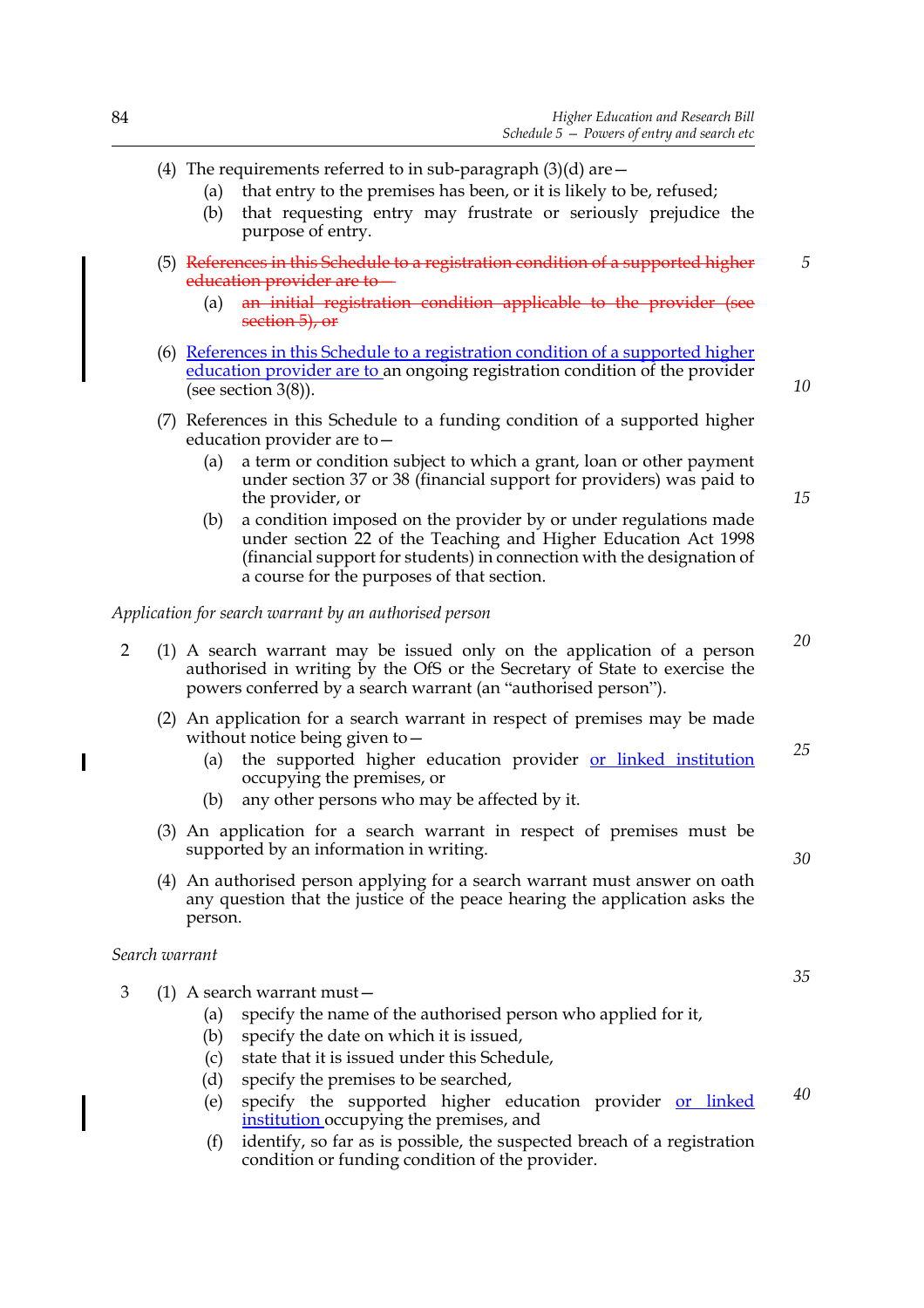- (4) The requirements referred to in sub-paragraph  $(3)(d)$  are  $-$ 
	- (a) that entry to the premises has been, or it is likely to be, refused;
	- (b) that requesting entry may frustrate or seriously prejudice the purpose of entry.
- (5) References in this Schedule to a registration condition of a supported higher education provider are to—
	- (a) an initial registration condition applicable to the provider (see section 5), or
- (6) References in this Schedule to a registration condition of a supported higher education provider are to an ongoing registration condition of the provider (see section 3(8)).
- (7) References in this Schedule to a funding condition of a supported higher education provider are to—
	- (a) a term or condition subject to which a grant, loan or other payment under section 37 or 38 (financial support for providers) was paid to the provider, or
	- (b) a condition imposed on the provider by or under regulations made under section 22 of the Teaching and Higher Education Act 1998 (financial support for students) in connection with the designation of a course for the purposes of that section.

*Application for search warrant by an authorised person*

- 2 (1) A search warrant may be issued only on the application of a person authorised in writing by the OfS or the Secretary of State to exercise the powers conferred by a search warrant (an "authorised person").
	- (2) An application for a search warrant in respect of premises may be made without notice being given to—
		- (a) the supported higher education provider or linked institution occupying the premises, or *25*
		- (b) any other persons who may be affected by it.
	- (3) An application for a search warrant in respect of premises must be supported by an information in writing.
	- (4) An authorised person applying for a search warrant must answer on oath any question that the justice of the peace hearing the application asks the person.

*Search warrant*

- 3 (1) A search warrant must—
	- (a) specify the name of the authorised person who applied for it,
	- (b) specify the date on which it is issued,
	- (c) state that it is issued under this Schedule,
	- (d) specify the premises to be searched,
	- (e) specify the supported higher education provider or linked institution occupying the premises, and
	- (f) identify, so far as is possible, the suspected breach of a registration condition or funding condition of the provider.

*30*

*40*

*10*

*15*

*5*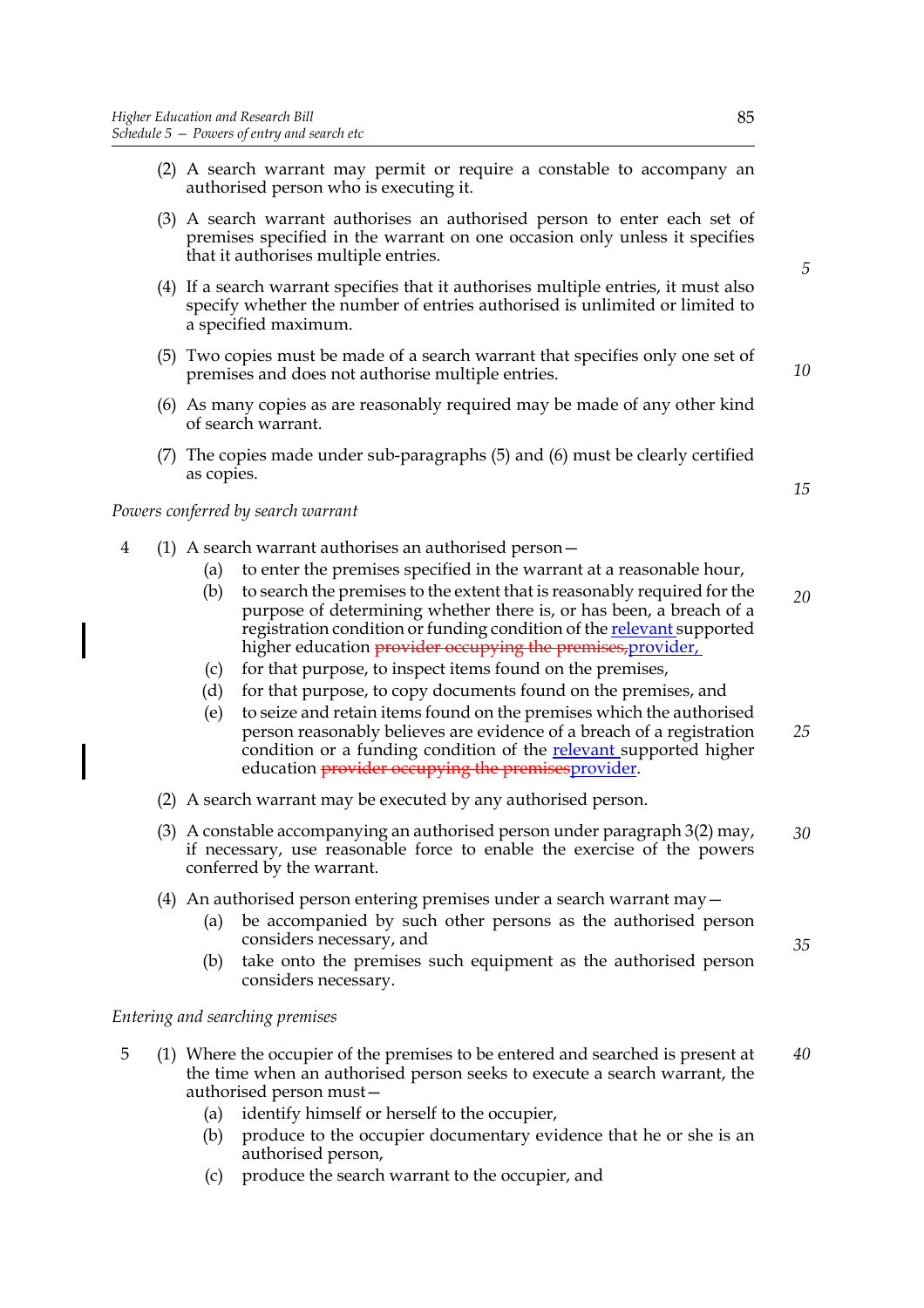- (2) A search warrant may permit or require a constable to accompany an authorised person who is executing it.
- (3) A search warrant authorises an authorised person to enter each set of premises specified in the warrant on one occasion only unless it specifies that it authorises multiple entries.
- (4) If a search warrant specifies that it authorises multiple entries, it must also specify whether the number of entries authorised is unlimited or limited to a specified maximum.
- (5) Two copies must be made of a search warrant that specifies only one set of premises and does not authorise multiple entries.
- (6) As many copies as are reasonably required may be made of any other kind of search warrant.
- (7) The copies made under sub-paragraphs (5) and (6) must be clearly certified as copies.

#### *Powers conferred by search warrant*

- 4 (1) A search warrant authorises an authorised person—
	- (a) to enter the premises specified in the warrant at a reasonable hour,
	- (b) to search the premises to the extent that is reasonably required for the purpose of determining whether there is, or has been, a breach of a registration condition or funding condition of the **relevant** supported higher education *provider occupying the premises, provider*,
	- (c) for that purpose, to inspect items found on the premises,
	- (d) for that purpose, to copy documents found on the premises, and
	- (e) to seize and retain items found on the premises which the authorised person reasonably believes are evidence of a breach of a registration condition or a funding condition of the **relevant** supported higher education **provider occupying the premises** provider. *25*
	- (2) A search warrant may be executed by any authorised person.
	- (3) A constable accompanying an authorised person under paragraph 3(2) may, if necessary, use reasonable force to enable the exercise of the powers conferred by the warrant. *30*
	- (4) An authorised person entering premises under a search warrant may—
		- (a) be accompanied by such other persons as the authorised person considers necessary, and
		- (b) take onto the premises such equipment as the authorised person considers necessary.

#### *Entering and searching premises*

- 5 (1) Where the occupier of the premises to be entered and searched is present at the time when an authorised person seeks to execute a search warrant, the authorised person must— *40*
	- (a) identify himself or herself to the occupier,
	- (b) produce to the occupier documentary evidence that he or she is an authorised person,
	- (c) produce the search warrant to the occupier, and

*10*

*15*

*5*

*20*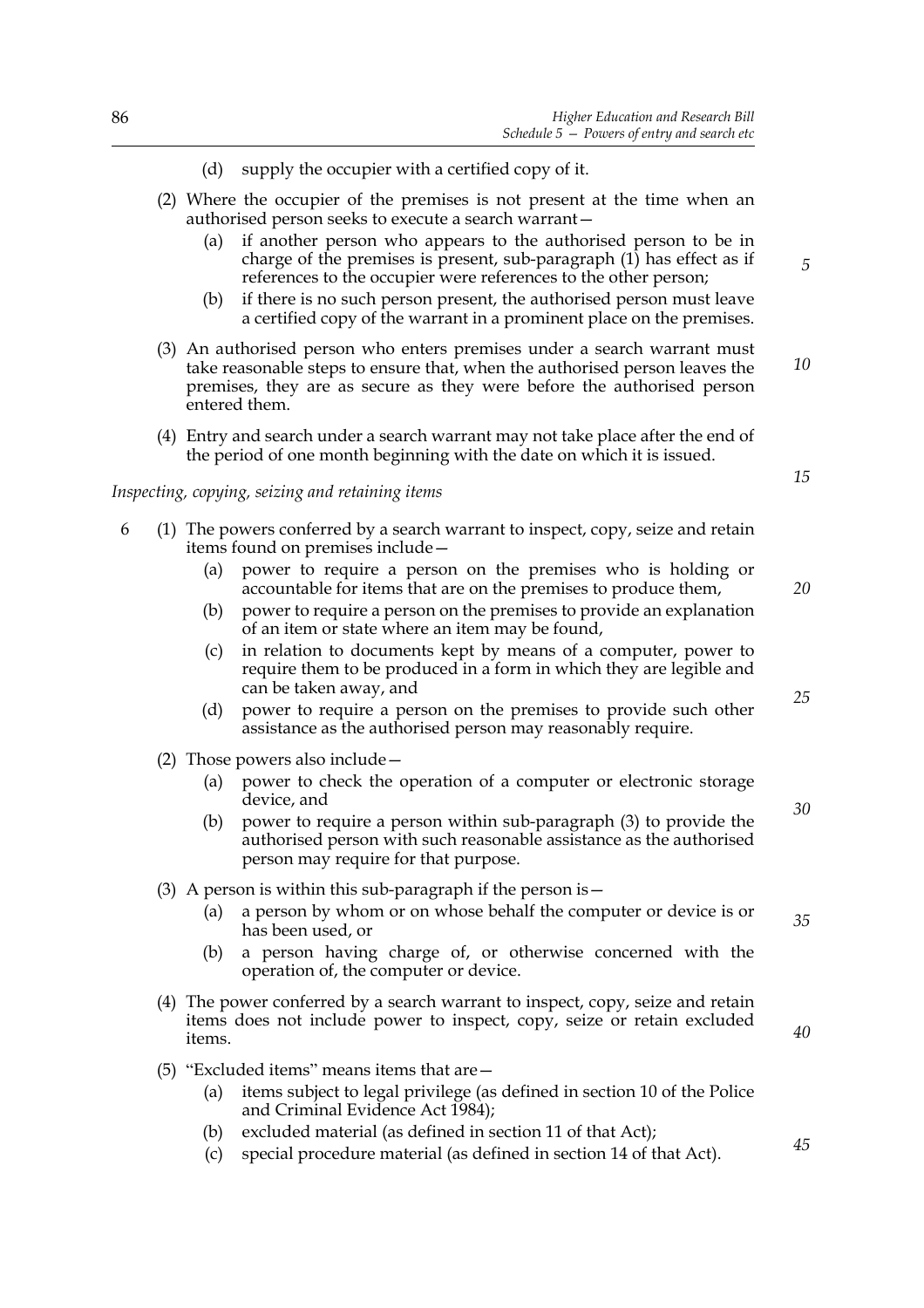- (d) supply the occupier with a certified copy of it.
- (2) Where the occupier of the premises is not present at the time when an authorised person seeks to execute a search warrant—
	- (a) if another person who appears to the authorised person to be in charge of the premises is present, sub-paragraph  $(1)$  has effect as if references to the occupier were references to the other person;
	- (b) if there is no such person present, the authorised person must leave a certified copy of the warrant in a prominent place on the premises.
- (3) An authorised person who enters premises under a search warrant must take reasonable steps to ensure that, when the authorised person leaves the premises, they are as secure as they were before the authorised person entered them. *10*
- (4) Entry and search under a search warrant may not take place after the end of the period of one month beginning with the date on which it is issued.

#### *Inspecting, copying, seizing and retaining items*

- 6 (1) The powers conferred by a search warrant to inspect, copy, seize and retain items found on premises include—
	- (a) power to require a person on the premises who is holding or accountable for items that are on the premises to produce them,
	- (b) power to require a person on the premises to provide an explanation of an item or state where an item may be found,
	- (c) in relation to documents kept by means of a computer, power to require them to be produced in a form in which they are legible and can be taken away, and
	- (d) power to require a person on the premises to provide such other assistance as the authorised person may reasonably require.
	- (2) Those powers also include—
		- (a) power to check the operation of a computer or electronic storage device, and
		- (b) power to require a person within sub-paragraph (3) to provide the authorised person with such reasonable assistance as the authorised person may require for that purpose.
	- (3) A person is within this sub-paragraph if the person is—
		- (a) a person by whom or on whose behalf the computer or device is or has been used, or
		- (b) a person having charge of, or otherwise concerned with the operation of, the computer or device.
	- (4) The power conferred by a search warrant to inspect, copy, seize and retain items does not include power to inspect, copy, seize or retain excluded items.
	- (5) "Excluded items" means items that are—
		- (a) items subject to legal privilege (as defined in section 10 of the Police and Criminal Evidence Act 1984);
		- (b) excluded material (as defined in section 11 of that Act);
		- (c) special procedure material (as defined in section 14 of that Act).

*25*

*20*

*15*

*5*

*30*

*35*

*40*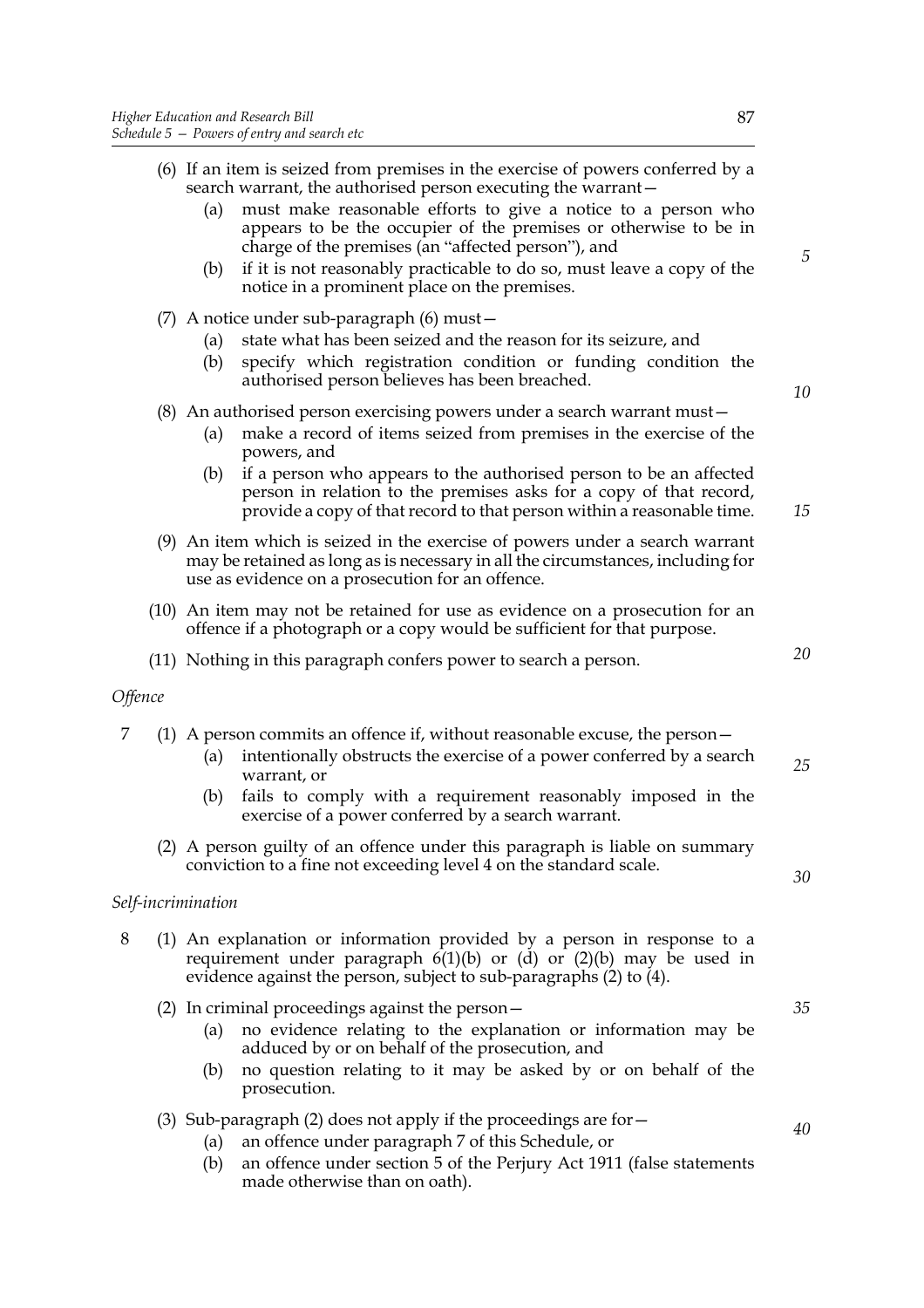- (a) must make reasonable efforts to give a notice to a person who appears to be the occupier of the premises or otherwise to be in charge of the premises (an "affected person"), and
- (b) if it is not reasonably practicable to do so, must leave a copy of the notice in a prominent place on the premises.
- (7) A notice under sub-paragraph (6) must—
	- (a) state what has been seized and the reason for its seizure, and
	- (b) specify which registration condition or funding condition the authorised person believes has been breached.

# (8) An authorised person exercising powers under a search warrant must—

- (a) make a record of items seized from premises in the exercise of the powers, and
- (b) if a person who appears to the authorised person to be an affected person in relation to the premises asks for a copy of that record, provide a copy of that record to that person within a reasonable time.
- (9) An item which is seized in the exercise of powers under a search warrant may be retained as long as is necessary in all the circumstances, including for use as evidence on a prosecution for an offence.
- (10) An item may not be retained for use as evidence on a prosecution for an offence if a photograph or a copy would be sufficient for that purpose.
- (11) Nothing in this paragraph confers power to search a person.

## *Offence*

|  |  |  |  | (1) A person commits an offence if, without reasonable excuse, the person – |
|--|--|--|--|-----------------------------------------------------------------------------|
|--|--|--|--|-----------------------------------------------------------------------------|

- (a) intentionally obstructs the exercise of a power conferred by a search warrant, or
- (b) fails to comply with a requirement reasonably imposed in the exercise of a power conferred by a search warrant.
- (2) A person guilty of an offence under this paragraph is liable on summary conviction to a fine not exceeding level 4 on the standard scale.

## *Self-incrimination*

- 8 (1) An explanation or information provided by a person in response to a requirement under paragraph  $6(1)(b)$  or  $(d)$  or  $(2)(b)$  may be used in evidence against the person, subject to sub-paragraphs (2) to (4).
	- (2) In criminal proceedings against the person—
		- (a) no evidence relating to the explanation or information may be adduced by or on behalf of the prosecution, and
		- (b) no question relating to it may be asked by or on behalf of the prosecution.
	- (3) Sub-paragraph (2) does not apply if the proceedings are for  $-$ 
		- (a) an offence under paragraph 7 of this Schedule, or
		- (b) an offence under section 5 of the Perjury Act 1911 (false statements made otherwise than on oath).

*5*

*10*

*15*

*20*

*25*

*30*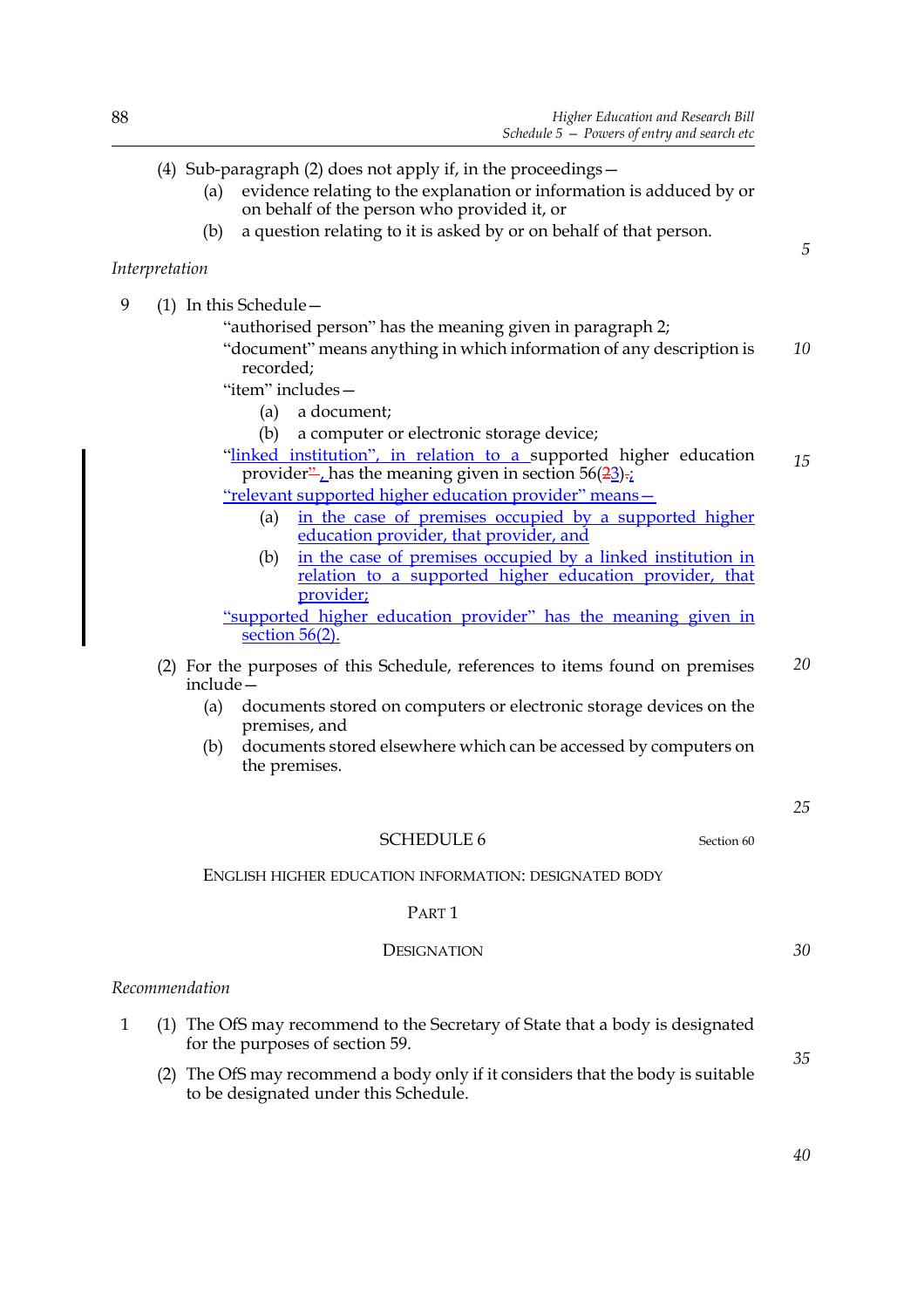|              | (4) Sub-paragraph (2) does not apply if, in the proceedings $-$<br>evidence relating to the explanation or information is adduced by or<br>(a)<br>on behalf of the person who provided it, or<br>a question relating to it is asked by or on behalf of that person.<br>(b) |    |
|--------------|----------------------------------------------------------------------------------------------------------------------------------------------------------------------------------------------------------------------------------------------------------------------------|----|
|              | Interpretation                                                                                                                                                                                                                                                             | 5  |
| 9            | $(1)$ In this Schedule –                                                                                                                                                                                                                                                   |    |
|              | "authorised person" has the meaning given in paragraph 2;<br>"document" means anything in which information of any description is<br>recorded;                                                                                                                             | 10 |
|              | "item" includes-                                                                                                                                                                                                                                                           |    |
|              | a document;<br>(a)                                                                                                                                                                                                                                                         |    |
|              | (b)<br>a computer or electronic storage device;<br>"linked institution", in relation to a supported higher education<br>provider" has the meaning given in section $56(23)$ ;                                                                                              | 15 |
|              | "relevant supported higher education provider" means-<br>in the case of premises occupied by a supported higher<br>(a)<br>education provider, that provider, and                                                                                                           |    |
|              | in the case of premises occupied by a linked institution in<br>(b)<br>relation to a supported higher education provider, that<br>provider;                                                                                                                                 |    |
|              | "supported higher education provider" has the meaning given in<br>section $56(2)$ .                                                                                                                                                                                        |    |
|              | (2) For the purposes of this Schedule, references to items found on premises<br>include-                                                                                                                                                                                   | 20 |
|              | (a)<br>documents stored on computers or electronic storage devices on the<br>premises, and                                                                                                                                                                                 |    |
|              | documents stored elsewhere which can be accessed by computers on<br>(b)<br>the premises.                                                                                                                                                                                   |    |
|              |                                                                                                                                                                                                                                                                            | 25 |
|              | <b>SCHEDULE 6</b><br>Section 60                                                                                                                                                                                                                                            |    |
|              | ENGLISH HIGHER EDUCATION INFORMATION: DESIGNATED BODY                                                                                                                                                                                                                      |    |
|              | PART <sub>1</sub>                                                                                                                                                                                                                                                          |    |
|              | <b>DESIGNATION</b>                                                                                                                                                                                                                                                         | 30 |
|              | Recommendation                                                                                                                                                                                                                                                             |    |
| $\mathbf{1}$ | (1) The OfS may recommend to the Secretary of State that a body is designated<br>for the purposes of section 59.                                                                                                                                                           |    |

(2) The OfS may recommend a body only if it considers that the body is suitable to be designated under this Schedule.

*40*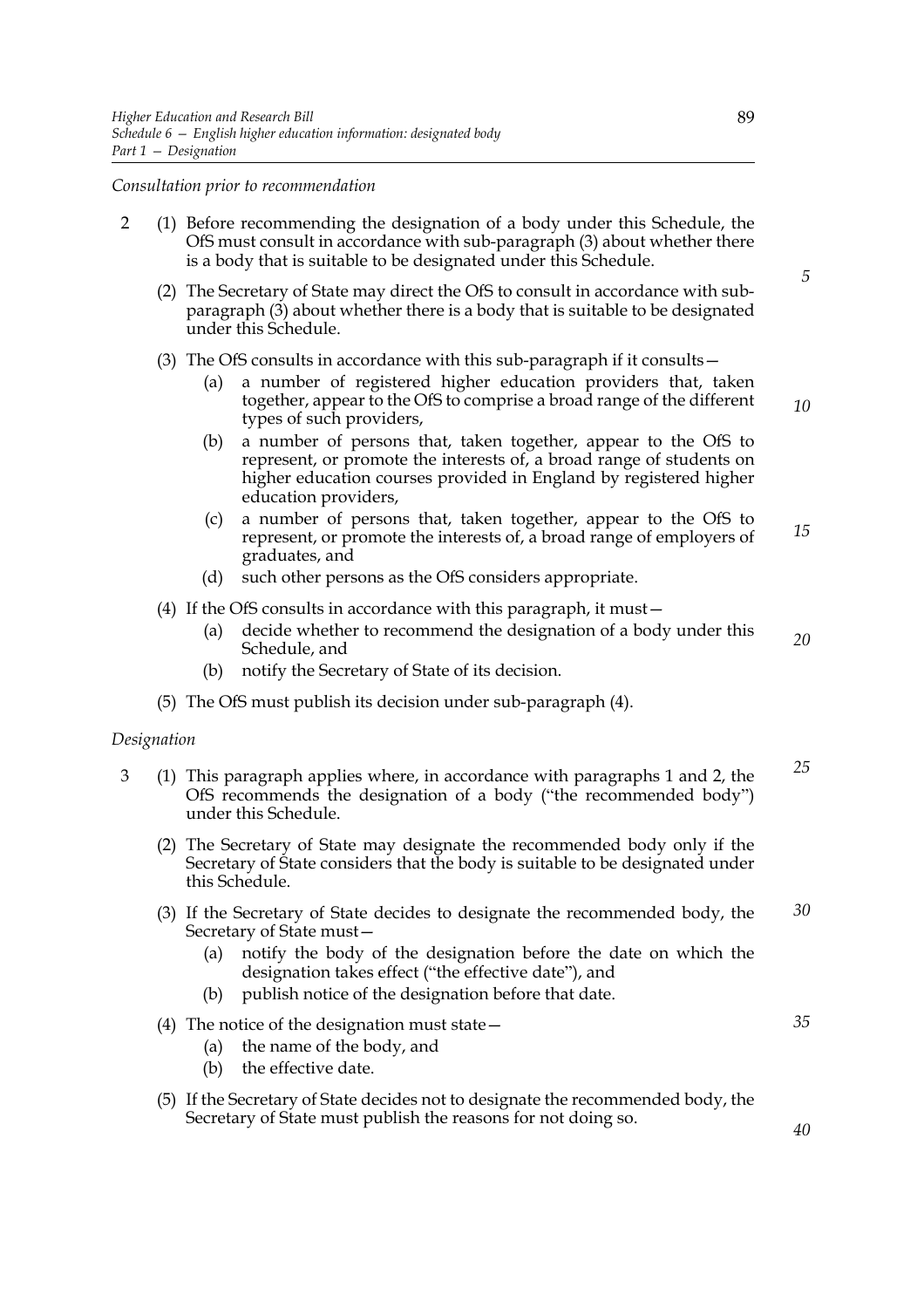*Consultation prior to recommendation*

- 2 (1) Before recommending the designation of a body under this Schedule, the OfS must consult in accordance with sub-paragraph (3) about whether there is a body that is suitable to be designated under this Schedule.
	- (2) The Secretary of State may direct the OfS to consult in accordance with subparagraph (3) about whether there is a body that is suitable to be designated under this Schedule.
	- (3) The OfS consults in accordance with this sub-paragraph if it consults—
		- (a) a number of registered higher education providers that, taken together, appear to the OfS to comprise a broad range of the different types of such providers,
		- (b) a number of persons that, taken together, appear to the OfS to represent, or promote the interests of, a broad range of students on higher education courses provided in England by registered higher education providers,
		- (c) a number of persons that, taken together, appear to the OfS to represent, or promote the interests of, a broad range of employers of graduates, and *15*
		- (d) such other persons as the OfS considers appropriate.
	- (4) If the OfS consults in accordance with this paragraph, it must—
		- (a) decide whether to recommend the designation of a body under this Schedule, and *20*
		- (b) notify the Secretary of State of its decision.
	- (5) The OfS must publish its decision under sub-paragraph (4).

#### *Designation*

- 3 (1) This paragraph applies where, in accordance with paragraphs 1 and 2, the OfS recommends the designation of a body ("the recommended body") under this Schedule.
	- (2) The Secretary of State may designate the recommended body only if the Secretary of State considers that the body is suitable to be designated under this Schedule.
	- (3) If the Secretary of State decides to designate the recommended body, the Secretary of State must— *30*
		- (a) notify the body of the designation before the date on which the designation takes effect ("the effective date"), and
		- (b) publish notice of the designation before that date.
	- (4) The notice of the designation must state—
		- (a) the name of the body, and
		- (b) the effective date.
	- (5) If the Secretary of State decides not to designate the recommended body, the Secretary of State must publish the reasons for not doing so.

*35*

*25*

*10*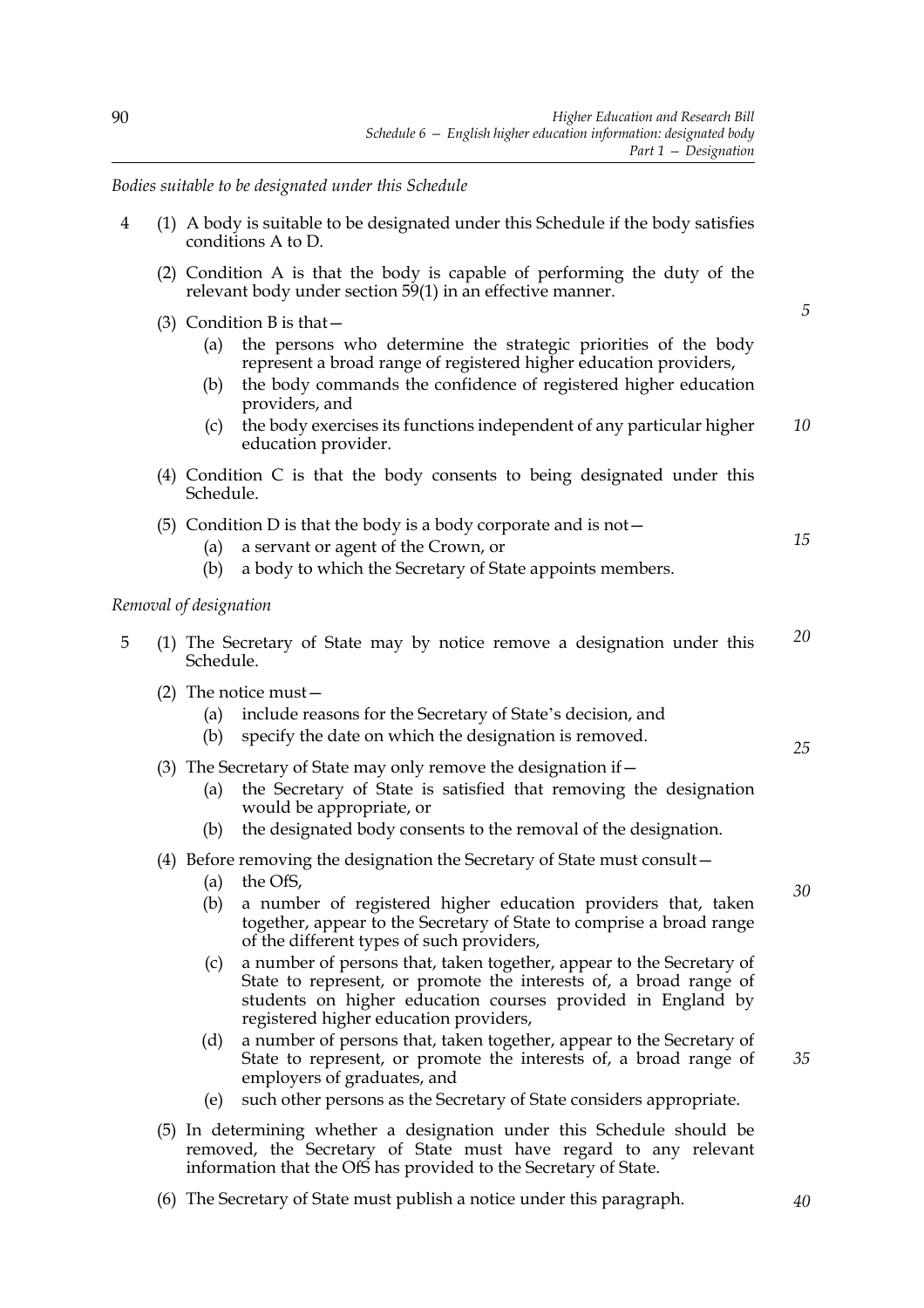*Bodies suitable to be designated under this Schedule*

| $\overline{4}$ | (1) A body is suitable to be designated under this Schedule if the body satisfies<br>conditions A to D.                                                                                                                                                                                                                                                                                                                                                                                                                                                                                                                                                                                                                                |          |
|----------------|----------------------------------------------------------------------------------------------------------------------------------------------------------------------------------------------------------------------------------------------------------------------------------------------------------------------------------------------------------------------------------------------------------------------------------------------------------------------------------------------------------------------------------------------------------------------------------------------------------------------------------------------------------------------------------------------------------------------------------------|----------|
|                | (2) Condition A is that the body is capable of performing the duty of the<br>relevant body under section 59(1) in an effective manner.                                                                                                                                                                                                                                                                                                                                                                                                                                                                                                                                                                                                 |          |
|                | (3) Condition B is that $-$<br>the persons who determine the strategic priorities of the body<br>(a)<br>represent a broad range of registered higher education providers,<br>the body commands the confidence of registered higher education<br>(b)<br>providers, and<br>the body exercises its functions independent of any particular higher<br>(c)<br>education provider.                                                                                                                                                                                                                                                                                                                                                           | 5<br>10  |
|                | (4) Condition C is that the body consents to being designated under this<br>Schedule.                                                                                                                                                                                                                                                                                                                                                                                                                                                                                                                                                                                                                                                  |          |
|                | (5) Condition D is that the body is a body corporate and is not $-$<br>a servant or agent of the Crown, or<br>(a)<br>a body to which the Secretary of State appoints members.<br>(b)                                                                                                                                                                                                                                                                                                                                                                                                                                                                                                                                                   | 15       |
|                | Removal of designation                                                                                                                                                                                                                                                                                                                                                                                                                                                                                                                                                                                                                                                                                                                 |          |
| 5              | (1) The Secretary of State may by notice remove a designation under this<br>Schedule.                                                                                                                                                                                                                                                                                                                                                                                                                                                                                                                                                                                                                                                  | 20       |
|                | (2) The notice must $-$<br>include reasons for the Secretary of State's decision, and<br>(a)<br>specify the date on which the designation is removed.<br>(b)                                                                                                                                                                                                                                                                                                                                                                                                                                                                                                                                                                           | 25       |
|                | (3) The Secretary of State may only remove the designation if -<br>the Secretary of State is satisfied that removing the designation<br>(a)<br>would be appropriate, or<br>the designated body consents to the removal of the designation.<br>(b)                                                                                                                                                                                                                                                                                                                                                                                                                                                                                      |          |
|                | (4) Before removing the designation the Secretary of State must consult -<br>the OfS,<br>(a)<br>(b) a number of registered higher education providers that, taken<br>together, appear to the Secretary of State to comprise a broad range<br>of the different types of such providers,<br>a number of persons that, taken together, appear to the Secretary of<br>(c)<br>State to represent, or promote the interests of, a broad range of<br>students on higher education courses provided in England by<br>registered higher education providers,<br>(d)<br>a number of persons that, taken together, appear to the Secretary of<br>State to represent, or promote the interests of, a broad range of<br>employers of graduates, and | 30<br>35 |
|                | such other persons as the Secretary of State considers appropriate.<br>(e)<br>(5) In determining whether a designation under this Schedule should be<br>removed, the Secretary of State must have regard to any relevant<br>information that the OfS has provided to the Secretary of State.                                                                                                                                                                                                                                                                                                                                                                                                                                           |          |

(6) The Secretary of State must publish a notice under this paragraph.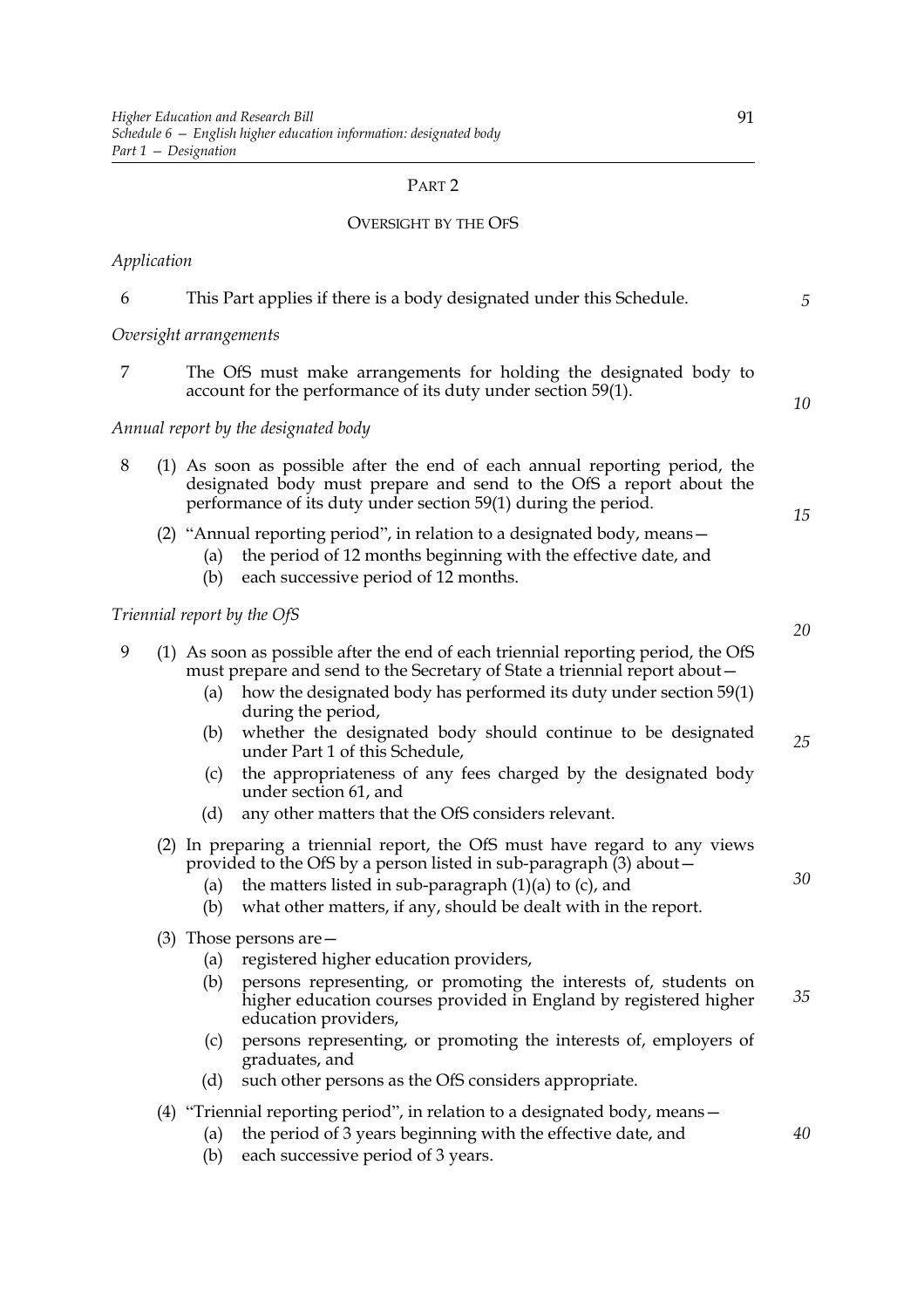# PART 2

# OVERSIGHT BY THE OFS

# *Application*

| 6 |                        | This Part applies if there is a body designated under this Schedule.                                                                                                                                                                                                                | $\sqrt{5}$ |
|---|------------------------|-------------------------------------------------------------------------------------------------------------------------------------------------------------------------------------------------------------------------------------------------------------------------------------|------------|
|   | Oversight arrangements |                                                                                                                                                                                                                                                                                     |            |
| 7 |                        | The OfS must make arrangements for holding the designated body to<br>account for the performance of its duty under section 59(1).                                                                                                                                                   | 10         |
|   |                        | Annual report by the designated body                                                                                                                                                                                                                                                |            |
| 8 |                        | (1) As soon as possible after the end of each annual reporting period, the<br>designated body must prepare and send to the OfS a report about the<br>performance of its duty under section 59(1) during the period.                                                                 | 15         |
|   | (a)<br>(b)             | (2) "Annual reporting period", in relation to a designated body, means $-$<br>the period of 12 months beginning with the effective date, and<br>each successive period of 12 months.                                                                                                |            |
|   |                        | Triennial report by the OfS                                                                                                                                                                                                                                                         | 20         |
| 9 | (a)                    | (1) As soon as possible after the end of each triennial reporting period, the OfS<br>must prepare and send to the Secretary of State a triennial report about -<br>how the designated body has performed its duty under section 59(1)<br>during the period,                         |            |
|   | (b)                    | whether the designated body should continue to be designated<br>under Part 1 of this Schedule,                                                                                                                                                                                      | 25         |
|   | (c)                    | the appropriateness of any fees charged by the designated body<br>under section 61, and                                                                                                                                                                                             |            |
|   | (d)                    | any other matters that the OfS considers relevant.                                                                                                                                                                                                                                  |            |
|   | (a)<br>(b)             | (2) In preparing a triennial report, the OfS must have regard to any views<br>provided to the OfS by a person listed in sub-paragraph (3) about -<br>the matters listed in sub-paragraph $(1)(a)$ to $(c)$ , and<br>what other matters, if any, should be dealt with in the report. | 30         |
|   |                        | $(3)$ Those persons are $-$                                                                                                                                                                                                                                                         |            |
|   | (a)                    | registered higher education providers,                                                                                                                                                                                                                                              |            |
|   |                        | (b) persons representing, or promoting the interests of, students on<br>higher education courses provided in England by registered higher<br>education providers,                                                                                                                   | 35         |
|   | (c)                    | persons representing, or promoting the interests of, employers of<br>graduates, and                                                                                                                                                                                                 |            |
|   | (d)                    | such other persons as the OfS considers appropriate.                                                                                                                                                                                                                                |            |
|   |                        | $(4)$ "Triennial reporting period", in relation to a designated body, means $-$                                                                                                                                                                                                     |            |
|   | (a)                    | the period of 3 years beginning with the effective date, and                                                                                                                                                                                                                        | 40         |
|   | (b)                    | each successive period of 3 years.                                                                                                                                                                                                                                                  |            |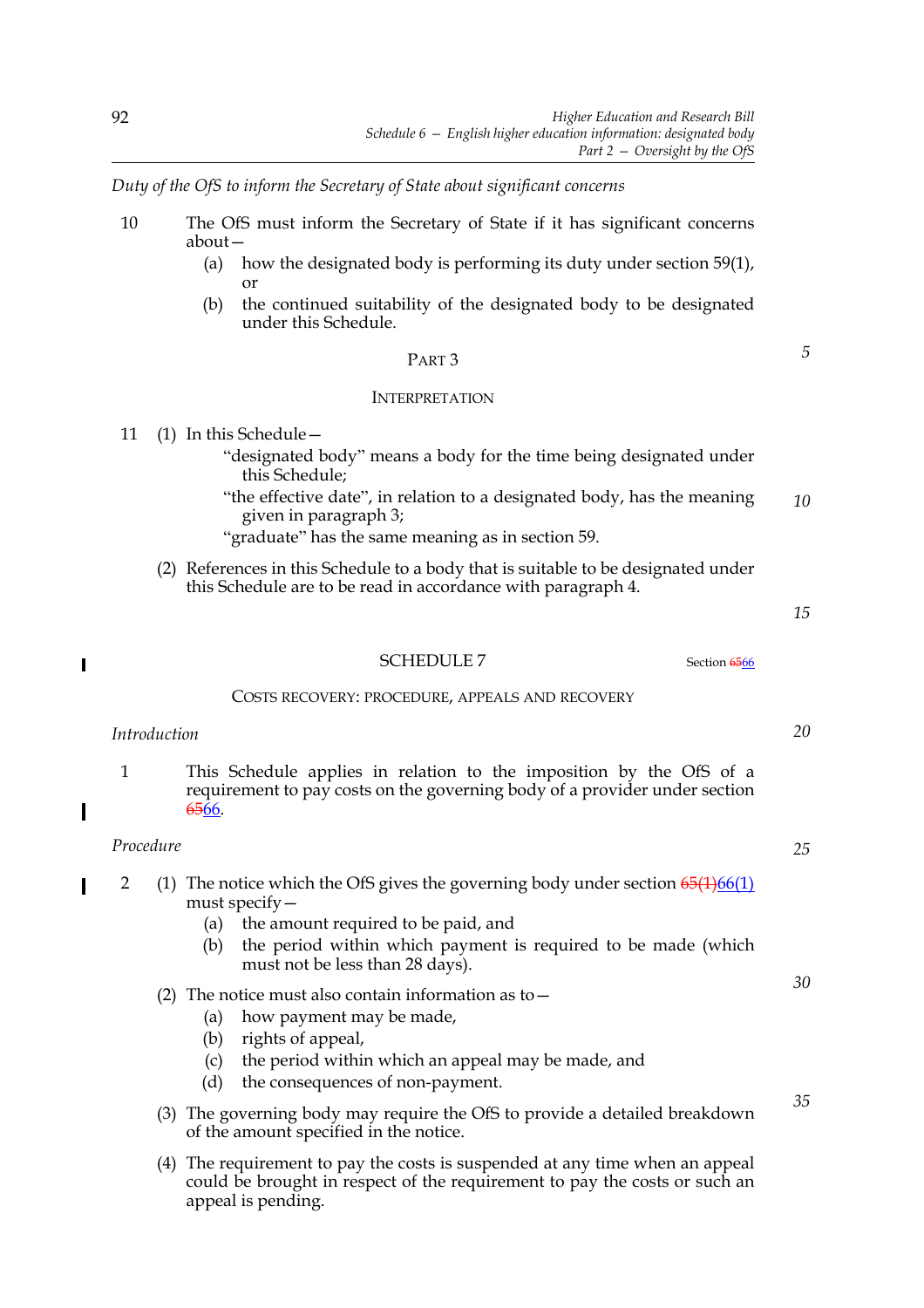*Duty of the OfS to inform the Secretary of State about significant concerns*

- 10 The OfS must inform the Secretary of State if it has significant concerns about—
	- (a) how the designated body is performing its duty under section 59(1), or
	- (b) the continued suitability of the designated body to be designated under this Schedule.

#### PART 3

#### INTERPRETATION

- 11 (1) In this Schedule—
	- "designated body" means a body for the time being designated under this Schedule;
	- "the effective date", in relation to a designated body, has the meaning given in paragraph 3; *10*
	- "graduate" has the same meaning as in section 59.
	- (2) References in this Schedule to a body that is suitable to be designated under this Schedule are to be read in accordance with paragraph 4.

*15*

*20*

*25*

*30*

*35*

*5*

#### $\overline{\phantom{a}}$

#### SCHEDULE 7 Section 6566

#### COSTS RECOVERY: PROCEDURE, APPEALS AND RECOVERY

## *Introduction*

1 This Schedule applies in relation to the imposition by the OfS of a requirement to pay costs on the governing body of a provider under section 6566.

## *Procedure*

- 2 (1) The notice which the OfS gives the governing body under section  $65(1)66(1)$ I must specify—
	- (a) the amount required to be paid, and
	- (b) the period within which payment is required to be made (which must not be less than 28 days).

## (2) The notice must also contain information as to  $-$

- (a) how payment may be made,
- (b) rights of appeal,
- (c) the period within which an appeal may be made, and
- (d) the consequences of non-payment.
- (3) The governing body may require the OfS to provide a detailed breakdown of the amount specified in the notice.
- (4) The requirement to pay the costs is suspended at any time when an appeal could be brought in respect of the requirement to pay the costs or such an appeal is pending.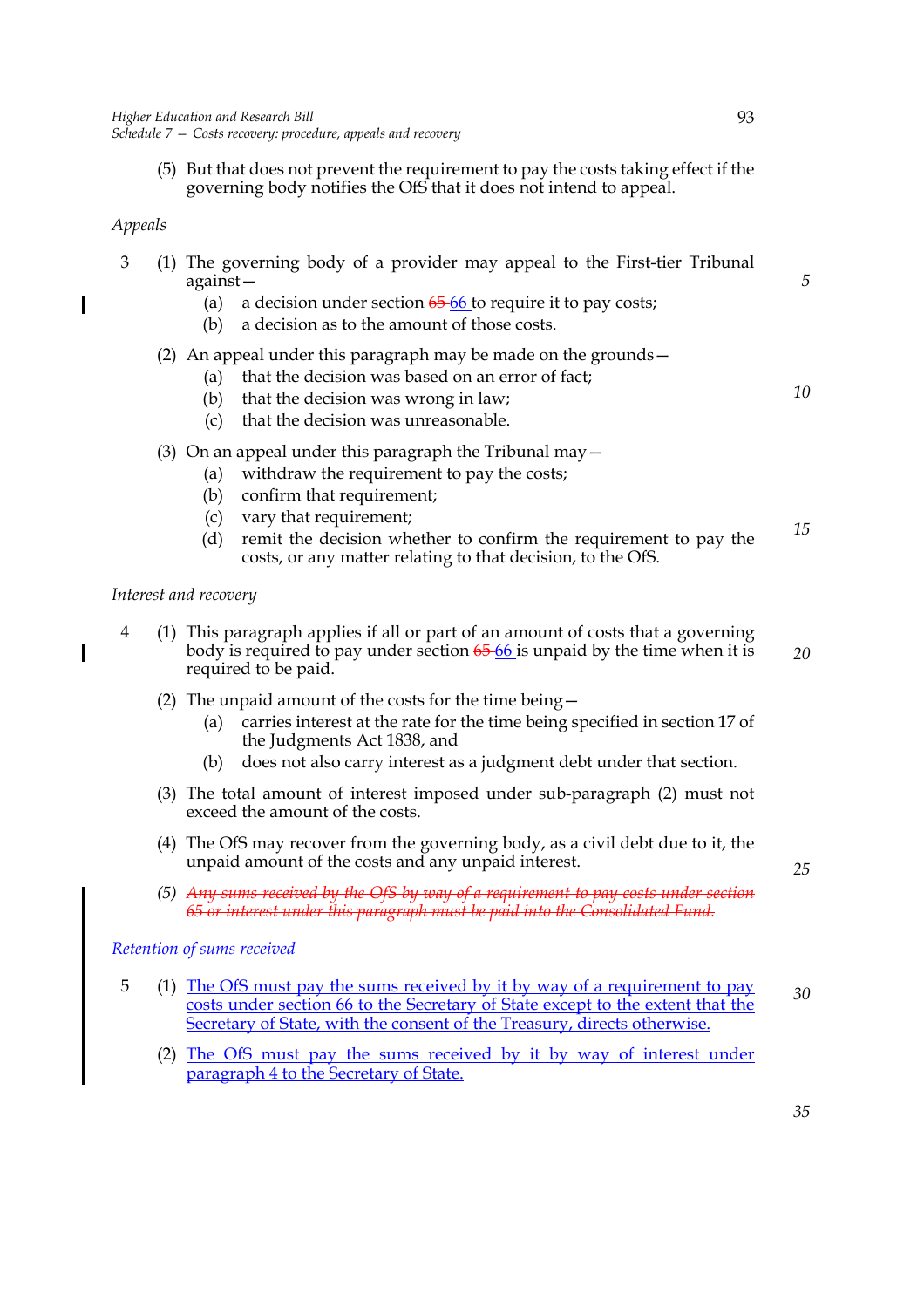(5) But that does not prevent the requirement to pay the costs taking effect if the governing body notifies the OfS that it does not intend to appeal.

# *Appeals*

| 3 (1) The governing body of a provider may appeal to the First-tier Tribunal |
|------------------------------------------------------------------------------|
| against –                                                                    |
| (a) a decision under section $65-66$ to require it to pay costs;             |

(b) a decision as to the amount of those costs.

# (2) An appeal under this paragraph may be made on the grounds—

- (a) that the decision was based on an error of fact;
- (b) that the decision was wrong in law;
- (c) that the decision was unreasonable.

# (3) On an appeal under this paragraph the Tribunal may  $-$

- (a) withdraw the requirement to pay the costs;
- (b) confirm that requirement;
- (c) vary that requirement;
- (d) remit the decision whether to confirm the requirement to pay the costs, or any matter relating to that decision, to the OfS. *15*

## *Interest and recovery*

- 4 (1) This paragraph applies if all or part of an amount of costs that a governing body is required to pay under section  $6566$  is unpaid by the time when it is required to be paid. *20*
	- (2) The unpaid amount of the costs for the time being—
		- (a) carries interest at the rate for the time being specified in section 17 of the Judgments Act 1838, and
		- (b) does not also carry interest as a judgment debt under that section.
	- (3) The total amount of interest imposed under sub-paragraph (2) must not exceed the amount of the costs.
	- (4) The OfS may recover from the governing body, as a civil debt due to it, the unpaid amount of the costs and any unpaid interest.
	- *(5) Any sums received by the OfS by way of a requirement to pay costs under section 65 or interest under this paragraph must be paid into the Consolidated Fund.*

## *Retention of sums received*

- 5 (1) The OfS must pay the sums received by it by way of a requirement to pay costs under section 66 to the Secretary of State except to the extent that the Secretary of State, with the consent of the Treasury, directs otherwise. *30*
	- (2) The OfS must pay the sums received by it by way of interest under paragraph 4 to the Secretary of State.

*5*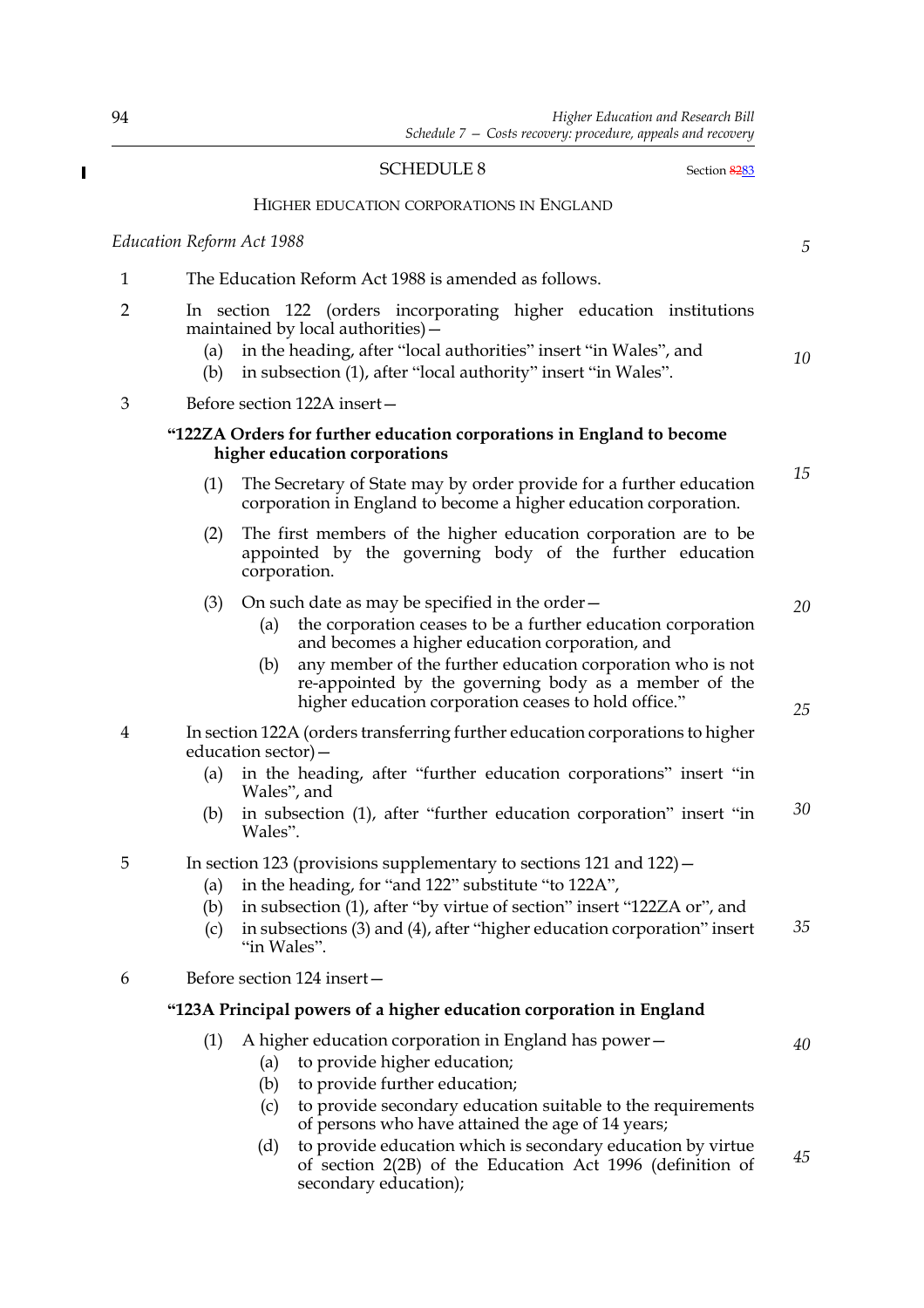#### SCHEDULE 8 Section 8283

*5*

*10*

*20*

*25*

#### HIGHER EDUCATION CORPORATIONS IN ENGLAND

*Education Reform Act 1988*

# 1 The Education Reform Act 1988 is amended as follows.

- 2 In section 122 (orders incorporating higher education institutions maintained by local authorities)—
	- (a) in the heading, after "local authorities" insert "in Wales", and
	- (b) in subsection (1), after "local authority" insert "in Wales".

3 Before section 122A insert—

#### **"122ZA Orders for further education corporations in England to become higher education corporations**

- (1) The Secretary of State may by order provide for a further education corporation in England to become a higher education corporation. *15*
- (2) The first members of the higher education corporation are to be appointed by the governing body of the further education corporation.
- (3) On such date as may be specified in the order—
	- (a) the corporation ceases to be a further education corporation and becomes a higher education corporation, and
	- (b) any member of the further education corporation who is not re-appointed by the governing body as a member of the higher education corporation ceases to hold office."
- 4 In section 122A (orders transferring further education corporations to higher education sector)—
	- (a) in the heading, after "further education corporations" insert "in Wales", and
	- (b) in subsection (1), after "further education corporation" insert "in Wales". *30*

## 5 In section 123 (provisions supplementary to sections 121 and 122)—

- (a) in the heading, for "and 122" substitute "to 122A",
- (b) in subsection (1), after "by virtue of section" insert "122ZA or", and
- (c) in subsections (3) and (4), after "higher education corporation" insert "in Wales". *35*
- 6 Before section 124 insert—

## **"123A Principal powers of a higher education corporation in England**

- (1) A higher education corporation in England has power—
- *40*
- 
- (a) to provide higher education;
- (b) to provide further education;
- (c) to provide secondary education suitable to the requirements of persons who have attained the age of 14 years;
- (d) to provide education which is secondary education by virtue of section 2(2B) of the Education Act 1996 (definition of secondary education); *45*

 $\overline{\phantom{a}}$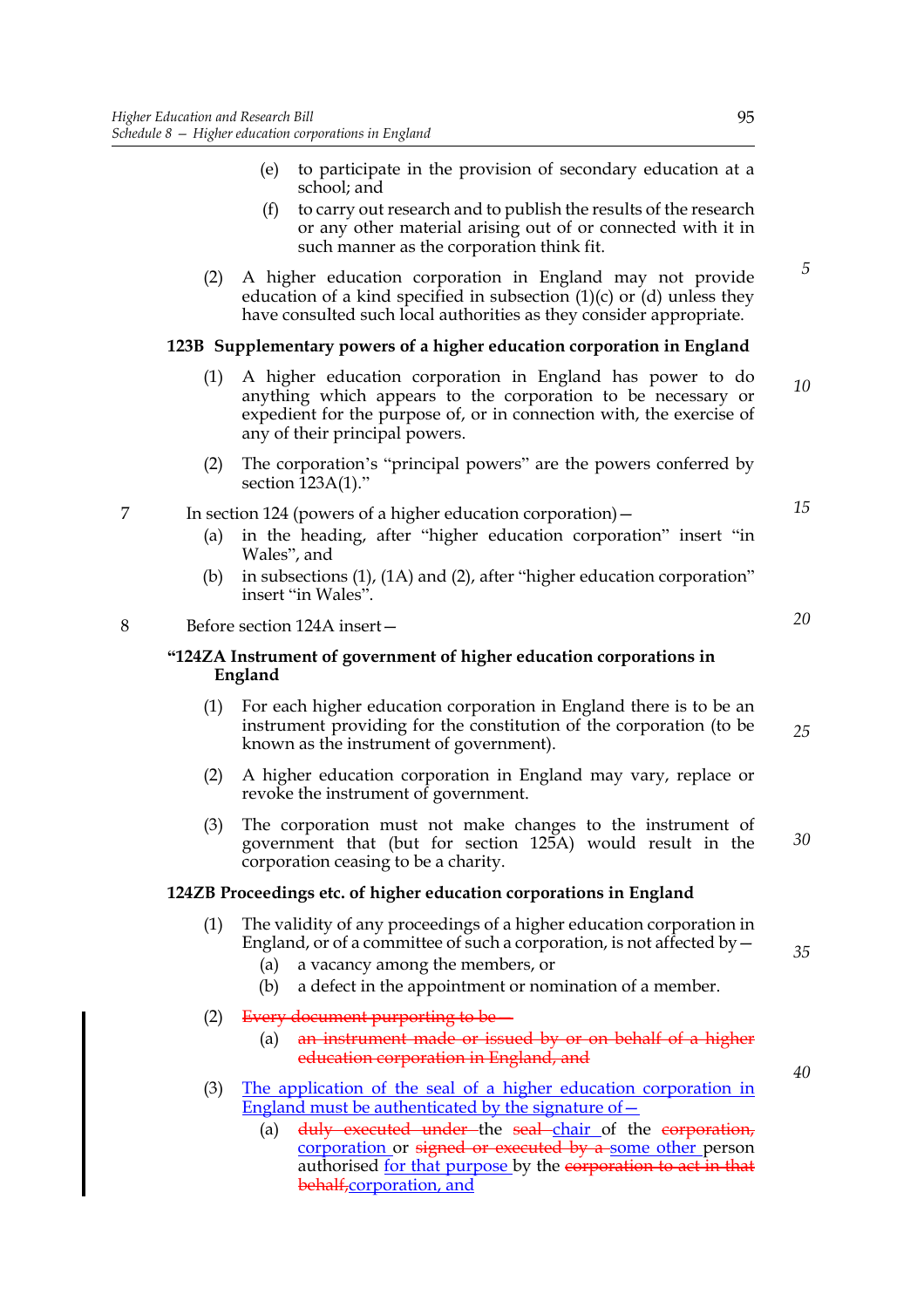- (e) to participate in the provision of secondary education at a school; and
- (f) to carry out research and to publish the results of the research or any other material arising out of or connected with it in such manner as the corporation think fit.
- (2) A higher education corporation in England may not provide education of a kind specified in subsection  $(1)(c)$  or  $(d)$  unless they have consulted such local authorities as they consider appropriate.

## **123B Supplementary powers of a higher education corporation in England**

- (1) A higher education corporation in England has power to do anything which appears to the corporation to be necessary or expedient for the purpose of, or in connection with, the exercise of any of their principal powers. *10*
- (2) The corporation's "principal powers" are the powers conferred by section  $123A(1)$ ."

#### 7 In section 124 (powers of a higher education corporation)—

- (a) in the heading, after "higher education corporation" insert "in Wales", and
- (b) in subsections (1), (1A) and (2), after "higher education corporation" insert "in Wales".

# 8 Before section 124A insert—

#### **"124ZA Instrument of government of higher education corporations in England**

- (1) For each higher education corporation in England there is to be an instrument providing for the constitution of the corporation (to be known as the instrument of government). *25*
- (2) A higher education corporation in England may vary, replace or revoke the instrument of government.
- (3) The corporation must not make changes to the instrument of government that (but for section 125A) would result in the corporation ceasing to be a charity. *30*

#### **124ZB Proceedings etc. of higher education corporations in England**

- (1) The validity of any proceedings of a higher education corporation in England, or of a committee of such a corporation, is not affected by  $-$ 
	- (a) a vacancy among the members, or
	- (b) a defect in the appointment or nomination of a member.
- (2) Every document purporting to be-
	- (a) an instrument made or issued by or on behalf of a higher education corporation in England, and
- (3) The application of the seal of a higher education corporation in England must be authenticated by the signature of  $-$ 
	- (a) duly executed under the seal chair of the corporation, corporation or signed or executed by a some other person authorised for that purpose by the corporation to act in that behalf,corporation, and

*20*

*15*

*5*

*35*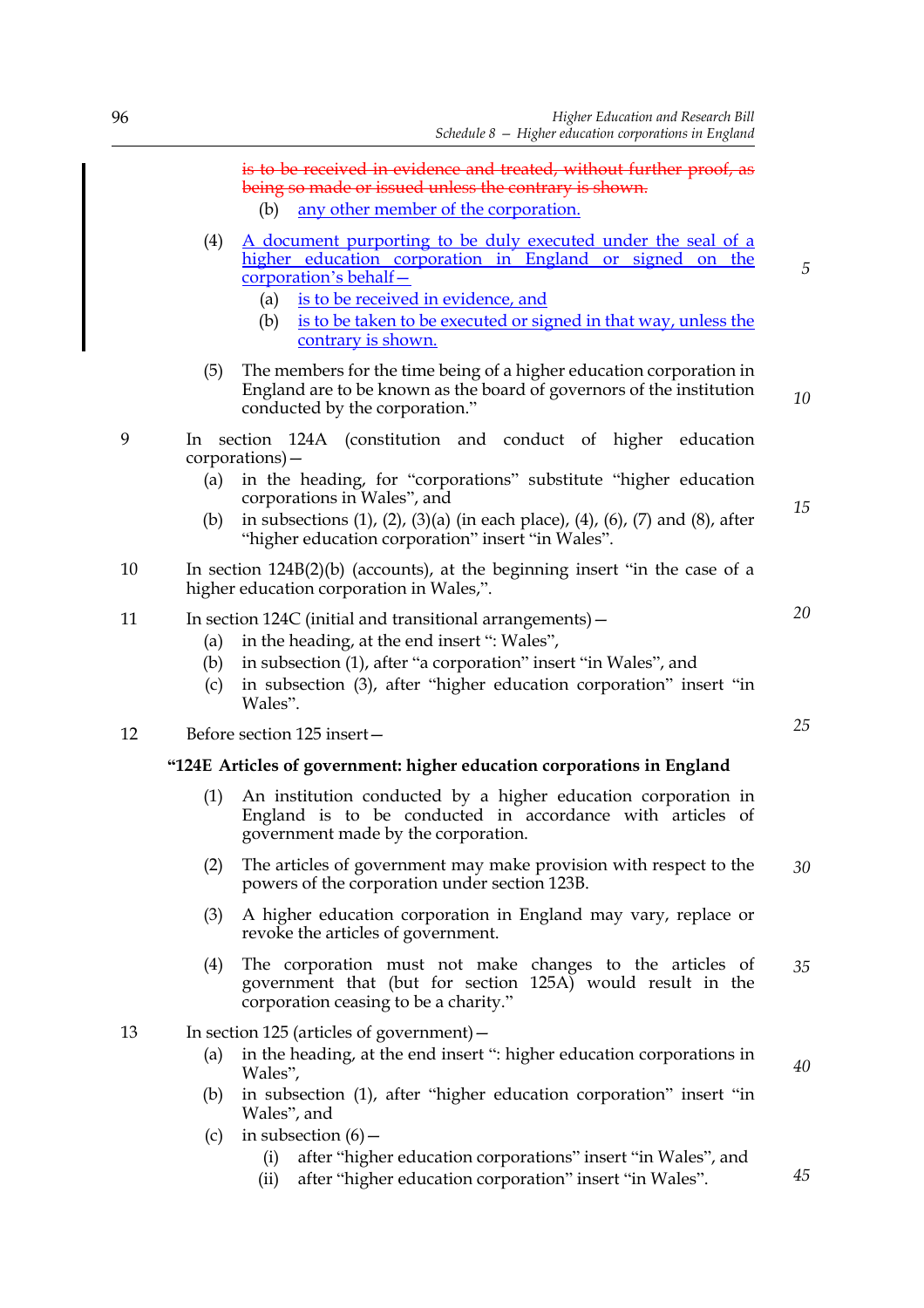|    | (4)                | is to be received in evidence and treated, without further proof, as<br>being so made or issued unless the contrary is shown.<br>any other member of the corporation.<br>(b)<br>A document purporting to be duly executed under the seal of a<br>higher education corporation in England or signed on the<br>corporation's behalf-<br>(a) is to be received in evidence, and<br>is to be taken to be executed or signed in that way, unless the<br>(b)<br>contrary is shown. |
|----|--------------------|------------------------------------------------------------------------------------------------------------------------------------------------------------------------------------------------------------------------------------------------------------------------------------------------------------------------------------------------------------------------------------------------------------------------------------------------------------------------------|
|    | (5)                | The members for the time being of a higher education corporation in<br>England are to be known as the board of governors of the institution<br>conducted by the corporation."                                                                                                                                                                                                                                                                                                |
| 9  | ln –<br>(a)<br>(b) | section 124A (constitution and conduct of higher education<br>corporations) –<br>in the heading, for "corporations" substitute "higher education<br>corporations in Wales", and<br>in subsections $(1)$ , $(2)$ , $(3)(a)$ (in each place), $(4)$ , $(6)$ , $(7)$ and $(8)$ , after<br>"higher education corporation" insert "in Wales".                                                                                                                                     |
| 10 |                    | In section $124B(2)(b)$ (accounts), at the beginning insert "in the case of a<br>higher education corporation in Wales,".                                                                                                                                                                                                                                                                                                                                                    |
| 11 | (a)<br>(b)<br>(c)  | In section 124C (initial and transitional arrangements) -<br>in the heading, at the end insert ": Wales",<br>in subsection (1), after "a corporation" insert "in Wales", and<br>in subsection (3), after "higher education corporation" insert "in<br>Wales".                                                                                                                                                                                                                |
| 12 |                    | Before section 125 insert-                                                                                                                                                                                                                                                                                                                                                                                                                                                   |
|    |                    | "124E Articles of government: higher education corporations in England                                                                                                                                                                                                                                                                                                                                                                                                       |
|    | (1)                | An institution conducted by a higher education corporation in<br>England is to be conducted in accordance with articles of<br>government made by the corporation.                                                                                                                                                                                                                                                                                                            |
|    | (2)                | The articles of government may make provision with respect to the<br>powers of the corporation under section 123B.                                                                                                                                                                                                                                                                                                                                                           |

- (3) A higher education corporation in England may vary, replace or revoke the articles of government.
- (4) The corporation must not make changes to the articles of government that (but for section 125A) would result in the corporation ceasing to be a charity." *35*
- 13 In section 125 (articles of government)—

- (a) in the heading, at the end insert ": higher education corporations in Wales",
- (b) in subsection (1), after "higher education corporation" insert "in Wales", and
- (c) in subsection  $(6)$ 
	- (i) after "higher education corporations" insert "in Wales", and
	- (ii) after "higher education corporation" insert "in Wales".

*25*

*30*

*40*

*45*

*20*

*5*

*10*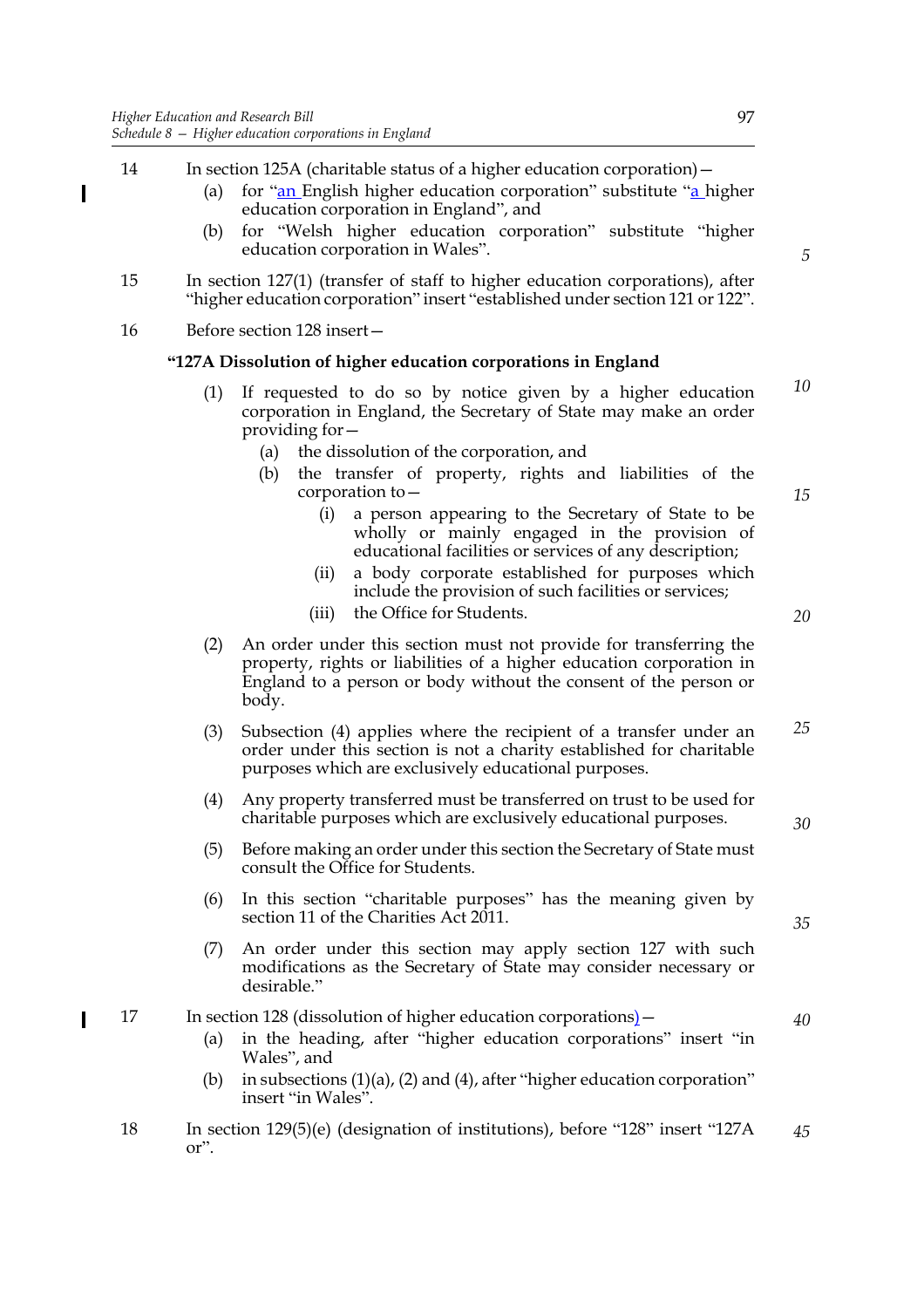- 14 In section 125A (charitable status of a higher education corporation)—
	- (a) for " $\frac{an}{b}$  English higher education corporation" substitute " $\frac{a}{a}$  higher education corporation in England", and
	- (b) for "Welsh higher education corporation" substitute "higher education corporation in Wales".
- 15 In section 127(1) (transfer of staff to higher education corporations), after "higher education corporation" insert "established under section 121 or 122".
- 16 Before section 128 insert—

 $\overline{\phantom{a}}$ 

#### **"127A Dissolution of higher education corporations in England**

- (1) If requested to do so by notice given by a higher education corporation in England, the Secretary of State may make an order providing for— *10*
	- (a) the dissolution of the corporation, and
	- (b) the transfer of property, rights and liabilities of the corporation to—
		- (i) a person appearing to the Secretary of State to be wholly or mainly engaged in the provision of educational facilities or services of any description;
		- (ii) a body corporate established for purposes which include the provision of such facilities or services;
		- (iii) the Office for Students.
- (2) An order under this section must not provide for transferring the property, rights or liabilities of a higher education corporation in England to a person or body without the consent of the person or body.
- (3) Subsection (4) applies where the recipient of a transfer under an order under this section is not a charity established for charitable purposes which are exclusively educational purposes. *25*
- (4) Any property transferred must be transferred on trust to be used for charitable purposes which are exclusively educational purposes.
- (5) Before making an order under this section the Secretary of State must consult the Office for Students.
- (6) In this section "charitable purposes" has the meaning given by section 11 of the Charities Act 2011.
- (7) An order under this section may apply section 127 with such modifications as the Secretary of State may consider necessary or desirable."

## 17 In section 128 (dissolution of higher education corporations) –

- (a) in the heading, after "higher education corporations" insert "in Wales", and
- (b) in subsections (1)(a), (2) and (4), after "higher education corporation" insert "in Wales".
- 18 In section 129(5)(e) (designation of institutions), before "128" insert "127A or". *45*

*5*

*20*

*15*

*35*

*40*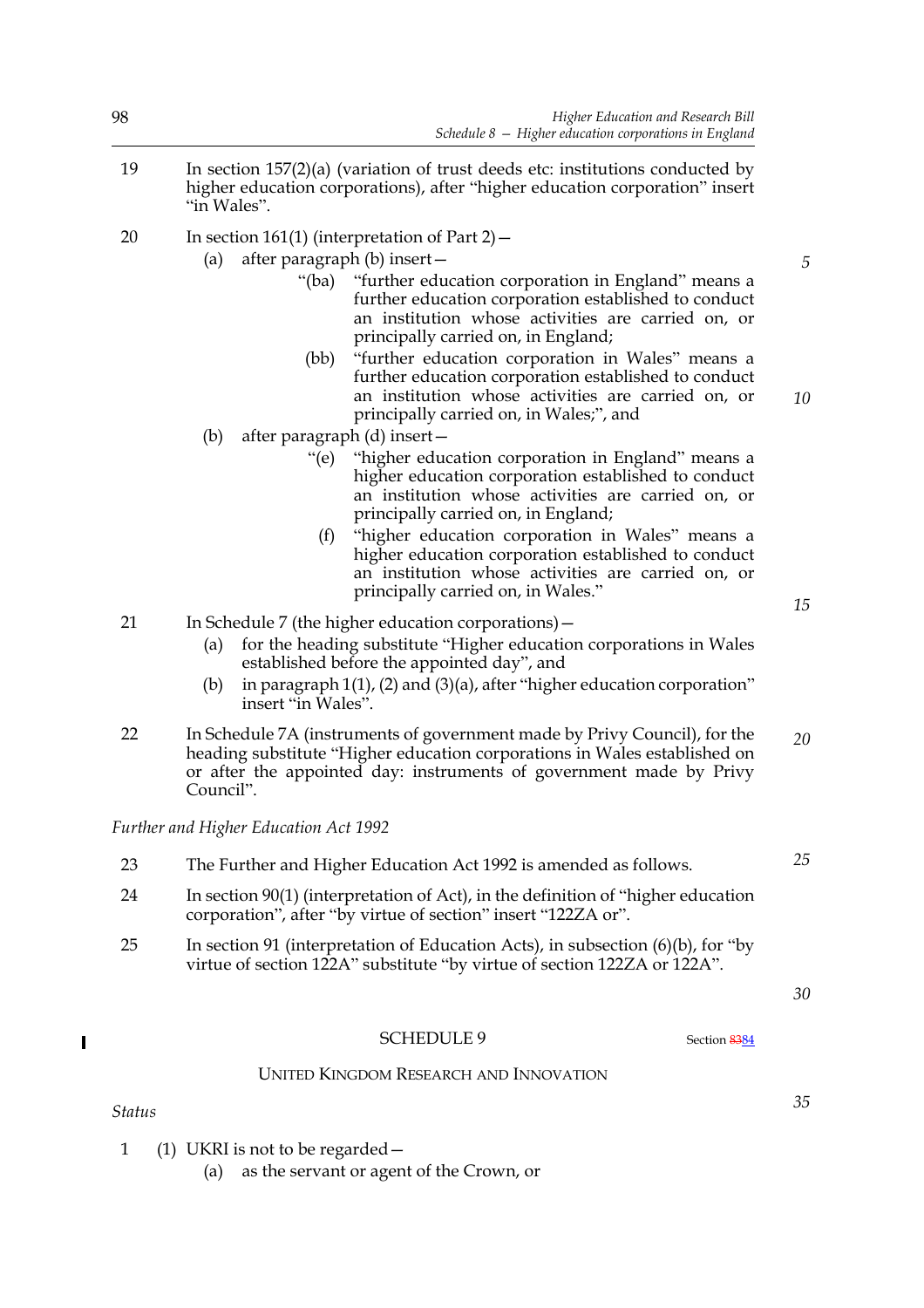| 8  | Higher Education and Research Bill<br>Schedule $8$ – Higher education corporations in England                                                                                                                                                                                                                                                                                                                                 |  |  |  |  |  |
|----|-------------------------------------------------------------------------------------------------------------------------------------------------------------------------------------------------------------------------------------------------------------------------------------------------------------------------------------------------------------------------------------------------------------------------------|--|--|--|--|--|
| 19 | In section $157(2)(a)$ (variation of trust deeds etc: institutions conducted by<br>higher education corporations), after "higher education corporation" insert<br>"in Wales".                                                                                                                                                                                                                                                 |  |  |  |  |  |
| 20 | In section 161(1) (interpretation of Part 2) $-$                                                                                                                                                                                                                                                                                                                                                                              |  |  |  |  |  |
|    | after paragraph (b) insert -<br>(a)                                                                                                                                                                                                                                                                                                                                                                                           |  |  |  |  |  |
|    | "(ba) "further education corporation in England" means a<br>further education corporation established to conduct<br>an institution whose activities are carried on, or<br>principally carried on, in England;                                                                                                                                                                                                                 |  |  |  |  |  |
|    | (bb)<br>"further education corporation in Wales" means a<br>further education corporation established to conduct<br>an institution whose activities are carried on, or<br>principally carried on, in Wales;", and                                                                                                                                                                                                             |  |  |  |  |  |
|    | after paragraph (d) insert-<br>(b)                                                                                                                                                                                                                                                                                                                                                                                            |  |  |  |  |  |
|    | "higher education corporation in England" means a<br>" $(e)$<br>higher education corporation established to conduct<br>an institution whose activities are carried on, or<br>principally carried on, in England;<br>"higher education corporation in Wales" means a<br>(f)<br>higher education corporation established to conduct<br>an institution whose activities are carried on, or<br>principally carried on, in Wales." |  |  |  |  |  |
| 21 | In Schedule 7 (the higher education corporations) –                                                                                                                                                                                                                                                                                                                                                                           |  |  |  |  |  |
|    | for the heading substitute "Higher education corporations in Wales<br>(a)<br>established before the appointed day", and                                                                                                                                                                                                                                                                                                       |  |  |  |  |  |
|    | in paragraph $1(1)$ , (2) and (3)(a), after "higher education corporation"<br>(b)<br>insert "in Wales".                                                                                                                                                                                                                                                                                                                       |  |  |  |  |  |
| 22 | In Schedule 7A (instruments of government made by Privy Council), for the<br>heading substitute "Higher education corporations in Wales established on<br>or after the appointed day: instruments of government made by Privy<br>Council".                                                                                                                                                                                    |  |  |  |  |  |

*Further and Higher Education Act 1992*

- 23 The Further and Higher Education Act 1992 is amended as follows.
- 24 In section 90(1) (interpretation of Act), in the definition of "higher education corporation", after "by virtue of section" insert "122ZA or".
- 25 In section 91 (interpretation of Education Acts), in subsection (6)(b), for "by virtue of section 122A" substitute "by virtue of section 122ZA or 122A".

*30*

*35*

*25*

# $\blacksquare$

# SCHEDULE 9 Section 8384

# UNITED KINGDOM RESEARCH AND INNOVATION

*Status*

1 (1) UKRI is not to be regarded—

(a) as the servant or agent of the Crown, or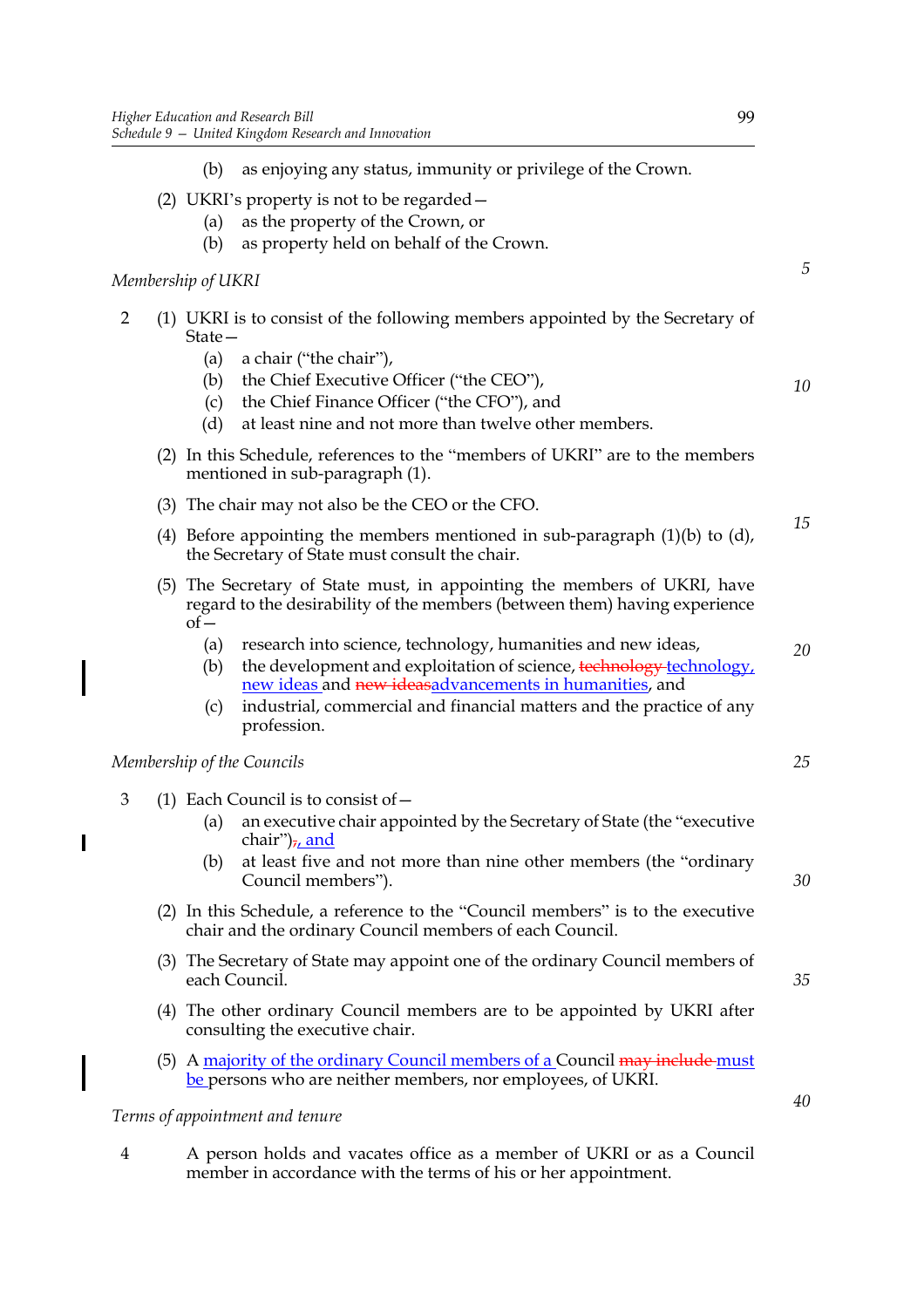- (b) as enjoying any status, immunity or privilege of the Crown.
- (2) UKRI's property is not to be regarded—
	- (a) as the property of the Crown, or
	- (b) as property held on behalf of the Crown.

## *Membership of UKRI*

- 2 (1) UKRI is to consist of the following members appointed by the Secretary of State—
	- (a) a chair ("the chair"),
	- (b) the Chief Executive Officer ("the CEO"),
	- (c) the Chief Finance Officer ("the CFO"), and
	- (d) at least nine and not more than twelve other members.
	- (2) In this Schedule, references to the "members of UKRI" are to the members mentioned in sub-paragraph (1).
	- (3) The chair may not also be the CEO or the CFO.
	- (4) Before appointing the members mentioned in sub-paragraph  $(1)(b)$  to  $(d)$ , the Secretary of State must consult the chair.
	- (5) The Secretary of State must, in appointing the members of UKRI, have regard to the desirability of the members (between them) having experience  $of$ 
		- (a) research into science, technology, humanities and new ideas,
		- (b) the development and exploitation of science,  $\frac{1}{2}$  technology, new ideas and new ideasadvancements in humanities, and
		- (c) industrial, commercial and financial matters and the practice of any profession.

#### *Membership of the Councils*

 $\overline{\phantom{a}}$ 

- 3 (1) Each Council is to consist of—
	- (a) an executive chair appointed by the Secretary of State (the "executive chair") $\frac{1}{l}$ , and
	- (b) at least five and not more than nine other members (the "ordinary Council members").
	- (2) In this Schedule, a reference to the "Council members" is to the executive chair and the ordinary Council members of each Council.
	- (3) The Secretary of State may appoint one of the ordinary Council members of each Council.
	- (4) The other ordinary Council members are to be appointed by UKRI after consulting the executive chair.
	- (5) A majority of the ordinary Council members of a Council may include must be persons who are neither members, nor employees, of UKRI.

#### *Terms of appointment and tenure*

4 A person holds and vacates office as a member of UKRI or as a Council member in accordance with the terms of his or her appointment.

*5*

*10*

*15*

*20*

*25*

## *35*

*30*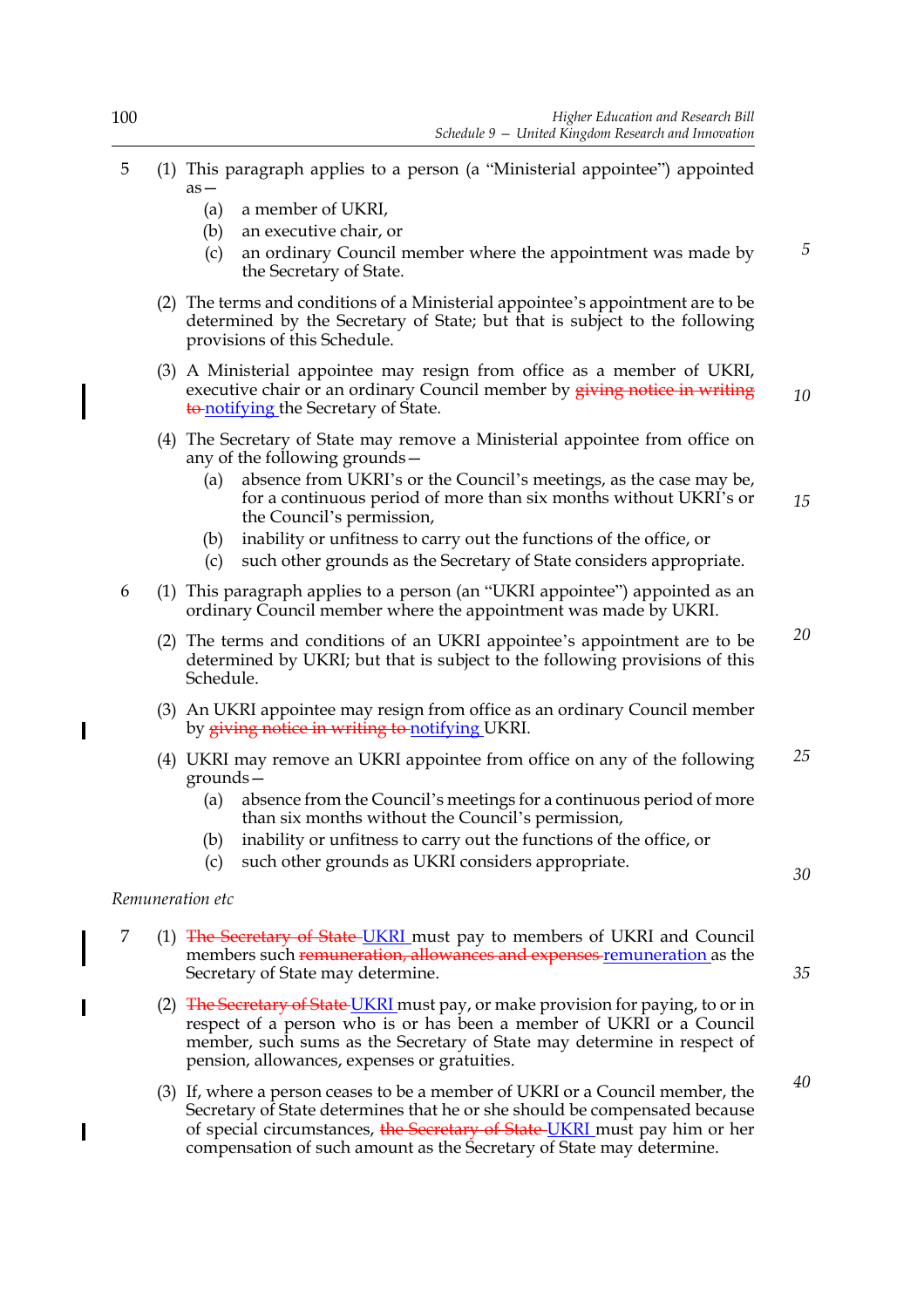- 5 (1) This paragraph applies to a person (a "Ministerial appointee") appointed as—
	- (a) a member of UKRI,
	- (b) an executive chair, or
	- (c) an ordinary Council member where the appointment was made by the Secretary of State.
	- (2) The terms and conditions of a Ministerial appointee's appointment are to be determined by the Secretary of State; but that is subject to the following provisions of this Schedule.
	- (3) A Ministerial appointee may resign from office as a member of UKRI, executive chair or an ordinary Council member by giving notice in writing to notifying the Secretary of State.
	- (4) The Secretary of State may remove a Ministerial appointee from office on any of the following grounds—
		- (a) absence from UKRI's or the Council's meetings, as the case may be, for a continuous period of more than six months without UKRI's or the Council's permission, *15*
		- (b) inability or unfitness to carry out the functions of the office, or
		- (c) such other grounds as the Secretary of State considers appropriate.
- 6 (1) This paragraph applies to a person (an "UKRI appointee") appointed as an ordinary Council member where the appointment was made by UKRI.
	- (2) The terms and conditions of an UKRI appointee's appointment are to be determined by UKRI; but that is subject to the following provisions of this Schedule. *20*
	- (3) An UKRI appointee may resign from office as an ordinary Council member by giving notice in writing to notifying UKRI.
	- (4) UKRI may remove an UKRI appointee from office on any of the following grounds— *25*
		- (a) absence from the Council's meetings for a continuous period of more than six months without the Council's permission,
		- (b) inability or unfitness to carry out the functions of the office, or
		- (c) such other grounds as UKRI considers appropriate.

# *Remuneration etc*

 $\overline{\phantom{a}}$ 

I

- 7 (1) The Secretary of State-UKRI must pay to members of UKRI and Council members such remuneration, allowances and expenses remuneration as the Secretary of State may determine.
	- (2) The Secretary of State UKRI must pay, or make provision for paying, to or in respect of a person who is or has been a member of UKRI or a Council member, such sums as the Secretary of State may determine in respect of pension, allowances, expenses or gratuities.
	- (3) If, where a person ceases to be a member of UKRI or a Council member, the Secretary of State determines that he or she should be compensated because of special circumstances, the Secretary of State-UKRI must pay him or her compensation of such amount as the Secretary of State may determine.

*35*

*30*

*5*

*10*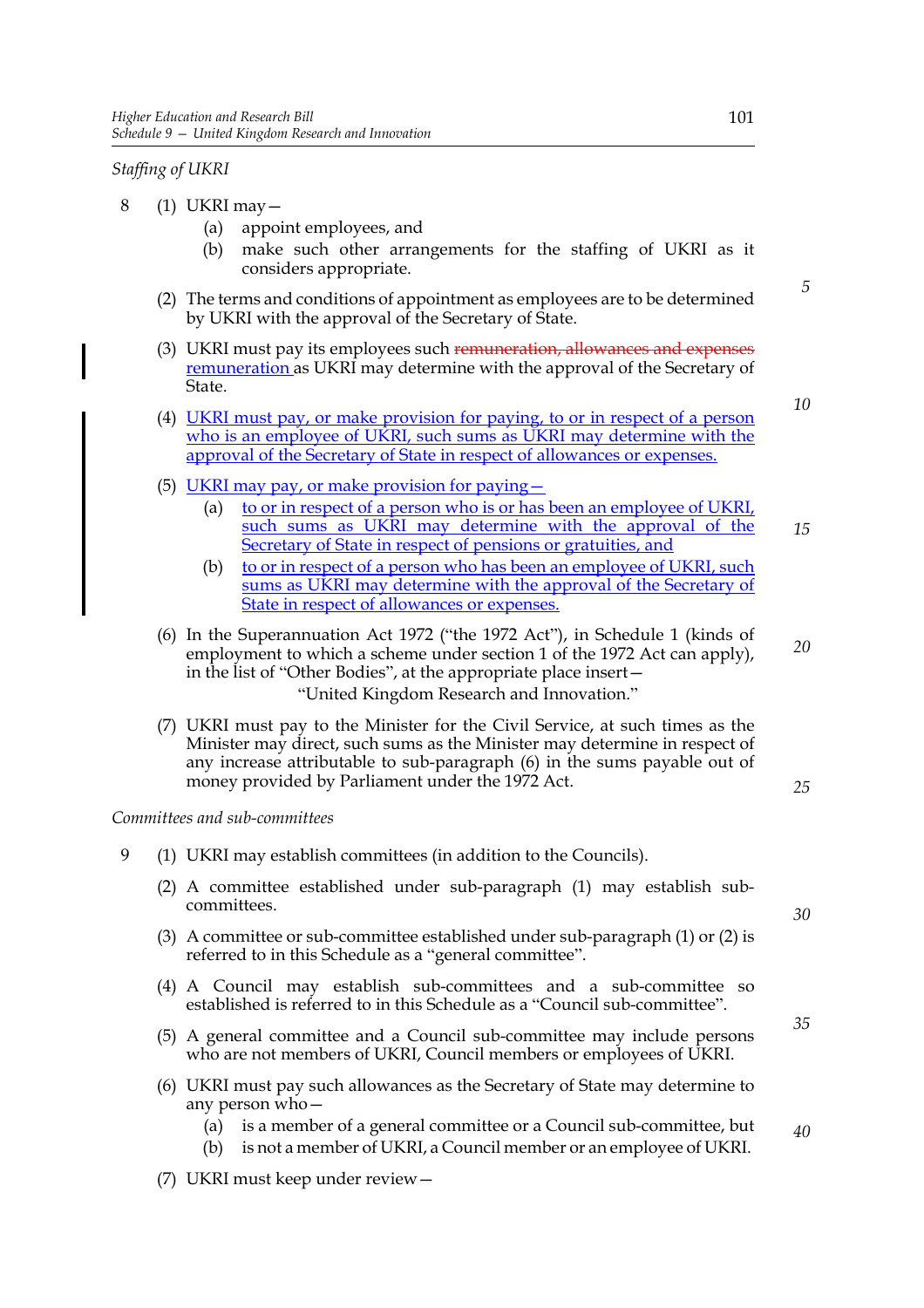*Staffing of UKRI*

- 8 (1) UKRI may—
	- (a) appoint employees, and
	- (b) make such other arrangements for the staffing of UKRI as it considers appropriate.
	- (2) The terms and conditions of appointment as employees are to be determined by UKRI with the approval of the Secretary of State.
	- (3) UKRI must pay its employees such remuneration, allowances and expenses remuneration as UKRI may determine with the approval of the Secretary of State.
	- (4) UKRI must pay, or make provision for paying, to or in respect of a person who is an employee of UKRI, such sums as UKRI may determine with the approval of the Secretary of State in respect of allowances or expenses.
	- (5) UKRI may pay, or make provision for paying—
		- (a) to or in respect of a person who is or has been an employee of UKRI, such sums as UKRI may determine with the approval of the Secretary of State in respect of pensions or gratuities, and *15*
		- (b) to or in respect of a person who has been an employee of UKRI, such sums as UKRI may determine with the approval of the Secretary of State in respect of allowances or expenses.
	- (6) In the Superannuation Act 1972 ("the 1972 Act"), in Schedule 1 (kinds of employment to which a scheme under section 1 of the 1972 Act can apply), in the list of "Other Bodies", at the appropriate place insert— "United Kingdom Research and Innovation."
	- (7) UKRI must pay to the Minister for the Civil Service, at such times as the Minister may direct, such sums as the Minister may determine in respect of any increase attributable to sub-paragraph (6) in the sums payable out of money provided by Parliament under the 1972 Act.

*Committees and sub-committees*

- 9 (1) UKRI may establish committees (in addition to the Councils).
	- (2) A committee established under sub-paragraph (1) may establish subcommittees.
	- (3) A committee or sub-committee established under sub-paragraph (1) or (2) is referred to in this Schedule as a "general committee".
	- (4) A Council may establish sub-committees and a sub-committee so established is referred to in this Schedule as a "Council sub-committee".
	- (5) A general committee and a Council sub-committee may include persons who are not members of UKRI, Council members or employees of UKRI.
	- (6) UKRI must pay such allowances as the Secretary of State may determine to any person who—
		- (a) is a member of a general committee or a Council sub-committee, but *40*
		- (b) is not a member of UKRI, a Council member or an employee of UKRI.
	- (7) UKRI must keep under review—

*5*

*10*

*20*

*25*

*30*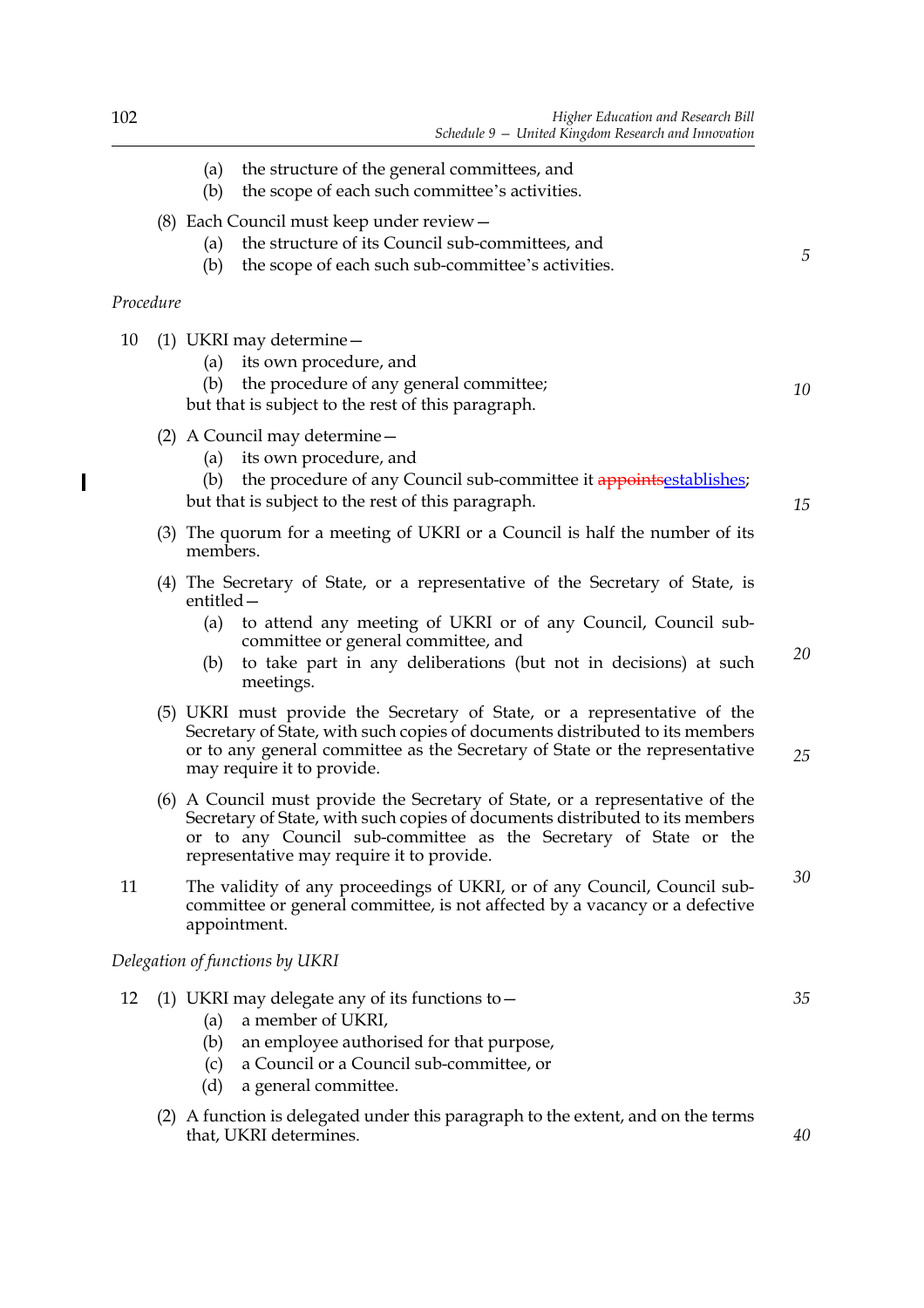| 102       |            | Higher Education and Research Bill<br>Schedule 9 - United Kingdom Research and Innovation                                                                                              |
|-----------|------------|----------------------------------------------------------------------------------------------------------------------------------------------------------------------------------------|
|           | (a)<br>(b) | the structure of the general committees, and<br>the scope of each such committee's activities.                                                                                         |
|           | (a)<br>(b) | $(8)$ Each Council must keep under review $-$<br>the structure of its Council sub-committees, and<br>the scope of each such sub-committee's activities.                                |
| Procedure |            |                                                                                                                                                                                        |
| 10        | (b)        | $(1)$ UKRI may determine $-$<br>(a) its own procedure, and<br>the procedure of any general committee;<br>but that is subject to the rest of this paragraph.                            |
|           | (a)<br>(b) | (2) A Council may determine $-$<br>its own procedure, and<br>the procedure of any Council sub-committee it appoints establishes;<br>but that is subject to the rest of this paragraph. |

- (3) The quorum for a meeting of UKRI or a Council is half the number of its members.
- (4) The Secretary of State, or a representative of the Secretary of State, is entitled—
	- (a) to attend any meeting of UKRI or of any Council, Council subcommittee or general committee, and
	- (b) to take part in any deliberations (but not in decisions) at such meetings.
- (5) UKRI must provide the Secretary of State, or a representative of the Secretary of State, with such copies of documents distributed to its members or to any general committee as the Secretary of State or the representative may require it to provide.
- (6) A Council must provide the Secretary of State, or a representative of the Secretary of State, with such copies of documents distributed to its members or to any Council sub-committee as the Secretary of State or the representative may require it to provide.
- 11 The validity of any proceedings of UKRI, or of any Council, Council subcommittee or general committee, is not affected by a vacancy or a defective appointment.

*Delegation of functions by UKRI*

- 12 (1) UKRI may delegate any of its functions to—
	- (a) a member of UKRI,
	- (b) an employee authorised for that purpose,
	- (c) a Council or a Council sub-committee, or
	- (d) a general committee.
	- (2) A function is delegated under this paragraph to the extent, and on the terms that, UKRI determines.

 $\overline{\phantom{a}}$ 

*25*

*20*

*5*

*10*

*15*

*35*

*40*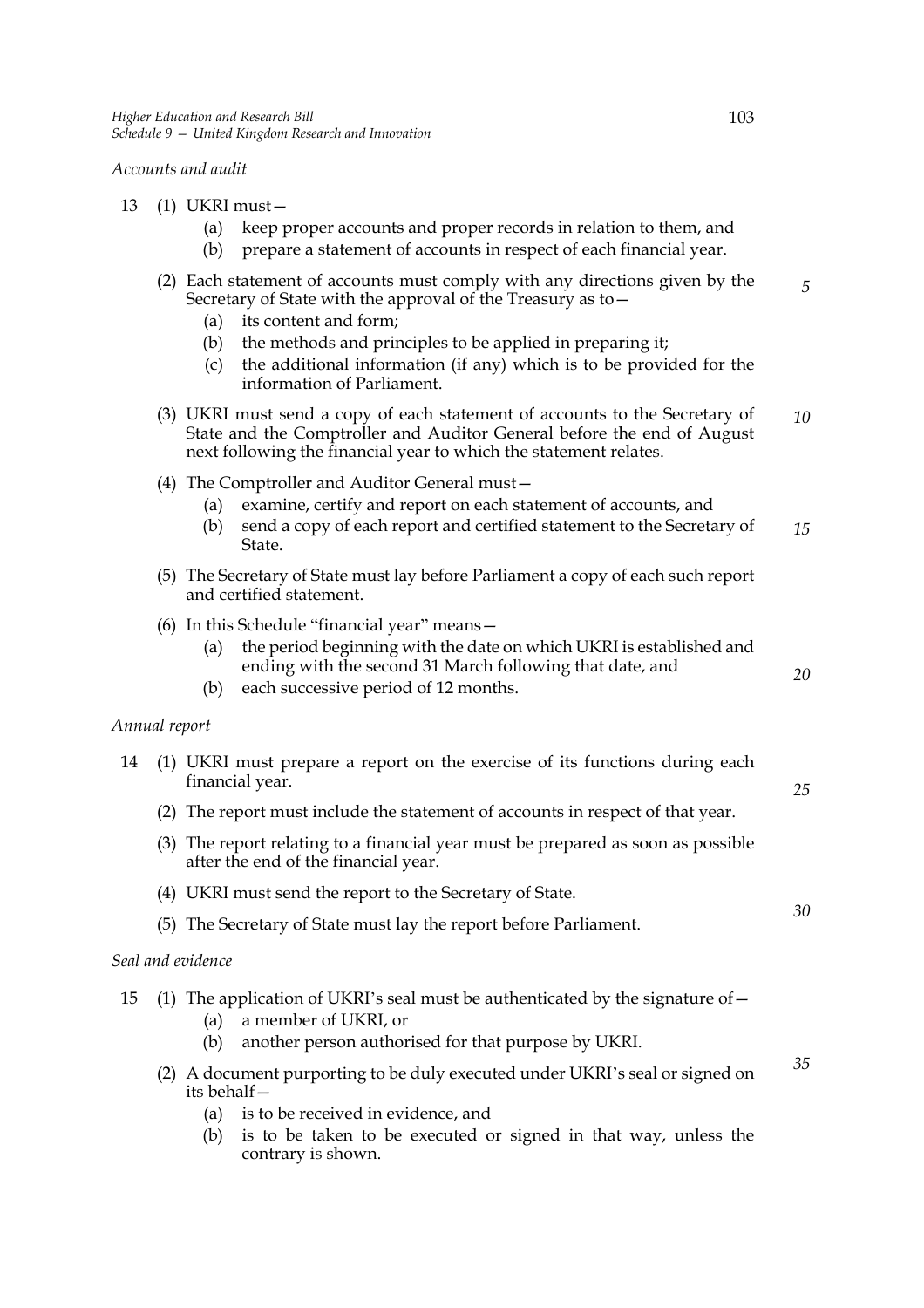*Accounts and audit*

- 13 (1) UKRI must—
	- (a) keep proper accounts and proper records in relation to them, and
	- (b) prepare a statement of accounts in respect of each financial year.

|               |     | (a)<br>(b)<br>(c) | (2) Each statement of accounts must comply with any directions given by the<br>Secretary of State with the approval of the Treasury as to -<br>its content and form;<br>the methods and principles to be applied in preparing it;<br>the additional information (if any) which is to be provided for the<br>information of Parliament. | 5  |
|---------------|-----|-------------------|----------------------------------------------------------------------------------------------------------------------------------------------------------------------------------------------------------------------------------------------------------------------------------------------------------------------------------------|----|
|               |     |                   | (3) UKRI must send a copy of each statement of accounts to the Secretary of<br>State and the Comptroller and Auditor General before the end of August<br>next following the financial year to which the statement relates.                                                                                                             | 10 |
|               |     | (a)<br>(b)        | (4) The Comptroller and Auditor General must-<br>examine, certify and report on each statement of accounts, and<br>send a copy of each report and certified statement to the Secretary of<br>State.                                                                                                                                    | 15 |
|               |     |                   | (5) The Secretary of State must lay before Parliament a copy of each such report<br>and certified statement.                                                                                                                                                                                                                           |    |
|               |     | (a)<br>(b)        | (6) In this Schedule "financial year" means -<br>the period beginning with the date on which UKRI is established and<br>ending with the second 31 March following that date, and<br>each successive period of 12 months.                                                                                                               | 20 |
| Annual report |     |                   |                                                                                                                                                                                                                                                                                                                                        |    |
| 14            |     |                   | (1) UKRI must prepare a report on the exercise of its functions during each<br>financial year.                                                                                                                                                                                                                                         | 25 |
|               |     |                   | (2) The report must include the statement of accounts in respect of that year.                                                                                                                                                                                                                                                         |    |
|               |     |                   | (3) The report relating to a financial year must be prepared as soon as possible<br>after the end of the financial year.                                                                                                                                                                                                               |    |
|               |     |                   | (4) UKRI must send the report to the Secretary of State.                                                                                                                                                                                                                                                                               |    |
|               |     |                   | (5) The Secretary of State must lay the report before Parliament.                                                                                                                                                                                                                                                                      | 30 |
|               |     | Seal and evidence |                                                                                                                                                                                                                                                                                                                                        |    |
| 15            |     | (a)<br>(b)        | (1) The application of UKRI's seal must be authenticated by the signature of $-$<br>a member of UKRI, or<br>another person authorised for that purpose by UKRI.                                                                                                                                                                        |    |
|               | (2) | its behalf-       | A document purporting to be duly executed under UKRI's seal or signed on                                                                                                                                                                                                                                                               | 35 |
|               |     | (a)               | is to be received in evidence, and                                                                                                                                                                                                                                                                                                     |    |
|               |     | (b)               | is to be taken to be executed or signed in that way, unless the<br>contrary is shown.                                                                                                                                                                                                                                                  |    |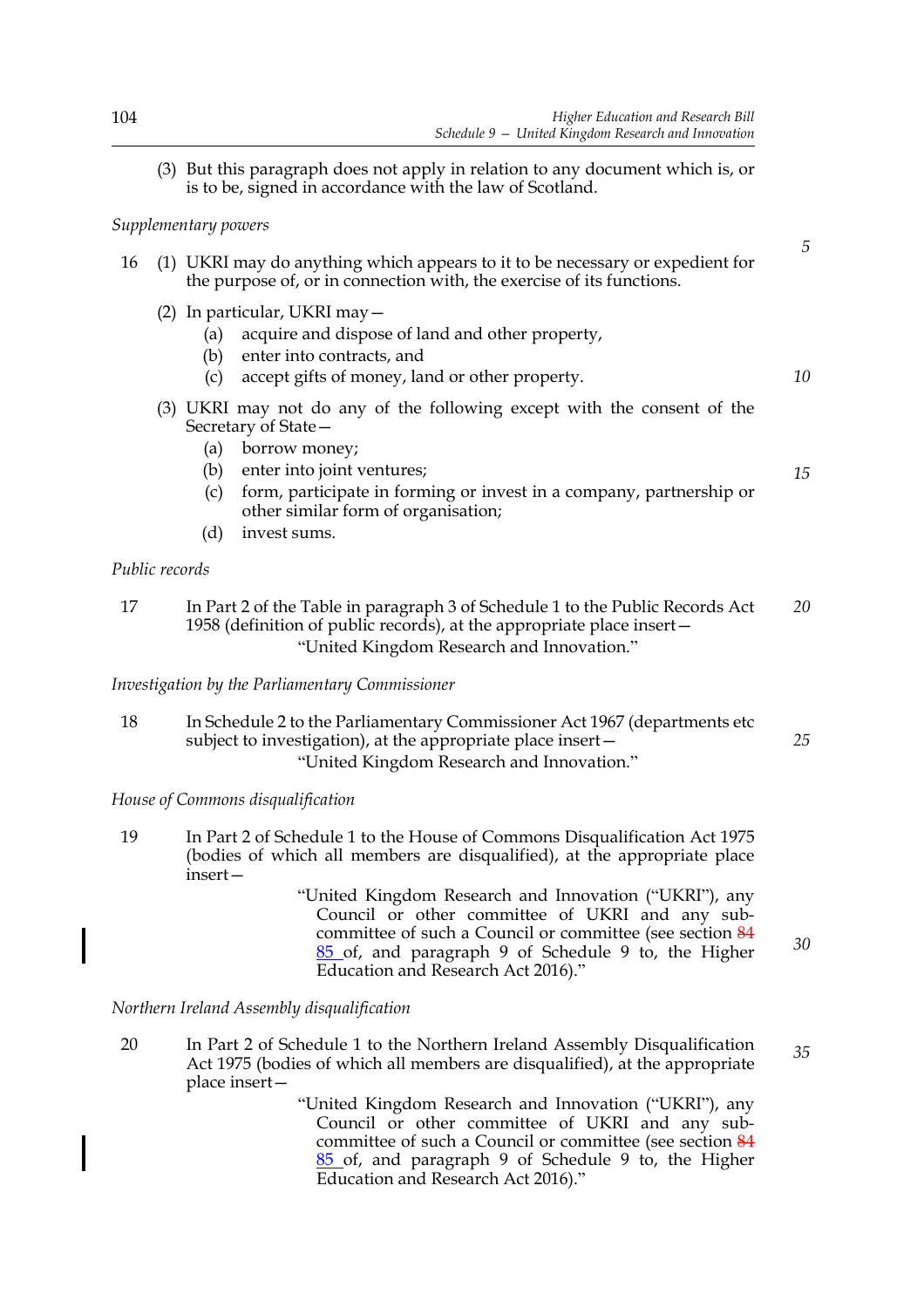*10*

*15*

*30*

(3) But this paragraph does not apply in relation to any document which is, or is to be, signed in accordance with the law of Scotland.

#### *Supplementary powers*

|  | 16 (1) UKRI may do anything which appears to it to be necessary or expedient for |
|--|----------------------------------------------------------------------------------|
|  | the purpose of, or in connection with, the exercise of its functions.            |

- (2) In particular, UKRI may—
	- (a) acquire and dispose of land and other property,
	- (b) enter into contracts, and
	- (c) accept gifts of money, land or other property.
- (3) UKRI may not do any of the following except with the consent of the Secretary of State—
	- (a) borrow money;
	- (b) enter into joint ventures;
	- (c) form, participate in forming or invest in a company, partnership or other similar form of organisation;
	- (d) invest sums.

#### *Public records*

17 In Part 2 of the Table in paragraph 3 of Schedule 1 to the Public Records Act 1958 (definition of public records), at the appropriate place insert— "United Kingdom Research and Innovation." *20*

*Investigation by the Parliamentary Commissioner*

18 In Schedule 2 to the Parliamentary Commissioner Act 1967 (departments etc subject to investigation), at the appropriate place insert— "United Kingdom Research and Innovation." *25*

*House of Commons disqualification*

- 19 In Part 2 of Schedule 1 to the House of Commons Disqualification Act 1975 (bodies of which all members are disqualified), at the appropriate place insert—
	- "United Kingdom Research and Innovation ("UKRI"), any Council or other committee of UKRI and any subcommittee of such a Council or committee (see section 84 85 of, and paragraph 9 of Schedule 9 to, the Higher Education and Research Act 2016)."

*Northern Ireland Assembly disqualification*

20 In Part 2 of Schedule 1 to the Northern Ireland Assembly Disqualification Act 1975 (bodies of which all members are disqualified), at the appropriate place insert— *35*

> "United Kingdom Research and Innovation ("UKRI"), any Council or other committee of UKRI and any subcommittee of such a Council or committee (see section 84 85 of, and paragraph 9 of Schedule 9 to, the Higher Education and Research Act 2016)."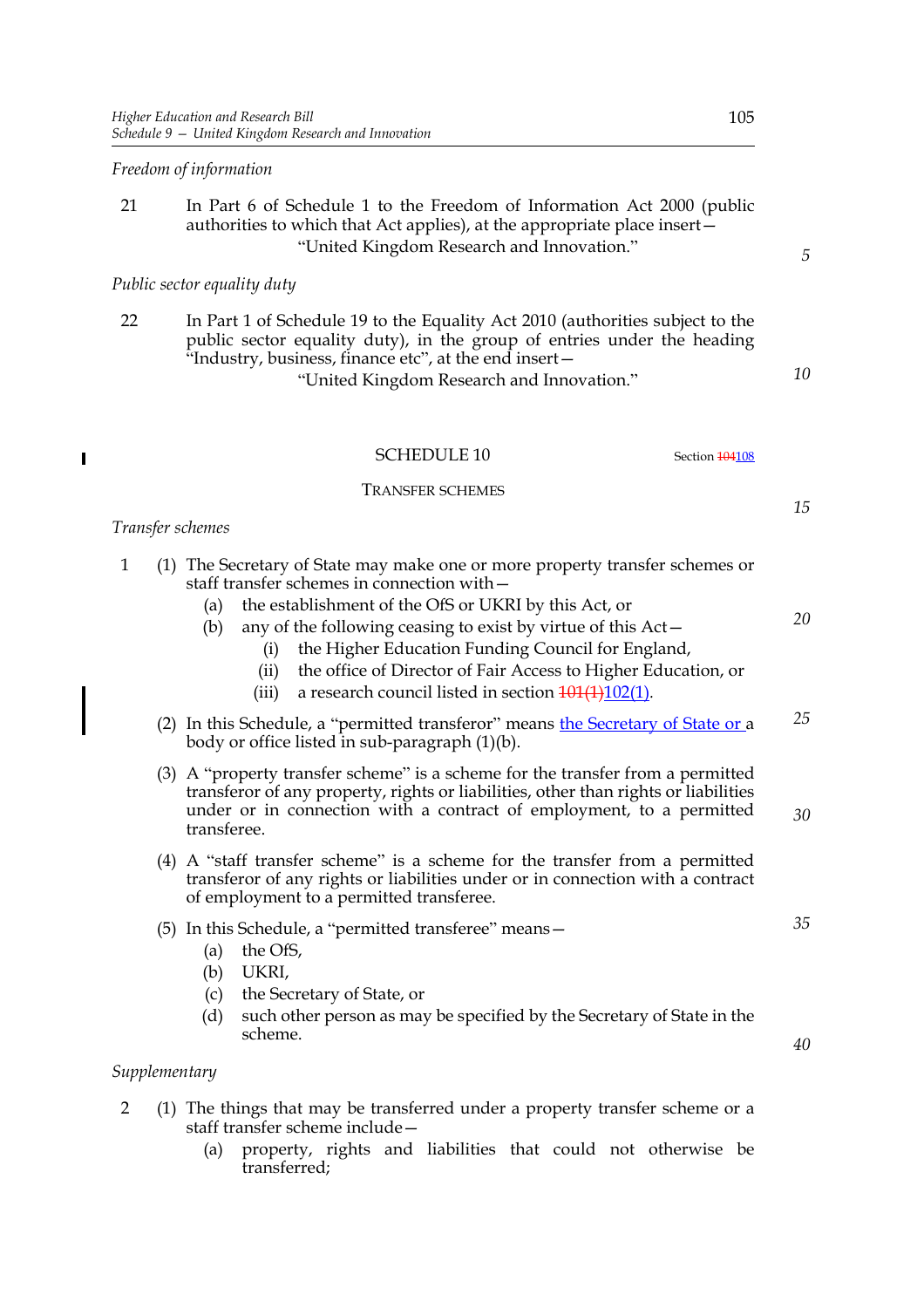#### *Freedom of information*

#### 21 In Part 6 of Schedule 1 to the Freedom of Information Act 2000 (public authorities to which that Act applies), at the appropriate place insert— "United Kingdom Research and Innovation."

#### *Public sector equality duty*

| 22 | In Part 1 of Schedule 19 to the Equality Act 2010 (authorities subject to the |
|----|-------------------------------------------------------------------------------|
|    | public sector equality duty), in the group of entries under the heading       |
|    | "Industry, business, finance etc", at the end insert-                         |
|    | "Inited Kingdom Recepts and Innovation"                                       |

United Kingdom Research and Innovation.<sup>'</sup>

*10*

*5*

SCHEDULE 10 Section 104108

TRANSFER SCHEMES

#### *15*

#### *Transfer schemes*

 $\overline{\phantom{a}}$ 

| $\mathbf{1}$  | (1) The Secretary of State may make one or more property transfer schemes or<br>staff transfer schemes in connection with -<br>the establishment of the OfS or UKRI by this Act, or<br>(a)<br>any of the following ceasing to exist by virtue of this Act-<br>(b)<br>the Higher Education Funding Council for England,<br>(i)<br>the office of Director of Fair Access to Higher Education, or<br>(ii)<br>a research council listed in section $\frac{101(1)102(1)}{102(1)}$ .<br>(iii) | 20       |
|---------------|-----------------------------------------------------------------------------------------------------------------------------------------------------------------------------------------------------------------------------------------------------------------------------------------------------------------------------------------------------------------------------------------------------------------------------------------------------------------------------------------|----------|
|               | (2) In this Schedule, a "permitted transferor" means the Secretary of State or a<br>body or office listed in sub-paragraph (1)(b).                                                                                                                                                                                                                                                                                                                                                      | 25       |
|               | (3) A "property transfer scheme" is a scheme for the transfer from a permitted<br>transferor of any property, rights or liabilities, other than rights or liabilities<br>under or in connection with a contract of employment, to a permitted<br>transferee.                                                                                                                                                                                                                            | 30       |
|               | (4) A "staff transfer scheme" is a scheme for the transfer from a permitted<br>transferor of any rights or liabilities under or in connection with a contract<br>of employment to a permitted transferee.                                                                                                                                                                                                                                                                               |          |
|               | (5) In this Schedule, a "permitted transferee" means -<br>the OfS,<br>(a)<br>UKRI,<br>(b)<br>the Secretary of State, or<br>(c)<br>(d)<br>such other person as may be specified by the Secretary of State in the<br>scheme.                                                                                                                                                                                                                                                              | 35<br>40 |
| Supplementary |                                                                                                                                                                                                                                                                                                                                                                                                                                                                                         |          |
|               | (1) The things that may be transferred under a property transfer scheme or a                                                                                                                                                                                                                                                                                                                                                                                                            |          |

- ed under a property transfer scheme or a Ine things that may be transfer scheme include—
	- (a) property, rights and liabilities that could not otherwise be transferred;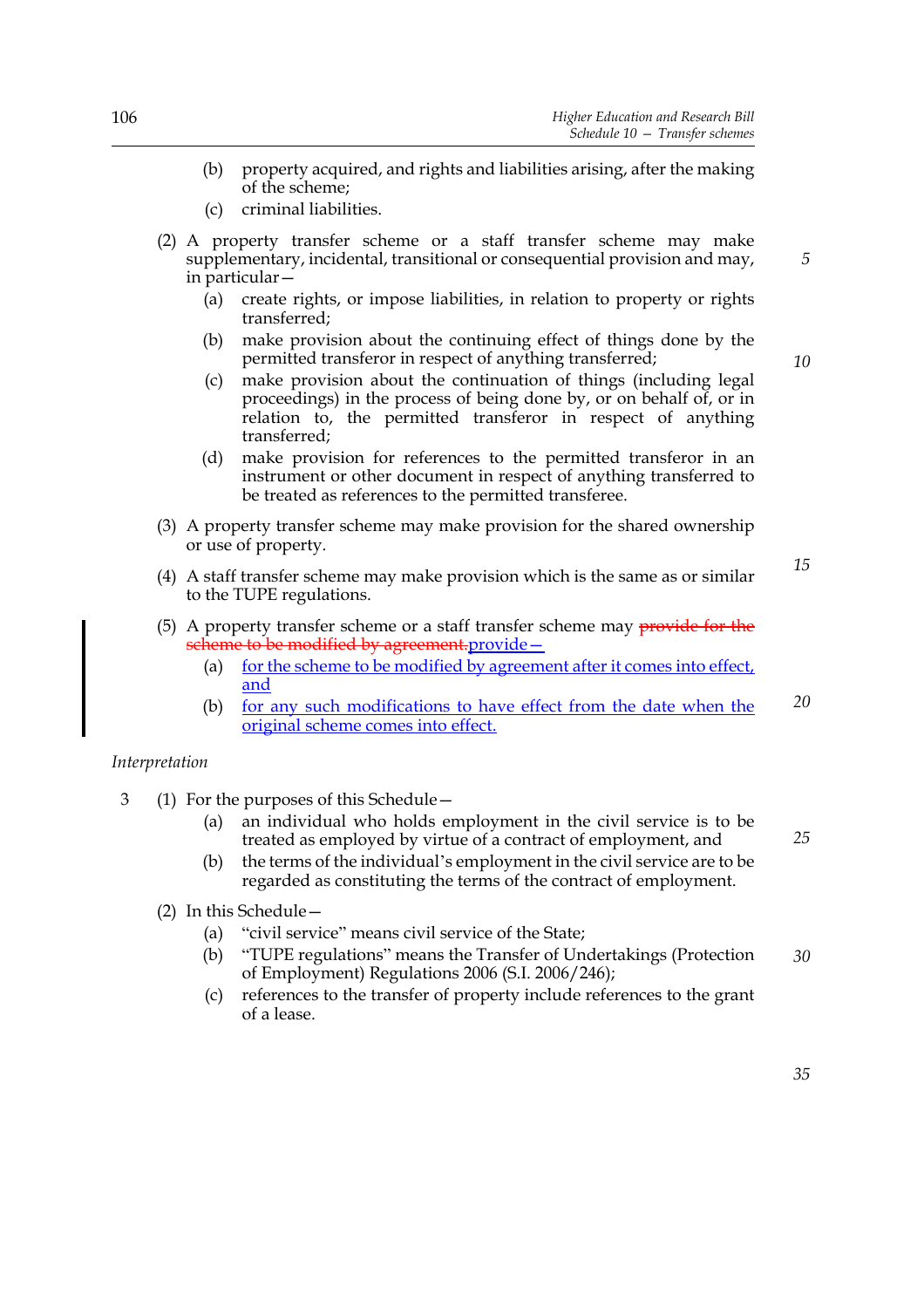- (b) property acquired, and rights and liabilities arising, after the making of the scheme;
- (c) criminal liabilities.
- (2) A property transfer scheme or a staff transfer scheme may make supplementary, incidental, transitional or consequential provision and may, in particular—
	- (a) create rights, or impose liabilities, in relation to property or rights transferred;
	- (b) make provision about the continuing effect of things done by the permitted transferor in respect of anything transferred;
	- (c) make provision about the continuation of things (including legal proceedings) in the process of being done by, or on behalf of, or in relation to, the permitted transferor in respect of anything transferred;
	- (d) make provision for references to the permitted transferor in an instrument or other document in respect of anything transferred to be treated as references to the permitted transferee.
- (3) A property transfer scheme may make provision for the shared ownership or use of property.
- (4) A staff transfer scheme may make provision which is the same as or similar to the TUPE regulations.
- (5) A property transfer scheme or a staff transfer scheme may provide for the scheme to be modified by agreement.provide –
	- (a) for the scheme to be modified by agreement after it comes into effect, and
	- (b) for any such modifications to have effect from the date when the original scheme comes into effect. *20*

#### *Interpretation*

- 3 (1) For the purposes of this Schedule—
	- (a) an individual who holds employment in the civil service is to be treated as employed by virtue of a contract of employment, and
	- (b) the terms of the individual's employment in the civil service are to be regarded as constituting the terms of the contract of employment.
	- (2) In this Schedule—
		- (a) "civil service" means civil service of the State;
		- (b) "TUPE regulations" means the Transfer of Undertakings (Protection of Employment) Regulations 2006 (S.I. 2006/246); *30*
		- (c) references to the transfer of property include references to the grant of a lease.

*10*

*5*

*15*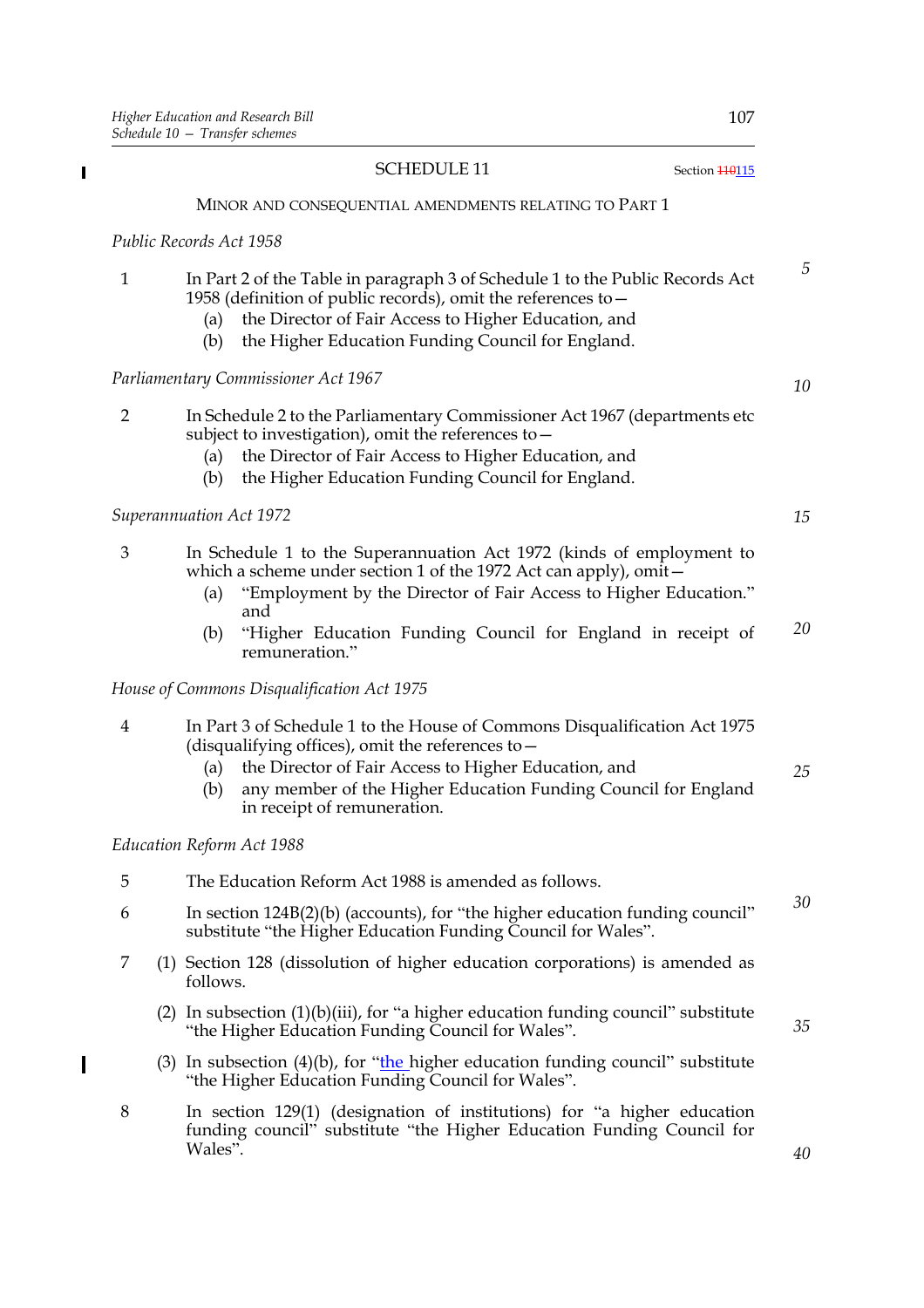Wales".

 $\blacksquare$ 

|                | <b>SCHEDULE 11</b><br>Section <b>110115</b>                                                                                                                                                                                                                                                                        |
|----------------|--------------------------------------------------------------------------------------------------------------------------------------------------------------------------------------------------------------------------------------------------------------------------------------------------------------------|
|                | MINOR AND CONSEQUENTIAL AMENDMENTS RELATING TO PART 1                                                                                                                                                                                                                                                              |
|                | Public Records Act 1958                                                                                                                                                                                                                                                                                            |
| $\mathbf{1}$   | In Part 2 of the Table in paragraph 3 of Schedule 1 to the Public Records Act<br>1958 (definition of public records), omit the references to -<br>the Director of Fair Access to Higher Education, and<br>(a)<br>the Higher Education Funding Council for England.<br>(b)                                          |
|                | Parliamentary Commissioner Act 1967                                                                                                                                                                                                                                                                                |
| $\overline{2}$ | In Schedule 2 to the Parliamentary Commissioner Act 1967 (departments etc.<br>subject to investigation), omit the references to -<br>the Director of Fair Access to Higher Education, and<br>(a)<br>the Higher Education Funding Council for England.<br>(b)                                                       |
|                | Superannuation Act 1972                                                                                                                                                                                                                                                                                            |
| 3              | In Schedule 1 to the Superannuation Act 1972 (kinds of employment to<br>which a scheme under section 1 of the 1972 Act can apply), omit-<br>"Employment by the Director of Fair Access to Higher Education."<br>(a)<br>and<br>"Higher Education Funding Council for England in receipt of<br>(b)<br>remuneration." |
|                | House of Commons Disqualification Act 1975                                                                                                                                                                                                                                                                         |
| $\overline{4}$ | In Part 3 of Schedule 1 to the House of Commons Disqualification Act 1975<br>(disqualifying offices), omit the references to $-$<br>the Director of Fair Access to Higher Education, and<br>(a)<br>any member of the Higher Education Funding Council for England<br>(b)<br>in receipt of remuneration.            |
|                | Education Reform Act 1988                                                                                                                                                                                                                                                                                          |
| 5              | The Education Reform Act 1988 is amended as follows.                                                                                                                                                                                                                                                               |
| 6              | In section $124B(2)(b)$ (accounts), for "the higher education funding council"<br>substitute "the Higher Education Funding Council for Wales".                                                                                                                                                                     |
| 7              | (1) Section 128 (dissolution of higher education corporations) is amended as<br>follows.                                                                                                                                                                                                                           |
|                | (2) In subsection $(1)(b)(iii)$ , for "a higher education funding council" substitute<br>"the Higher Education Funding Council for Wales".                                                                                                                                                                         |
|                | (3) In subsection (4)(b), for "the higher education funding council" substitute<br>"the Higher Education Funding Council for Wales".                                                                                                                                                                               |
| 8              | In section 129(1) (designation of institutions) for "a higher education                                                                                                                                                                                                                                            |

funding council" substitute "the Higher Education Funding Council for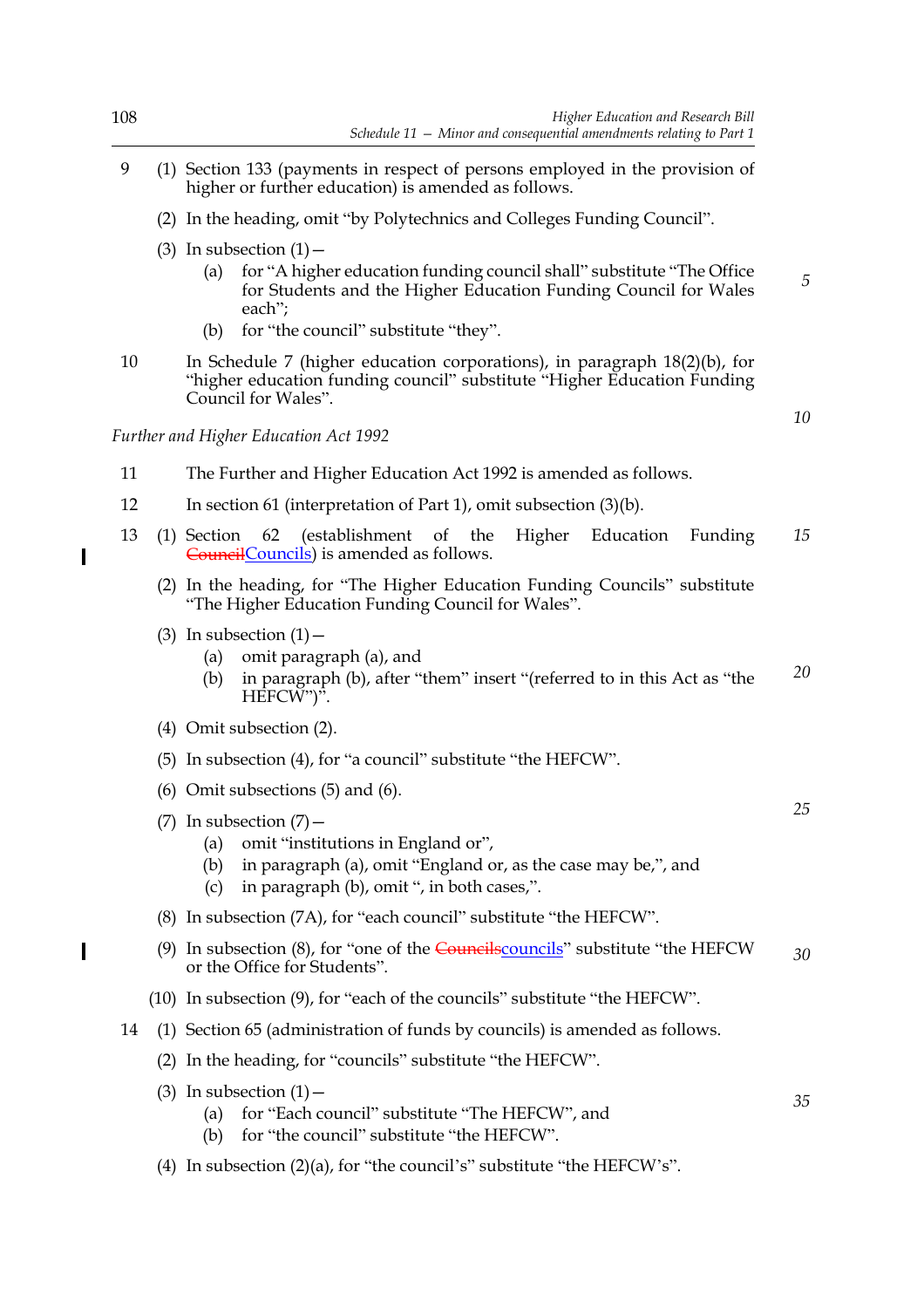*10*

*25*

*35*

- 9 (1) Section 133 (payments in respect of persons employed in the provision of higher or further education) is amended as follows.
	- (2) In the heading, omit "by Polytechnics and Colleges Funding Council".
	- (3) In subsection  $(1)$  -
		- (a) for "A higher education funding council shall" substitute "The Office for Students and the Higher Education Funding Council for Wales each";
		- (b) for "the council" substitute "they".
- 10 In Schedule 7 (higher education corporations), in paragraph 18(2)(b), for "higher education funding council" substitute "Higher Education Funding Council for Wales".

*Further and Higher Education Act 1992*

- 11 The Further and Higher Education Act 1992 is amended as follows.
- 12 In section 61 (interpretation of Part 1), omit subsection (3)(b).
- 13 (1) Section 62 (establishment of the Higher Education Funding Councils) is amended as follows. *15*
	- (2) In the heading, for "The Higher Education Funding Councils" substitute "The Higher Education Funding Council for Wales".
	- (3) In subsection  $(1)$  -
		- (a) omit paragraph (a), and
		- (b) in paragraph (b), after "them" insert "(referred to in this Act as "the HEFCW")". *20*
	- (4) Omit subsection (2).
	- (5) In subsection (4), for "a council" substitute "the HEFCW".
	- (6) Omit subsections (5) and (6).
	- (7) In subsection  $(7)$  -
		- (a) omit "institutions in England or",
		- (b) in paragraph (a), omit "England or, as the case may be,", and
		- (c) in paragraph (b), omit ", in both cases,".
	- (8) In subsection (7A), for "each council" substitute "the HEFCW".
	- (9) In subsection  $(8)$ , for "one of the Councilscouncils" substitute "the HEFCW or the Office for Students". *30*
	- (10) In subsection (9), for "each of the councils" substitute "the HEFCW".
- 14 (1) Section 65 (administration of funds by councils) is amended as follows.
	- (2) In the heading, for "councils" substitute "the HEFCW".
	- (3) In subsection  $(1)$  -
		- (a) for "Each council" substitute "The HEFCW", and
		- (b) for "the council" substitute "the HEFCW".
	- (4) In subsection (2)(a), for "the council's" substitute "the HEFCW's".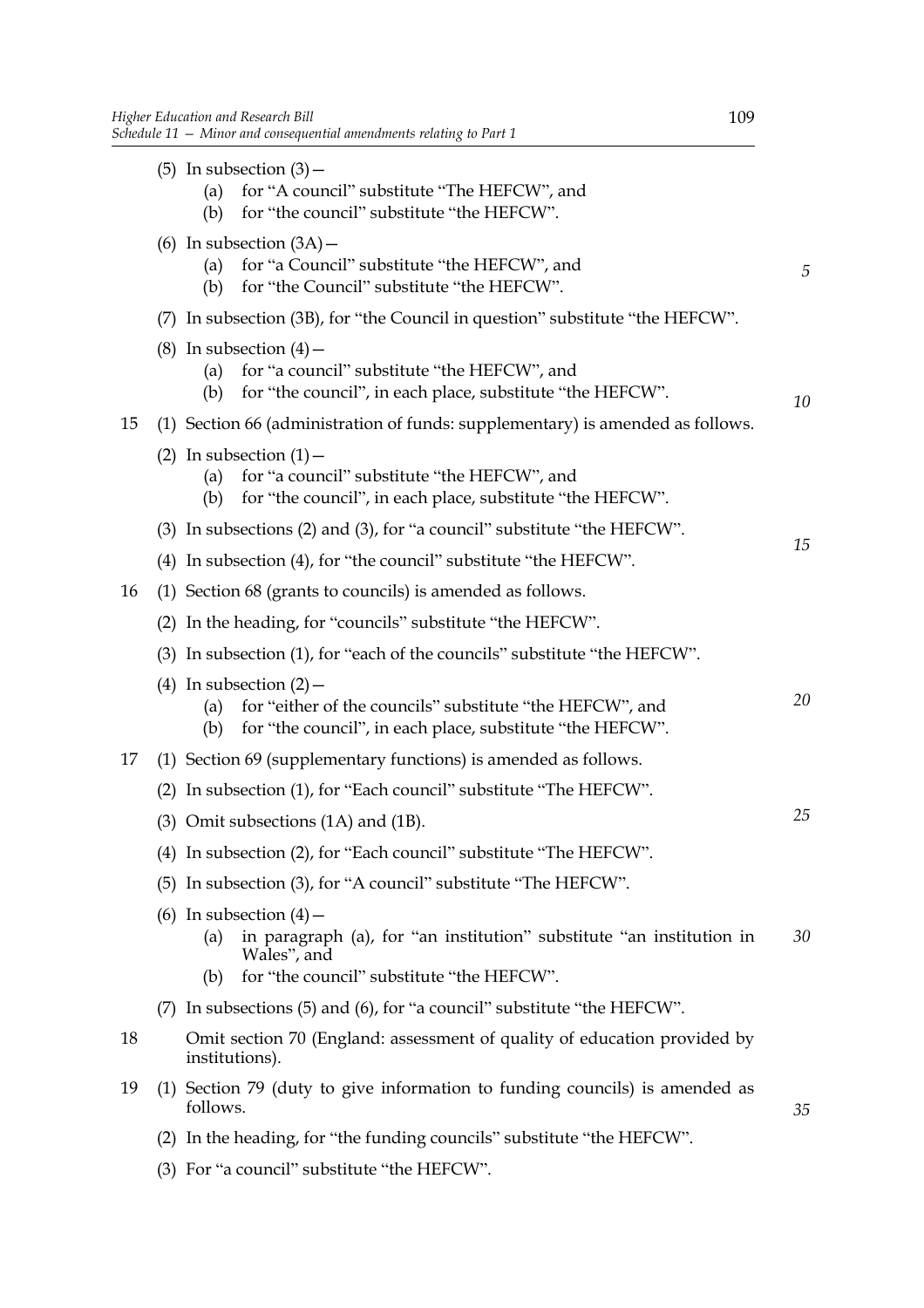|    |     | (5) In subsection $(3)$ –<br>for "A council" substitute "The HEFCW", and<br>(a)                                                                                                          |    |
|----|-----|------------------------------------------------------------------------------------------------------------------------------------------------------------------------------------------|----|
|    |     | for "the council" substitute "the HEFCW".<br>(b)<br>(6) In subsection $(3A)$ –<br>for "a Council" substitute "the HEFCW", and<br>(a)<br>for "the Council" substitute "the HEFCW".<br>(b) | 5  |
|    | (7) | In subsection (3B), for "the Council in question" substitute "the HEFCW".                                                                                                                |    |
|    |     | (8) In subsection $(4)$ –<br>for "a council" substitute "the HEFCW", and<br>(a)<br>for "the council", in each place, substitute "the HEFCW".<br>(b)                                      | 10 |
| 15 |     | (1) Section 66 (administration of funds: supplementary) is amended as follows.                                                                                                           |    |
|    |     | (2) In subsection $(1)$ –<br>for "a council" substitute "the HEFCW", and<br>(a)<br>for "the council", in each place, substitute "the HEFCW".<br>(b)                                      |    |
|    |     | (3) In subsections (2) and (3), for "a council" substitute "the HEFCW".                                                                                                                  |    |
|    |     | (4) In subsection (4), for "the council" substitute "the HEFCW".                                                                                                                         | 15 |
| 16 |     | (1) Section 68 (grants to councils) is amended as follows.                                                                                                                               |    |
|    |     | (2) In the heading, for "councils" substitute "the HEFCW".                                                                                                                               |    |
|    |     | (3) In subsection (1), for "each of the councils" substitute "the HEFCW".                                                                                                                |    |
|    |     | (4) In subsection $(2)$ –<br>for "either of the councils" substitute "the HEFCW", and<br>(a)<br>for "the council", in each place, substitute "the HEFCW".<br>(b)                         | 20 |
| 17 |     | (1) Section 69 (supplementary functions) is amended as follows.                                                                                                                          |    |
|    |     | (2) In subsection (1), for "Each council" substitute "The HEFCW".                                                                                                                        |    |
|    |     | $(3)$ Omit subsections $(1A)$ and $(1B)$ .                                                                                                                                               | 25 |
|    |     | (4) In subsection (2), for "Each council" substitute "The HEFCW".                                                                                                                        |    |
|    |     | (5) In subsection (3), for "A council" substitute "The HEFCW".                                                                                                                           |    |
|    |     | (6) In subsection $(4)$ –<br>in paragraph (a), for "an institution" substitute "an institution in<br>(a)<br>Wales", and                                                                  | 30 |
|    |     | for "the council" substitute "the HEFCW".<br>(b)                                                                                                                                         |    |
|    |     | (7) In subsections (5) and (6), for "a council" substitute "the HEFCW".                                                                                                                  |    |
| 18 |     | Omit section 70 (England: assessment of quality of education provided by<br>institutions).                                                                                               |    |
| 19 |     | (1) Section 79 (duty to give information to funding councils) is amended as<br>follows.                                                                                                  | 35 |

- (2) In the heading, for "the funding councils" substitute "the HEFCW".
- (3) For "a council" substitute "the HEFCW".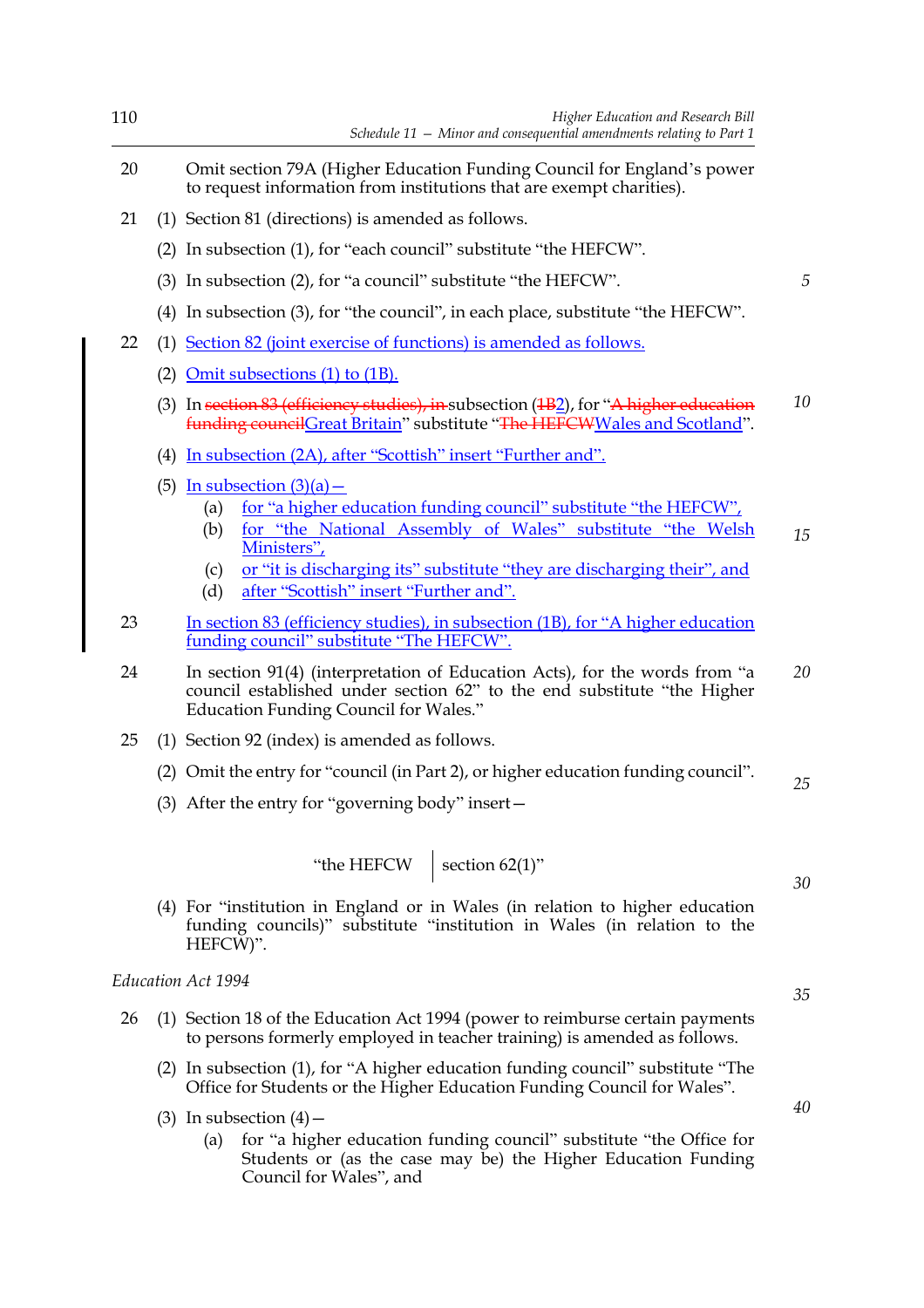| 110 |     | Higher Education and Research Bill<br>Schedule $11$ - Minor and consequential amendments relating to Part 1                                                                                                                                                                                                                    |    |
|-----|-----|--------------------------------------------------------------------------------------------------------------------------------------------------------------------------------------------------------------------------------------------------------------------------------------------------------------------------------|----|
| 20  |     | Omit section 79A (Higher Education Funding Council for England's power<br>to request information from institutions that are exempt charities).                                                                                                                                                                                 |    |
| 21  |     | (1) Section 81 (directions) is amended as follows.                                                                                                                                                                                                                                                                             |    |
|     | (2) | In subsection (1), for "each council" substitute "the HEFCW".                                                                                                                                                                                                                                                                  |    |
|     |     | (3) In subsection (2), for "a council" substitute "the HEFCW".                                                                                                                                                                                                                                                                 | 5  |
|     | (4) | In subsection (3), for "the council", in each place, substitute "the HEFCW".                                                                                                                                                                                                                                                   |    |
| 22  | (1) | Section 82 (joint exercise of functions) is amended as follows.                                                                                                                                                                                                                                                                |    |
|     |     | (2) Omit subsections $(1)$ to $(1B)$ .                                                                                                                                                                                                                                                                                         |    |
|     |     | (3) In section 83 (efficiency studies), in subsection $(1B_2)$ , for "A higher education<br>funding councilGreat Britain" substitute "The HEFCWWales and Scotland".                                                                                                                                                            | 10 |
|     | (4) | <u>In subsection (2A), after "Scottish" insert "Further and".</u>                                                                                                                                                                                                                                                              |    |
|     |     | (5) In subsection $(3)(a)$ –<br>for "a higher education funding council" substitute "the HEFCW",<br>(a)<br>for "the National Assembly of Wales" substitute "the Welsh<br>(b)<br>Ministers",<br>or "it is discharging its" substitute "they are discharging their", and<br>(c)<br>after "Scottish" insert "Further and".<br>(d) | 15 |
| 23  |     | <u>In section 83 (efficiency studies), in subsection (1B), for "A higher education</u><br>funding council" substitute "The HEFCW".                                                                                                                                                                                             |    |
| 24  |     | In section 91(4) (interpretation of Education Acts), for the words from "a<br>council established under section 62" to the end substitute "the Higher<br><b>Education Funding Council for Wales."</b>                                                                                                                          | 20 |
| 25  |     | (1) Section 92 (index) is amended as follows.                                                                                                                                                                                                                                                                                  |    |
|     |     | (2) Omit the entry for "council (in Part 2), or higher education funding council".                                                                                                                                                                                                                                             | 25 |
|     |     | (3) After the entry for "governing body" insert-                                                                                                                                                                                                                                                                               |    |
|     |     | "the HEFCW section 62(1)"                                                                                                                                                                                                                                                                                                      | 30 |
|     |     | (4) For "institution in England or in Wales (in relation to higher education<br>funding councils)" substitute "institution in Wales (in relation to the<br>HEFCW)".                                                                                                                                                            |    |
|     |     | Education Act 1994                                                                                                                                                                                                                                                                                                             | 35 |
| 26  |     | (1) Section 18 of the Education Act 1994 (power to reimburse certain payments<br>to persons formerly employed in teacher training) is amended as follows.                                                                                                                                                                      |    |
|     |     | (2) In subsection (1), for "A higher education funding council" substitute "The<br>Office for Students or the Higher Education Funding Council for Wales".                                                                                                                                                                     |    |
|     |     | (3) In subsection $(4)$ –<br>for "a higher education funding council" substitute "the Office for<br>(a)<br>Students or (as the case may be) the Higher Education Funding<br>Council for Wales", and                                                                                                                            | 40 |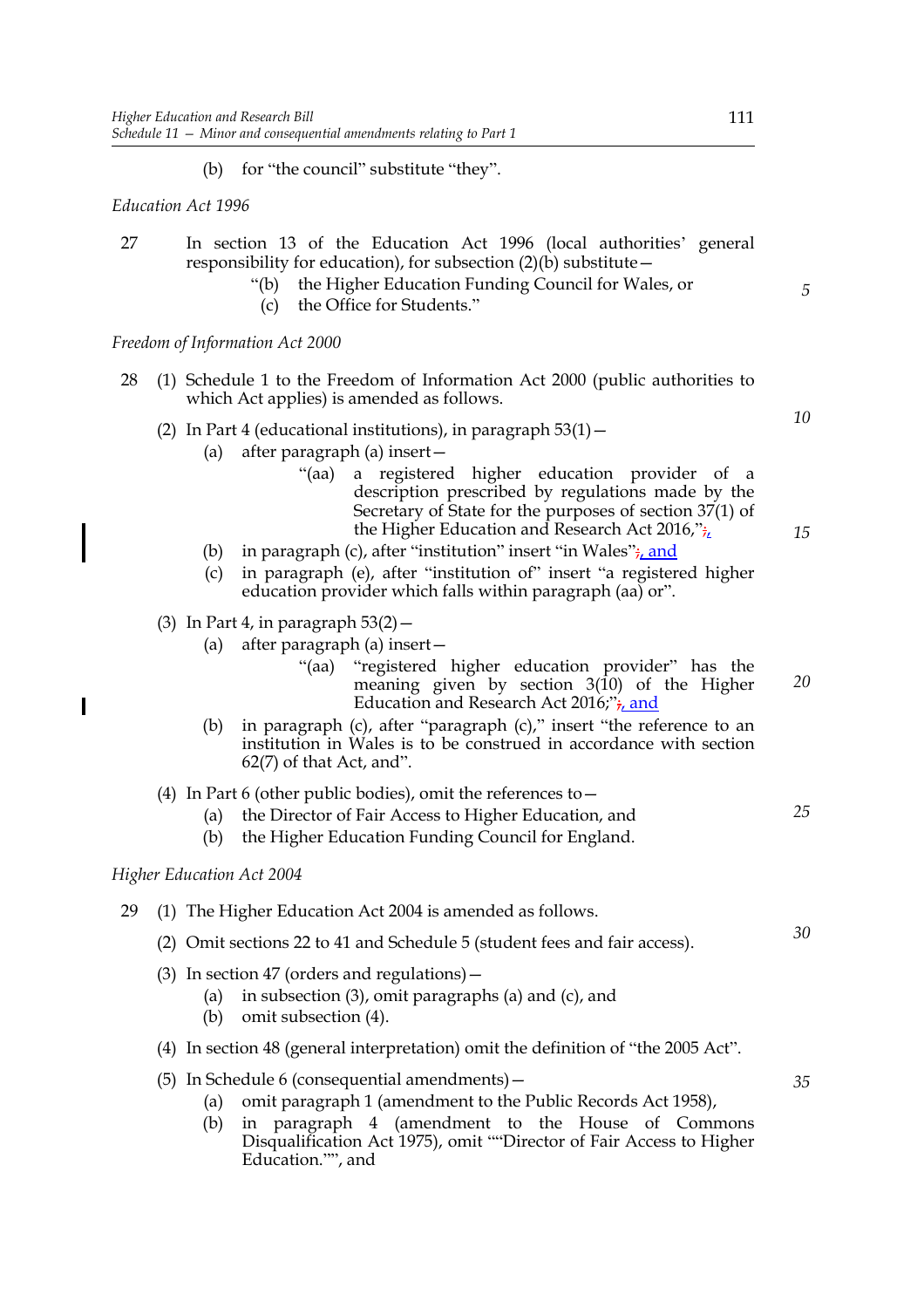(b) for "the council" substitute "they".

*Education Act 1996*

- 27 In section 13 of the Education Act 1996 (local authorities' general responsibility for education), for subsection  $(2)(b)$  substitute –
	- "(b) the Higher Education Funding Council for Wales, or
	- (c) the Office for Students."

*Freedom of Information Act 2000*

- 28 (1) Schedule 1 to the Freedom of Information Act 2000 (public authorities to which Act applies) is amended as follows.
	- (2) In Part 4 (educational institutions), in paragraph  $53(1)$  -
		- (a) after paragraph (a) insert—
			- "(aa) a registered higher education provider of a description prescribed by regulations made by the Secretary of State for the purposes of section 37(1) of the Higher Education and Research Act 2016," $\frac{1}{7}$
		- (b) in paragraph (c), after "institution" insert "in Wales" $\frac{1}{r}$ , and
		- (c) in paragraph (e), after "institution of" insert "a registered higher education provider which falls within paragraph (aa) or".
	- (3) In Part 4, in paragraph  $53(2)$  -
		- (a) after paragraph (a) insert—
			- "(aa) "registered higher education provider" has the meaning given by section 3(10) of the Higher Education and Research Act 2016;"<sub>i, and</sub> *20*
		- (b) in paragraph (c), after "paragraph (c)," insert "the reference to an institution in Wales is to be construed in accordance with section 62(7) of that Act, and".
	- (4) In Part 6 (other public bodies), omit the references to  $-$ 
		- (a) the Director of Fair Access to Higher Education, and
		- (b) the Higher Education Funding Council for England.

#### *Higher Education Act 2004*

 $\overline{\phantom{a}}$ 

- 29 (1) The Higher Education Act 2004 is amended as follows.
	- (2) Omit sections 22 to 41 and Schedule 5 (student fees and fair access).
	- (3) In section 47 (orders and regulations)—
		- (a) in subsection (3), omit paragraphs (a) and (c), and
		- (b) omit subsection (4).
	- (4) In section 48 (general interpretation) omit the definition of "the 2005 Act".
	- (5) In Schedule 6 (consequential amendments)—
		- (a) omit paragraph 1 (amendment to the Public Records Act 1958),
		- (b) in paragraph 4 (amendment to the House of Commons Disqualification Act 1975), omit ""Director of Fair Access to Higher Education."", and

*5*

*10*

*15*

*25*

*30*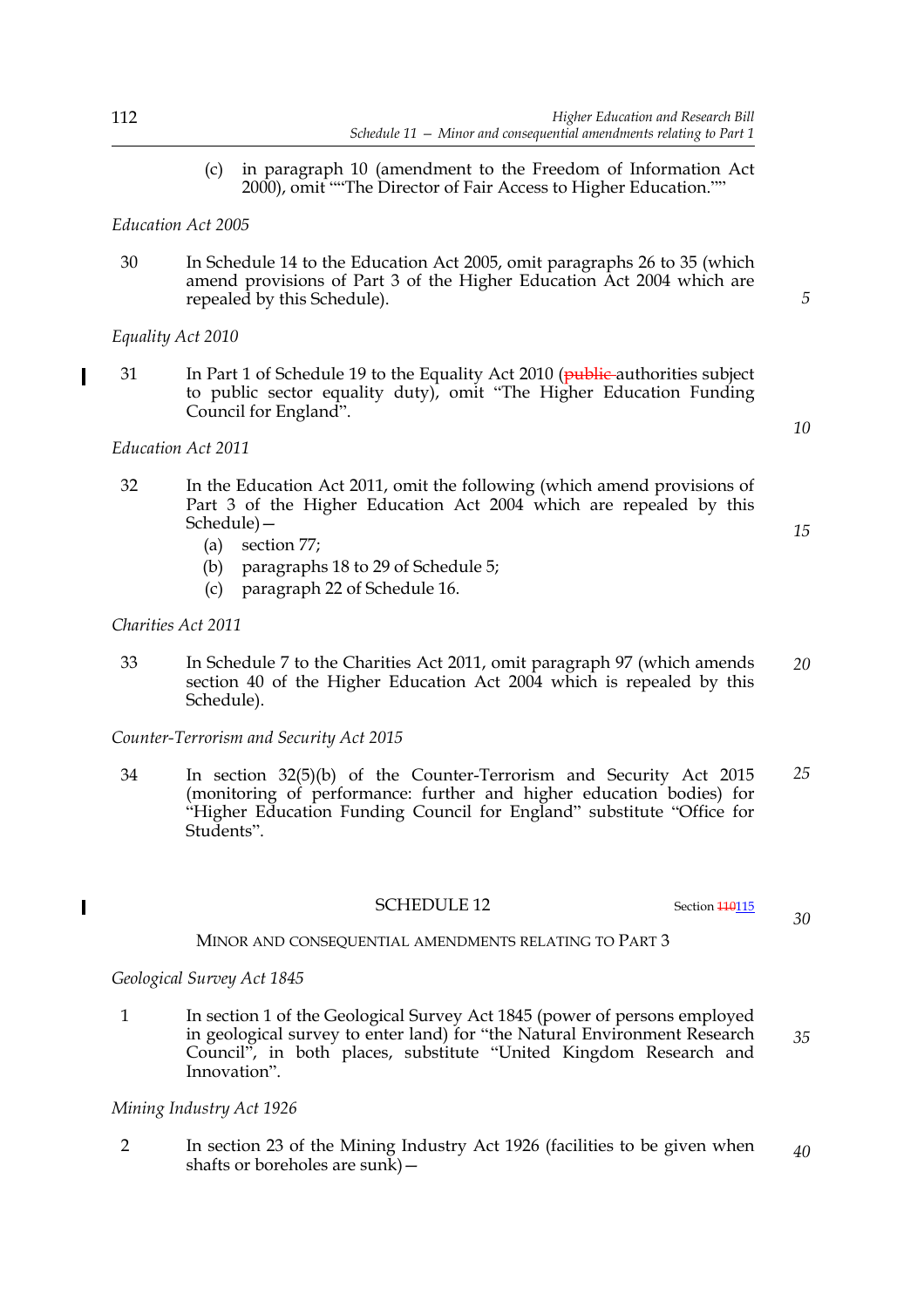(c) in paragraph 10 (amendment to the Freedom of Information Act 2000), omit ""The Director of Fair Access to Higher Education.""

#### *Education Act 2005*

30 In Schedule 14 to the Education Act 2005, omit paragraphs 26 to 35 (which amend provisions of Part 3 of the Higher Education Act 2004 which are repealed by this Schedule).

#### *Equality Act 2010*

*Education Act 2011*

31 In Part 1 of Schedule 19 to the Equality Act 2010 (public authorities subject to public sector equality duty), omit "The Higher Education Funding Council for England".

- 32 In the Education Act 2011, omit the following (which amend provisions of Part 3 of the Higher Education Act 2004 which are repealed by this Schedule)—
	- (a) section 77;
	- (b) paragraphs 18 to 29 of Schedule 5;
	- (c) paragraph 22 of Schedule 16.

#### *Charities Act 2011*

33 In Schedule 7 to the Charities Act 2011, omit paragraph 97 (which amends section 40 of the Higher Education Act 2004 which is repealed by this Schedule). *20*

*Counter-Terrorism and Security Act 2015*

34 In section 32(5)(b) of the Counter-Terrorism and Security Act 2015 (monitoring of performance: further and higher education bodies) for "Higher Education Funding Council for England" substitute "Office for Students". *25*

SCHEDULE 12 Section 110115

*30*

MINOR AND CONSEQUENTIAL AMENDMENTS RELATING TO PART 3

#### *Geological Survey Act 1845*

 $\overline{\phantom{a}}$ 

1 In section 1 of the Geological Survey Act 1845 (power of persons employed in geological survey to enter land) for "the Natural Environment Research Council", in both places, substitute "United Kingdom Research and Innovation". *35*

#### *Mining Industry Act 1926*

2 In section 23 of the Mining Industry Act 1926 (facilities to be given when shafts or boreholes are sunk)— *40*

*5*

*10*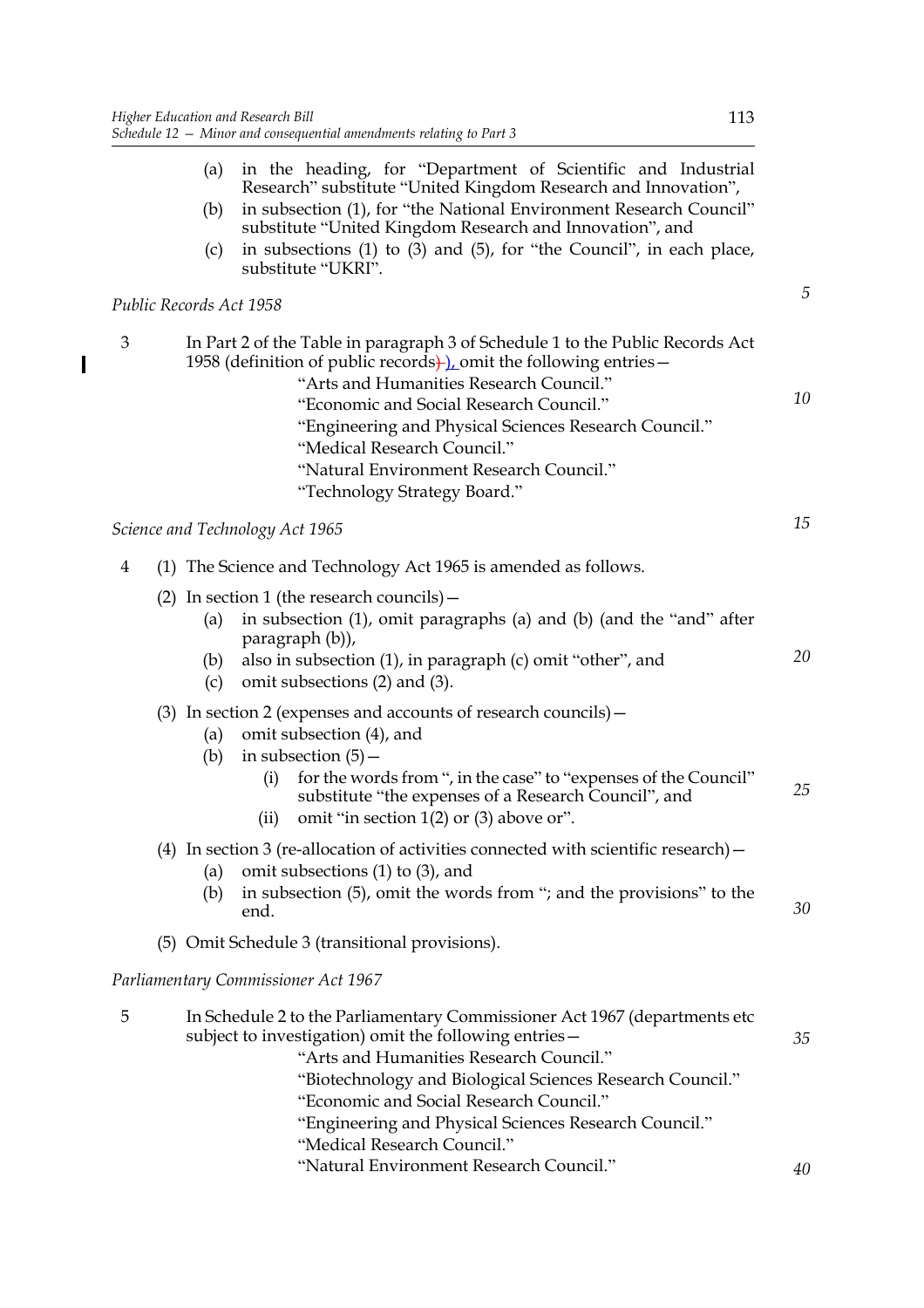$\overline{\mathbf{I}}$ 

|   |                         | (a) in the heading, for "Department of Scientific and Industrial<br>Research" substitute "United Kingdom Research and Innovation",                                                                                                                                                                                                                                                                            |    |
|---|-------------------------|---------------------------------------------------------------------------------------------------------------------------------------------------------------------------------------------------------------------------------------------------------------------------------------------------------------------------------------------------------------------------------------------------------------|----|
|   | (b)                     | in subsection (1), for "the National Environment Research Council"<br>substitute "United Kingdom Research and Innovation", and                                                                                                                                                                                                                                                                                |    |
|   | (c)                     | in subsections (1) to (3) and (5), for "the Council", in each place,<br>substitute "UKRI".                                                                                                                                                                                                                                                                                                                    |    |
|   | Public Records Act 1958 |                                                                                                                                                                                                                                                                                                                                                                                                               |    |
| 3 |                         | In Part 2 of the Table in paragraph 3 of Schedule 1 to the Public Records Act<br>1958 (definition of public records). Omit the following entries $-$<br>"Arts and Humanities Research Council."<br>"Economic and Social Research Council."<br>"Engineering and Physical Sciences Research Council."<br>"Medical Research Council."<br>"Natural Environment Research Council."<br>"Technology Strategy Board." | 10 |
|   |                         | Science and Technology Act 1965                                                                                                                                                                                                                                                                                                                                                                               | 15 |
| 4 |                         | (1) The Science and Technology Act 1965 is amended as follows.                                                                                                                                                                                                                                                                                                                                                |    |
|   | (a)<br>(b)<br>(c)       | (2) In section 1 (the research councils) $-$<br>in subsection (1), omit paragraphs (a) and (b) (and the "and" after<br>paragraph (b)),<br>also in subsection (1), in paragraph (c) omit "other", and<br>omit subsections (2) and (3).                                                                                                                                                                         | 20 |
|   | (a)<br>(b)              | (3) In section 2 (expenses and accounts of research councils) -<br>omit subsection (4), and<br>in subsection $(5)$ –<br>for the words from ", in the case" to "expenses of the Council"<br>(i)<br>substitute "the expenses of a Research Council", and<br>omit "in section $1(2)$ or $(3)$ above or".<br>(ii)                                                                                                 | 25 |
|   | (a)<br>(b)              | (4) In section 3 (re-allocation of activities connected with scientific research) $-$<br>omit subsections $(1)$ to $(3)$ , and<br>in subsection (5), omit the words from "; and the provisions" to the<br>end.                                                                                                                                                                                                | 30 |
|   |                         | (5) Omit Schedule 3 (transitional provisions).                                                                                                                                                                                                                                                                                                                                                                |    |
|   |                         | Parliamentary Commissioner Act 1967                                                                                                                                                                                                                                                                                                                                                                           |    |
| 5 |                         | In Schedule 2 to the Parliamentary Commissioner Act 1967 (departments etc.)<br>subject to investigation) omit the following entries -<br>"Arts and Humanities Research Council."<br>"Biotechnology and Biological Sciences Research Council."<br>"Economic and Social Research Council."                                                                                                                      | 35 |

"Engineering and Physical Sciences Research Council."

"Medical Research Council."

"Natural Environment Research Council."

113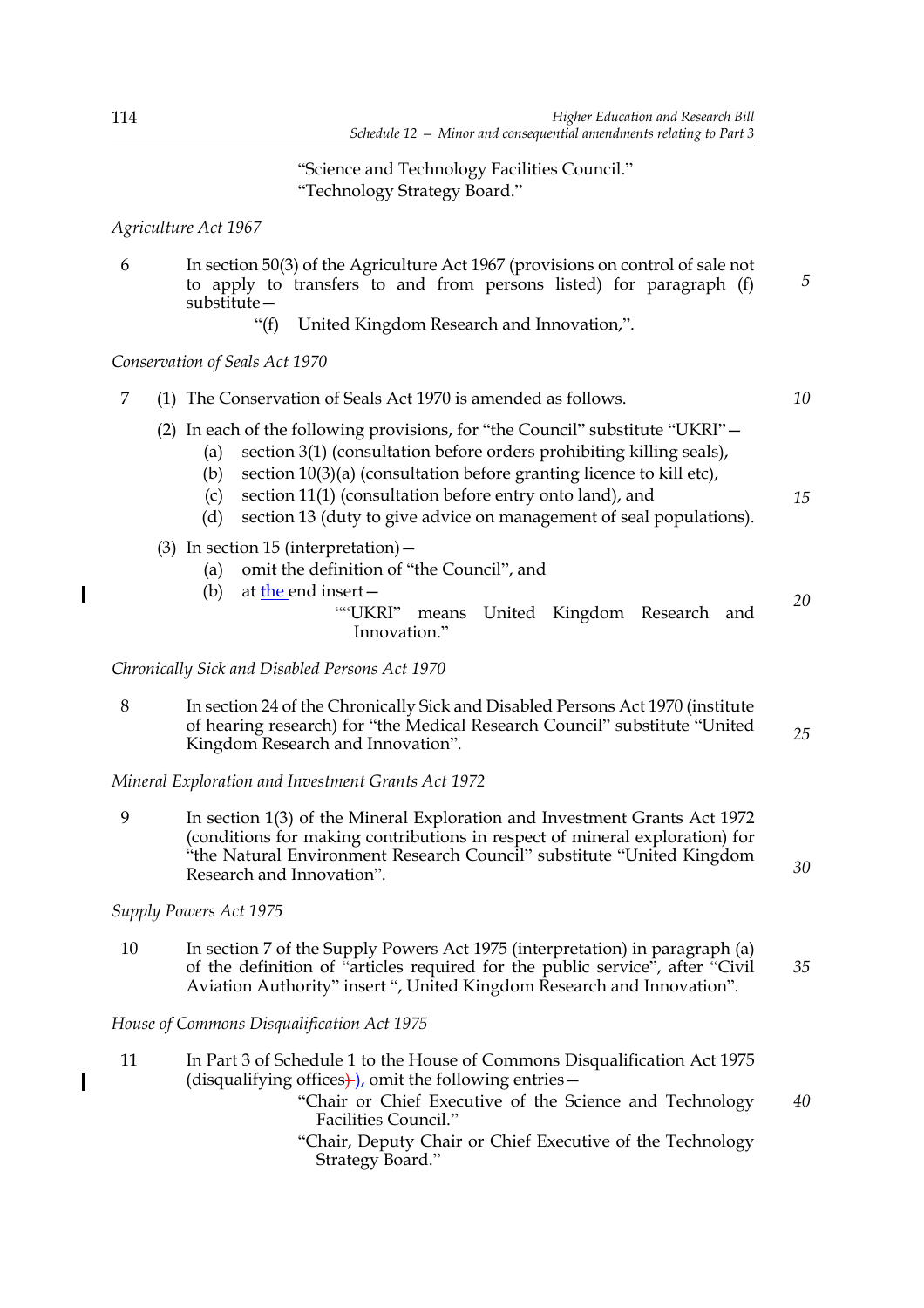*30*

"Science and Technology Facilities Council." "Technology Strategy Board."

*Agriculture Act 1967* 

- 6 In section 50(3) of the Agriculture Act 1967 (provisions on control of sale not to apply to transfers to and from persons listed) for paragraph (f) substitute—
	- "(f) United Kingdom Research and Innovation,".

*Conservation of Seals Act 1970* 

| 7 | The Conservation of Seals Act 1970 is amended as follows.                                                                                                                                                                                                                                                                                                                                       | 10 |
|---|-------------------------------------------------------------------------------------------------------------------------------------------------------------------------------------------------------------------------------------------------------------------------------------------------------------------------------------------------------------------------------------------------|----|
|   | (2) In each of the following provisions, for "the Council" substitute "UKRI" -<br>section 3(1) (consultation before orders prohibiting killing seals),<br>(a)<br>section $10(3)(a)$ (consultation before granting licence to kill etc),<br>(b)<br>section 11(1) (consultation before entry onto land), and<br>(c)<br>section 13 (duty to give advice on management of seal populations).<br>(d) | 15 |
|   | $(3)$ In section 15 (interpretation) –<br>omit the definition of "the Council", and<br>(a)                                                                                                                                                                                                                                                                                                      |    |
|   | at the end insert $-$<br>(b)<br>""UKRI"<br>United Kingdom Research<br>means<br>and<br>Innovation."                                                                                                                                                                                                                                                                                              | 20 |
|   | Chronically Sick and Disabled Persons Act 1970                                                                                                                                                                                                                                                                                                                                                  |    |
| 8 | In section 24 of the Chronically Sick and Disabled Persons Act 1970 (institute                                                                                                                                                                                                                                                                                                                  |    |

of hearing research) for "the Medical Research Council" substitute "United Kingdom Research and Innovation". *25*

*Mineral Exploration and Investment Grants Act 1972* 

9 In section 1(3) of the Mineral Exploration and Investment Grants Act 1972 (conditions for making contributions in respect of mineral exploration) for "the Natural Environment Research Council" substitute "United Kingdom Research and Innovation".

*Supply Powers Act 1975* 

10 In section 7 of the Supply Powers Act 1975 (interpretation) in paragraph (a) of the definition of "articles required for the public service", after "Civil Aviation Authority" insert ", United Kingdom Research and Innovation". *35*

*House of Commons Disqualification Act 1975*

- 11 In Part 3 of Schedule 1 to the House of Commons Disqualification Act 1975 (disqualifying offices) ), omit the following entries  $-$ "Chair or Chief Executive of the Science and Technology Facilities Council." "Chair, Deputy Chair or Chief Executive of the Technology *40*
	- Strategy Board."

 $\overline{\phantom{a}}$ 

 $\overline{\phantom{a}}$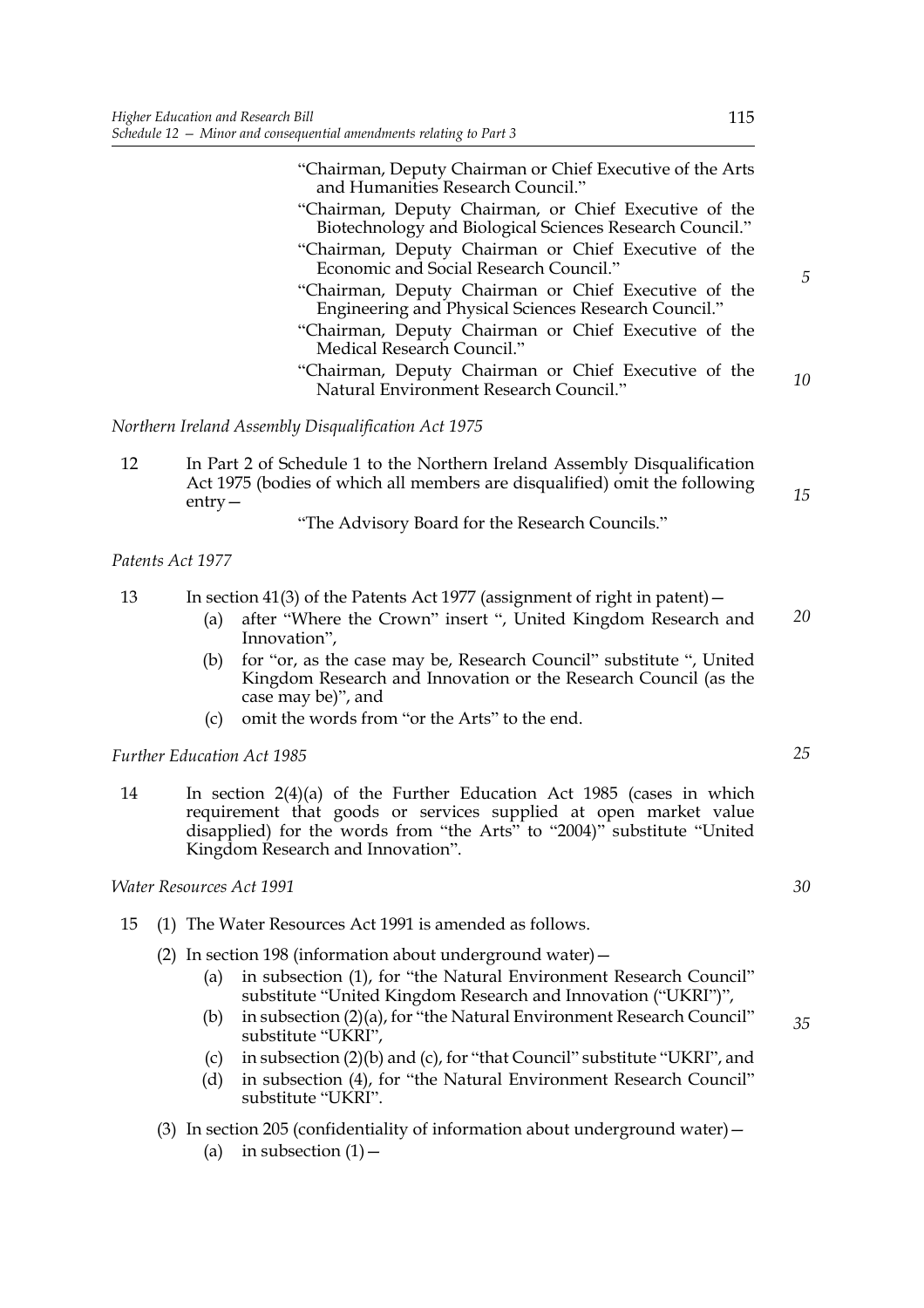"Chairman, Deputy Chairman or Chief Executive of the Arts and Humanities Research Council."

- "Chairman, Deputy Chairman, or Chief Executive of the Biotechnology and Biological Sciences Research Council." "Chairman, Deputy Chairman or Chief Executive of the
- Economic and Social Research Council." "Chairman, Deputy Chairman or Chief Executive of the
- Engineering and Physical Sciences Research Council."
- "Chairman, Deputy Chairman or Chief Executive of the Medical Research Council."
- "Chairman, Deputy Chairman or Chief Executive of the Natural Environment Research Council." *10*

*Northern Ireland Assembly Disqualification Act 1975*

12 In Part 2 of Schedule 1 to the Northern Ireland Assembly Disqualification Act 1975 (bodies of which all members are disqualified) omit the following entry—

"The Advisory Board for the Research Councils."

#### *Patents Act 1977*

13 In section 41(3) of the Patents Act 1977 (assignment of right in patent)—

- (a) after "Where the Crown" insert ", United Kingdom Research and Innovation", *20*
- (b) for "or, as the case may be, Research Council" substitute ", United Kingdom Research and Innovation or the Research Council (as the case may be)", and
- (c) omit the words from "or the Arts" to the end.

#### *Further Education Act 1985*

14 In section 2(4)(a) of the Further Education Act 1985 (cases in which requirement that goods or services supplied at open market value disapplied) for the words from "the Arts" to "2004)" substitute "United Kingdom Research and Innovation".

*Water Resources Act 1991* 

- 15 (1) The Water Resources Act 1991 is amended as follows.
	- (2) In section 198 (information about underground water)—
		- (a) in subsection (1), for "the Natural Environment Research Council" substitute "United Kingdom Research and Innovation ("UKRI")",
		- (b) in subsection (2)(a), for "the Natural Environment Research Council" substitute "UKRI",
		- (c) in subsection (2)(b) and (c), for "that Council" substitute "UKRI", and
		- (d) in subsection (4), for "the Natural Environment Research Council" substitute "UKRI".
	- (3) In section 205 (confidentiality of information about underground water)—
		- (a) in subsection  $(1)$  -

*30*

*25*

*15*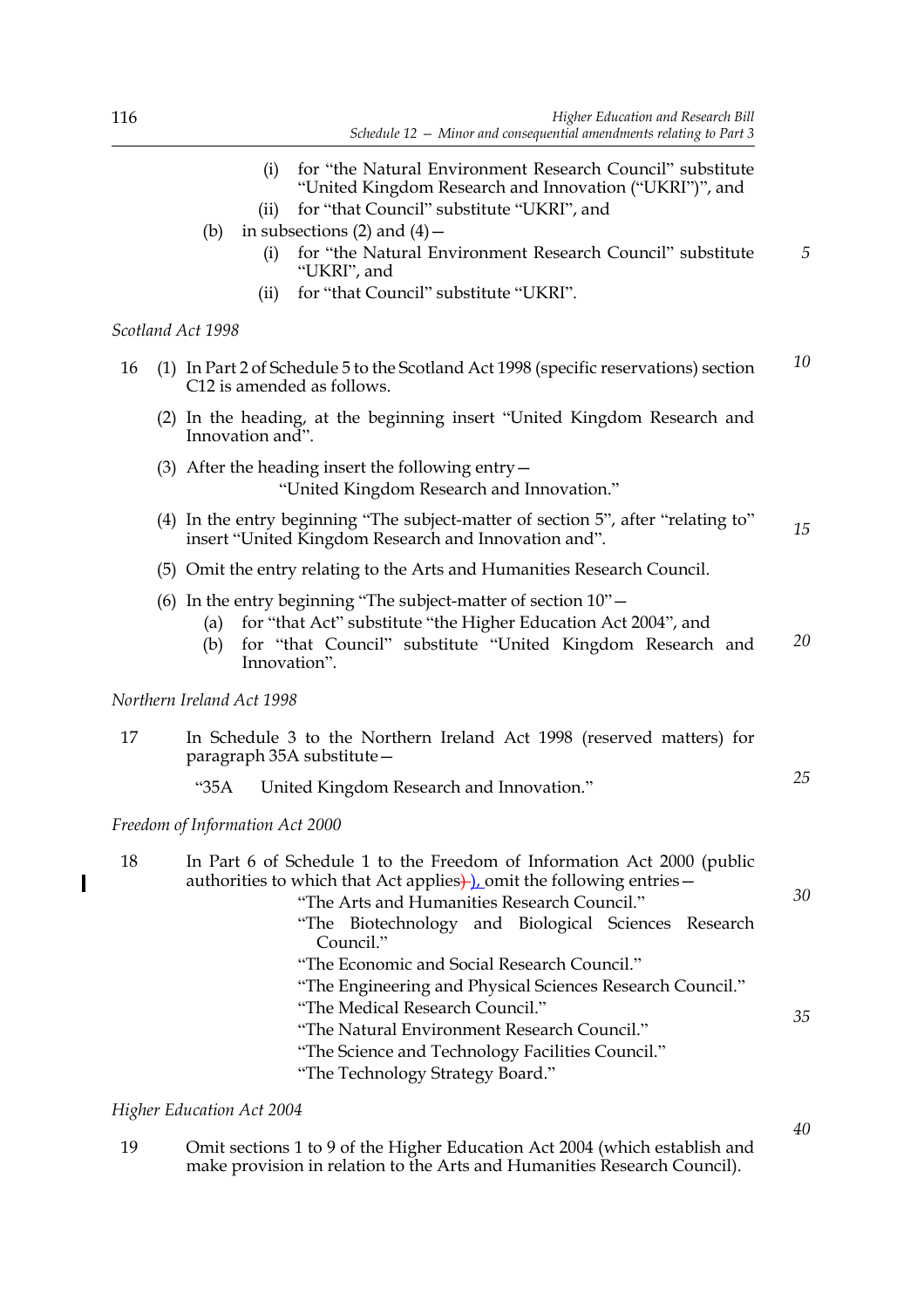- (i) for "the Natural Environment Research Council" substitute "United Kingdom Research and Innovation ("UKRI")", and
- (ii) for "that Council" substitute "UKRI", and
- (b) in subsections  $(2)$  and  $(4)$  -
	- (i) for "the Natural Environment Research Council" substitute "UKRI", and *5*
	- (ii) for "that Council" substitute "UKRI".

#### *Scotland Act 1998*

|  | 16 (1) In Part 2 of Schedule 5 to the Scotland Act 1998 (specific reservations) section |  |
|--|-----------------------------------------------------------------------------------------|--|
|  | C12 is amended as follows.                                                              |  |

- (2) In the heading, at the beginning insert "United Kingdom Research and Innovation and".
- (3) After the heading insert the following entry— "United Kingdom Research and Innovation."
- (4) In the entry beginning "The subject-matter of section 5", after "relating to" insert "United Kingdom Research and Innovation and". *15*
- (5) Omit the entry relating to the Arts and Humanities Research Council.
- (6) In the entry beginning "The subject-matter of section 10"—
	- (a) for "that Act" substitute "the Higher Education Act 2004", and
	- (b) for "that Council" substitute "United Kingdom Research and Innovation". *20*

#### *Northern Ireland Act 1998*

- 17 In Schedule 3 to the Northern Ireland Act 1998 (reserved matters) for paragraph 35A substitute—
	- "35A United Kingdom Research and Innovation."

#### *Freedom of Information Act 2000*

 $\overline{\phantom{a}}$ 

| 18 | In Part 6 of Schedule 1 to the Freedom of Information Act 2000 (public<br>authorities to which that Act applies $\frac{1}{2}$ omit the following entries – |    |
|----|------------------------------------------------------------------------------------------------------------------------------------------------------------|----|
|    | "The Arts and Humanities Research Council."                                                                                                                | 30 |
|    | "The Biotechnology and Biological Sciences Research<br>Council."                                                                                           |    |
|    | "The Economic and Social Research Council."                                                                                                                |    |
|    | "The Engineering and Physical Sciences Research Council."                                                                                                  |    |
|    | "The Medical Research Council."                                                                                                                            | 35 |
|    | "The Natural Environment Research Council."                                                                                                                |    |
|    | "The Science and Technology Facilities Council."                                                                                                           |    |
|    | "The Technology Strategy Board."                                                                                                                           |    |

#### *Higher Education Act 2004*

19 Omit sections 1 to 9 of the Higher Education Act 2004 (which establish and make provision in relation to the Arts and Humanities Research Council).

*40*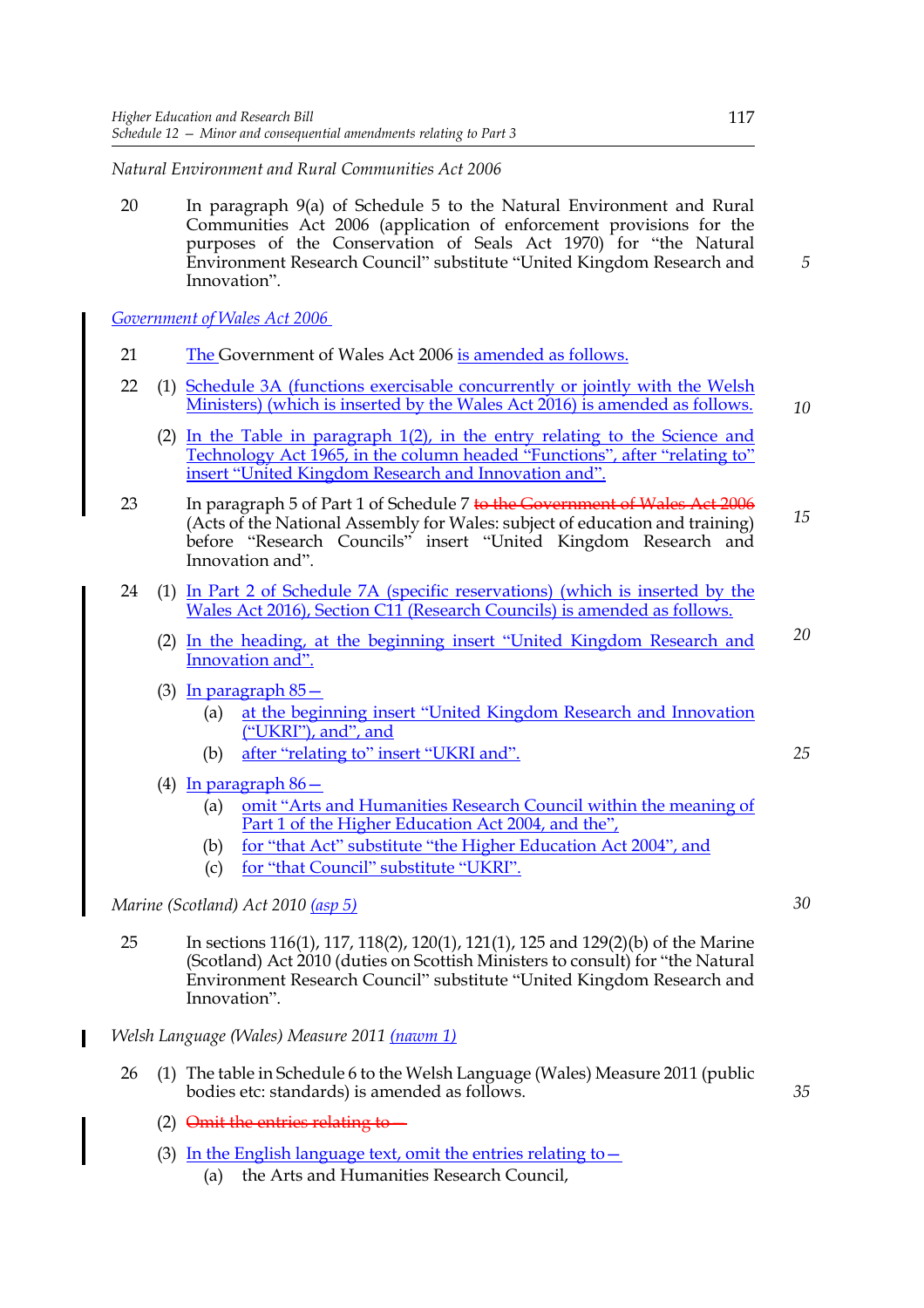*Natural Environment and Rural Communities Act 2006* 

20 In paragraph 9(a) of Schedule 5 to the Natural Environment and Rural Communities Act 2006 (application of enforcement provisions for the purposes of the Conservation of Seals Act 1970) for "the Natural Environment Research Council" substitute "United Kingdom Research and Innovation".

*Government of Wales Act 2006* 

- 21 The Government of Wales Act 2006 is amended as follows.
- 22 (1) Schedule 3A (functions exercisable concurrently or jointly with the Welsh Ministers) (which is inserted by the Wales Act 2016) is amended as follows. *10*
	- (2) In the Table in paragraph  $1(2)$ , in the entry relating to the Science and Technology Act 1965, in the column headed "Functions", after "relating to" insert "United Kingdom Research and Innovation and".
- 23 In paragraph 5 of Part 1 of Schedule 7 to the Government of Wales Act 2006 (Acts of the National Assembly for Wales: subject of education and training) before "Research Councils" insert "United Kingdom Research and Innovation and". *15*
- 24 (1) In Part 2 of Schedule 7A (specific reservations) (which is inserted by the Wales Act 2016), Section C11 (Research Councils) is amended as follows.
	- (2) In the heading, at the beginning insert "United Kingdom Research and Innovation and". *20*
	- (3) In paragraph 85—
		- (a) at the beginning insert "United Kingdom Research and Innovation ("UKRI"), and", and
		- (b) after "relating to" insert "UKRI and".
	- (4) In paragraph 86—
		- (a) omit "Arts and Humanities Research Council within the meaning of Part 1 of the Higher Education Act 2004, and the",
		- (b) for "that Act" substitute "the Higher Education Act 2004", and
		- (c) for "that Council" substitute "UKRI".

*Marine (Scotland) Act 2010 (asp 5)*

- 25 In sections 116(1), 117, 118(2), 120(1), 121(1), 125 and 129(2)(b) of the Marine (Scotland) Act 2010 (duties on Scottish Ministers to consult) for "the Natural Environment Research Council" substitute "United Kingdom Research and Innovation".
- *Welsh Language (Wales) Measure 2011 (nawm 1)*
	- 26 (1) The table in Schedule 6 to the Welsh Language (Wales) Measure 2011 (public bodies etc: standards) is amended as follows.
		- (2) Omit the entries relating to—
		- (3) In the English language text, omit the entries relating to  $-$ 
			- (a) the Arts and Humanities Research Council,

*5*

*35*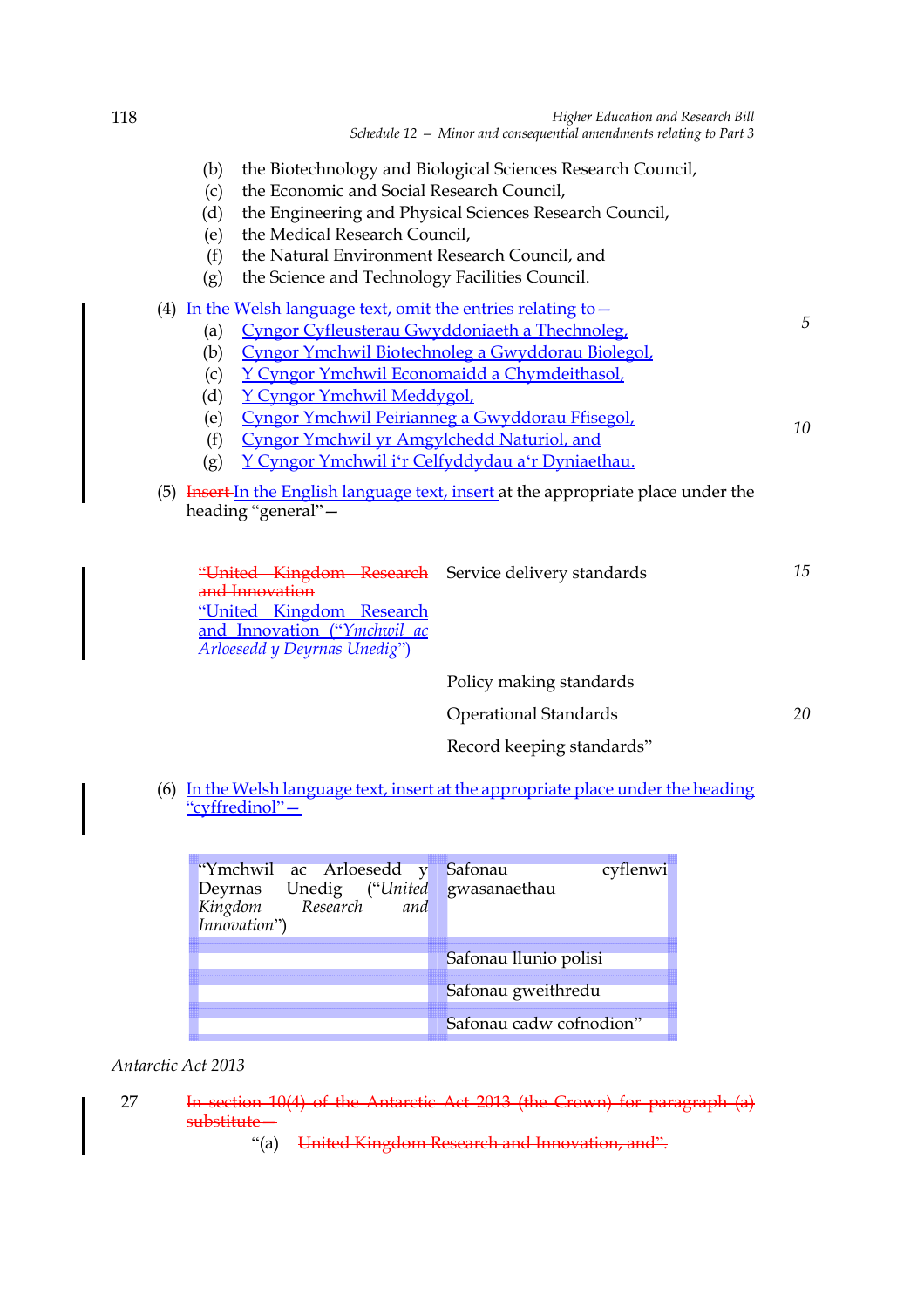| (b)<br>(c)<br>(d)<br>(e)<br>(f)<br>(g)                                                                                                                                     | the Economic and Social Research Council,<br>the Medical Research Council,<br>the Natural Environment Research Council, and<br>the Science and Technology Facilities Council. | the Biotechnology and Biological Sciences Research Council,<br>the Engineering and Physical Sciences Research Council, |    |  |
|----------------------------------------------------------------------------------------------------------------------------------------------------------------------------|-------------------------------------------------------------------------------------------------------------------------------------------------------------------------------|------------------------------------------------------------------------------------------------------------------------|----|--|
| (4) In the Welsh language text, omit the entries relating to $-$                                                                                                           |                                                                                                                                                                               |                                                                                                                        |    |  |
| (a)                                                                                                                                                                        | 5<br>Cyngor Cyfleusterau Gwyddoniaeth a Thechnoleg,                                                                                                                           |                                                                                                                        |    |  |
| (b)                                                                                                                                                                        | Cyngor Ymchwil Biotechnoleg a Gwyddorau Biolegol,                                                                                                                             |                                                                                                                        |    |  |
| (c)                                                                                                                                                                        | Y Cyngor Ymchwil Economaidd a Chymdeithasol,                                                                                                                                  |                                                                                                                        |    |  |
| (d)                                                                                                                                                                        | Y Cyngor Ymchwil Meddygol,                                                                                                                                                    |                                                                                                                        |    |  |
| (e)                                                                                                                                                                        | Cyngor Ymchwil Peirianneg a Gwyddorau Ffisegol,<br>10                                                                                                                         |                                                                                                                        |    |  |
| (f)                                                                                                                                                                        | Cyngor Ymchwil yr Amgylchedd Naturiol, and                                                                                                                                    |                                                                                                                        |    |  |
| (g)                                                                                                                                                                        |                                                                                                                                                                               | Y Cyngor Ymchwil i'r Celfyddydau a'r Dyniaethau.                                                                       |    |  |
| (5) Insert In the English language text, insert at the appropriate place under the<br>heading "general"-                                                                   |                                                                                                                                                                               |                                                                                                                        |    |  |
| "United Kingdom Research<br>Service delivery standards<br>and Innovation<br>"United Kingdom Research<br>and Innovation ("Ymchwil ac<br><b>Arloesedd y Deyrnas Unedig")</b> |                                                                                                                                                                               |                                                                                                                        | 15 |  |
|                                                                                                                                                                            |                                                                                                                                                                               | Policy making standards                                                                                                |    |  |
|                                                                                                                                                                            |                                                                                                                                                                               | <b>Operational Standards</b>                                                                                           | 20 |  |
|                                                                                                                                                                            |                                                                                                                                                                               | Record keeping standards"                                                                                              |    |  |
| In the Welsh language text, insert at the appropriate place under the heading<br>(6)<br>"cyffredinol"-                                                                     |                                                                                                                                                                               |                                                                                                                        |    |  |

| "Ymchwil ac Arloesedd y Safonau<br>Deyrnas Unedig ("United gwasanaethau<br>Kingdom Research<br>and | cyflenwi                |
|----------------------------------------------------------------------------------------------------|-------------------------|
|                                                                                                    | Safonau Ilunio polisi   |
|                                                                                                    | Safonau gweithredu      |
|                                                                                                    | Safonau cadw cofnodion" |

*Antarctic Act 2013* 

- 27 In section 10(4) of the Antarctic Act 2013 (the Crown) for paragraph (a) substitute—
	- "(a) United Kingdom Research and Innovation, and".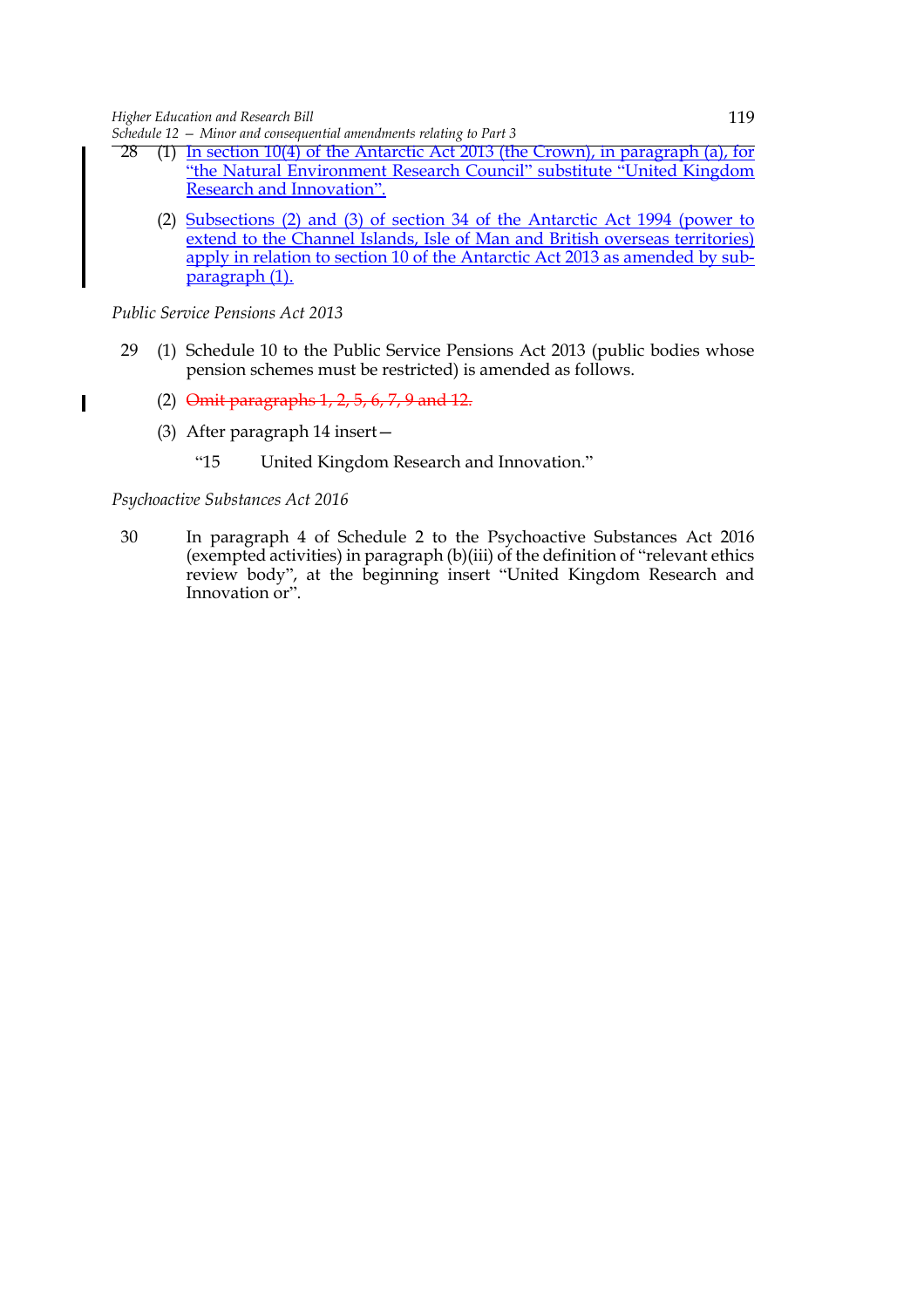*Schedule 12 — Minor and consequential amendments relating to Part 3*

- 28 (1) In section 10(4) of the Antarctic Act 2013 (the Crown), in paragraph (a), for "the Natural Environment Research Council" substitute "United Kingdom Research and Innovation".
	- (2) Subsections (2) and (3) of section 34 of the Antarctic Act 1994 (power to extend to the Channel Islands, Isle of Man and British overseas territories) apply in relation to section 10 of the Antarctic Act 2013 as amended by subparagraph (1).

*Public Service Pensions Act 2013* 

 $\overline{\phantom{a}}$ 

- 29 (1) Schedule 10 to the Public Service Pensions Act 2013 (public bodies whose pension schemes must be restricted) is amended as follows.
	- (2) Omit paragraphs 1, 2, 5, 6, 7, 9 and 12.
	- (3) After paragraph 14 insert—
		- "15 United Kingdom Research and Innovation."

#### *Psychoactive Substances Act 2016*

30 In paragraph 4 of Schedule 2 to the Psychoactive Substances Act 2016 (exempted activities) in paragraph (b)(iii) of the definition of "relevant ethics review body", at the beginning insert "United Kingdom Research and Innovation or".